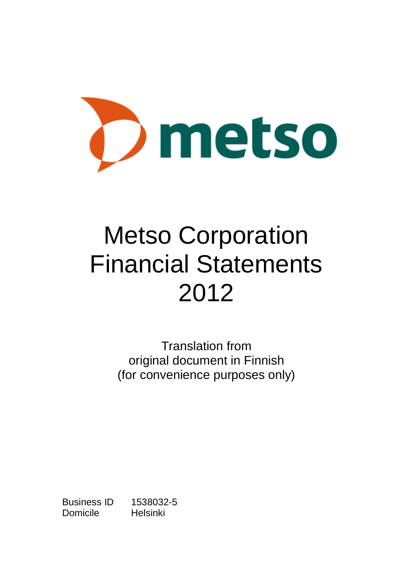

# Metso Corporation Financial Statements 2012

Translation from original document in Finnish (for convenience purposes only)

Business ID 1538032-5 Domicile Helsinki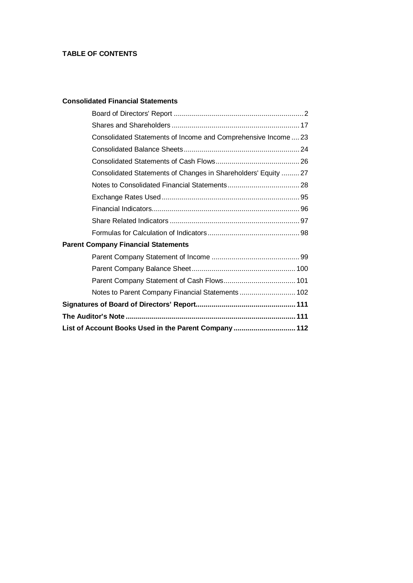# **TABLE OF CONTENTS**

# **Consolidated Financial Statements**

| Consolidated Statements of Income and Comprehensive Income  23 |
|----------------------------------------------------------------|
|                                                                |
|                                                                |
| Consolidated Statements of Changes in Shareholders' Equity  27 |
|                                                                |
|                                                                |
|                                                                |
|                                                                |
|                                                                |
| <b>Parent Company Financial Statements</b>                     |
|                                                                |
|                                                                |
|                                                                |
| Notes to Parent Company Financial Statements 102               |
|                                                                |
|                                                                |
| List of Account Books Used in the Parent Company 112           |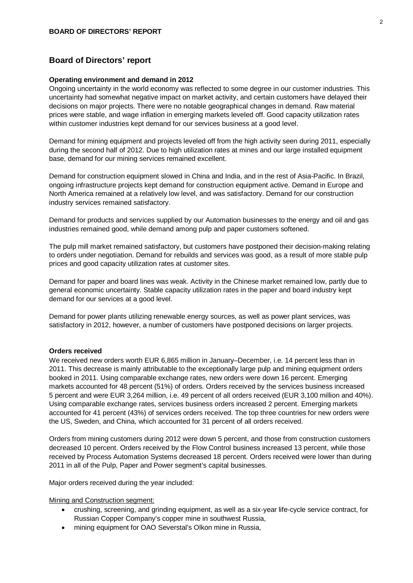# **Board of Directors' report**

# **Operating environment and demand in 2012**

Ongoing uncertainty in the world economy was reflected to some degree in our customer industries. This uncertainty had somewhat negative impact on market activity, and certain customers have delayed their decisions on major projects. There were no notable geographical changes in demand. Raw material prices were stable, and wage inflation in emerging markets leveled off. Good capacity utilization rates within customer industries kept demand for our services business at a good level.

Demand for mining equipment and projects leveled off from the high activity seen during 2011, especially during the second half of 2012. Due to high utilization rates at mines and our large installed equipment base, demand for our mining services remained excellent.

Demand for construction equipment slowed in China and India, and in the rest of Asia-Pacific. In Brazil, ongoing infrastructure projects kept demand for construction equipment active. Demand in Europe and North America remained at a relatively low level, and was satisfactory. Demand for our construction industry services remained satisfactory.

Demand for products and services supplied by our Automation businesses to the energy and oil and gas industries remained good, while demand among pulp and paper customers softened.

The pulp mill market remained satisfactory, but customers have postponed their decision-making relating to orders under negotiation. Demand for rebuilds and services was good, as a result of more stable pulp prices and good capacity utilization rates at customer sites.

Demand for paper and board lines was weak. Activity in the Chinese market remained low, partly due to general economic uncertainty. Stable capacity utilization rates in the paper and board industry kept demand for our services at a good level.

Demand for power plants utilizing renewable energy sources, as well as power plant services, was satisfactory in 2012, however, a number of customers have postponed decisions on larger projects.

## **Orders received**

We received new orders worth EUR 6,865 million in January–December, i.e. 14 percent less than in 2011. This decrease is mainly attributable to the exceptionally large pulp and mining equipment orders booked in 2011. Using comparable exchange rates, new orders were down 16 percent. Emerging markets accounted for 48 percent (51%) of orders. Orders received by the services business increased 5 percent and were EUR 3,264 million, i.e. 49 percent of all orders received (EUR 3,100 million and 40%). Using comparable exchange rates, services business orders increased 2 percent. Emerging markets accounted for 41 percent (43%) of services orders received. The top three countries for new orders were the US, Sweden, and China, which accounted for 31 percent of all orders received.

Orders from mining customers during 2012 were down 5 percent, and those from construction customers decreased 10 percent. Orders received by the Flow Control business increased 13 percent, while those received by Process Automation Systems decreased 18 percent. Orders received were lower than during 2011 in all of the Pulp, Paper and Power segment's capital businesses.

Major orders received during the year included:

# Mining and Construction segment:

- crushing, screening, and grinding equipment, as well as a six-year life-cycle service contract, for Russian Copper Company's copper mine in southwest Russia,
- mining equipment for OAO Severstal's Olkon mine in Russia,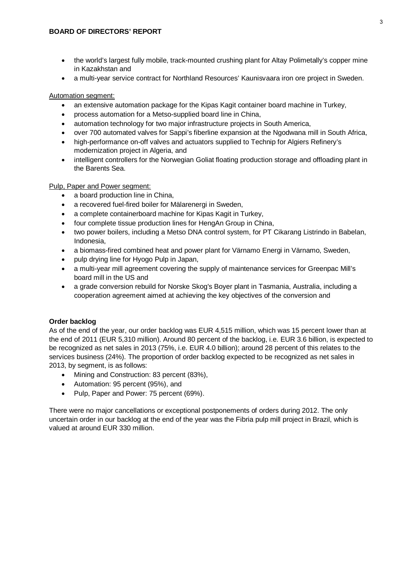- the world's largest fully mobile, track-mounted crushing plant for Altay Polimetally's copper mine in Kazakhstan and
- a multi-year service contract for Northland Resources' Kaunisvaara iron ore project in Sweden.

# Automation segment:

- an extensive automation package for the Kipas Kagit container board machine in Turkey,
- process automation for a Metso-supplied board line in China,
- automation technology for two major infrastructure projects in South America,
- over 700 automated valves for Sappi's fiberline expansion at the Ngodwana mill in South Africa,
- high-performance on-off valves and actuators supplied to Technip for Algiers Refinery's modernization project in Algeria, and
- intelligent controllers for the Norwegian Goliat floating production storage and offloading plant in the Barents Sea.

# Pulp, Paper and Power segment:

- a board production line in China,
- a recovered fuel-fired boiler for Mälarenergi in Sweden,
- a complete containerboard machine for Kipas Kagit in Turkey,
- four complete tissue production lines for HengAn Group in China,
- two power boilers, including a Metso DNA control system, for PT Cikarang Listrindo in Babelan, Indonesia,
- a biomass-fired combined heat and power plant for Värnamo Energi in Värnamo, Sweden,
- pulp drying line for Hyogo Pulp in Japan,
- a multi-year mill agreement covering the supply of maintenance services for Greenpac Mill's board mill in the US and
- a grade conversion rebuild for Norske Skog's Boyer plant in Tasmania, Australia, including a cooperation agreement aimed at achieving the key objectives of the conversion and

# **Order backlog**

As of the end of the year, our order backlog was EUR 4,515 million, which was 15 percent lower than at the end of 2011 (EUR 5,310 million). Around 80 percent of the backlog, i.e. EUR 3.6 billion, is expected to be recognized as net sales in 2013 (75%, i.e. EUR 4.0 billion); around 28 percent of this relates to the services business (24%). The proportion of order backlog expected to be recognized as net sales in 2013, by segment, is as follows:

- Mining and Construction: 83 percent (83%),
- Automation: 95 percent (95%), and
- Pulp, Paper and Power: 75 percent (69%).

There were no major cancellations or exceptional postponements of orders during 2012. The only uncertain order in our backlog at the end of the year was the Fibria pulp mill project in Brazil, which is valued at around EUR 330 million.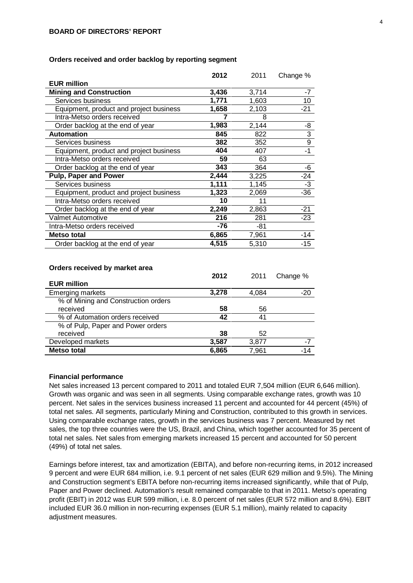| Orders received and order backlog by reporting segment |
|--------------------------------------------------------|
|--------------------------------------------------------|

|                                         | 2012  | 2011  | Change %                 |
|-----------------------------------------|-------|-------|--------------------------|
| <b>EUR million</b>                      |       |       |                          |
| <b>Mining and Construction</b>          | 3,436 | 3,714 | -7                       |
| Services business                       | 1,771 | 1,603 | 10                       |
| Equipment, product and project business | 1,658 | 2,103 | $-21$                    |
| Intra-Metso orders received             | 7     | 8     |                          |
| Order backlog at the end of year        | 1,983 | 2,144 | -8                       |
| <b>Automation</b>                       | 845   | 822   | $\frac{\frac{3}{9}}{-1}$ |
| Services business                       | 382   | 352   |                          |
| Equipment, product and project business | 404   | 407   |                          |
| Intra-Metso orders received             | 59    | 63    |                          |
| Order backlog at the end of year        | 343   | 364   | -6                       |
| <b>Pulp, Paper and Power</b>            | 2,444 | 3,225 | $-24$                    |
| Services business                       | 1,111 | 1,145 | $\overline{c}$           |
| Equipment, product and project business | 1,323 | 2,069 | $-36$                    |
| Intra-Metso orders received             | 10    | 11    |                          |
| Order backlog at the end of year        | 2,249 | 2,863 | $-21$                    |
| Valmet Automotive                       | 216   | 281   | $-23$                    |
| Intra-Metso orders received             | $-76$ | $-81$ |                          |
| <b>Metso total</b>                      | 6,865 | 7,961 | $-14$                    |
| Order backlog at the end of year        | 4,515 | 5,310 | $-15$                    |
|                                         |       |       |                          |
| Orders received by market area          | 2012  | 2011  | Change %                 |
| <b>EUR million</b>                      |       |       |                          |
| <b>Emerging markets</b>                 | 3,278 | 4,084 | $-20$                    |
| % of Mining and Construction orders     |       |       |                          |
| received                                | 58    | 56    |                          |
| % of Automation orders received         | 42    | 41    |                          |
| % of Pulp, Paper and Power orders       |       |       |                          |
| received                                | 38    | 52    |                          |

Developed markets **3,587** 3,877 -7 **Metso total 120 CM 2012 12:00 CM 2013 12:00 CM 30 CM 30 CM 30 CM 30 CM 30 CM 30 CM 30 CM 30 CM 30 CM 30 CM 30 CM 30 CM 30 CM 30 CM 30 CM 30 CM 30 CM 30 CM 30 CM 30 CM 30 CM 30 CM 30 CM 30 CM 30 CM 30 CM 30 CM 30 CM 30 CM** 

#### **Financial performance**

Net sales increased 13 percent compared to 2011 and totaled EUR 7,504 million (EUR 6,646 million). Growth was organic and was seen in all segments. Using comparable exchange rates, growth was 10 percent. Net sales in the services business increased 11 percent and accounted for 44 percent (45%) of total net sales. All segments, particularly Mining and Construction, contributed to this growth in services. Using comparable exchange rates, growth in the services business was 7 percent. Measured by net sales, the top three countries were the US, Brazil, and China, which together accounted for 35 percent of total net sales. Net sales from emerging markets increased 15 percent and accounted for 50 percent (49%) of total net sales.

Earnings before interest, tax and amortization (EBITA), and before non-recurring items, in 2012 increased 9 percent and were EUR 684 million, i.e. 9.1 percent of net sales (EUR 629 million and 9.5%). The Mining and Construction segment's EBITA before non-recurring items increased significantly, while that of Pulp, Paper and Power declined. Automation's result remained comparable to that in 2011. Metso's operating profit (EBIT) in 2012 was EUR 599 million, i.e. 8.0 percent of net sales (EUR 572 million and 8.6%). EBIT included EUR 36.0 million in non-recurring expenses (EUR 5.1 million), mainly related to capacity adiustment measures.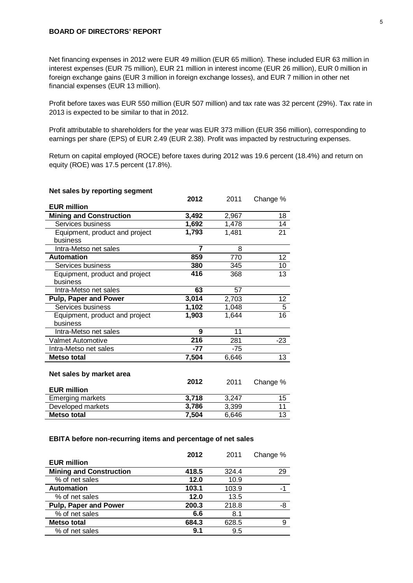# **BOARD OF DIRECTORS' REPORT**

Net financing expenses in 2012 were EUR 49 million (EUR 65 million). These included EUR 63 million in interest expenses (EUR 75 million), EUR 21 million in interest income (EUR 26 million), EUR 0 million in foreign exchange gains (EUR 3 million in foreign exchange losses), and EUR 7 million in other net financial expenses (EUR 13 million).

Profit before taxes was EUR 550 million (EUR 507 million) and tax rate was 32 percent (29%). Tax rate in 2013 is expected to be similar to that in 2012.

Profit attributable to shareholders for the year was EUR 373 million (EUR 356 million), corresponding to earnings per share (EPS) of EUR 2.49 (EUR 2.38). Profit was impacted by restructuring expenses.

Return on capital employed (ROCE) before taxes during 2012 was 19.6 percent (18.4%) and return on equity (ROE) was 17.5 percent (17.8%).

| 2012<br>2011<br>Change %<br><b>EUR million</b><br><b>Mining and Construction</b><br>3,492<br>18<br>2,967<br>Services business<br>1,692<br>1,478<br>14<br>1,793<br>21<br>1,481<br>Equipment, product and project<br>business<br>7<br>Intra-Metso net sales<br>8<br><b>Automation</b><br>859<br>12 <sub>2</sub><br>770<br>Services business<br>380<br>10<br>345<br>13<br>416<br>368<br>Equipment, product and project<br>business<br>57<br>Intra-Metso net sales<br>63<br>3,014<br>$12 \overline{ }$<br><b>Pulp, Paper and Power</b><br>2,703<br>$\frac{5}{16}$<br>Services business<br>1,102<br>1,048<br>1,903<br>1,644<br>Equipment, product and project<br>business<br>9<br>11<br>Intra-Metso net sales<br>Valmet Automotive<br>216<br>281<br>$-23$<br>-77<br>Intra-Metso net sales<br>$-75$<br>13 <sup>°</sup><br>7,504<br>6,646<br>Metso total<br>Net sales by market area<br>2012<br>2011<br>Change %<br><b>EUR million</b><br>3,718<br>15<br>3,247<br><b>Emerging markets</b><br>Developed markets<br>3,786<br>3,399<br>11<br><b>Metso total</b><br>7,504<br>13<br>6,646 | Net sales by reporting segment |  |  |
|-------------------------------------------------------------------------------------------------------------------------------------------------------------------------------------------------------------------------------------------------------------------------------------------------------------------------------------------------------------------------------------------------------------------------------------------------------------------------------------------------------------------------------------------------------------------------------------------------------------------------------------------------------------------------------------------------------------------------------------------------------------------------------------------------------------------------------------------------------------------------------------------------------------------------------------------------------------------------------------------------------------------------------------------------------------------------------|--------------------------------|--|--|
|                                                                                                                                                                                                                                                                                                                                                                                                                                                                                                                                                                                                                                                                                                                                                                                                                                                                                                                                                                                                                                                                               |                                |  |  |
|                                                                                                                                                                                                                                                                                                                                                                                                                                                                                                                                                                                                                                                                                                                                                                                                                                                                                                                                                                                                                                                                               |                                |  |  |
|                                                                                                                                                                                                                                                                                                                                                                                                                                                                                                                                                                                                                                                                                                                                                                                                                                                                                                                                                                                                                                                                               |                                |  |  |
|                                                                                                                                                                                                                                                                                                                                                                                                                                                                                                                                                                                                                                                                                                                                                                                                                                                                                                                                                                                                                                                                               |                                |  |  |
|                                                                                                                                                                                                                                                                                                                                                                                                                                                                                                                                                                                                                                                                                                                                                                                                                                                                                                                                                                                                                                                                               |                                |  |  |
|                                                                                                                                                                                                                                                                                                                                                                                                                                                                                                                                                                                                                                                                                                                                                                                                                                                                                                                                                                                                                                                                               |                                |  |  |
|                                                                                                                                                                                                                                                                                                                                                                                                                                                                                                                                                                                                                                                                                                                                                                                                                                                                                                                                                                                                                                                                               |                                |  |  |
|                                                                                                                                                                                                                                                                                                                                                                                                                                                                                                                                                                                                                                                                                                                                                                                                                                                                                                                                                                                                                                                                               |                                |  |  |
|                                                                                                                                                                                                                                                                                                                                                                                                                                                                                                                                                                                                                                                                                                                                                                                                                                                                                                                                                                                                                                                                               |                                |  |  |
|                                                                                                                                                                                                                                                                                                                                                                                                                                                                                                                                                                                                                                                                                                                                                                                                                                                                                                                                                                                                                                                                               |                                |  |  |
|                                                                                                                                                                                                                                                                                                                                                                                                                                                                                                                                                                                                                                                                                                                                                                                                                                                                                                                                                                                                                                                                               |                                |  |  |
|                                                                                                                                                                                                                                                                                                                                                                                                                                                                                                                                                                                                                                                                                                                                                                                                                                                                                                                                                                                                                                                                               |                                |  |  |
|                                                                                                                                                                                                                                                                                                                                                                                                                                                                                                                                                                                                                                                                                                                                                                                                                                                                                                                                                                                                                                                                               |                                |  |  |
|                                                                                                                                                                                                                                                                                                                                                                                                                                                                                                                                                                                                                                                                                                                                                                                                                                                                                                                                                                                                                                                                               |                                |  |  |
|                                                                                                                                                                                                                                                                                                                                                                                                                                                                                                                                                                                                                                                                                                                                                                                                                                                                                                                                                                                                                                                                               |                                |  |  |
|                                                                                                                                                                                                                                                                                                                                                                                                                                                                                                                                                                                                                                                                                                                                                                                                                                                                                                                                                                                                                                                                               |                                |  |  |
|                                                                                                                                                                                                                                                                                                                                                                                                                                                                                                                                                                                                                                                                                                                                                                                                                                                                                                                                                                                                                                                                               |                                |  |  |
|                                                                                                                                                                                                                                                                                                                                                                                                                                                                                                                                                                                                                                                                                                                                                                                                                                                                                                                                                                                                                                                                               |                                |  |  |
|                                                                                                                                                                                                                                                                                                                                                                                                                                                                                                                                                                                                                                                                                                                                                                                                                                                                                                                                                                                                                                                                               |                                |  |  |
|                                                                                                                                                                                                                                                                                                                                                                                                                                                                                                                                                                                                                                                                                                                                                                                                                                                                                                                                                                                                                                                                               |                                |  |  |
|                                                                                                                                                                                                                                                                                                                                                                                                                                                                                                                                                                                                                                                                                                                                                                                                                                                                                                                                                                                                                                                                               |                                |  |  |
|                                                                                                                                                                                                                                                                                                                                                                                                                                                                                                                                                                                                                                                                                                                                                                                                                                                                                                                                                                                                                                                                               |                                |  |  |
|                                                                                                                                                                                                                                                                                                                                                                                                                                                                                                                                                                                                                                                                                                                                                                                                                                                                                                                                                                                                                                                                               |                                |  |  |
|                                                                                                                                                                                                                                                                                                                                                                                                                                                                                                                                                                                                                                                                                                                                                                                                                                                                                                                                                                                                                                                                               |                                |  |  |
|                                                                                                                                                                                                                                                                                                                                                                                                                                                                                                                                                                                                                                                                                                                                                                                                                                                                                                                                                                                                                                                                               |                                |  |  |
|                                                                                                                                                                                                                                                                                                                                                                                                                                                                                                                                                                                                                                                                                                                                                                                                                                                                                                                                                                                                                                                                               |                                |  |  |
|                                                                                                                                                                                                                                                                                                                                                                                                                                                                                                                                                                                                                                                                                                                                                                                                                                                                                                                                                                                                                                                                               |                                |  |  |

#### **EBITA before non-recurring items and percentage of net sales**

|                                | 2012  | 2011  | Change % |
|--------------------------------|-------|-------|----------|
| <b>EUR million</b>             |       |       |          |
| <b>Mining and Construction</b> | 418.5 | 324.4 | 29       |
| % of net sales                 | 12.0  | 10.9  |          |
| <b>Automation</b>              | 103.1 | 103.9 | -1       |
| % of net sales                 | 12.0  | 13.5  |          |
| Pulp, Paper and Power          | 200.3 | 218.8 | -8       |
| % of net sales                 | 6.6   | 8.1   |          |
| <b>Metso total</b>             | 684.3 | 628.5 | 9        |
| % of net sales                 | 9.1   | 9.5   |          |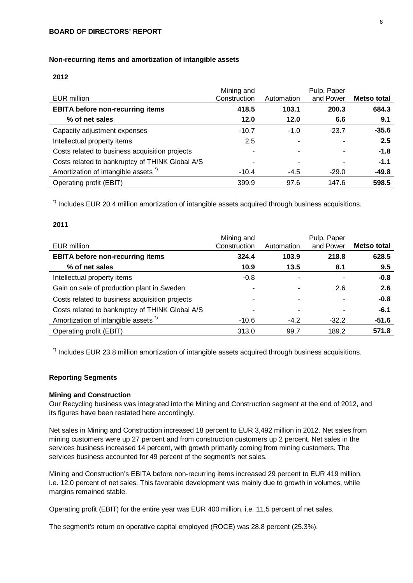# **Non-recurring items and amortization of intangible assets**

# **2012**

| EUR million                                     | Mining and<br>Construction | Automation | Pulp, Paper<br>and Power | Metso total |
|-------------------------------------------------|----------------------------|------------|--------------------------|-------------|
| <b>EBITA before non-recurring items</b>         | 418.5                      | 103.1      | 200.3                    | 684.3       |
| % of net sales                                  | 12.0                       | 12.0       | 6.6                      | 9.1         |
| Capacity adjustment expenses                    | $-10.7$                    | $-1.0$     | $-23.7$                  | $-35.6$     |
| Intellectual property items                     | 2.5                        |            |                          | 2.5         |
| Costs related to business acquisition projects  | $\overline{\phantom{a}}$   | ۰          |                          | $-1.8$      |
| Costs related to bankruptcy of THINK Global A/S |                            |            |                          | $-1.1$      |
| Amortization of intangible assets <sup>"</sup>  | $-10.4$                    | $-4.5$     | $-29.0$                  | $-49.8$     |
| Operating profit (EBIT)                         | 399.9                      | 97.6       | 147.6                    | 598.5       |

\*) Includes EUR 20.4 million amortization of intangible assets acquired through business acquisitions.

# **2011**

| EUR million                                     | Mining and<br>Construction | Automation | Pulp, Paper<br>and Power | Metso total |
|-------------------------------------------------|----------------------------|------------|--------------------------|-------------|
| <b>EBITA before non-recurring items</b>         | 324.4                      | 103.9      | 218.8                    | 628.5       |
| % of net sales                                  | 10.9                       | 13.5       | 8.1                      | 9.5         |
| Intellectual property items                     | $-0.8$                     |            |                          | $-0.8$      |
| Gain on sale of production plant in Sweden      |                            |            | 2.6                      | 2.6         |
| Costs related to business acquisition projects  | ۰                          | ۰          |                          | $-0.8$      |
| Costs related to bankruptcy of THINK Global A/S |                            |            |                          | $-6.1$      |
| Amortization of intangible assets <sup>"</sup>  | $-10.6$                    | $-4.2$     | $-32.2$                  | $-51.6$     |
| Operating profit (EBIT)                         | 313.0                      | 99.7       | 189.2                    | 571.8       |

\*) Includes EUR 23.8 million amortization of intangible assets acquired through business acquisitions.

# **Reporting Segments**

## **Mining and Construction**

Our Recycling business was integrated into the Mining and Construction segment at the end of 2012, and its figures have been restated here accordingly.

Net sales in Mining and Construction increased 18 percent to EUR 3,492 million in 2012. Net sales from mining customers were up 27 percent and from construction customers up 2 percent. Net sales in the services business increased 14 percent, with growth primarily coming from mining customers. The services business accounted for 49 percent of the segment's net sales.

Mining and Construction's EBITA before non-recurring items increased 29 percent to EUR 419 million, i.e. 12.0 percent of net sales. This favorable development was mainly due to growth in volumes, while margins remained stable.

Operating profit (EBIT) for the entire year was EUR 400 million, i.e. 11.5 percent of net sales.

The segment's return on operative capital employed (ROCE) was 28.8 percent (25.3%).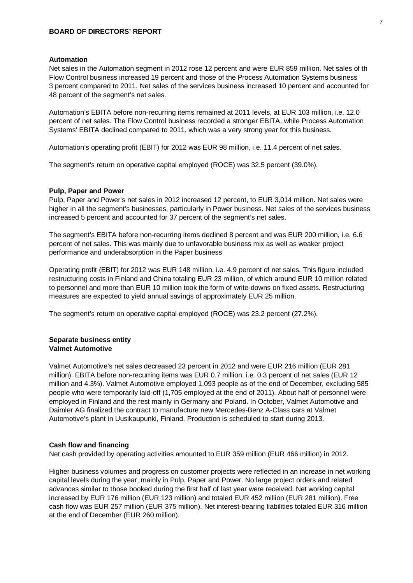# **Automation**

Net sales in the Automation segment in 2012 rose 12 percent and were EUR 859 million. Net sales of th Flow Control business increased 19 percent and those of the Process Automation Systems business 3 percent compared to 2011. Net sales of the services business increased 10 percent and accounted for 48 percent of the segment's net sales.

Automation's EBITA before non-recurring items remained at 2011 levels, at EUR 103 million, i.e. 12.0 percent of net sales. The Flow Control business recorded a stronger EBITA, while Process Automation Systems' EBITA declined compared to 2011, which was a very strong year for this business.

Automation's operating profit (EBIT) for 2012 was EUR 98 million, i.e. 11.4 percent of net sales.

The segment's return on operative capital employed (ROCE) was 32.5 percent (39.0%).

#### **Pulp, Paper and Power**

Pulp, Paper and Power's net sales in 2012 increased 12 percent, to EUR 3,014 million. Net sales were higher in all the segment's businesses, particularly in Power business. Net sales of the services business increased 5 percent and accounted for 37 percent of the segment's net sales.

The segment's EBITA before non-recurring items declined 8 percent and was EUR 200 million, i.e. 6.6 percent of net sales. This was mainly due to unfavorable business mix as well as weaker project performance and underabsorption in the Paper business

Operating profit (EBIT) for 2012 was EUR 148 million, i.e. 4.9 percent of net sales. This figure included restructuring costs in Finland and China totaling EUR 23 million, of which around EUR 10 million related to personnel and more than EUR 10 million took the form of write-downs on fixed assets. Restructuring measures are expected to yield annual savings of approximately EUR 25 million.

The segment's return on operative capital employed (ROCE) was 23.2 percent (27.2%).

# **Separate business entity Valmet Automotive**

Valmet Automotive's net sales decreased 23 percent in 2012 and were EUR 216 million (EUR 281 million). EBITA before non-recurring items was EUR 0.7 million, i.e. 0.3 percent of net sales (EUR 12 million and 4.3%). Valmet Automotive employed 1,093 people as of the end of December, excluding 585 people who were temporarily laid-off (1,705 employed at the end of 2011). About half of personnel were employed in Finland and the rest mainly in Germany and Poland. In October, Valmet Automotive and Daimler AG finalized the contract to manufacture new Mercedes-Benz A-Class cars at Valmet Automotive's plant in Uusikaupunki, Finland. Production is scheduled to start during 2013.

## **Cash flow and financing**

Net cash provided by operating activities amounted to EUR 359 million (EUR 466 million) in 2012.

Higher business volumes and progress on customer projects were reflected in an increase in net working capital levels during the year, mainly in Pulp, Paper and Power. No large project orders and related advances similar to those booked during the first half of last year were received. Net working capital increased by EUR 176 million (EUR 123 million) and totaled EUR 452 million (EUR 281 million). Free cash flow was EUR 257 million (EUR 375 million). Net interest-bearing liabilities totaled EUR 316 million at the end of December (EUR 260 million).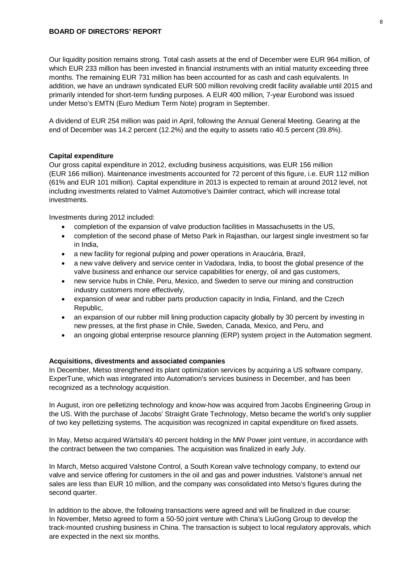Our liquidity position remains strong. Total cash assets at the end of December were EUR 964 million, of which EUR 233 million has been invested in financial instruments with an initial maturity exceeding three months. The remaining EUR 731 million has been accounted for as cash and cash equivalents. In addition, we have an undrawn syndicated EUR 500 million revolving credit facility available until 2015 and primarily intended for short-term funding purposes. A EUR 400 million, 7-year Eurobond was issued under Metso's EMTN (Euro Medium Term Note) program in September.

A dividend of EUR 254 million was paid in April, following the Annual General Meeting. Gearing at the end of December was 14.2 percent (12.2%) and the equity to assets ratio 40.5 percent (39.8%).

# **Capital expenditure**

Our gross capital expenditure in 2012, excluding business acquisitions, was EUR 156 million (EUR 166 million). Maintenance investments accounted for 72 percent of this figure, i.e. EUR 112 million (61% and EUR 101 million). Capital expenditure in 2013 is expected to remain at around 2012 level, not including investments related to Valmet Automotive's Daimler contract, which will increase total investments.

Investments during 2012 included:

- completion of the expansion of valve production facilities in Massachusetts in the US,
- completion of the second phase of Metso Park in Rajasthan, our largest single investment so far in India,
- a new facility for regional pulping and power operations in Araucária, Brazil,
- a new valve delivery and service center in Vadodara, India, to boost the global presence of the valve business and enhance our service capabilities for energy, oil and gas customers,
- new service hubs in Chile, Peru, Mexico, and Sweden to serve our mining and construction industry customers more effectively,
- expansion of wear and rubber parts production capacity in India, Finland, and the Czech Republic,
- an expansion of our rubber mill lining production capacity globally by 30 percent by investing in new presses, at the first phase in Chile, Sweden, Canada, Mexico, and Peru, and
- an ongoing global enterprise resource planning (ERP) system project in the Automation segment.

# **Acquisitions, divestments and associated companies**

In December, Metso strengthened its plant optimization services by acquiring a US software company, ExperTune, which was integrated into Automation's services business in December, and has been recognized as a technology acquisition.

In August, iron ore pelletizing technology and know-how was acquired from Jacobs Engineering Group in the US. With the purchase of Jacobs' Straight Grate Technology, Metso became the world's only supplier of two key pelletizing systems. The acquisition was recognized in capital expenditure on fixed assets.

In May, Metso acquired Wärtsilä's 40 percent holding in the MW Power joint venture, in accordance with the contract between the two companies. The acquisition was finalized in early July.

In March, Metso acquired Valstone Control, a South Korean valve technology company, to extend our valve and service offering for customers in the oil and gas and power industries. Valstone's annual net sales are less than EUR 10 million, and the company was consolidated into Metso's figures during the second quarter.

In addition to the above, the following transactions were agreed and will be finalized in due course: In November, Metso agreed to form a 50-50 joint venture with China's LiuGong Group to develop the track-mounted crushing business in China. The transaction is subject to local regulatory approvals, which are expected in the next six months.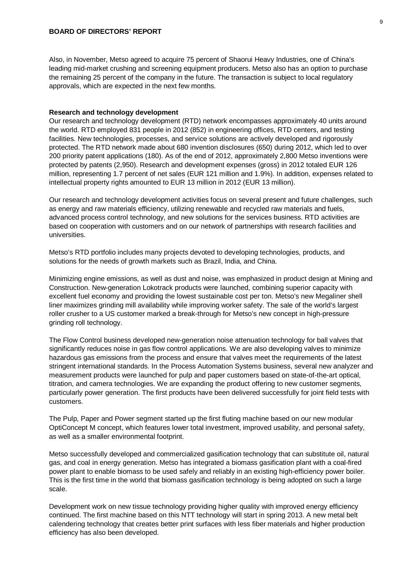Also, in November, Metso agreed to acquire 75 percent of Shaorui Heavy Industries, one of China's leading mid-market crushing and screening equipment producers. Metso also has an option to purchase the remaining 25 percent of the company in the future. The transaction is subject to local regulatory approvals, which are expected in the next few months.

## **Research and technology development**

Our research and technology development (RTD) network encompasses approximately 40 units around the world. RTD employed 831 people in 2012 (852) in engineering offices, RTD centers, and testing facilities. New technologies, processes, and service solutions are actively developed and rigorously protected. The RTD network made about 680 invention disclosures (650) during 2012, which led to over 200 priority patent applications (180). As of the end of 2012, approximately 2,800 Metso inventions were protected by patents (2,950). Research and development expenses (gross) in 2012 totaled EUR 126 million, representing 1.7 percent of net sales (EUR 121 million and 1.9%). In addition, expenses related to intellectual property rights amounted to EUR 13 million in 2012 (EUR 13 million).

Our research and technology development activities focus on several present and future challenges, such as energy and raw materials efficiency, utilizing renewable and recycled raw materials and fuels, advanced process control technology, and new solutions for the services business. RTD activities are based on cooperation with customers and on our network of partnerships with research facilities and universities.

Metso's RTD portfolio includes many projects devoted to developing technologies, products, and solutions for the needs of growth markets such as Brazil, India, and China.

Minimizing engine emissions, as well as dust and noise, was emphasized in product design at Mining and Construction. New-generation Lokotrack products were launched, combining superior capacity with excellent fuel economy and providing the lowest sustainable cost per ton. Metso's new Megaliner shell liner maximizes grinding mill availability while improving worker safety. The sale of the world's largest roller crusher to a US customer marked a break-through for Metso's new concept in high-pressure grinding roll technology.

The Flow Control business developed new-generation noise attenuation technology for ball valves that significantly reduces noise in gas flow control applications. We are also developing valves to minimize hazardous gas emissions from the process and ensure that valves meet the requirements of the latest stringent international standards. In the Process Automation Systems business, several new analyzer and measurement products were launched for pulp and paper customers based on state-of-the-art optical, titration, and camera technologies. We are expanding the product offering to new customer segments, particularly power generation. The first products have been delivered successfully for joint field tests with customers.

The Pulp, Paper and Power segment started up the first fluting machine based on our new modular OptiConcept M concept, which features lower total investment, improved usability, and personal safety, as well as a smaller environmental footprint.

Metso successfully developed and commercialized gasification technology that can substitute oil, natural gas, and coal in energy generation. Metso has integrated a biomass gasification plant with a coal-fired power plant to enable biomass to be used safely and reliably in an existing high-efficiency power boiler. This is the first time in the world that biomass gasification technology is being adopted on such a large scale.

Development work on new tissue technology providing higher quality with improved energy efficiency continued. The first machine based on this NTT technology will start in spring 2013. A new metal belt calendering technology that creates better print surfaces with less fiber materials and higher production efficiency has also been developed.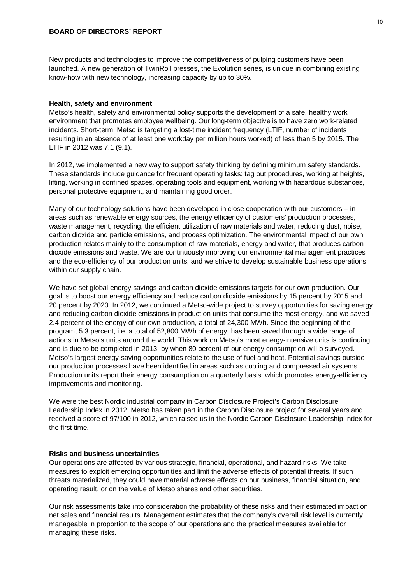New products and technologies to improve the competitiveness of pulping customers have been launched. A new generation of TwinRoll presses, the Evolution series, is unique in combining existing know-how with new technology, increasing capacity by up to 30%.

#### **Health, safety and environment**

Metso's health, safety and environmental policy supports the development of a safe, healthy work environment that promotes employee wellbeing. Our long-term objective is to have zero work-related incidents. Short-term, Metso is targeting a lost-time incident frequency (LTIF, number of incidents resulting in an absence of at least one workday per million hours worked) of less than 5 by 2015. The LTIF in 2012 was 7.1 (9.1).

In 2012, we implemented a new way to support safety thinking by defining minimum safety standards. These standards include guidance for frequent operating tasks: tag out procedures, working at heights, lifting, working in confined spaces, operating tools and equipment, working with hazardous substances, personal protective equipment, and maintaining good order.

Many of our technology solutions have been developed in close cooperation with our customers – in areas such as renewable energy sources, the energy efficiency of customers' production processes, waste management, recycling, the efficient utilization of raw materials and water, reducing dust, noise, carbon dioxide and particle emissions, and process optimization. The environmental impact of our own production relates mainly to the consumption of raw materials, energy and water, that produces carbon dioxide emissions and waste. We are continuously improving our environmental management practices and the eco-efficiency of our production units, and we strive to develop sustainable business operations within our supply chain.

We have set global energy savings and carbon dioxide emissions targets for our own production. Our goal is to boost our energy efficiency and reduce carbon dioxide emissions by 15 percent by 2015 and 20 percent by 2020. In 2012, we continued a Metso-wide project to survey opportunities for saving energy and reducing carbon dioxide emissions in production units that consume the most energy, and we saved 2.4 percent of the energy of our own production, a total of 24,300 MWh. Since the beginning of the program, 5.3 percent, i.e. a total of 52,800 MWh of energy, has been saved through a wide range of actions in Metso's units around the world. This work on Metso's most energy-intensive units is continuing and is due to be completed in 2013, by when 80 percent of our energy consumption will b surveyed. Metso's largest energy-saving opportunities relate to the use of fuel and heat. Potential savings outside our production processes have been identified in areas such as cooling and compressed air systems. Production units report their energy consumption on a quarterly basis, which promotes energy-efficiency improvements and monitoring.

We were the best Nordic industrial company in Carbon Disclosure Project's Carbon Disclosure Leadership Index in 2012. Metso has taken part in the Carbon Disclosure project for several years and received a score of 97/100 in 2012, which raised us in the Nordic Carbon Disclosure Leadership Index for the first time.

# **Risks and business uncertainties**

Our operations are affected by various strategic, financial, operational, and hazard risks. We take measures to exploit emerging opportunities and limit the adverse effects of potential threats. If such threats materialized, they could have material adverse effects on our business, financial situation, and operating result, or on the value of Metso shares and other securities.

Our risk assessments take into consideration the probability of these risks and their estimated impact on net sales and financial results. Management estimates that the company's overall risk level is currently manageable in proportion to the scope of our operations and the practical measures available for managing these risks.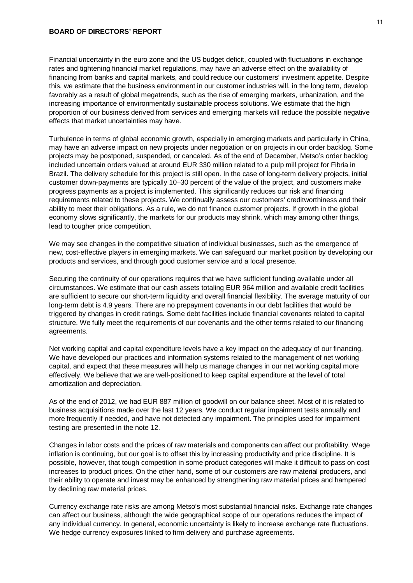#### **BOARD OF DIRECTORS' REPORT**

Financial uncertainty in the euro zone and the US budget deficit, coupled with fluctuations in exchange rates and tightening financial market regulations, may have an adverse effect on the availability of financing from banks and capital markets, and could reduce our customers' investment appetite. Despite this, we estimate that the business environment in our customer industries will, in the long term, develop favorably as a result of global megatrends, such as the rise of emerging markets, urbanization, and the increasing importance of environmentally sustainable process solutions. We estimate that the high proportion of our business derived from services and emerging markets will reduce the possible negative effects that market uncertainties may have.

Turbulence in terms of global economic growth, especially in emerging markets and particularly in China, may have an adverse impact on new projects under negotiation or on projects in our order backlog. Some projects may be postponed, suspended, or canceled. As of the end of December, Metso's order backlog included uncertain orders valued at around EUR 330 million related to a pulp mill project for Fibria in Brazil. The delivery schedule for this project is still open. In the case of long-term delivery projects, initial customer down-payments are typically 10–30 percent of the value of the project, and customers make progress payments as a project is implemented. This significantly reduces our risk and financing requirements related to these projects. We continually assess our customers' creditworthiness and their ability to meet their obligations. As a rule, we do not finance customer projects. If growth in the global economy slows significantly, the markets for our products may shrink, which may among other things, lead to tougher price competition.

We may see changes in the competitive situation of individual businesses, such as the emergence of new, cost-effective players in emerging markets. We can safeguard our market position by developing our products and services, and through good customer service and a local presence.

Securing the continuity of our operations requires that we have sufficient funding available under all circumstances. We estimate that our cash assets totaling EUR 964 million and available credit facilities are sufficient to secure our short-term liquidity and overall financial flexibility. The average maturity of our long-term debt is 4.9 years. There are no prepayment covenants in our debt facilities that would be triggered by changes in credit ratings. Some debt facilities include financial covenants related to capital structure. We fully meet the requirements of our covenants and the other terms related to our financing agreements.

Net working capital and capital expenditure levels have a key impact on the adequacy of our financing. We have developed our practices and information systems related to the management of net working capital, and expect that these measures will help us manage changes in our net working capital more effectively. We believe that we are well-positioned to keep capital expenditure at the level of total amortization and depreciation.

As of the end of 2012, we had EUR 887 million of goodwill on our balance sheet. Most of it is related to business acquisitions made over the last 12 years. We conduct regular impairment tests annually and more frequently if needed, and have not detected any impairment. The principles used for impairment testing are presented in the note 12.

Changes in labor costs and the prices of raw materials and components can affect our profitability. Wage inflation is continuing, but our goal is to offset this by increasing productivity and price discipline. It is possible, however, that tough competition in some product categories will make it difficult to pass on cost increases to product prices. On the other hand, some of our customers are raw material producers, and their ability to operate and invest may be enhanced by strengthening raw material prices and hampered by declining raw material prices.

Currency exchange rate risks are among Metso's most substantial financial risks. Exchange rate changes can affect our business, although the wide geographical scope of our operations reduces the impact of any individual currency. In general, economic uncertainty is likely to increase exchange rate fluctuations. We hedge currency exposures linked to firm delivery and purchase agreements.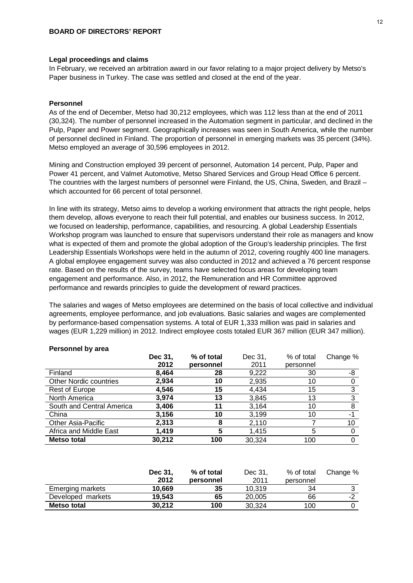## **Legal proceedings and claims**

In February, we received an arbitration award in our favor relating to a major project delivery by Metso's Paper business in Turkey. The case was settled and closed at the end of the year.

# **Personnel**

As of the end of December, Metso had 30,212 employees, which was 112 less than at the end of 2011 (30,324). The number of personnel increased in the Automation segment in particular, and declined in the Pulp, Paper and Power segment. Geographically increases was seen in South America, while the number of personnel declined in Finland. The proportion of personnel in emerging markets was 35 percent (34%). Metso employed an average of 30,596 employees in 2012.

Mining and Construction employed 39 percent of personnel, Automation 14 percent, Pulp, Paper and Power 41 percent, and Valmet Automotive, Metso Shared Services and Group Head Office 6 percent. The countries with the largest numbers of personnel were Finland, the US, China, Sweden, and Brazil – which accounted for 66 percent of total personnel.

In line with its strategy, Metso aims to develop a working environment that attracts the right people, helps them develop, allows everyone to reach their full potential, and enables our business success. In 2012, we focused on leadership, performance, capabilities, and resourcing. A global Leadership Essentials Workshop program was launched to ensure that supervisors understand their role as managers and know what is expected of them and promote the global adoption of the Group's leadership principles. The first Leadership Essentials Workshops were held in the autumn of 2012, covering roughly 400 line managers. A global employee engagement survey was also conducted in 2012 and achieved a 76 percent response rate. Based on the results of the survey, teams have selected focus areas for developing team engagement and performance. Also, in 2012, the Remuneration and HR Committee approved performance and rewards principles to guide the development of reward practices.

The salaries and wages of Metso employees are determined on the basis of local collective and individual agreements, employee performance, and job evaluations. Basic salaries and wages are complemented by performance-based compensation systems. A total of EUR 1,333 million was paid in salaries and wages (EUR 1,229 million) in 2012. Indirect employee costs totaled EUR 367 million (EUR 347 million).

|                               | Dec 31,<br>2012 | % of total<br>personnel | Dec 31,<br>2011 | % of total<br>personnel | Change % |
|-------------------------------|-----------------|-------------------------|-----------------|-------------------------|----------|
| Finland                       | 8,464           | 28                      | 9,222           | 30                      | -8       |
| <b>Other Nordic countries</b> | 2,934           | 10                      | 2,935           | 10                      |          |
| <b>Rest of Europe</b>         | 4,546           | 15                      | 4.434           | 15                      | 3        |
| North America                 | 3.974           | 13                      | 3,845           | 13                      | 3        |
| South and Central America     | 3,406           |                         | 3,164           | 10                      | 8        |
| China                         | 3,156           | 10                      | 3,199           | 10                      | $-1$     |
| <b>Other Asia-Pacific</b>     | 2,313           | 8                       | 2,110           |                         | 10       |
| Africa and Middle East        | 1,419           | 5                       | 1.415           | 5                       |          |
| Metso total                   | 30,212          | 100                     | 30,324          | 100                     |          |

#### **Personnel by area**

|                         | Dec 31, | % of total | Dec 31. | % of total | Change % |
|-------------------------|---------|------------|---------|------------|----------|
|                         | 2012    | personnel  | 2011    | personnel  |          |
| <b>Emerging markets</b> | 10.669  | 35         | 10.319  | 34         |          |
| Developed markets       | 19.543  | 65         | 20,005  | 66         | -2       |
| Metso total             | 30,212  | 100        | 30,324  | 100        |          |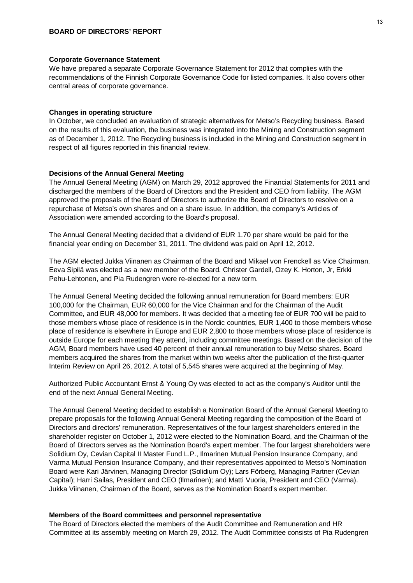#### **Corporate Governance Statement**

We have prepared a separate Corporate Governance Statement for 2012 that complies with the recommendations of the Finnish Corporate Governance Code for listed companies. It also covers other central areas of corporate governance.

#### **Changes in operating structure**

In October, we concluded an evaluation of strategic alternatives for Metso's Recycling business. Based on the results of this evaluation, the business was integrated into the Mining and Construction segment as of December 1, 2012. The Recycling business is included in the Mining and Construction segment in respect of all figures reported in this financial review.

### **Decisions of the Annual General Meeting**

The Annual General Meeting (AGM) on March 29, 2012 approved the Financial Statements for 2011 and discharged the members of the Board of Directors and the President and CEO from liability. The AGM approved the proposals of the Board of Directors to authorize the Board of Directors to resolve on a repurchase of Metso's own shares and on a share issue. In addition, the company's Articles of Association were amended according to the Board's proposal.

The Annual General Meeting decided that a dividend of EUR 1.70 per share would be paid for the financial year ending on December 31, 2011. The dividend was paid on April 12, 2012.

The AGM elected Jukka Viinanen as Chairman of the Board and Mikael von Frenckell as Vice Chairman. Eeva Sipilä was elected as a new member of the Board. Christer Gardell, Ozey K. Horton, Jr, Erkki Pehu-Lehtonen, and Pia Rudengren were re-elected for a new term.

The Annual General Meeting decided the following annual remuneration for Board members: EUR 100,000 for the Chairman, EUR 60,000 for the Vice Chairman and for the Chairman of the Audit Committee, and EUR 48,000 for members. It was decided that a meeting fee of EUR 700 will be paid to those members whose place of residence is in the Nordic countries, EUR 1,400 to those members whose place of residence is elsewhere in Europe and EUR 2,800 to those members whose place of residence is outside Europe for each meeting they attend, including committee meetings. Based on the decision of the AGM, Board members have used 40 percent of their annual remuneration to buy Metso shares. Board members acquired the shares from the market within two weeks after the publication of the first-quarter Interim Review on April 26, 2012. A total of 5,545 shares were acquired at the beginning of May.

Authorized Public Accountant Ernst & Young Oy was elected to act as the company's Auditor until the end of the next Annual General Meeting.

The Annual General Meeting decided to establish a Nomination Board of the Annual General Meeting to prepare proposals for the following Annual General Meeting regarding the composition of the Board of Directors and directors' remuneration. Representatives of the four largest shareholders entered in the shareholder register on October 1, 2012 were elected to the Nomination Board, and the Chairman of the Board of Directors serves as the Nomination Board's expert member. The four largest shareholders were Solidium Oy, Cevian Capital II Master Fund L.P., Ilmarinen Mutual Pension Insurance Company, and Varma Mutual Pension Insurance Company, and their representatives appointed to Metso's Nomination Board were Kari Järvinen, Managing Director (Solidium Oy); Lars Förberg, Managing Partner (Cevian Capital); Harri Sailas, President and CEO (Ilmarinen); and Matti Vuoria, President and CEO (Varma). Jukka Viinanen, Chairman of the Board, serves as the Nomination Board's expert member.

## **Members of the Board committees and personnel representative**

The Board of Directors elected the members of the Audit Committee and Remuneration and HR Committee at its assembly meeting on March 29, 2012. The Audit Committee consists of Pia Rudengren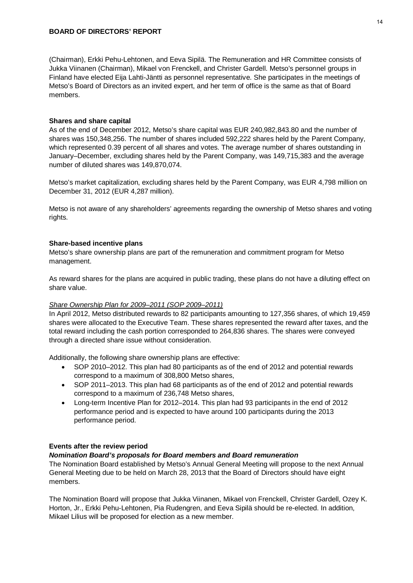# **BOARD OF DIRECTORS' REPORT**

(Chairman), Erkki Pehu-Lehtonen, and Eeva Sipilä. The Remuneration and HR Committee consists of Jukka Viinanen (Chairman), Mikael von Frenckell, and Christer Gardell. Metso's personnel groups in Finland have elected Eija Lahti-Jäntti as personnel representative. She participates in the meetings of Metso's Board of Directors as an invited expert, and her term of office is the same as that of Board members.

# **Shares and share capital**

As of the end of December 2012, Metso's share capital was EUR 240,982,843.80 and the number of shares was 150,348,256. The number of shares included 592,222 shares held by the Parent Company, which represented 0.39 percent of all shares and votes. The average number of shares outstanding in January–December, excluding shares held by the Parent Company, was 149,715,383 and the average number of diluted shares was 149,870,074.

Metso's market capitalization, excluding shares held by the Parent Company, was EUR 4,798 million on December 31, 2012 (EUR 4,287 million).

Metso is not aware of any shareholders' agreements regarding the ownership of Metso shares and voting rights.

# **Share-based incentive plans**

Metso's share ownership plans are part of the remuneration and commitment program for Metso management.

As reward shares for the plans are acquired in public trading, these plans do not have a diluting effect on share value.

# *Share Ownership Plan for 2009–2011 (SOP 2009–2011)*

In April 2012, Metso distributed rewards to 82 participants amounting to 127,356 shares, of which 19,459 shares were allocated to the Executive Team. These shares represented the reward after taxes, and the total reward including the cash portion corresponded to 264,836 shares. The shares were conveyed through a directed share issue without consideration.

Additionally, the following share ownership plans are effective:

- SOP 2010–2012. This plan had 80 participants as of the end of 2012 and potential rewards correspond to a maximum of 308,800 Metso shares,
- SOP 2011–2013. This plan had 68 participants as of the end of 2012 and potential rewards correspond to a maximum of 236,748 Metso shares,
- Long-term Incentive Plan for 2012–2014. This plan had 93 participants in the end of 2012 performance period and is expected to have around 100 participants during the 2013 performance period.

# **Events after the review period**

# *Nomination Board's proposals for Board members and Board remuneration*

The Nomination Board established by Metso's Annual General Meeting will propose to the next Annual General Meeting due to be held on March 28, 2013 that the Board of Directors should have eight members.

The Nomination Board will propose that Jukka Viinanen, Mikael von Frenckell, Christer Gardell, Ozey K. Horton, Jr., Erkki Pehu-Lehtonen, Pia Rudengren, and Eeva Sipilä should be re-elected. In addition, Mikael Lilius will be proposed for election as a new member.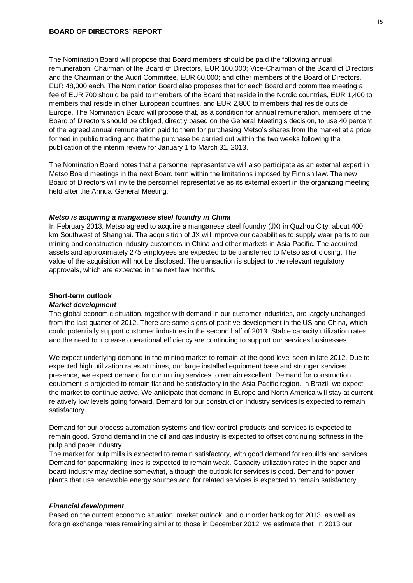The Nomination Board will propose that Board members should be paid the following annual remuneration: Chairman of the Board of Directors, EUR 100,000; Vice-Chairman of the Board of Directors and the Chairman of the Audit Committee, EUR 60,000; and other members of the Board of Directors, EUR 48,000 each. The Nomination Board also proposes that for each Board and committee meeting a fee of EUR 700 should be paid to members of the Board that reside in the Nordic countries, EUR 1,400 to members that reside in other European countries, and EUR 2,800 to members that reside outside Europe. The Nomination Board will propose that, as a condition for annual remuneration, members of the Board of Directors should be obliged, directly based on the General Meeting's decision, to use 40 percent of the agreed annual remuneration paid to them for purchasing Metso's shares from the market at a price formed in public trading and that the purchase be carried out within the two weeks following the publication of the interim review for January 1 to March 31, 2013.

The Nomination Board notes that a personnel representative will also participate as an external expert in Metso Board meetings in the next Board term within the limitations imposed by Finnish law. The new Board of Directors will invite the personnel representative as its external expert in the organizing meeting held after the Annual General Meeting.

## *Metso is acquiring a manganese steel foundry in China*

In February 2013, Metso agreed to acquire a manganese steel foundry (JX) in Quzhou City, about 400 km Southwest of Shanghai. The acquisition of JX will improve our capabilities to supply wear parts to our mining and construction industry customers in China and other markets in Asia-Pacific. The acquired assets and approximately 275 employees are expected to be transferred to Metso as of closing. The value of the acquisition will not be disclosed. The transaction is subject to the relevant regulatory approvals, which are expected in the next few months.

# **Short-term outlook**

#### *Market development*

The global economic situation, together with demand in our customer industries, are largely unchanged from the last quarter of 2012. There are some signs of positive development in the US and China, which could potentially support customer industries in the second half of 2013. Stable capacity utilization rates and the need to increase operational efficiency are continuing to support our services businesses.

We expect underlying demand in the mining market to remain at the good level seen in late 2012. Due to expected high utilization rates at mines, our large installed equipment base and stronger services presence, we expect demand for our mining services to remain excellent. Demand for construction equipment is projected to remain flat and be satisfactory in the Asia-Pacific region. In Brazil, we expect the market to continue active. We anticipate that demand in Europe and North America will stay at current relatively low levels going forward. Demand for our construction industry services is expected to remain satisfactory.

Demand for our process automation systems and flow control products and services is expected to remain good. Strong demand in the oil and gas industry is expected to offset continuing softness in the pulp and paper industry.

The market for pulp mills is expected to remain satisfactory, with good demand for rebuilds and services. Demand for papermaking lines is expected to remain weak. Capacity utilization rates in the paper and board industry may decline somewhat, although the outlook for services is good. Demand for power plants that use renewable energy sources and for related services is expected to remain satisfactory.

## *Financial development*

Based on the current economic situation, market outlook, and our order backlog for 2013, as well as foreign exchange rates remaining similar to those in December 2012, we estimate that in 2013 our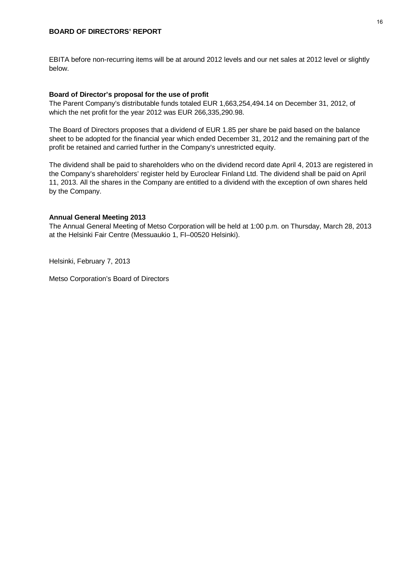EBITA before non-recurring items will be at around 2012 levels and our net sales at 2012 level or slightly below.

# **Board of Director's proposal for the use of profit**

The Parent Company's distributable funds totaled EUR 1,663,254,494.14 on December 31, 2012, of which the net profit for the year 2012 was EUR 266,335,290.98.

The Board of Directors proposes that a dividend of EUR 1.85 per share be paid based on the balance sheet to be adopted for the financial year which ended December 31, 2012 and the remaining part of the profit be retained and carried further in the Company's unrestricted equity.

The dividend shall be paid to shareholders who on the dividend record date April 4, 2013 are registered in the Company's shareholders' register held by Euroclear Finland Ltd. The dividend shall be paid on April 11, 2013. All the shares in the Company are entitled to a dividend with the exception of own shares held by the Company.

## **Annual General Meeting 2013**

The Annual General Meeting of Metso Corporation will be held at 1:00 p.m. on Thursday, March 28, 2013 at the Helsinki Fair Centre (Messuaukio 1, FI–00520 Helsinki).

Helsinki, February 7, 2013

Metso Corporation's Board of Directors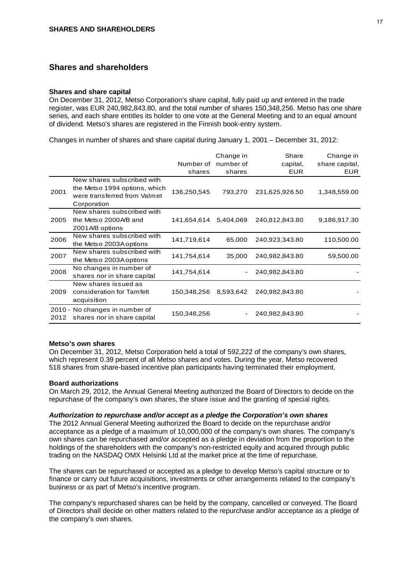# **Shares and shareholders**

#### **Shares and share capital**

On December 31, 2012, Metso Corporation's share capital, fully paid up and entered in the trade register, was EUR 240,982,843.80, and the total number of shares 150,348,256. Metso has one share series, and each share entitles its holder to one vote at the General Meeting and to an equal amount of dividend. Metso's shares are registered in the Finnish book-entry system.

Changes in number of shares and share capital during January 1, 2001 – December 31, 2012:

|      |                                                                                                            | Number of<br>shares | Change in<br>number of<br>shares | Share<br>capital,<br><b>EUR</b> | Change in<br>share capital,<br><b>EUR</b> |
|------|------------------------------------------------------------------------------------------------------------|---------------------|----------------------------------|---------------------------------|-------------------------------------------|
| 2001 | New shares subscribed with<br>the Metso 1994 options, which<br>were transferred from Valmet<br>Corporation | 136,250,545         | 793,270                          | 231,625,926.50                  | 1,348,559.00                              |
| 2005 | New shares subscribed with<br>the Metso 2000A/B and<br>2001A/B options                                     | 141,654,614         | 5,404,069                        | 240,812,843.80                  | 9,186,917.30                              |
| 2006 | New shares subscribed with<br>the Metso 2003A options                                                      | 141,719,614         | 65,000                           | 240,923,343.80                  | 110,500.00                                |
| 2007 | New shares subscribed with<br>the Metso 2003A options                                                      | 141,754,614         | 35,000                           | 240,982,843.80                  | 59,500.00                                 |
| 2008 | No changes in number of<br>shares nor in share capital                                                     | 141,754,614         |                                  | 240,982,843.80                  |                                           |
| 2009 | New shares issued as<br>consideration for Tamfelt<br>acquisition                                           | 150,348,256         | 8,593,642                        | 240,982,843.80                  |                                           |
| 2012 | 2010 - No changes in number of<br>shares nor in share capital                                              | 150,348,256         |                                  | 240,982,843.80                  |                                           |

#### **Metso's own shares**

On December 31, 2012, Metso Corporation held a total of 592,222 of the company's own shares, which represent 0.39 percent of all Metso shares and votes. During the year, Metso recovered 518 shares from share-based incentive plan participants having terminated their employment.

# **Board authorizations**

On March 29, 2012, the Annual General Meeting authorized the Board of Directors to decide on the repurchase of the company's own shares, the share issue and the granting of special rights.

# *Authorization to repurchase and/or accept as a pledge the Corporation's own shares*

The 2012 Annual General Meeting authorized the Board to decide on the repurchase and/or acceptance as a pledge of a maximum of 10,000,000 of the company's own shares. The company's own shares can be repurchased and/or accepted as a pledge in deviation from the proportion to the holdings of the shareholders with the company's non-restricted equity and acquired through public trading on the NASDAQ OMX Helsinki Ltd at the market price at the time of repurchase.

The shares can be repurchased or accepted as a pledge to develop Metso's capital structure or to finance or carry out future acquisitions, investments or other arrangements related to the company's business or as part of Metso's incentive program.

The company's repurchased shares can be held by the company, cancelled or conveyed. The Board of Directors shall decide on other matters related to the repurchase and/or acceptance as a pledge of the company's own shares.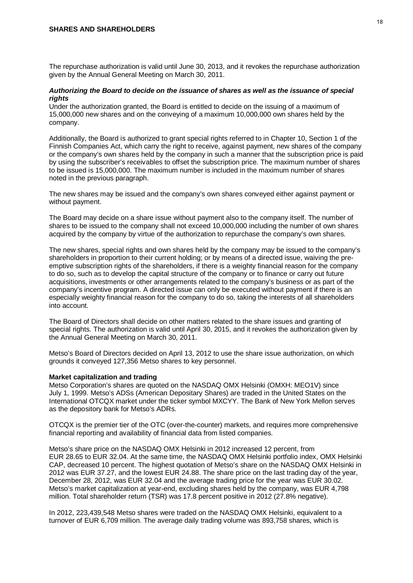The repurchase authorization is valid until June 30, 2013, and it revokes the repurchase authorization given by the Annual General Meeting on March 30, 2011.

# *Authorizing the Board to decide on the issuance of shares as well as the issuance of special rights*

Under the authorization granted, the Board is entitled to decide on the issuing of a maximum of 15,000,000 new shares and on the conveying of a maximum 10,000,000 own shares held by the company.

Additionally, the Board is authorized to grant special rights referred to in Chapter 10, Section 1 of the Finnish Companies Act, which carry the right to receive, against payment, new shares of the company or the company's own shares held by the company in such a manner that the subscription price is paid by using the subscriber's receivables to offset the subscription price. The maximum number of shares to be issued is 15,000,000. The maximum number is included in the maximum number of shares noted in the previous paragraph.

The new shares may be issued and the company's own shares conveyed either against payment or without payment.

The Board may decide on a share issue without payment also to the company itself. The number of shares to be issued to the company shall not exceed 10,000,000 including the number of own shares acquired by the company by virtue of the authorization to repurchase the company's own shares.

The new shares, special rights and own shares held by the company may be issued to the company's shareholders in proportion to their current holding; or by means of a directed issue, waiving the preemptive subscription rights of the shareholders, if there is a weighty financial reason for the company to do so, such as to develop the capital structure of the company or to finance or carry out future acquisitions, investments or other arrangements related to the company's business or as part of the company's incentive program. A directed issue can only be executed without payment if there is an especially weighty financial reason for the company to do so, taking the interests of all shareholders into account.

The Board of Directors shall decide on other matters related to the share issues and granting of special rights. The authorization is valid until April 30, 2015, and it revokes the authorization given by the Annual General Meeting on March 30, 2011.

Metso's Board of Directors decided on April 13, 2012 to use the share issue authorization, on which grounds it conveyed 127,356 Metso shares to key personnel.

# **Market capitalization and trading**

Metso Corporation's shares are quoted on the NASDAQ OMX Helsinki (OMXH: MEO1V) since July 1, 1999. Metso's ADSs (American Depositary Shares) are traded in the United States on the International OTCQX market under the ticker symbol MXCYY. The Bank of New York Mellon serves as the depository bank for Metso's ADRs.

OTCQX is the premier tier of the OTC (over-the-counter) markets, and requires more comprehensive financial reporting and availability of financial data from listed companies.

Metso's share price on the NASDAQ OMX Helsinki in 2012 increased 12 percent, from EUR 28.65 to EUR 32.04. At the same time, the NASDAQ OMX Helsinki portfolio index, OMX Helsinki CAP, decreased 10 percent. The highest quotation of Metso's share on the NASDAQ OMX Helsinki in 2012 was EUR 37.27, and the lowest EUR 24.88. The share price on the last trading day of the year, December 28, 2012, was EUR 32.04 and the average trading price for the year was EUR 30.02. Metso's market capitalization at year-end, excluding shares held by the company, was EUR 4,798 million. Total shareholder return (TSR) was 17.8 percent positive in 2012 (27.8% negative).

In 2012, 223,439,548 Metso shares were traded on the NASDAQ OMX Helsinki, equivalent to a turnover of EUR 6,709 million. The average daily trading volume was 893,758 shares, which is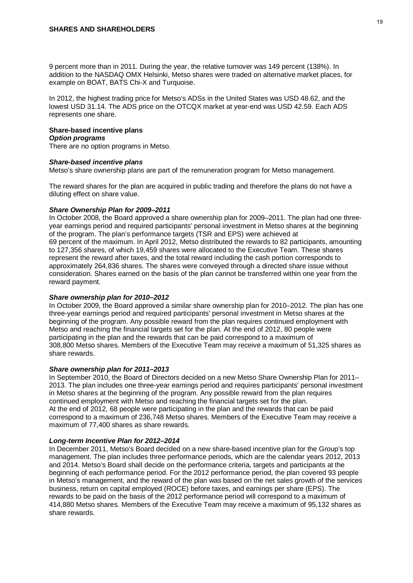9 percent more than in 2011. During the year, the relative turnover was 149 percent (138%). In addition to the NASDAQ OMX Helsinki, Metso shares were traded on alternative market places, for example on BOAT, BATS Chi-X and Turquoise.

In 2012, the highest trading price for Metso's ADSs in the United States was USD 48.62, and the lowest USD 31.14. The ADS price on the OTCQX market at year-end was USD 42.59. Each ADS represents one share.

# **Share-based incentive plans**

# *Option programs*

There are no option programs in Metso.

# *Share-based incentive plans*

Metso's share ownership plans are part of the remuneration program for Metso management.

The reward shares for the plan are acquired in public trading and therefore the plans do not have a diluting effect on share value.

# *Share Ownership Plan for 2009–2011*

In October 2008, the Board approved a share ownership plan for 2009–2011. The plan had one threeyear earnings period and required participants' personal investment in Metso shares at the beginning of the program. The plan's performance targets (TSR and EPS) were achieved at 69 percent of the maximum. In April 2012, Metso distributed the rewards to 82 participants, amounting to 127,356 shares, of which 19,459 shares were allocated to the Executive Team. These shares represent the reward after taxes, and the total reward including the cash portion corresponds to approximately 264,836 shares. The shares were conveyed through a directed share issue without consideration. Shares earned on the basis of the plan cannot be transferred within one year from the reward payment.

# *Share ownership plan for 2010–2012*

In October 2009, the Board approved a similar share ownership plan for 2010–2012. The plan has one three-year earnings period and required participants' personal investment in Metso shares at the beginning of the program. Any possible reward from the plan requires continued employment with Metso and reaching the financial targets set for the plan. At the end of 2012, 80 people were participating in the plan and the rewards that can be paid correspond to a maximum of 308,800 Metso shares. Members of the Executive Team may receive a maximum of 51,325 shares as share rewards.

# *Share ownership plan for 2011–2013*

In September 2010, the Board of Directors decided on a new Metso Share Ownership Plan for 2011– 2013. The plan includes one three-year earnings period and requires participants' personal investment in Metso shares at the beginning of the program. Any possible reward from the plan requires continued employment with Metso and reaching the financial targets set for the plan. At the end of 2012, 68 people were participating in the plan and the rewards that can be paid correspond to a maximum of 236,748 Metso shares. Members of the Executive Team may receive a maximum of 77,400 shares as share rewards.

# *Long-term Incentive Plan for 2012–2014*

In December 2011, Metso's Board decided on a new share-based incentive plan for the Group's top management. The plan includes three performance periods, which are the calendar years 2012, 2013 and 2014. Metso's Board shall decide on the performance criteria, targets and participants at the beginning of each performance period. For the 2012 performance period, the plan covered 93 people in Metso's management, and the reward of the plan was based on the net sales growth of the services business, return on capital employed (ROCE) before taxes, and earnings per share (EPS). The rewards to be paid on the basis of the 2012 performance period will correspond to a maximum of 414,880 Metso shares. Members of the Executive Team may receive a maximum of 95,132 shares as share rewards.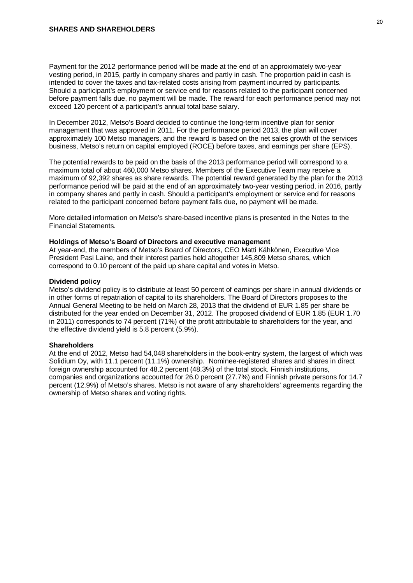Payment for the 2012 performance period will be made at the end of an approximately two-year vesting period, in 2015, partly in company shares and partly in cash. The proportion paid in cash is intended to cover the taxes and tax-related costs arising from payment incurred by participants. Should a participant's employment or service end for reasons related to the participant concerned before payment falls due, no payment will be made. The reward for each performance period may not exceed 120 percent of a participant's annual total base salary.

In December 2012, Metso's Board decided to continue the long-term incentive plan for senior management that was approved in 2011. For the performance period 2013, the plan will cover approximately 100 Metso managers, and the reward is based on the net sales growth of the services business, Metso's return on capital employed (ROCE) before taxes, and earnings per share (EPS).

The potential rewards to be paid on the basis of the 2013 performance period will correspond to a maximum total of about 460,000 Metso shares. Members of the Executive Team may receive a maximum of 92,392 shares as share rewards. The potential reward generated by the plan for the 2013 performance period will be paid at the end of an approximately two-year vesting period, in 2016, partly in company shares and partly in cash. Should a participant's employment or service end for reasons related to the participant concerned before payment falls due, no payment will be made.

More detailed information on Metso's share-based incentive plans is presented in the Notes to the Financial Statements.

# **Holdings of Metso's Board of Directors and executive management**

At year-end, the members of Metso's Board of Directors, CEO Matti Kähkönen, Executive Vice President Pasi Laine, and their interest parties held altogether 145,809 Metso shares, which correspond to 0.10 percent of the paid up share capital and votes in Metso.

## **Dividend policy**

Metso's dividend policy is to distribute at least 50 percent of earnings per share in annual dividends or in other forms of repatriation of capital to its shareholders. The Board of Directors proposes to the Annual General Meeting to be held on March 28, 2013 that the dividend of EUR 1.85 per share be distributed for the year ended on December 31, 2012. The proposed dividend of EUR 1.85 (EUR 1.70 in 2011) corresponds to 74 percent (71%) of the profit attributable to shareholders for the year, and the effective dividend yield is 5.8 percent (5.9%).

# **Shareholders**

At the end of 2012, Metso had 54,048 shareholders in the book-entry system, the largest of which was Solidium Oy, with 11.1 percent (11.1%) ownership. Nominee-registered shares and shares in direct foreign ownership accounted for 48.2 percent (48.3%) of the total stock. Finnish institutions, companies and organizations accounted for 26.0 percent (27.7%) and Finnish private persons for 14.7 percent (12.9%) of Metso's shares. Metso is not aware of any shareholders' agreements regarding the ownership of Metso shares and voting rights.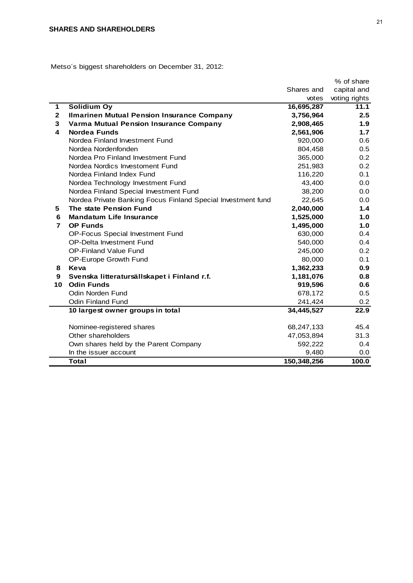Metso´s biggest shareholders on December 31, 2012:

|                |                                                              |             | % of share    |
|----------------|--------------------------------------------------------------|-------------|---------------|
|                |                                                              | Shares and  | capital and   |
|                |                                                              | votes       | voting rights |
| 1              | Solidium Oy                                                  | 16,695,287  | 11.1          |
| $\mathbf{2}$   | <b>Ilmarinen Mutual Pension Insurance Company</b>            | 3,756,964   | 2.5           |
| 3              | Varma Mutual Pension Insurance Company                       | 2,908,465   | 1.9           |
| 4              | Nordea Funds                                                 | 2,561,906   | 1.7           |
|                | Nordea Finland Investment Fund                               | 920,000     | 0.6           |
|                | Nordea Nordenfonden                                          | 804,458     | 0.5           |
|                | Nordea Pro Finland Investment Fund                           | 365,000     | 0.2           |
|                | Nordea Nordics Investoment Fund                              | 251,983     | 0.2           |
|                | Nordea Finland Index Fund                                    | 116,220     | 0.1           |
|                | Nordea Technology Investment Fund                            | 43,400      | 0.0           |
|                | Nordea Finland Special Investment Fund                       | 38,200      | 0.0           |
|                | Nordea Private Banking Focus Finland Special Investment fund | 22,645      | 0.0           |
| 5              | The state Pension Fund                                       | 2,040,000   | 1.4           |
| 6              | <b>Mandatum Life Insurance</b>                               | 1,525,000   | 1.0           |
| $\overline{7}$ | <b>OP Funds</b>                                              | 1,495,000   | 1.0           |
|                | OP-Focus Special Investment Fund                             | 630,000     | 0.4           |
|                | OP-Delta Investment Fund                                     | 540,000     | 0.4           |
|                | <b>OP-Finland Value Fund</b>                                 | 245,000     | 0.2           |
|                | OP-Europe Growth Fund                                        | 80,000      | 0.1           |
| 8              | Keva                                                         | 1,362,233   | 0.9           |
| 9              | Svenska litteratursällskapet i Finland r.f.                  | 1,181,076   | 0.8           |
| 10             | <b>Odin Funds</b>                                            | 919,596     | 0.6           |
|                | Odin Norden Fund                                             | 678,172     | 0.5           |
|                | <b>Odin Finland Fund</b>                                     | 241,424     | 0.2           |
|                | 10 largest owner groups in total                             | 34,445,527  | 22.9          |
|                | Nominee-registered shares                                    | 68,247,133  | 45.4          |
|                | Other shareholders                                           | 47,053,894  | 31.3          |
|                | Own shares held by the Parent Company                        | 592,222     | 0.4           |
|                | In the issuer account                                        | 9,480       | 0.0           |
|                | Total                                                        | 150,348,256 | 100.0         |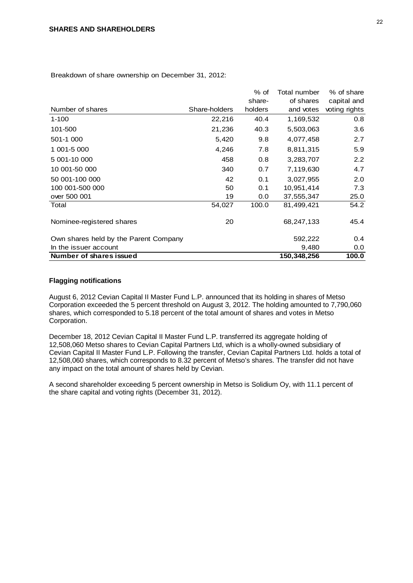|                                       |               | $%$ of  | Total number | % of share    |
|---------------------------------------|---------------|---------|--------------|---------------|
|                                       |               | share-  | of shares    | capital and   |
| Number of shares                      | Share-holders | holders | and votes    | voting rights |
| $1 - 100$                             | 22,216        | 40.4    | 1,169,532    | 0.8           |
| 101-500                               | 21,236        | 40.3    | 5,503,063    | 3.6           |
| 501-1 000                             | 5,420         | 9.8     | 4,077,458    | 2.7           |
| 1 001-5 000                           | 4,246         | 7.8     | 8,811,315    | 5.9           |
| 5 001-10 000                          | 458           | 0.8     | 3,283,707    | 2.2           |
| 10 001-50 000                         | 340           | 0.7     | 7,119,630    | 4.7           |
| 50 001-100 000                        | 42            | 0.1     | 3,027,955    | 2.0           |
| 100 001-500 000                       | 50            | 0.1     | 10,951,414   | 7.3           |
| over 500 001                          | 19            | 0.0     | 37,555,347   | 25.0          |
| Total                                 | 54,027        | 100.0   | 81,499,421   | 54.2          |
| Nominee-registered shares             | 20            |         | 68,247,133   | 45.4          |
| Own shares held by the Parent Company |               |         | 592,222      | 0.4           |
| In the issuer account                 |               |         | 9,480        | 0.0           |
| Number of shares issued               |               |         | 150,348,256  | 100.0         |

Breakdown of share ownership on December 31, 2012:

# **Flagging notifications**

August 6, 2012 Cevian Capital II Master Fund L.P. announced that its holding in shares of Metso Corporation exceeded the 5 percent threshold on August 3, 2012. The holding amounted to 7,790,060 shares, which corresponded to 5.18 percent of the total amount of shares and votes in Metso Corporation.

December 18, 2012 Cevian Capital II Master Fund L.P. transferred its aggregate holding of 12,508,060 Metso shares to Cevian Capital Partners Ltd, which is a wholly-owned subsidiary of Cevian Capital II Master Fund L.P. Following the transfer, Cevian Capital Partners Ltd. holds a total of 12,508,060 shares, which corresponds to 8.32 percent of Metso's shares. The transfer did not have any impact on the total amount of shares held by Cevian.

A second shareholder exceeding 5 percent ownership in Metso is Solidium Oy, with 11.1 percent of the share capital and voting rights (December 31, 2012).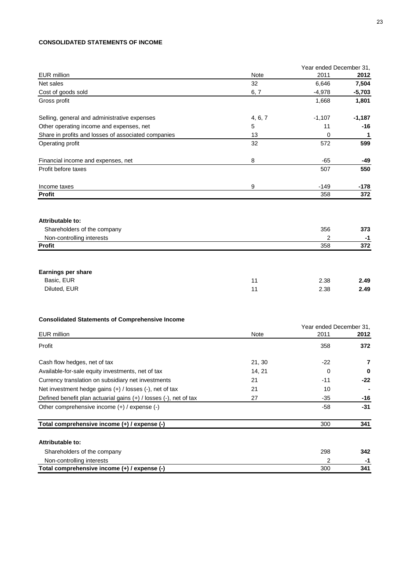# **CONSOLIDATED STATEMENTS OF INCOME**

|                                                     |             | Year ended December 31, |              |
|-----------------------------------------------------|-------------|-------------------------|--------------|
| <b>EUR</b> million                                  | <b>Note</b> | 2011                    | 2012         |
| Net sales                                           | 32          | 6,646                   | 7,504        |
| Cost of goods sold                                  | 6, 7        | $-4,978$                | $-5,703$     |
| Gross profit                                        |             | 1,668                   | 1,801        |
| Selling, general and administrative expenses        | 4, 6, 7     | $-1,107$                | $-1,187$     |
| Other operating income and expenses, net            | 5           | 11                      | $-16$        |
| Share in profits and losses of associated companies | 13          | 0                       | $\mathbf{1}$ |
| Operating profit                                    | 32          | 572                     | 599          |
| Financial income and expenses, net                  | 8           | $-65$                   | -49          |
| Profit before taxes                                 |             | 507                     | 550          |
| Income taxes                                        | 9           | $-149$                  | -178         |
| <b>Profit</b>                                       |             | 358                     | 372          |
| Attributable to:                                    |             |                         |              |
| Shareholders of the company                         |             | 356                     | 373          |
| Non-controlling interests                           |             | 2                       | -1           |
| <b>Profit</b>                                       |             | 358                     | 372          |
|                                                     |             |                         |              |
| Earnings per share                                  |             |                         |              |
| Basic, EUR                                          | 11          | 2.38                    | 2.49         |
| Diluted, EUR                                        | 11          | 2.38                    | 2.49         |

# **Consolidated Statements of Comprehensive Income**

| Consolidated Statements of Complements ve income                       |        |                         |       |  |
|------------------------------------------------------------------------|--------|-------------------------|-------|--|
|                                                                        |        | Year ended December 31, |       |  |
| EUR million                                                            | Note   | 2011                    | 2012  |  |
| Profit                                                                 |        | 358                     | 372   |  |
| Cash flow hedges, net of tax                                           | 21, 30 | $-22$                   | 7     |  |
| Available-for-sale equity investments, net of tax                      | 14, 21 | 0                       | 0     |  |
| Currency translation on subsidiary net investments                     | 21     | $-11$                   | $-22$ |  |
| Net investment hedge gains $(+)$ / losses $(-)$ , net of tax           | 21     | 10                      |       |  |
| Defined benefit plan actuarial gains $(+)$ / losses $(-)$ , net of tax | 27     | -35                     | $-16$ |  |
| Other comprehensive income (+) / expense (-)                           |        | -58                     | $-31$ |  |
| Total comprehensive income (+) / expense (-)                           |        | 300                     | 341   |  |
| Attributable to:                                                       |        |                         |       |  |
| Shareholders of the company                                            |        | 298                     | 342   |  |
| Non-controlling interests                                              |        | 2                       | -1    |  |
| Total comprehensive income (+) / expense (-)                           |        | 300                     | 341   |  |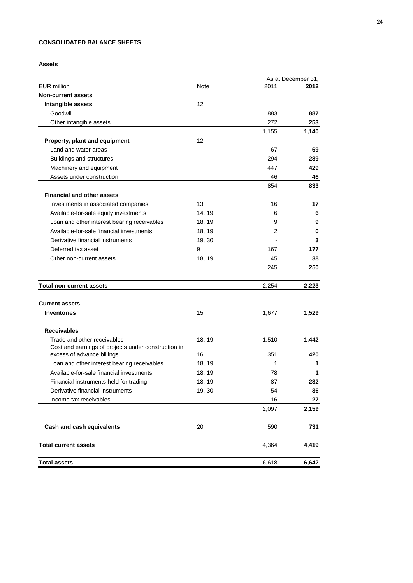# **CONSOLIDATED BALANCE SHEETS**

**Assets**

|                                                                                   |        |       | As at December 31, |
|-----------------------------------------------------------------------------------|--------|-------|--------------------|
| <b>EUR</b> million                                                                | Note   | 2011  | 2012               |
| <b>Non-current assets</b>                                                         |        |       |                    |
| Intangible assets                                                                 | 12     |       |                    |
| Goodwill                                                                          |        | 883   | 887                |
| Other intangible assets                                                           |        | 272   | 253                |
|                                                                                   |        | 1,155 | 1,140              |
| Property, plant and equipment                                                     | 12     |       |                    |
| Land and water areas                                                              |        | 67    | 69                 |
| <b>Buildings and structures</b>                                                   |        | 294   | 289                |
| Machinery and equipment                                                           |        | 447   | 429                |
| Assets under construction                                                         |        | 46    | 46                 |
|                                                                                   |        | 854   | 833                |
| <b>Financial and other assets</b>                                                 |        |       |                    |
| Investments in associated companies                                               | 13     | 16    | 17                 |
| Available-for-sale equity investments                                             | 14, 19 | 6     | 6                  |
| Loan and other interest bearing receivables                                       | 18, 19 | 9     | 9                  |
| Available-for-sale financial investments                                          | 18, 19 | 2     | 0                  |
| Derivative financial instruments                                                  | 19, 30 |       | 3                  |
| Deferred tax asset                                                                | 9      | 167   | 177                |
| Other non-current assets                                                          | 18, 19 | 45    | 38                 |
|                                                                                   |        | 245   | 250                |
|                                                                                   |        |       |                    |
| <b>Total non-current assets</b>                                                   |        | 2,254 | 2,223              |
| <b>Current assets</b>                                                             |        |       |                    |
| <b>Inventories</b>                                                                | 15     | 1,677 | 1,529              |
| <b>Receivables</b>                                                                |        |       |                    |
| Trade and other receivables                                                       | 18, 19 | 1,510 | 1,442              |
| Cost and earnings of projects under construction in<br>excess of advance billings | 16     | 351   | 420                |
| Loan and other interest bearing receivables                                       | 18, 19 | 1     | 1                  |
| Available-for-sale financial investments                                          | 18, 19 | 78    | 1                  |
| Financial instruments held for trading                                            | 18, 19 | 87    | 232                |
| Derivative financial instruments                                                  | 19, 30 | 54    | 36                 |
| Income tax receivables                                                            |        | 16    | 27                 |
|                                                                                   |        | 2,097 | 2,159              |
|                                                                                   |        |       |                    |
| <b>Cash and cash equivalents</b>                                                  | 20     | 590   | 731                |
| <b>Total current assets</b>                                                       |        | 4,364 | 4,419              |
|                                                                                   |        |       |                    |
| <b>Total assets</b>                                                               |        | 6,618 | 6,642              |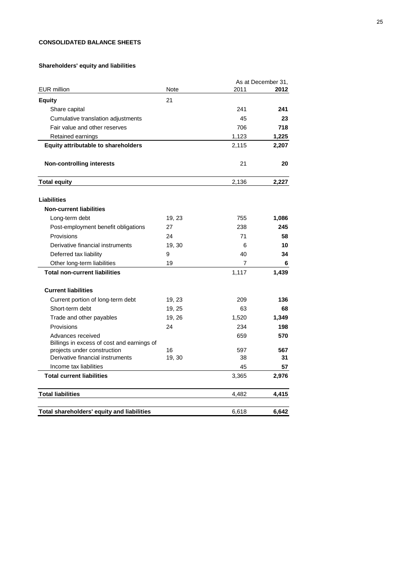# **CONSOLIDATED BALANCE SHEETS**

# **Shareholders' equity and liabilities**

|                                                                           |        |                | As at December 31, |
|---------------------------------------------------------------------------|--------|----------------|--------------------|
| <b>EUR</b> million                                                        | Note   | 2011           | 2012               |
| <b>Equity</b>                                                             | 21     |                |                    |
| Share capital                                                             |        | 241            | 241                |
| Cumulative translation adjustments                                        |        | 45             | 23                 |
| Fair value and other reserves                                             |        | 706            | 718                |
| Retained earnings                                                         |        | 1,123          | 1,225              |
| Equity attributable to shareholders                                       |        | 2,115          | 2,207              |
| <b>Non-controlling interests</b>                                          |        | 21             | 20                 |
| <b>Total equity</b>                                                       |        | 2,136          | 2,227              |
| Liabilities                                                               |        |                |                    |
| <b>Non-current liabilities</b>                                            |        |                |                    |
| Long-term debt                                                            | 19, 23 | 755            | 1,086              |
| Post-employment benefit obligations                                       | 27     | 238            | 245                |
| Provisions                                                                | 24     | 71             | 58                 |
| Derivative financial instruments                                          | 19, 30 | 6              | 10                 |
| Deferred tax liability                                                    | 9      | 40             | 34                 |
| Other long-term liabilities                                               | 19     | $\overline{7}$ | 6                  |
| <b>Total non-current liabilities</b>                                      |        | 1,117          | 1,439              |
| <b>Current liabilities</b>                                                |        |                |                    |
| Current portion of long-term debt                                         | 19, 23 | 209            | 136                |
| Short-term debt                                                           | 19, 25 | 63             | 68                 |
| Trade and other payables                                                  | 19, 26 | 1,520          | 1,349              |
| Provisions                                                                | 24     | 234            | 198                |
| Advances received                                                         |        | 659            | 570                |
| Billings in excess of cost and earnings of<br>projects under construction | 16     | 597            | 567                |
| Derivative financial instruments                                          | 19, 30 | 38             | 31                 |
| Income tax liabilities                                                    |        | 45             | 57                 |
| <b>Total current liabilities</b>                                          |        | 3,365          | 2,976              |
| <b>Total liabilities</b>                                                  |        | 4,482          | 4,415              |
| Total shareholders' equity and liabilities                                |        | 6,618          | 6,642              |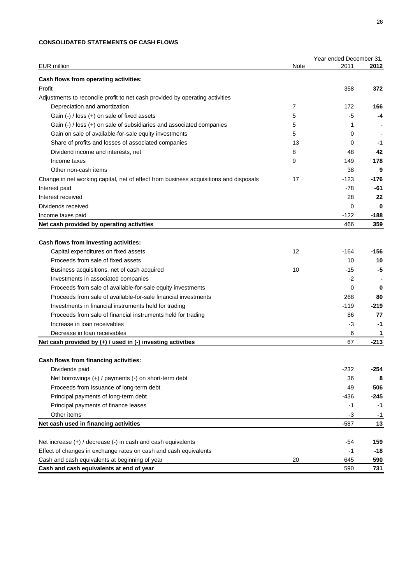# **CONSOLIDATED STATEMENTS OF CASH FLOWS**

| <b>EUR</b> million<br>2011<br>Note<br>2012<br>Cash flows from operating activities:<br>Profit<br>358<br>372<br>Adjustments to reconcile profit to net cash provided by operating activities<br>Depreciation and amortization<br>7<br>172<br>166<br>Gain (-) / loss (+) on sale of fixed assets<br>5<br>-5<br>-4<br>Gain $(-)$ / loss $(+)$ on sale of subsidiaries and associated companies<br>5<br>1<br>5<br>Gain on sale of available-for-sale equity investments<br>0<br>13<br>Share of profits and losses of associated companies<br>0<br>-1<br>Dividend income and interests, net<br>8<br>48<br>42<br>9<br>Income taxes<br>149<br>178<br>9<br>Other non-cash items<br>38<br>$-123$<br>17<br>-176<br>Change in net working capital, net of effect from business acquisitions and disposals<br>$-78$<br>Interest paid<br>-61<br>28<br>22<br>Interest received<br>0<br>Dividends received<br>0<br>$-122$<br>$-188$<br>Income taxes paid<br>Net cash provided by operating activities<br>466<br>359<br>Cash flows from investing activities:<br>Capital expenditures on fixed assets<br>12<br>-164<br>-156<br>Proceeds from sale of fixed assets<br>10<br>10<br>Business acquisitions, net of cash acquired<br>10<br>-5<br>-15<br>$-2$<br>Investments in associated companies<br>Proceeds from sale of available-for-sale equity investments<br>0<br>0<br>Proceeds from sale of available-for-sale financial investments<br>268<br>80<br>$-119$<br>Investments in financial instruments held for trading<br>-219<br>Proceeds from sale of financial instruments held for trading<br>86<br>77<br>Increase in Ioan receivables<br>-3<br>-1<br>6<br>Decrease in loan receivables<br>1<br>Net cash provided by $(+)$ / used in $(-)$ investing activities<br>67<br>$-213$<br>Cash flows from financing activities:<br>Dividends paid<br>$-254$<br>$-232$<br>Net borrowings (+) / payments (-) on short-term debt<br>36<br>8<br>Proceeds from issuance of long-term debt<br>49<br>506<br>Principal payments of long-term debt<br>$-245$<br>-436<br>Principal payments of finance leases<br>-1<br>-1<br>Other items<br>$-3$<br>$-1$<br>Net cash used in financing activities<br>$-587$<br>13<br>Net increase (+) / decrease (-) in cash and cash equivalents<br>159<br>$-54$<br>Effect of changes in exchange rates on cash and cash equivalents<br>$-18$<br>-1<br>Cash and cash equivalents at beginning of year<br>590<br>20<br>645<br>590<br>731 |                                          | Year ended December 31, |  |
|------------------------------------------------------------------------------------------------------------------------------------------------------------------------------------------------------------------------------------------------------------------------------------------------------------------------------------------------------------------------------------------------------------------------------------------------------------------------------------------------------------------------------------------------------------------------------------------------------------------------------------------------------------------------------------------------------------------------------------------------------------------------------------------------------------------------------------------------------------------------------------------------------------------------------------------------------------------------------------------------------------------------------------------------------------------------------------------------------------------------------------------------------------------------------------------------------------------------------------------------------------------------------------------------------------------------------------------------------------------------------------------------------------------------------------------------------------------------------------------------------------------------------------------------------------------------------------------------------------------------------------------------------------------------------------------------------------------------------------------------------------------------------------------------------------------------------------------------------------------------------------------------------------------------------------------------------------------------------------------------------------------------------------------------------------------------------------------------------------------------------------------------------------------------------------------------------------------------------------------------------------------------------------------------------------------------------------------------------------------------------------------------------------------------------------------------|------------------------------------------|-------------------------|--|
|                                                                                                                                                                                                                                                                                                                                                                                                                                                                                                                                                                                                                                                                                                                                                                                                                                                                                                                                                                                                                                                                                                                                                                                                                                                                                                                                                                                                                                                                                                                                                                                                                                                                                                                                                                                                                                                                                                                                                                                                                                                                                                                                                                                                                                                                                                                                                                                                                                                |                                          |                         |  |
|                                                                                                                                                                                                                                                                                                                                                                                                                                                                                                                                                                                                                                                                                                                                                                                                                                                                                                                                                                                                                                                                                                                                                                                                                                                                                                                                                                                                                                                                                                                                                                                                                                                                                                                                                                                                                                                                                                                                                                                                                                                                                                                                                                                                                                                                                                                                                                                                                                                |                                          |                         |  |
|                                                                                                                                                                                                                                                                                                                                                                                                                                                                                                                                                                                                                                                                                                                                                                                                                                                                                                                                                                                                                                                                                                                                                                                                                                                                                                                                                                                                                                                                                                                                                                                                                                                                                                                                                                                                                                                                                                                                                                                                                                                                                                                                                                                                                                                                                                                                                                                                                                                |                                          |                         |  |
|                                                                                                                                                                                                                                                                                                                                                                                                                                                                                                                                                                                                                                                                                                                                                                                                                                                                                                                                                                                                                                                                                                                                                                                                                                                                                                                                                                                                                                                                                                                                                                                                                                                                                                                                                                                                                                                                                                                                                                                                                                                                                                                                                                                                                                                                                                                                                                                                                                                |                                          |                         |  |
|                                                                                                                                                                                                                                                                                                                                                                                                                                                                                                                                                                                                                                                                                                                                                                                                                                                                                                                                                                                                                                                                                                                                                                                                                                                                                                                                                                                                                                                                                                                                                                                                                                                                                                                                                                                                                                                                                                                                                                                                                                                                                                                                                                                                                                                                                                                                                                                                                                                |                                          |                         |  |
|                                                                                                                                                                                                                                                                                                                                                                                                                                                                                                                                                                                                                                                                                                                                                                                                                                                                                                                                                                                                                                                                                                                                                                                                                                                                                                                                                                                                                                                                                                                                                                                                                                                                                                                                                                                                                                                                                                                                                                                                                                                                                                                                                                                                                                                                                                                                                                                                                                                |                                          |                         |  |
|                                                                                                                                                                                                                                                                                                                                                                                                                                                                                                                                                                                                                                                                                                                                                                                                                                                                                                                                                                                                                                                                                                                                                                                                                                                                                                                                                                                                                                                                                                                                                                                                                                                                                                                                                                                                                                                                                                                                                                                                                                                                                                                                                                                                                                                                                                                                                                                                                                                |                                          |                         |  |
|                                                                                                                                                                                                                                                                                                                                                                                                                                                                                                                                                                                                                                                                                                                                                                                                                                                                                                                                                                                                                                                                                                                                                                                                                                                                                                                                                                                                                                                                                                                                                                                                                                                                                                                                                                                                                                                                                                                                                                                                                                                                                                                                                                                                                                                                                                                                                                                                                                                |                                          |                         |  |
|                                                                                                                                                                                                                                                                                                                                                                                                                                                                                                                                                                                                                                                                                                                                                                                                                                                                                                                                                                                                                                                                                                                                                                                                                                                                                                                                                                                                                                                                                                                                                                                                                                                                                                                                                                                                                                                                                                                                                                                                                                                                                                                                                                                                                                                                                                                                                                                                                                                |                                          |                         |  |
|                                                                                                                                                                                                                                                                                                                                                                                                                                                                                                                                                                                                                                                                                                                                                                                                                                                                                                                                                                                                                                                                                                                                                                                                                                                                                                                                                                                                                                                                                                                                                                                                                                                                                                                                                                                                                                                                                                                                                                                                                                                                                                                                                                                                                                                                                                                                                                                                                                                |                                          |                         |  |
|                                                                                                                                                                                                                                                                                                                                                                                                                                                                                                                                                                                                                                                                                                                                                                                                                                                                                                                                                                                                                                                                                                                                                                                                                                                                                                                                                                                                                                                                                                                                                                                                                                                                                                                                                                                                                                                                                                                                                                                                                                                                                                                                                                                                                                                                                                                                                                                                                                                |                                          |                         |  |
|                                                                                                                                                                                                                                                                                                                                                                                                                                                                                                                                                                                                                                                                                                                                                                                                                                                                                                                                                                                                                                                                                                                                                                                                                                                                                                                                                                                                                                                                                                                                                                                                                                                                                                                                                                                                                                                                                                                                                                                                                                                                                                                                                                                                                                                                                                                                                                                                                                                |                                          |                         |  |
|                                                                                                                                                                                                                                                                                                                                                                                                                                                                                                                                                                                                                                                                                                                                                                                                                                                                                                                                                                                                                                                                                                                                                                                                                                                                                                                                                                                                                                                                                                                                                                                                                                                                                                                                                                                                                                                                                                                                                                                                                                                                                                                                                                                                                                                                                                                                                                                                                                                |                                          |                         |  |
|                                                                                                                                                                                                                                                                                                                                                                                                                                                                                                                                                                                                                                                                                                                                                                                                                                                                                                                                                                                                                                                                                                                                                                                                                                                                                                                                                                                                                                                                                                                                                                                                                                                                                                                                                                                                                                                                                                                                                                                                                                                                                                                                                                                                                                                                                                                                                                                                                                                |                                          |                         |  |
|                                                                                                                                                                                                                                                                                                                                                                                                                                                                                                                                                                                                                                                                                                                                                                                                                                                                                                                                                                                                                                                                                                                                                                                                                                                                                                                                                                                                                                                                                                                                                                                                                                                                                                                                                                                                                                                                                                                                                                                                                                                                                                                                                                                                                                                                                                                                                                                                                                                |                                          |                         |  |
|                                                                                                                                                                                                                                                                                                                                                                                                                                                                                                                                                                                                                                                                                                                                                                                                                                                                                                                                                                                                                                                                                                                                                                                                                                                                                                                                                                                                                                                                                                                                                                                                                                                                                                                                                                                                                                                                                                                                                                                                                                                                                                                                                                                                                                                                                                                                                                                                                                                |                                          |                         |  |
|                                                                                                                                                                                                                                                                                                                                                                                                                                                                                                                                                                                                                                                                                                                                                                                                                                                                                                                                                                                                                                                                                                                                                                                                                                                                                                                                                                                                                                                                                                                                                                                                                                                                                                                                                                                                                                                                                                                                                                                                                                                                                                                                                                                                                                                                                                                                                                                                                                                |                                          |                         |  |
|                                                                                                                                                                                                                                                                                                                                                                                                                                                                                                                                                                                                                                                                                                                                                                                                                                                                                                                                                                                                                                                                                                                                                                                                                                                                                                                                                                                                                                                                                                                                                                                                                                                                                                                                                                                                                                                                                                                                                                                                                                                                                                                                                                                                                                                                                                                                                                                                                                                |                                          |                         |  |
|                                                                                                                                                                                                                                                                                                                                                                                                                                                                                                                                                                                                                                                                                                                                                                                                                                                                                                                                                                                                                                                                                                                                                                                                                                                                                                                                                                                                                                                                                                                                                                                                                                                                                                                                                                                                                                                                                                                                                                                                                                                                                                                                                                                                                                                                                                                                                                                                                                                |                                          |                         |  |
|                                                                                                                                                                                                                                                                                                                                                                                                                                                                                                                                                                                                                                                                                                                                                                                                                                                                                                                                                                                                                                                                                                                                                                                                                                                                                                                                                                                                                                                                                                                                                                                                                                                                                                                                                                                                                                                                                                                                                                                                                                                                                                                                                                                                                                                                                                                                                                                                                                                |                                          |                         |  |
|                                                                                                                                                                                                                                                                                                                                                                                                                                                                                                                                                                                                                                                                                                                                                                                                                                                                                                                                                                                                                                                                                                                                                                                                                                                                                                                                                                                                                                                                                                                                                                                                                                                                                                                                                                                                                                                                                                                                                                                                                                                                                                                                                                                                                                                                                                                                                                                                                                                |                                          |                         |  |
|                                                                                                                                                                                                                                                                                                                                                                                                                                                                                                                                                                                                                                                                                                                                                                                                                                                                                                                                                                                                                                                                                                                                                                                                                                                                                                                                                                                                                                                                                                                                                                                                                                                                                                                                                                                                                                                                                                                                                                                                                                                                                                                                                                                                                                                                                                                                                                                                                                                |                                          |                         |  |
|                                                                                                                                                                                                                                                                                                                                                                                                                                                                                                                                                                                                                                                                                                                                                                                                                                                                                                                                                                                                                                                                                                                                                                                                                                                                                                                                                                                                                                                                                                                                                                                                                                                                                                                                                                                                                                                                                                                                                                                                                                                                                                                                                                                                                                                                                                                                                                                                                                                |                                          |                         |  |
|                                                                                                                                                                                                                                                                                                                                                                                                                                                                                                                                                                                                                                                                                                                                                                                                                                                                                                                                                                                                                                                                                                                                                                                                                                                                                                                                                                                                                                                                                                                                                                                                                                                                                                                                                                                                                                                                                                                                                                                                                                                                                                                                                                                                                                                                                                                                                                                                                                                |                                          |                         |  |
|                                                                                                                                                                                                                                                                                                                                                                                                                                                                                                                                                                                                                                                                                                                                                                                                                                                                                                                                                                                                                                                                                                                                                                                                                                                                                                                                                                                                                                                                                                                                                                                                                                                                                                                                                                                                                                                                                                                                                                                                                                                                                                                                                                                                                                                                                                                                                                                                                                                |                                          |                         |  |
|                                                                                                                                                                                                                                                                                                                                                                                                                                                                                                                                                                                                                                                                                                                                                                                                                                                                                                                                                                                                                                                                                                                                                                                                                                                                                                                                                                                                                                                                                                                                                                                                                                                                                                                                                                                                                                                                                                                                                                                                                                                                                                                                                                                                                                                                                                                                                                                                                                                |                                          |                         |  |
|                                                                                                                                                                                                                                                                                                                                                                                                                                                                                                                                                                                                                                                                                                                                                                                                                                                                                                                                                                                                                                                                                                                                                                                                                                                                                                                                                                                                                                                                                                                                                                                                                                                                                                                                                                                                                                                                                                                                                                                                                                                                                                                                                                                                                                                                                                                                                                                                                                                |                                          |                         |  |
|                                                                                                                                                                                                                                                                                                                                                                                                                                                                                                                                                                                                                                                                                                                                                                                                                                                                                                                                                                                                                                                                                                                                                                                                                                                                                                                                                                                                                                                                                                                                                                                                                                                                                                                                                                                                                                                                                                                                                                                                                                                                                                                                                                                                                                                                                                                                                                                                                                                |                                          |                         |  |
|                                                                                                                                                                                                                                                                                                                                                                                                                                                                                                                                                                                                                                                                                                                                                                                                                                                                                                                                                                                                                                                                                                                                                                                                                                                                                                                                                                                                                                                                                                                                                                                                                                                                                                                                                                                                                                                                                                                                                                                                                                                                                                                                                                                                                                                                                                                                                                                                                                                |                                          |                         |  |
|                                                                                                                                                                                                                                                                                                                                                                                                                                                                                                                                                                                                                                                                                                                                                                                                                                                                                                                                                                                                                                                                                                                                                                                                                                                                                                                                                                                                                                                                                                                                                                                                                                                                                                                                                                                                                                                                                                                                                                                                                                                                                                                                                                                                                                                                                                                                                                                                                                                |                                          |                         |  |
|                                                                                                                                                                                                                                                                                                                                                                                                                                                                                                                                                                                                                                                                                                                                                                                                                                                                                                                                                                                                                                                                                                                                                                                                                                                                                                                                                                                                                                                                                                                                                                                                                                                                                                                                                                                                                                                                                                                                                                                                                                                                                                                                                                                                                                                                                                                                                                                                                                                |                                          |                         |  |
|                                                                                                                                                                                                                                                                                                                                                                                                                                                                                                                                                                                                                                                                                                                                                                                                                                                                                                                                                                                                                                                                                                                                                                                                                                                                                                                                                                                                                                                                                                                                                                                                                                                                                                                                                                                                                                                                                                                                                                                                                                                                                                                                                                                                                                                                                                                                                                                                                                                |                                          |                         |  |
|                                                                                                                                                                                                                                                                                                                                                                                                                                                                                                                                                                                                                                                                                                                                                                                                                                                                                                                                                                                                                                                                                                                                                                                                                                                                                                                                                                                                                                                                                                                                                                                                                                                                                                                                                                                                                                                                                                                                                                                                                                                                                                                                                                                                                                                                                                                                                                                                                                                |                                          |                         |  |
|                                                                                                                                                                                                                                                                                                                                                                                                                                                                                                                                                                                                                                                                                                                                                                                                                                                                                                                                                                                                                                                                                                                                                                                                                                                                                                                                                                                                                                                                                                                                                                                                                                                                                                                                                                                                                                                                                                                                                                                                                                                                                                                                                                                                                                                                                                                                                                                                                                                |                                          |                         |  |
|                                                                                                                                                                                                                                                                                                                                                                                                                                                                                                                                                                                                                                                                                                                                                                                                                                                                                                                                                                                                                                                                                                                                                                                                                                                                                                                                                                                                                                                                                                                                                                                                                                                                                                                                                                                                                                                                                                                                                                                                                                                                                                                                                                                                                                                                                                                                                                                                                                                |                                          |                         |  |
|                                                                                                                                                                                                                                                                                                                                                                                                                                                                                                                                                                                                                                                                                                                                                                                                                                                                                                                                                                                                                                                                                                                                                                                                                                                                                                                                                                                                                                                                                                                                                                                                                                                                                                                                                                                                                                                                                                                                                                                                                                                                                                                                                                                                                                                                                                                                                                                                                                                |                                          |                         |  |
|                                                                                                                                                                                                                                                                                                                                                                                                                                                                                                                                                                                                                                                                                                                                                                                                                                                                                                                                                                                                                                                                                                                                                                                                                                                                                                                                                                                                                                                                                                                                                                                                                                                                                                                                                                                                                                                                                                                                                                                                                                                                                                                                                                                                                                                                                                                                                                                                                                                |                                          |                         |  |
|                                                                                                                                                                                                                                                                                                                                                                                                                                                                                                                                                                                                                                                                                                                                                                                                                                                                                                                                                                                                                                                                                                                                                                                                                                                                                                                                                                                                                                                                                                                                                                                                                                                                                                                                                                                                                                                                                                                                                                                                                                                                                                                                                                                                                                                                                                                                                                                                                                                |                                          |                         |  |
|                                                                                                                                                                                                                                                                                                                                                                                                                                                                                                                                                                                                                                                                                                                                                                                                                                                                                                                                                                                                                                                                                                                                                                                                                                                                                                                                                                                                                                                                                                                                                                                                                                                                                                                                                                                                                                                                                                                                                                                                                                                                                                                                                                                                                                                                                                                                                                                                                                                |                                          |                         |  |
|                                                                                                                                                                                                                                                                                                                                                                                                                                                                                                                                                                                                                                                                                                                                                                                                                                                                                                                                                                                                                                                                                                                                                                                                                                                                                                                                                                                                                                                                                                                                                                                                                                                                                                                                                                                                                                                                                                                                                                                                                                                                                                                                                                                                                                                                                                                                                                                                                                                |                                          |                         |  |
|                                                                                                                                                                                                                                                                                                                                                                                                                                                                                                                                                                                                                                                                                                                                                                                                                                                                                                                                                                                                                                                                                                                                                                                                                                                                                                                                                                                                                                                                                                                                                                                                                                                                                                                                                                                                                                                                                                                                                                                                                                                                                                                                                                                                                                                                                                                                                                                                                                                |                                          |                         |  |
|                                                                                                                                                                                                                                                                                                                                                                                                                                                                                                                                                                                                                                                                                                                                                                                                                                                                                                                                                                                                                                                                                                                                                                                                                                                                                                                                                                                                                                                                                                                                                                                                                                                                                                                                                                                                                                                                                                                                                                                                                                                                                                                                                                                                                                                                                                                                                                                                                                                |                                          |                         |  |
|                                                                                                                                                                                                                                                                                                                                                                                                                                                                                                                                                                                                                                                                                                                                                                                                                                                                                                                                                                                                                                                                                                                                                                                                                                                                                                                                                                                                                                                                                                                                                                                                                                                                                                                                                                                                                                                                                                                                                                                                                                                                                                                                                                                                                                                                                                                                                                                                                                                |                                          |                         |  |
|                                                                                                                                                                                                                                                                                                                                                                                                                                                                                                                                                                                                                                                                                                                                                                                                                                                                                                                                                                                                                                                                                                                                                                                                                                                                                                                                                                                                                                                                                                                                                                                                                                                                                                                                                                                                                                                                                                                                                                                                                                                                                                                                                                                                                                                                                                                                                                                                                                                |                                          |                         |  |
|                                                                                                                                                                                                                                                                                                                                                                                                                                                                                                                                                                                                                                                                                                                                                                                                                                                                                                                                                                                                                                                                                                                                                                                                                                                                                                                                                                                                                                                                                                                                                                                                                                                                                                                                                                                                                                                                                                                                                                                                                                                                                                                                                                                                                                                                                                                                                                                                                                                | Cash and cash equivalents at end of year |                         |  |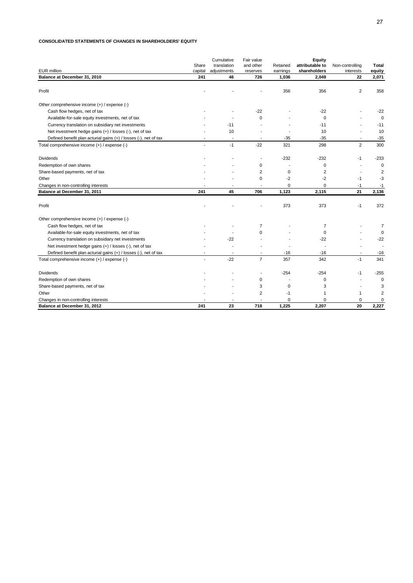#### **CONSOLIDATED STATEMENTS OF CHANGES IN SHAREHOLDERS' EQUITY**

|                                                                  |                  | Cumulative                 | Fair value               |                      | <b>Equity</b>                   |                              |                 |
|------------------------------------------------------------------|------------------|----------------------------|--------------------------|----------------------|---------------------------------|------------------------------|-----------------|
| <b>EUR</b> million                                               | Share<br>capital | translation<br>adjustments | and other<br>reserves    | Retained<br>earnings | attributable to<br>shareholders | Non-controlling<br>interests | Total<br>equity |
| Balance at December 31, 2010                                     | 241              | 46                         | 726                      | 1,036                | 2,049                           | 22                           | 2,071           |
|                                                                  |                  |                            |                          |                      |                                 |                              |                 |
| Profit                                                           |                  |                            |                          | 356                  | 356                             | $\overline{2}$               | 358             |
| Other comprehensive income (+) / expense (-)                     |                  |                            |                          |                      |                                 |                              |                 |
| Cash flow hedges, net of tax                                     |                  |                            | $-22$                    |                      | -22                             |                              | $-22$           |
| Available-for-sale equity investments, net of tax                |                  |                            | 0                        |                      | $\mathbf 0$                     |                              | $\mathbf 0$     |
| Currency translation on subsidiary net investments               |                  | $-11$                      |                          |                      | $-11$                           |                              | $-11$           |
| Net investment hedge gains (+) / losses (-), net of tax          |                  | 10                         |                          |                      | 10                              |                              | 10              |
| Defined benefit plan acturial gains (+) / losses (-), net of tax |                  | ٠                          |                          | $-35$                | $-35$                           |                              | $-35$           |
| Total comprehensive income (+) / expense (-)                     |                  | $-1$                       | $-22$                    | 321                  | 298                             | $\overline{2}$               | 300             |
| <b>Dividends</b>                                                 |                  |                            |                          | $-232$               | -232                            | -1                           | $-233$          |
| Redemption of own shares                                         |                  |                            | 0                        |                      | 0                               |                              | $\mathbf 0$     |
| Share-based payments, net of tax                                 |                  |                            | $\overline{2}$           | 0                    | $\overline{2}$                  |                              | $\overline{2}$  |
| Other                                                            |                  |                            | 0                        | $-2$                 | -2                              | $-1$                         | -3              |
| Changes in non-controlling interests                             |                  |                            | $\overline{\phantom{a}}$ | 0                    | 0                               | -1                           | $-1$            |
| Balance at December 31, 2011                                     | 241              | 45                         | 706                      | 1,123                | 2,115                           | 21                           | 2,136           |
| Profit                                                           |                  |                            |                          | 373                  | 373                             | $-1$                         | 372             |
| Other comprehensive income (+) / expense (-)                     |                  |                            |                          |                      |                                 |                              |                 |
| Cash flow hedges, net of tax                                     |                  |                            | 7                        |                      | $\overline{7}$                  |                              | $\overline{7}$  |
| Available-for-sale equity investments, net of tax                |                  |                            | 0                        |                      | 0                               |                              | 0               |
| Currency translation on subsidiary net investments               |                  | $-22$                      |                          |                      | $-22$                           |                              | $-22$           |
| Net investment hedge gains (+) / losses (-), net of tax          |                  |                            |                          |                      |                                 |                              |                 |
| Defined benefit plan acturial gains (+) / losses (-), net of tax |                  |                            | $\blacksquare$           | $-16$                | $-16$                           | $\blacksquare$               | $-16$           |
| Total comprehensive income (+) / expense (-)                     |                  | $-22$                      | $\overline{7}$           | 357                  | 342                             | $-1$                         | 341             |
| <b>Dividends</b>                                                 |                  |                            |                          | $-254$               | $-254$                          | $-1$                         | $-255$          |
| Redemption of own shares                                         |                  |                            | 0                        |                      | 0                               |                              | $\mathbf 0$     |
| Share-based payments, net of tax                                 |                  |                            | 3                        | 0                    | 3                               |                              | 3               |
| Other                                                            |                  |                            | 2                        | -1                   | 1                               | $\mathbf{1}$                 | $\overline{2}$  |
| Changes in non-controlling interests                             |                  |                            |                          | 0                    | $\Omega$                        | 0                            | $\mathbf 0$     |
| Balance at December 31, 2012                                     | 241              | 23                         | 718                      | 1,225                | 2.207                           | 20                           | 2,227           |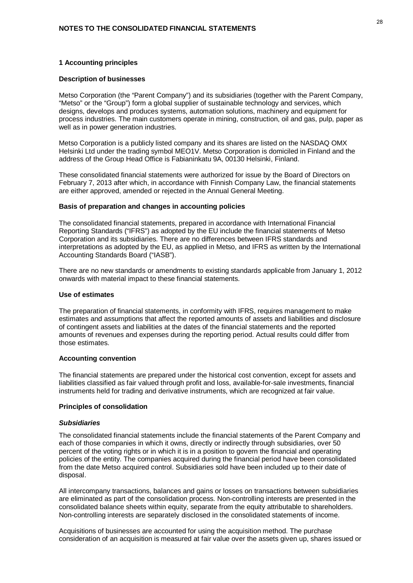# **1 Accounting principles**

#### **Description of businesses**

Metso Corporation (the "Parent Company") and its subsidiaries (together with the Parent Company, "Metso" or the "Group") form a global supplier of sustainable technology and services, which designs, develops and produces systems, automation solutions, machinery and equipment for process industries. The main customers operate in mining, construction, oil and gas, pulp, paper as well as in power generation industries.

Metso Corporation is a publicly listed company and its shares are listed on the NASDAQ OMX Helsinki Ltd under the trading symbol MEO1V. Metso Corporation is domiciled in Finland and the address of the Group Head Office is Fabianinkatu 9A, 00130 Helsinki, Finland.

These consolidated financial statements were authorized for issue by the Board of Directors on February 7, 2013 after which, in accordance with Finnish Company Law, the financial statements are either approved, amended or rejected in the Annual General Meeting.

#### **Basis of preparation and changes in accounting policies**

The consolidated financial statements, prepared in accordance with International Financial Reporting Standards ("IFRS") as adopted by the EU include the financial statements of Metso Corporation and its subsidiaries. There are no differences between IFRS standards and interpretations as adopted by the EU, as applied in Metso, and IFRS as written by the International Accounting Standards Board ("IASB").

There are no new standards or amendments to existing standards applicable from January 1, 2012 onwards with material impact to these financial statements.

## **Use of estimates**

The preparation of financial statements, in conformity with IFRS, requires management to make estimates and assumptions that affect the reported amounts of assets and liabilities and disclosure of contingent assets and liabilities at the dates of the financial statements and the reported amounts of revenues and expenses during the reporting period. Actual results could differ from those estimates.

#### **Accounting convention**

The financial statements are prepared under the historical cost convention, except for assets and liabilities classified as fair valued through profit and loss, available-for-sale investments, financial instruments held for trading and derivative instruments, which are recognized at fair value.

# **Principles of consolidation**

## *Subsidiaries*

The consolidated financial statements include the financial statements of the Parent Company and each of those companies in which it owns, directly or indirectly through subsidiaries, over 50 percent of the voting rights or in which it is in a position to govern the financial and operating policies of the entity. The companies acquired during the financial period have been consolidated from the date Metso acquired control. Subsidiaries sold have been included up to their date of disposal.

All intercompany transactions, balances and gains or losses on transactions between subsidiaries are eliminated as part of the consolidation process. Non-controlling interests are presented in the consolidated balance sheets within equity, separate from the equity attributable to shareholders. Non-controlling interests are separately disclosed in the consolidated statements of income.

Acquisitions of businesses are accounted for using the acquisition method. The purchase consideration of an acquisition is measured at fair value over the assets given up, shares issued or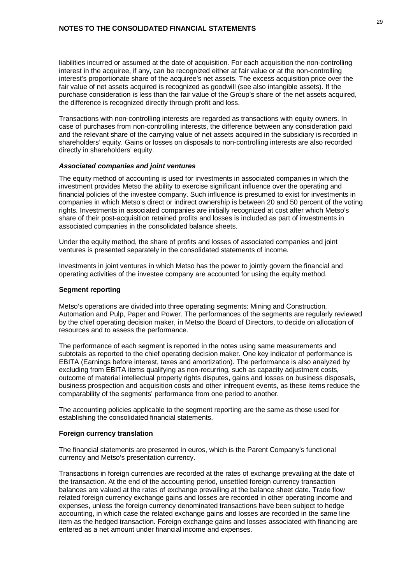liabilities incurred or assumed at the date of acquisition. For each acquisition the non-controlling interest in the acquiree, if any, can be recognized either at fair value or at the non-controlling interest's proportionate share of the acquiree's net assets. The excess acquisition price over the fair value of net assets acquired is recognized as goodwill (see also intangible assets). If the purchase consideration is less than the fair value of the Group's share of the net assets acquired, the difference is recognized directly through profit and loss.

Transactions with non-controlling interests are regarded as transactions with equity owners. In case of purchases from non-controlling interests, the difference between any consideration paid and the relevant share of the carrying value of net assets acquired in the subsidiary is recorded in shareholders' equity. Gains or losses on disposals to non-controlling interests are also recorded directly in shareholders' equity.

# *Associated companies and joint ventures*

The equity method of accounting is used for investments in associated companies in which the investment provides Metso the ability to exercise significant influence over the operating and financial policies of the investee company. Such influence is presumed to exist for investments in companies in which Metso's direct or indirect ownership is between 20 and 50 percent of the voting rights. Investments in associated companies are initially recognized at cost after which Metso's share of their post-acquisition retained profits and losses is included as part of investments in associated companies in the consolidated balance sheets.

Under the equity method, the share of profits and losses of associated companies and joint ventures is presented separately in the consolidated statements of income.

Investments in joint ventures in which Metso has the power to jointly govern the financial and operating activities of the investee company are accounted for using the equity method.

# **Segment reporting**

Metso's operations are divided into three operating segments: Mining and Construction, Automation and Pulp, Paper and Power. The performances of the segments are regularly reviewed by the chief operating decision maker, in Metso the Board of Directors, to decide on allocation of resources and to assess the performance.

The performance of each segment is reported in the notes using same measurements and subtotals as reported to the chief operating decision maker. One key indicator of performance is EBITA (Earnings before interest, taxes and amortization). The performance is also analyzed by excluding from EBITA items qualifying as non-recurring, such as capacity adjustment costs, outcome of material intellectual property rights disputes, gains and losses on business disposals, business prospection and acquisition costs and other infrequent events, as these items reduce the comparability of the segments' performance from one period to another.

The accounting policies applicable to the segment reporting are the same as those used for establishing the consolidated financial statements.

#### **Foreign currency translation**

The financial statements are presented in euros, which is the Parent Company's functional currency and Metso's presentation currency.

Transactions in foreign currencies are recorded at the rates of exchange prevailing at the date of the transaction. At the end of the accounting period, unsettled foreign currency transaction balances are valued at the rates of exchange prevailing at the balance sheet date. Trade flow related foreign currency exchange gains and losses are recorded in other operating income and expenses, unless the foreign currency denominated transactions have been subject to hedge accounting, in which case the related exchange gains and losses are recorded in the same line item as the hedged transaction. Foreign exchange gains and losses associated with financing are entered as a net amount under financial income and expenses.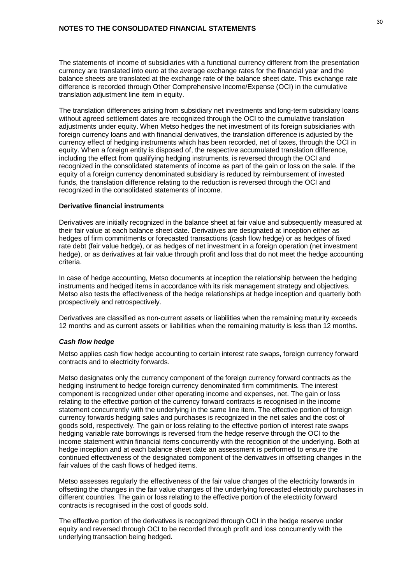The statements of income of subsidiaries with a functional currency different from the presentation currency are translated into euro at the average exchange rates for the financial year and the balance sheets are translated at the exchange rate of the balance sheet date. This exchange rate difference is recorded through Other Comprehensive Income/Expense (OCI) in the cumulative translation adjustment line item in equity.

The translation differences arising from subsidiary net investments and long-term subsidiary loans without agreed settlement dates are recognized through the OCI to the cumulative translation adjustments under equity. When Metso hedges the net investment of its foreign subsidiaries with foreign currency loans and with financial derivatives, the translation difference is adjusted by the currency effect of hedging instruments which has been recorded, net of taxes, through the OCI in equity. When a foreign entity is disposed of, the respective accumulated translation difference, including the effect from qualifying hedging instruments, is reversed through the OCI and recognized in the consolidated statements of income as part of the gain or loss on the sale. If the equity of a foreign currency denominated subsidiary is reduced by reimbursement of invested funds, the translation difference relating to the reduction is reversed through the OCI and recognized in the consolidated statements of income.

## **Derivative financial instruments**

Derivatives are initially recognized in the balance sheet at fair value and subsequently measured at their fair value at each balance sheet date. Derivatives are designated at inception either as hedges of firm commitments or forecasted transactions (cash flow hedge) or as hedges of fixed rate debt (fair value hedge), or as hedges of net investment in a foreign operation (net investment hedge), or as derivatives at fair value through profit and loss that do not meet the hedge accounting criteria.

In case of hedge accounting, Metso documents at inception the relationship between the hedging instruments and hedged items in accordance with its risk management strategy and objectives. Metso also tests the effectiveness of the hedge relationships at hedge inception and quarterly both prospectively and retrospectively.

Derivatives are classified as non-current assets or liabilities when the remaining maturity exceeds 12 months and as current assets or liabilities when the remaining maturity is less than 12 months.

#### *Cash flow hedge*

Metso applies cash flow hedge accounting to certain interest rate swaps, foreign currency forward contracts and to electricity forwards.

Metso designates only the currency component of the foreign currency forward contracts as the hedging instrument to hedge foreign currency denominated firm commitments. The interest component is recognized under other operating income and expenses, net. The gain or loss relating to the effective portion of the currency forward contracts is recognised in the income statement concurrently with the underlying in the same line item. The effective portion of foreign currency forwards hedging sales and purchases is recognized in the net sales and the cost of goods sold, respectively. The gain or loss relating to the effective portion of interest rate swaps hedging variable rate borrowings is reversed from the hedge reserve through the OCI to the income statement within financial items concurrently with the recognition of the underlying. Both at hedge inception and at each balance sheet date an assessment is performed to ensure the continued effectiveness of the designated component of the derivatives in offsetting changes in the fair values of the cash flows of hedged items.

Metso assesses regularly the effectiveness of the fair value changes of the electricity forwards in offsetting the changes in the fair value changes of the underlying forecasted electricity purchases in different countries. The gain or loss relating to the effective portion of the electricity forward contracts is recognised in the cost of goods sold.

The effective portion of the derivatives is recognized through OCI in the hedge reserve under equity and reversed through OCI to be recorded through profit and loss concurrently with the underlying transaction being hedged.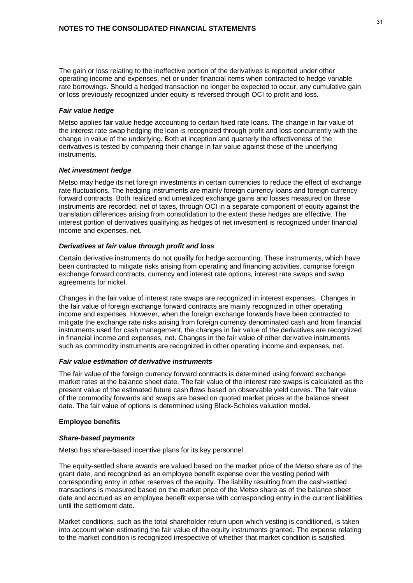The gain or loss relating to the ineffective portion of the derivatives is reported under other operating income and expenses, net or under financial items when contracted to hedge variable rate borrowings. Should a hedged transaction no longer be expected to occur, any cumulative gain or loss previously recognized under equity is reversed through OCI to profit and loss.

# *Fair value hedge*

Metso applies fair value hedge accounting to certain fixed rate loans. The change in fair value of the interest rate swap hedging the loan is recognized through profit and loss concurrently with the change in value of the underlying. Both at inception and quarterly the effectiveness of the derivatives is tested by comparing their change in fair value against those of the underlying instruments.

# *Net investment hedge*

Metso may hedge its net foreign investments in certain currencies to reduce the effect of exchange rate fluctuations. The hedging instruments are mainly foreign currency loans and foreign currency forward contracts. Both realized and unrealized exchange gains and losses measured on these instruments are recorded, net of taxes, through OCI in a separate component of equity against the translation differences arising from consolidation to the extent these hedges are effective. The interest portion of derivatives qualifying as hedges of net investment is recognized under financial income and expenses, net.

# *Derivatives at fair value through profit and loss*

Certain derivative instruments do not qualify for hedge accounting. These instruments, which have been contracted to mitigate risks arising from operating and financing activities, comprise foreign exchange forward contracts, currency and interest rate options, interest rate swaps and swap agreements for nickel.

Changes in the fair value of interest rate swaps are recognized in interest expenses. Changes in the fair value of foreign exchange forward contracts are mainly recognized in other operating income and expenses. However, when the foreign exchange forwards have been contracted to mitigate the exchange rate risks arising from foreign currency denominated cash and from financial instruments used for cash management, the changes in fair value of the derivatives are recognized in financial income and expenses, net. Changes in the fair value of other derivative instruments such as commodity instruments are recognized in other operating income and expenses, net.

# *Fair value estimation of derivative instruments*

The fair value of the foreign currency forward contracts is determined using forward exchange market rates at the balance sheet date. The fair value of the interest rate swaps is calculated as the present value of the estimated future cash flows based on observable yield curves. The fair value of the commodity forwards and swaps are based on quoted market prices at the balance sheet date. The fair value of options is determined using Black-Scholes valuation model.

## **Employee benefits**

#### *Share-based payments*

Metso has share-based incentive plans for its key personnel.

The equity-settled share awards are valued based on the market price of the Metso share as of the grant date, and recognized as an employee benefit expense over the vesting period with corresponding entry in other reserves of the equity. The liability resulting from the cash-settled transactions is measured based on the market price of the Metso share as of the balance sheet date and accrued as an employee benefit expense with corresponding entry in the current liabilities until the settlement date.

Market conditions, such as the total shareholder return upon which vesting is conditioned, is taken into account when estimating the fair value of the equity instruments granted. The expense relating to the market condition is recognized irrespective of whether that market condition is satisfied.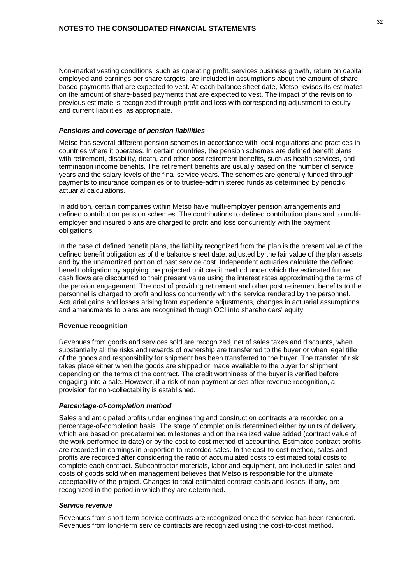Non-market vesting conditions, such as operating profit, services business growth, return on capital employed and earnings per share targets, are included in assumptions about the amount of sharebased payments that are expected to vest. At each balance sheet date, Metso revises its estimates on the amount of share-based payments that are expected to vest. The impact of the revision to previous estimate is recognized through profit and loss with corresponding adjustment to equity and current liabilities, as appropriate.

#### *Pensions and coverage of pension liabilities*

Metso has several different pension schemes in accordance with local regulations and practices in countries where it operates. In certain countries, the pension schemes are defined benefit plans with retirement, disability, death, and other post retirement benefits, such as health services, and termination income benefits. The retirement benefits are usually based on the number of service years and the salary levels of the final service years. The schemes are generally funded through payments to insurance companies or to trustee-administered funds as determined by periodic actuarial calculations.

In addition, certain companies within Metso have multi-employer pension arrangements and defined contribution pension schemes. The contributions to defined contribution plans and to multiemployer and insured plans are charged to profit and loss concurrently with the payment obligations.

In the case of defined benefit plans, the liability recognized from the plan is the present value of the defined benefit obligation as of the balance sheet date, adjusted by the fair value of the plan assets and by the unamortized portion of past service cost. Independent actuaries calculate the defined benefit obligation by applying the projected unit credit method under which the estimated future cash flows are discounted to their present value using the interest rates approximating the terms of the pension engagement. The cost of providing retirement and other post retirement benefits to the personnel is charged to profit and loss concurrently with the service rendered by the personnel. Actuarial gains and losses arising from experience adjustments, changes in actuarial assumptions and amendments to plans are recognized through OCI into shareholders' equity.

#### **Revenue recognition**

Revenues from goods and services sold are recognized, net of sales taxes and discounts, when substantially all the risks and rewards of ownership are transferred to the buyer or when legal title of the goods and responsibility for shipment has been transferred to the buyer. The transfer of risk takes place either when the goods are shipped or made available to the buyer for shipment depending on the terms of the contract. The credit worthiness of the buyer is verified before engaging into a sale. However, if a risk of non-payment arises after revenue recognition, a provision for non-collectability is established.

# *Percentage-of-completion method*

Sales and anticipated profits under engineering and construction contracts are recorded on a percentage-of-completion basis. The stage of completion is determined either by units of delivery, which are based on predetermined milestones and on the realized value added (contract value of the work performed to date) or by the cost-to-cost method of accounting. Estimated contract profits are recorded in earnings in proportion to recorded sales. In the cost-to-cost method, sales and profits are recorded after considering the ratio of accumulated costs to estimated total costs to complete each contract. Subcontractor materials, labor and equipment, are included in sales and costs of goods sold when management believes that Metso is responsible for the ultimate acceptability of the project. Changes to total estimated contract costs and losses, if any, are recognized in the period in which they are determined.

#### *Service revenue*

Revenues from short-term service contracts are recognized once the service has been rendered. Revenues from long-term service contracts are recognized using the cost-to-cost method.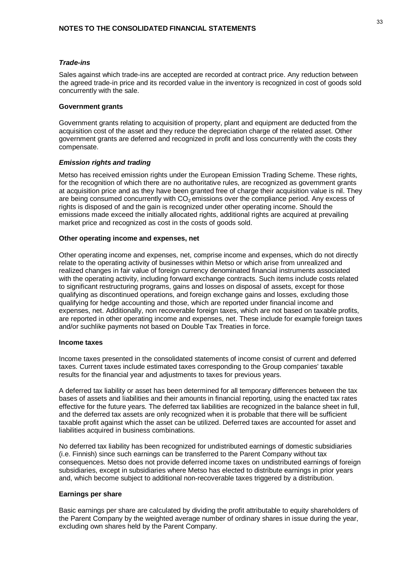#### *Trade-ins*

Sales against which trade-ins are accepted are recorded at contract price. Any reduction between the agreed trade-in price and its recorded value in the inventory is recognized in cost of goods sold concurrently with the sale.

# **Government grants**

Government grants relating to acquisition of property, plant and equipment are deducted from the acquisition cost of the asset and they reduce the depreciation charge of the related asset. Other government grants are deferred and recognized in profit and loss concurrently with the costs they compensate.

# *Emission rights and trading*

Metso has received emission rights under the European Emission Trading Scheme. These rights, for the recognition of which there are no authoritative rules, are recognized as government grants at acquisition price and as they have been granted free of charge their acquisition value is nil. They are being consumed concurrently with  $CO<sub>2</sub>$  emissions over the compliance period. Any excess of rights is disposed of and the gain is recognized under other operating income. Should the emissions made exceed the initially allocated rights, additional rights are acquired at prevailing market price and recognized as cost in the costs of goods sold.

# **Other operating income and expenses, net**

Other operating income and expenses, net, comprise income and expenses, which do not directly relate to the operating activity of businesses within Metso or which arise from unrealized and realized changes in fair value of foreign currency denominated financial instruments associated with the operating activity, including forward exchange contracts. Such items include costs related to significant restructuring programs, gains and losses on disposal of assets, except for those qualifying as discontinued operations, and foreign exchange gains and losses, excluding those qualifying for hedge accounting and those, which are reported under financial income and expenses, net. Additionally, non recoverable foreign taxes, which are not based on taxable profits, are reported in other operating income and expenses, net. These include for example foreign taxes and/or suchlike payments not based on Double Tax Treaties in force.

## **Income taxes**

Income taxes presented in the consolidated statements of income consist of current and deferred taxes. Current taxes include estimated taxes corresponding to the Group companies' taxable results for the financial year and adjustments to taxes for previous years.

A deferred tax liability or asset has been determined for all temporary differences between the tax bases of assets and liabilities and their amounts in financial reporting, using the enacted tax rates effective for the future years. The deferred tax liabilities are recognized in the balance sheet in full, and the deferred tax assets are only recognized when it is probable that there will be sufficient taxable profit against which the asset can be utilized. Deferred taxes are accounted for asset and liabilities acquired in business combinations.

No deferred tax liability has been recognized for undistributed earnings of domestic subsidiaries (i.e. Finnish) since such earnings can be transferred to the Parent Company without tax consequences. Metso does not provide deferred income taxes on undistributed earnings of foreign subsidiaries, except in subsidiaries where Metso has elected to distribute earnings in prior years and, which become subject to additional non-recoverable taxes triggered by a distribution.

#### **Earnings per share**

Basic earnings per share are calculated by dividing the profit attributable to equity shareholders of the Parent Company by the weighted average number of ordinary shares in issue during the year, excluding own shares held by the Parent Company.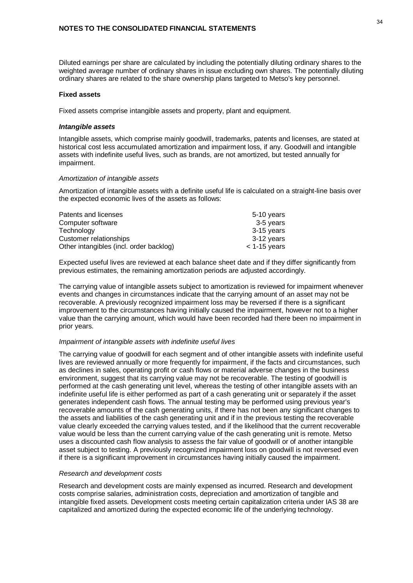Diluted earnings per share are calculated by including the potentially diluting ordinary shares to the weighted average number of ordinary shares in issue excluding own shares. The potentially diluting ordinary shares are related to the share ownership plans targeted to Metso's key personnel.

# **Fixed assets**

Fixed assets comprise intangible assets and property, plant and equipment.

## *Intangible assets*

Intangible assets, which comprise mainly goodwill, trademarks, patents and licenses, are stated at historical cost less accumulated amortization and impairment loss, if any. Goodwill and intangible assets with indefinite useful lives, such as brands, are not amortized, but tested annually for impairment.

# *Amortization of intangible assets*

Amortization of intangible assets with a definite useful life is calculated on a straight-line basis over the expected economic lives of the assets as follows:

| Patents and licenses                    | 5-10 years     |
|-----------------------------------------|----------------|
| Computer software                       | 3-5 years      |
| Technology                              | 3-15 years     |
| Customer relationships                  | 3-12 years     |
| Other intangibles (incl. order backlog) | $<$ 1-15 years |

Expected useful lives are reviewed at each balance sheet date and if they differ significantly from previous estimates, the remaining amortization periods are adjusted accordingly.

The carrying value of intangible assets subject to amortization is reviewed for impairment whenever events and changes in circumstances indicate that the carrying amount of an asset may not be recoverable. A previously recognized impairment loss may be reversed if there is a significant improvement to the circumstances having initially caused the impairment, however not to a higher value than the carrying amount, which would have been recorded had there been no impairment in prior years.

#### *Impairment of intangible assets with indefinite useful lives*

The carrying value of goodwill for each segment and of other intangible assets with indefinite useful lives are reviewed annually or more frequently for impairment, if the facts and circumstances, such as declines in sales, operating profit or cash flows or material adverse changes in the business environment, suggest that its carrying value may not be recoverable. The testing of goodwill is performed at the cash generating unit level, whereas the testing of other intangible assets with an indefinite useful life is either performed as part of a cash generating unit or separately if the asset generates independent cash flows. The annual testing may be performed using previous year's recoverable amounts of the cash generating units, if there has not been any significant changes to the assets and liabilities of the cash generating unit and if in the previous testing the recoverable value clearly exceeded the carrying values tested, and if the likelihood that the current recoverable value would be less than the current carrying value of the cash generating unit is remote. Metso uses a discounted cash flow analysis to assess the fair value of goodwill or of another intangible asset subject to testing. A previously recognized impairment loss on goodwill is not reversed even if there is a significant improvement in circumstances having initially caused the impairment.

#### *Research and development costs*

Research and development costs are mainly expensed as incurred. Research and development costs comprise salaries, administration costs, depreciation and amortization of tangible and intangible fixed assets. Development costs meeting certain capitalization criteria under IAS 38 are capitalized and amortized during the expected economic life of the underlying technology.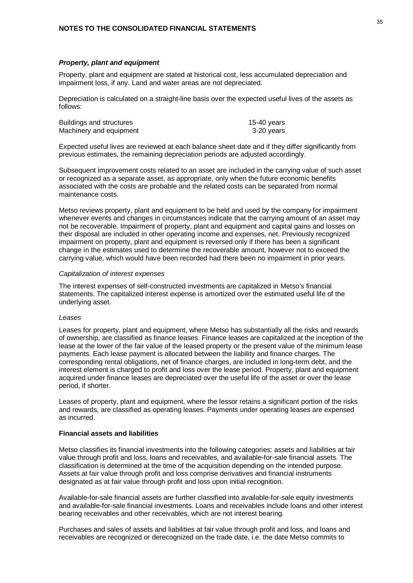## *Property, plant and equipment*

Property, plant and equipment are stated at historical cost, less accumulated depreciation and impairment loss, if any. Land and water areas are not depreciated.

Depreciation is calculated on a straight-line basis over the expected useful lives of the assets as follows:

| Buildings and structures | 15-40 years |
|--------------------------|-------------|
| Machinery and equipment  | 3-20 years  |

Expected useful lives are reviewed at each balance sheet date and if they differ significantly from previous estimates, the remaining depreciation periods are adjusted accordingly.

Subsequent improvement costs related to an asset are included in the carrying value of such asset or recognized as a separate asset, as appropriate, only when the future economic benefits associated with the costs are probable and the related costs can be separated from normal maintenance costs.

Metso reviews property, plant and equipment to be held and used by the company for impairment whenever events and changes in circumstances indicate that the carrying amount of an asset may not be recoverable. Impairment of property, plant and equipment and capital gains and losses on their disposal are included in other operating income and expenses, net. Previously recognized impairment on property, plant and equipment is reversed only if there has been a significant change in the estimates used to determine the recoverable amount, however not to exceed the carrying value, which would have been recorded had there been no impairment in prior years.

#### *Capitalization of interest expenses*

The interest expenses of self-constructed investments are capitalized in Metso's financial statements. The capitalized interest expense is amortized over the estimated useful life of the underlying asset.

## *Leases*

Leases for property, plant and equipment, where Metso has substantially all the risks and rewards of ownership, are classified as finance leases. Finance leases are capitalized at the inception of the lease at the lower of the fair value of the leased property or the present value of the minimum lease payments. Each lease payment is allocated between the liability and finance charges. The corresponding rental obligations, net of finance charges, are included in long-term debt, and the interest element is charged to profit and loss over the lease period. Property, plant and equipment acquired under finance leases are depreciated over the useful life of the asset or over the lease period, if shorter.

Leases of property, plant and equipment, where the lessor retains a significant portion of the risks and rewards, are classified as operating leases. Payments under operating leases are expensed as incurred.

## **Financial assets and liabilities**

Metso classifies its financial investments into the following categories: assets and liabilities at fair value through profit and loss, loans and receivables, and available-for-sale financial assets. The classification is determined at the time of the acquisition depending on the intended purpose. Assets at fair value through profit and loss comprise derivatives and financial instruments designated as at fair value through profit and loss upon initial recognition.

Available-for-sale financial assets are further classified into available-for-sale equity investments and available-for-sale financial investments. Loans and receivables include loans and other interest bearing receivables and other receivables, which are not interest bearing.

Purchases and sales of assets and liabilities at fair value through profit and loss, and loans and receivables are recognized or derecognized on the trade date, i.e. the date Metso commits to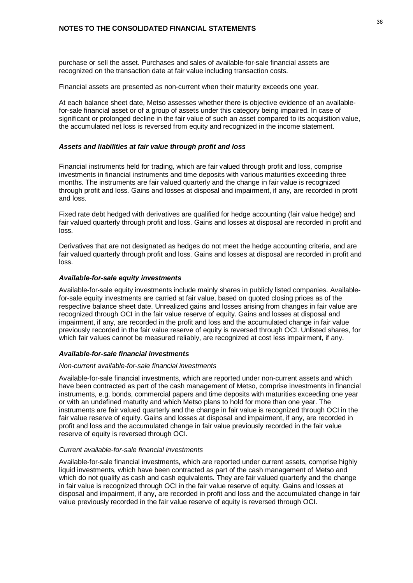purchase or sell the asset. Purchases and sales of available-for-sale financial assets are recognized on the transaction date at fair value including transaction costs.

Financial assets are presented as non-current when their maturity exceeds one year.

At each balance sheet date, Metso assesses whether there is objective evidence of an availablefor-sale financial asset or of a group of assets under this category being impaired. In case of significant or prolonged decline in the fair value of such an asset compared to its acquisition value, the accumulated net loss is reversed from equity and recognized in the income statement.

## *Assets and liabilities at fair value through profit and loss*

Financial instruments held for trading, which are fair valued through profit and loss, comprise investments in financial instruments and time deposits with various maturities exceeding three months. The instruments are fair valued quarterly and the change in fair value is recognized through profit and loss. Gains and losses at disposal and impairment, if any, are recorded in profit and loss.

Fixed rate debt hedged with derivatives are qualified for hedge accounting (fair value hedge) and fair valued quarterly through profit and loss. Gains and losses at disposal are recorded in profit and loss.

Derivatives that are not designated as hedges do not meet the hedge accounting criteria, and are fair valued quarterly through profit and loss. Gains and losses at disposal are recorded in profit and loss.

## *Available-for-sale equity investments*

Available-for-sale equity investments include mainly shares in publicly listed companies. Availablefor-sale equity investments are carried at fair value, based on quoted closing prices as of the respective balance sheet date. Unrealized gains and losses arising from changes in fair value are recognized through OCI in the fair value reserve of equity. Gains and losses at disposal and impairment, if any, are recorded in the profit and loss and the accumulated change in fair value previously recorded in the fair value reserve of equity is reversed through OCI. Unlisted shares, for which fair values cannot be measured reliably, are recognized at cost less impairment, if any.

## *Available-for-sale financial investments*

### *Non-current available-for-sale financial investments*

Available-for-sale financial investments, which are reported under non-current assets and which have been contracted as part of the cash management of Metso, comprise investments in financial instruments, e.g. bonds, commercial papers and time deposits with maturities exceeding one year or with an undefined maturity and which Metso plans to hold for more than one year. The instruments are fair valued quarterly and the change in fair value is recognized through OCI in the fair value reserve of equity. Gains and losses at disposal and impairment, if any, are recorded in profit and loss and the accumulated change in fair value previously recorded in the fair value reserve of equity is reversed through OCI.

### *Current available-for-sale financial investments*

Available-for-sale financial investments, which are reported under current assets, comprise highly liquid investments, which have been contracted as part of the cash management of Metso and which do not qualify as cash and cash equivalents. They are fair valued quarterly and the change in fair value is recognized through OCI in the fair value reserve of equity. Gains and losses at disposal and impairment, if any, are recorded in profit and loss and the accumulated change in fair value previously recorded in the fair value reserve of equity is reversed through OCI.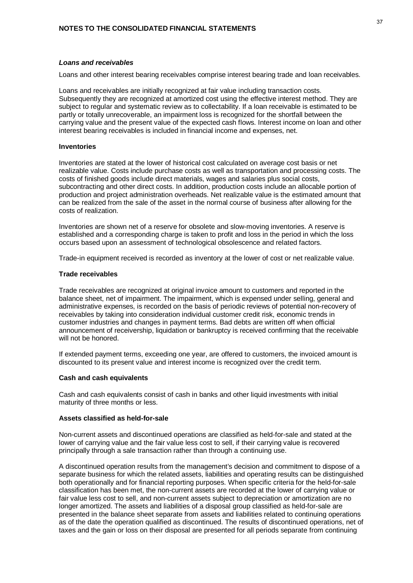## *Loans and receivables*

Loans and other interest bearing receivables comprise interest bearing trade and loan receivables.

Loans and receivables are initially recognized at fair value including transaction costs. Subsequently they are recognized at amortized cost using the effective interest method. They are subject to regular and systematic review as to collectability. If a loan receivable is estimated to be partly or totally unrecoverable, an impairment loss is recognized for the shortfall between the carrying value and the present value of the expected cash flows. Interest income on loan and other interest bearing receivables is included in financial income and expenses, net.

## **Inventories**

Inventories are stated at the lower of historical cost calculated on average cost basis or net realizable value. Costs include purchase costs as well as transportation and processing costs. The costs of finished goods include direct materials, wages and salaries plus social costs, subcontracting and other direct costs. In addition, production costs include an allocable portion of production and project administration overheads. Net realizable value is the estimated amount that can be realized from the sale of the asset in the normal course of business after allowing for the costs of realization.

Inventories are shown net of a reserve for obsolete and slow-moving inventories. A reserve is established and a corresponding charge is taken to profit and loss in the period in which the loss occurs based upon an assessment of technological obsolescence and related factors.

Trade-in equipment received is recorded as inventory at the lower of cost or net realizable value.

## **Trade receivables**

Trade receivables are recognized at original invoice amount to customers and reported in the balance sheet, net of impairment. The impairment, which is expensed under selling, general and administrative expenses, is recorded on the basis of periodic reviews of potential non-recovery of receivables by taking into consideration individual customer credit risk, economic trends in customer industries and changes in payment terms. Bad debts are written off when official announcement of receivership, liquidation or bankruptcy is received confirming that the receivable will not be honored.

If extended payment terms, exceeding one year, are offered to customers, the invoiced amount is discounted to its present value and interest income is recognized over the credit term.

## **Cash and cash equivalents**

Cash and cash equivalents consist of cash in banks and other liquid investments with initial maturity of three months or less.

### **Assets classified as held-for-sale**

Non-current assets and discontinued operations are classified as held-for-sale and stated at the lower of carrying value and the fair value less cost to sell, if their carrying value is recovered principally through a sale transaction rather than through a continuing use.

A discontinued operation results from the management's decision and commitment to dispose of a separate business for which the related assets, liabilities and operating results can be distinguished both operationally and for financial reporting purposes. When specific criteria for the held-for-sale classification has been met, the non-current assets are recorded at the lower of carrying value or fair value less cost to sell, and non-current assets subject to depreciation or amortization are no longer amortized. The assets and liabilities of a disposal group classified as held-for-sale are presented in the balance sheet separate from assets and liabilities related to continuing operations as of the date the operation qualified as discontinued. The results of discontinued operations, net of taxes and the gain or loss on their disposal are presented for all periods separate from continuing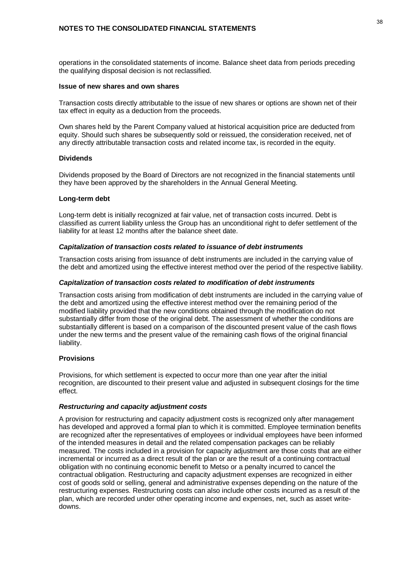operations in the consolidated statements of income. Balance sheet data from periods preceding the qualifying disposal decision is not reclassified.

## **Issue of new shares and own shares**

Transaction costs directly attributable to the issue of new shares or options are shown net of their tax effect in equity as a deduction from the proceeds.

Own shares held by the Parent Company valued at historical acquisition price are deducted from equity. Should such shares be subsequently sold or reissued, the consideration received, net of any directly attributable transaction costs and related income tax, is recorded in the equity.

## **Dividends**

Dividends proposed by the Board of Directors are not recognized in the financial statements until they have been approved by the shareholders in the Annual General Meeting.

## **Long-term debt**

Long-term debt is initially recognized at fair value, net of transaction costs incurred. Debt is classified as current liability unless the Group has an unconditional right to defer settlement of the liability for at least 12 months after the balance sheet date.

## *Capitalization of transaction costs related to issuance of debt instruments*

Transaction costs arising from issuance of debt instruments are included in the carrying value of the debt and amortized using the effective interest method over the period of the respective liability.

## *Capitalization of transaction costs related to modification of debt instruments*

Transaction costs arising from modification of debt instruments are included in the carrying value of the debt and amortized using the effective interest method over the remaining period of the modified liability provided that the new conditions obtained through the modification do not substantially differ from those of the original debt. The assessment of whether the conditions are substantially different is based on a comparison of the discounted present value of the cash flows under the new terms and the present value of the remaining cash flows of the original financial liability.

## **Provisions**

Provisions, for which settlement is expected to occur more than one year after the initial recognition, are discounted to their present value and adjusted in subsequent closings for the time effect.

## *Restructuring and capacity adjustment costs*

A provision for restructuring and capacity adjustment costs is recognized only after management has developed and approved a formal plan to which it is committed. Employee termination benefits are recognized after the representatives of employees or individual employees have been informed of the intended measures in detail and the related compensation packages can be reliably measured. The costs included in a provision for capacity adjustment are those costs that are either incremental or incurred as a direct result of the plan or are the result of a continuing contractual obligation with no continuing economic benefit to Metso or a penalty incurred to cancel the contractual obligation. Restructuring and capacity adjustment expenses are recognized in either cost of goods sold or selling, general and administrative expenses depending on the nature of the restructuring expenses. Restructuring costs can also include other costs incurred as a result of the plan, which are recorded under other operating income and expenses, net, such as asset writedowns.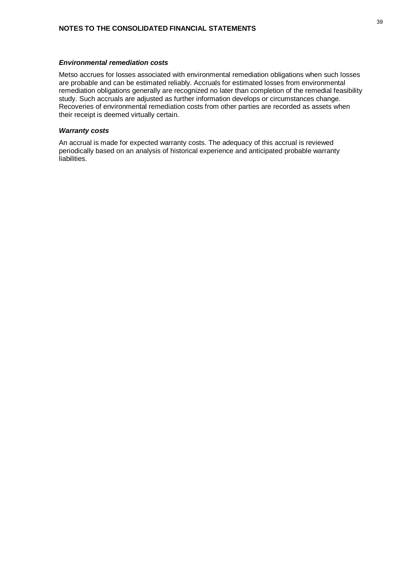### *Environmental remediation costs*

Metso accrues for losses associated with environmental remediation obligations when such losses are probable and can be estimated reliably. Accruals for estimated losses from environmental remediation obligations generally are recognized no later than completion of the remedial feasibility study. Such accruals are adjusted as further information develops or circumstances change. Recoveries of environmental remediation costs from other parties are recorded as assets when their receipt is deemed virtually certain.

## *Warranty costs*

An accrual is made for expected warranty costs. The adequacy of this accrual is reviewed periodically based on an analysis of historical experience and anticipated probable warranty liabilities.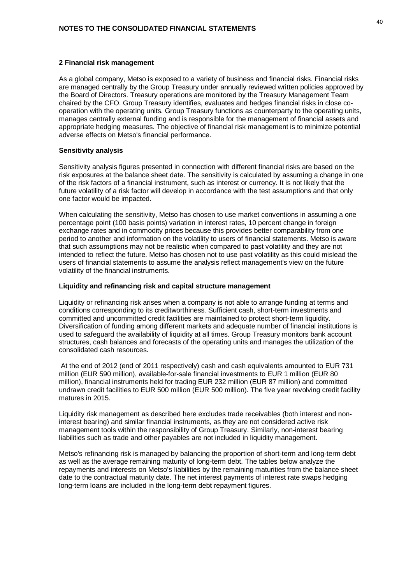## **2 Financial risk management**

As a global company, Metso is exposed to a variety of business and financial risks. Financial risks are managed centrally by the Group Treasury under annually reviewed written policies approved by the Board of Directors. Treasury operations are monitored by the Treasury Management Team chaired by the CFO. Group Treasury identifies, evaluates and hedges financial risks in close cooperation with the operating units. Group Treasury functions as counterparty to the operating units, manages centrally external funding and is responsible for the management of financial assets and appropriate hedging measures. The objective of financial risk management is to minimize potential adverse effects on Metso's financial performance.

## **Sensitivity analysis**

Sensitivity analysis figures presented in connection with different financial risks are based on the risk exposures at the balance sheet date. The sensitivity is calculated by assuming a change in one of the risk factors of a financial instrument, such as interest or currency. It is not likely that the future volatility of a risk factor will develop in accordance with the test assumptions and that only one factor would be impacted.

When calculating the sensitivity, Metso has chosen to use market conventions in assuming a one percentage point (100 basis points) variation in interest rates, 10 percent change in foreign exchange rates and in commodity prices because this provides better comparability from one period to another and information on the volatility to users of financial statements. Metso is aware that such assumptions may not be realistic when compared to past volatility and they are not intended to reflect the future. Metso has chosen not to use past volatility as this could mislead the users of financial statements to assume the analysis reflect management's view on the future volatility of the financial instruments.

## **Liquidity and refinancing risk and capital structure management**

Liquidity or refinancing risk arises when a company is not able to arrange funding at terms and conditions corresponding to its creditworthiness. Sufficient cash, short-term investments and committed and uncommitted credit facilities are maintained to protect short-term liquidity. Diversification of funding among different markets and adequate number of financial institutions is used to safeguard the availability of liquidity at all times. Group Treasury monitors bank account structures, cash balances and forecasts of the operating units and manages the utilization of the consolidated cash resources.

 At the end of 2012 (end of 2011 respectively) cash and cash equivalents amounted to EUR 731 million (EUR 590 million), available-for-sale financial investments to EUR 1 million (EUR 80 million), financial instruments held for trading EUR 232 million (EUR 87 million) and committed undrawn credit facilities to EUR 500 million (EUR 500 million). The five year revolving credit facility matures in 2015.

Liquidity risk management as described here excludes trade receivables (both interest and noninterest bearing) and similar financial instruments, as they are not considered active risk management tools within the responsibility of Group Treasury. Similarly, non-interest bearing liabilities such as trade and other payables are not included in liquidity management.

Metso's refinancing risk is managed by balancing the proportion of short-term and long-term debt as well as the average remaining maturity of long-term debt. The tables below analyze the repayments and interests on Metso's liabilities by the remaining maturities from the balance sheet date to the contractual maturity date. The net interest payments of interest rate swaps hedging long-term loans are included in the long-term debt repayment figures.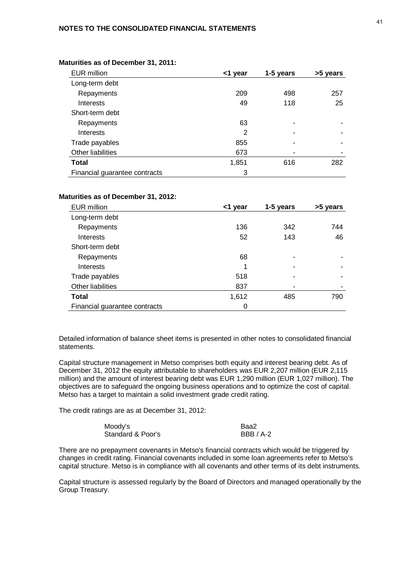| <b>EUR</b> million            | <1 year | 1-5 years | >5 years                 |
|-------------------------------|---------|-----------|--------------------------|
| Long-term debt                |         |           |                          |
| Repayments                    | 209     | 498       | 257                      |
| Interests                     | 49      | 118       | 25                       |
| Short-term debt               |         |           |                          |
| Repayments                    | 63      |           |                          |
| Interests                     | 2       |           | $\overline{\phantom{0}}$ |
| Trade payables                | 855     |           | ٠                        |
| Other liabilities             | 673     |           | $\overline{\phantom{0}}$ |
| <b>Total</b>                  | 1,851   | 616       | 282                      |
| Financial guarantee contracts | 3       |           |                          |

## **Maturities as of December 31, 2011:**

# **Maturities as of December 31, 2012:**

| <b>EUR</b> million            | <1 year | 1-5 years | >5 years                 |
|-------------------------------|---------|-----------|--------------------------|
| Long-term debt                |         |           |                          |
| Repayments                    | 136     | 342       | 744                      |
| Interests                     | 52      | 143       | 46                       |
| Short-term debt               |         |           |                          |
| Repayments                    | 68      |           |                          |
| Interests                     |         |           | ٠                        |
| Trade payables                | 518     | ۰         | ٠                        |
| Other liabilities             | 837     |           | $\overline{\phantom{0}}$ |
| <b>Total</b>                  | 1,612   | 485       | 790                      |
| Financial guarantee contracts | 0       |           |                          |

Detailed information of balance sheet items is presented in other notes to consolidated financial statements.

Capital structure management in Metso comprises both equity and interest bearing debt. As of December 31, 2012 the equity attributable to shareholders was EUR 2,207 million (EUR 2,115 million) and the amount of interest bearing debt was EUR 1,290 million (EUR 1,027 million). The objectives are to safeguard the ongoing business operations and to optimize the cost of capital. Metso has a target to maintain a solid investment grade credit rating.

The credit ratings are as at December 31, 2012:

| Moody's           | Baa2             |
|-------------------|------------------|
| Standard & Poor's | <b>BBB</b> / A-2 |

There are no prepayment covenants in Metso's financial contracts which would be triggered by changes in credit rating. Financial covenants included in some loan agreements refer to Metso's capital structure. Metso is in compliance with all covenants and other terms of its debt instruments.

Capital structure is assessed regularly by the Board of Directors and managed operationally by the Group Treasury.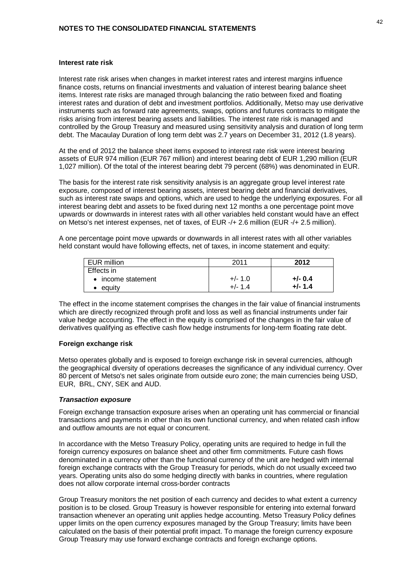## **Interest rate risk**

Interest rate risk arises when changes in market interest rates and interest margins influence finance costs, returns on financial investments and valuation of interest bearing balance sheet items. Interest rate risks are managed through balancing the ratio between fixed and floating interest rates and duration of debt and investment portfolios. Additionally, Metso may use derivative instruments such as forward rate agreements, swaps, options and futures contracts to mitigate the risks arising from interest bearing assets and liabilities. The interest rate risk is managed and controlled by the Group Treasury and measured using sensitivity analysis and duration of long term debt. The Macaulay Duration of long term debt was 2.7 years on December 31, 2012 (1.8 years).

At the end of 2012 the balance sheet items exposed to interest rate risk were interest bearing assets of EUR 974 million (EUR 767 million) and interest bearing debt of EUR 1,290 million (EUR 1,027 million). Of the total of the interest bearing debt 79 percent (68%) was denominated in EUR.

The basis for the interest rate risk sensitivity analysis is an aggregate group level interest rate exposure, composed of interest bearing assets, interest bearing debt and financial derivatives, such as interest rate swaps and options, which are used to hedge the underlying exposures. For all interest bearing debt and assets to be fixed during next 12 months a one percentage point move upwards or downwards in interest rates with all other variables held constant would have an effect on Metso's net interest expenses, net of taxes, of EUR -/+ 2.6 million (EUR -/+ 2.5 million).

A one percentage point move upwards or downwards in all interest rates with all other variables held constant would have following effects, net of taxes, in income statement and equity:

| EUR million        | 2011      | 2012      |
|--------------------|-----------|-----------|
| Effects in         |           |           |
| • income statement | $+/- 1.0$ | $+/- 0.4$ |
| equity             | $+/- 1.4$ | $+/- 1.4$ |

The effect in the income statement comprises the changes in the fair value of financial instruments which are directly recognized through profit and loss as well as financial instruments under fair value hedge accounting. The effect in the equity is comprised of the changes in the fair value of derivatives qualifying as effective cash flow hedge instruments for long-term floating rate debt.

### **Foreign exchange risk**

Metso operates globally and is exposed to foreign exchange risk in several currencies, although the geographical diversity of operations decreases the significance of any individual currency. Over 80 percent of Metso's net sales originate from outside euro zone; the main currencies being USD, EUR, BRL, CNY, SEK and AUD.

### *Transaction exposure*

Foreign exchange transaction exposure arises when an operating unit has commercial or financial transactions and payments in other than its own functional currency, and when related cash inflow and outflow amounts are not equal or concurrent.

In accordance with the Metso Treasury Policy, operating units are required to hedge in full the foreign currency exposures on balance sheet and other firm commitments. Future cash flows denominated in a currency other than the functional currency of the unit are hedged with internal foreign exchange contracts with the Group Treasury for periods, which do not usually exceed two years. Operating units also do some hedging directly with banks in countries, where regulation does not allow corporate internal cross-border contracts

Group Treasury monitors the net position of each currency and decides to what extent a currency position is to be closed. Group Treasury is however responsible for entering into external forward transaction whenever an operating unit applies hedge accounting. Metso Treasury Policy defines upper limits on the open currency exposures managed by the Group Treasury; limits have been calculated on the basis of their potential profit impact. To manage the foreign currency exposure Group Treasury may use forward exchange contracts and foreign exchange options.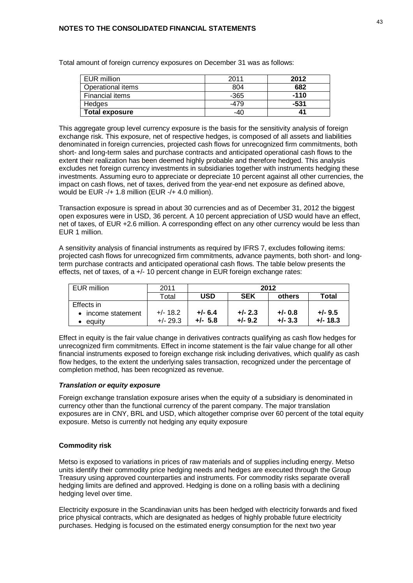| EUR million           | 2011   | 2012   |
|-----------------------|--------|--------|
| Operational items     | 804    | 682    |
| Financial items       | -365   | $-110$ |
| Hedges                | $-479$ | -531   |
| <b>Total exposure</b> | -40    | 41     |

Total amount of foreign currency exposures on December 31 was as follows:

This aggregate group level currency exposure is the basis for the sensitivity analysis of foreign exchange risk. This exposure, net of respective hedges, is composed of all assets and liabilities denominated in foreign currencies, projected cash flows for unrecognized firm commitments, both short- and long-term sales and purchase contracts and anticipated operational cash flows to the extent their realization has been deemed highly probable and therefore hedged. This analysis excludes net foreign currency investments in subsidiaries together with instruments hedging these investments. Assuming euro to appreciate or depreciate 10 percent against all other currencies, the impact on cash flows, net of taxes, derived from the year-end net exposure as defined above, would be EUR -/+ 1.8 million (EUR -/+ 4.0 million).

Transaction exposure is spread in about 30 currencies and as of December 31, 2012 the biggest open exposures were in USD, 36 percent. A 10 percent appreciation of USD would have an effect, net of taxes, of EUR +2.6 million. A corresponding effect on any other currency would be less than EUR 1 million.

A sensitivity analysis of financial instruments as required by IFRS 7, excludes following items: projected cash flows for unrecognized firm commitments, advance payments, both short- and longterm purchase contracts and anticipated operational cash flows. The table below presents the effects, net of taxes, of a +/- 10 percent change in EUR foreign exchange rates:

| EUR million                                | 2011                     | 2012             |                        |                        |                         |
|--------------------------------------------|--------------------------|------------------|------------------------|------------------------|-------------------------|
|                                            | Total                    | <b>USD</b>       | <b>SEK</b>             | others                 | Total                   |
| Effects in<br>• income statement<br>equity | $+/- 18.2$<br>$+/- 29.3$ | $+/- 6.4$<br>5.8 | $+/- 2.3$<br>$+/- 9.2$ | $+/- 0.8$<br>$+/- 3.3$ | $+/-$ 9.5<br>$+/- 18.3$ |

Effect in equity is the fair value change in derivatives contracts qualifying as cash flow hedges for unrecognized firm commitments. Effect in income statement is the fair value change for all other financial instruments exposed to foreign exchange risk including derivatives, which qualify as cash flow hedges, to the extent the underlying sales transaction, recognized under the percentage of completion method, has been recognized as revenue.

# *Translation or equity exposure*

Foreign exchange translation exposure arises when the equity of a subsidiary is denominated in currency other than the functional currency of the parent company. The major translation exposures are in CNY, BRL and USD, which altogether comprise over 60 percent of the total equity exposure. Metso is currently not hedging any equity exposure

# **Commodity risk**

Metso is exposed to variations in prices of raw materials and of supplies including energy. Metso units identify their commodity price hedging needs and hedges are executed through the Group Treasury using approved counterparties and instruments. For commodity risks separate overall hedging limits are defined and approved. Hedging is done on a rolling basis with a declining hedging level over time.

Electricity exposure in the Scandinavian units has been hedged with electricity forwards and fixed price physical contracts, which are designated as hedges of highly probable future electricity purchases. Hedging is focused on the estimated energy consumption for the next two year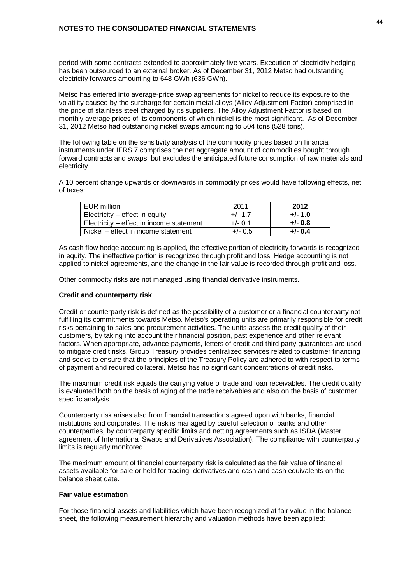period with some contracts extended to approximately five years. Execution of electricity hedging has been outsourced to an external broker. As of December 31, 2012 Metso had outstanding electricity forwards amounting to 648 GWh (636 GWh).

Metso has entered into average-price swap agreements for nickel to reduce its exposure to the volatility caused by the surcharge for certain metal alloys (Alloy Adjustment Factor) comprised in the price of stainless steel charged by its suppliers. The Alloy Adjustment Factor is based on monthly average prices of its components of which nickel is the most significant. As of December 31, 2012 Metso had outstanding nickel swaps amounting to 504 tons (528 tons).

The following table on the sensitivity analysis of the commodity prices based on financial instruments under IFRS 7 comprises the net aggregate amount of commodities bought through forward contracts and swaps, but excludes the anticipated future consumption of raw materials and electricity.

A 10 percent change upwards or downwards in commodity prices would have following effects, net of taxes:

| EUR million                              | 2011      | 2012      |
|------------------------------------------|-----------|-----------|
| Electricity $-$ effect in equity         | $+/- 1.7$ | $+/- 1.0$ |
| Electricity – effect in income statement | $+/- 0.1$ | $+/- 0.8$ |
| Nickel – effect in income statement      | $+/- 0.5$ | $+/- 0.4$ |

As cash flow hedge accounting is applied, the effective portion of electricity forwards is recognized in equity. The ineffective portion is recognized through profit and loss. Hedge accounting is not applied to nickel agreements, and the change in the fair value is recorded through profit and loss.

Other commodity risks are not managed using financial derivative instruments.

## **Credit and counterparty risk**

Credit or counterparty risk is defined as the possibility of a customer or a financial counterparty not fulfilling its commitments towards Metso. Metso's operating units are primarily responsible for credit risks pertaining to sales and procurement activities. The units assess the credit quality of their customers, by taking into account their financial position, past experience and other relevant factors. When appropriate, advance payments, letters of credit and third party guarantees are used to mitigate credit risks. Group Treasury provides centralized services related to customer financing and seeks to ensure that the principles of the Treasury Policy are adhered to with respect to terms of payment and required collateral. Metso has no significant concentrations of credit risks.

The maximum credit risk equals the carrying value of trade and loan receivables. The credit quality is evaluated both on the basis of aging of the trade receivables and also on the basis of customer specific analysis.

Counterparty risk arises also from financial transactions agreed upon with banks, financial institutions and corporates. The risk is managed by careful selection of banks and other counterparties, by counterparty specific limits and netting agreements such as ISDA (Master agreement of International Swaps and Derivatives Association). The compliance with counterparty limits is regularly monitored.

The maximum amount of financial counterparty risk is calculated as the fair value of financial assets available for sale or held for trading, derivatives and cash and cash equivalents on the balance sheet date.

## **Fair value estimation**

For those financial assets and liabilities which have been recognized at fair value in the balance sheet, the following measurement hierarchy and valuation methods have been applied: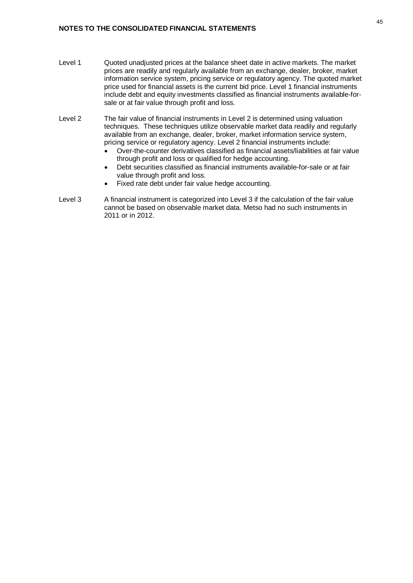- Level 1 Guoted unadiusted prices at the balance sheet date in active markets. The market prices are readily and regularly available from an exchange, dealer, broker, market information service system, pricing service or regulatory agency. The quoted market price used for financial assets is the current bid price. Level 1 financial instruments include debt and equity investments classified as financial instruments available-forsale or at fair value through profit and loss.
- Level 2 The fair value of financial instruments in Level 2 is determined using valuation techniques. These techniques utilize observable market data readily and regularly available from an exchange, dealer, broker, market information service system, pricing service or regulatory agency. Level 2 financial instruments include:
	- Over-the-counter derivatives classified as financial assets/liabilities at fair value through profit and loss or qualified for hedge accounting.
	- Debt securities classified as financial instruments available-for-sale or at fair value through profit and loss.
	- Fixed rate debt under fair value hedge accounting.
- Level 3 A financial instrument is categorized into Level 3 if the calculation of the fair value cannot be based on observable market data. Metso had no such instruments in 2011 or in 2012.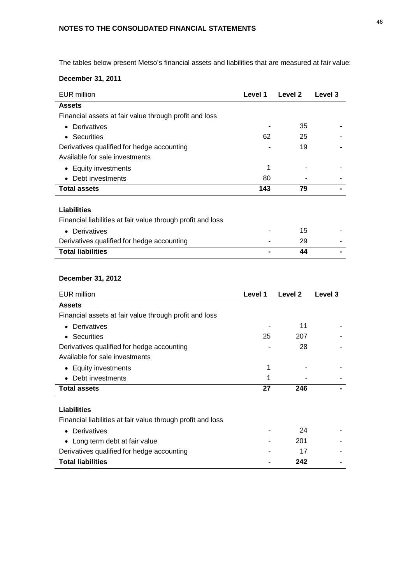The tables below present Metso's financial assets and liabilities that are measured at fair value:

# **December 31, 2011**

| EUR million                                                 | Level 1 | Level 2 | Level 3 |
|-------------------------------------------------------------|---------|---------|---------|
| <b>Assets</b>                                               |         |         |         |
| Financial assets at fair value through profit and loss      |         |         |         |
| Derivatives                                                 |         | 35      |         |
| • Securities                                                | 62      | 25      |         |
| Derivatives qualified for hedge accounting                  |         | 19      |         |
| Available for sale investments                              |         |         |         |
| • Equity investments                                        |         |         |         |
| Debt investments                                            | 80      |         |         |
| <b>Total assets</b>                                         | 143     | 79      |         |
| <b>Liabilities</b>                                          |         |         |         |
| Financial liabilities at fair value through profit and loss |         |         |         |
| Derivatives<br>$\bullet$                                    |         | 15      |         |
| Derivatives qualified for hedge accounting                  |         | 29      |         |
| <b>Total liabilities</b>                                    |         | 44      |         |

# **December 31, 2012**

| <b>EUR million</b>                                          | Level 1 | Level 2 | Level 3 |
|-------------------------------------------------------------|---------|---------|---------|
| <b>Assets</b>                                               |         |         |         |
| Financial assets at fair value through profit and loss      |         |         |         |
| • Derivatives                                               |         | 11      |         |
| • Securities                                                | 25      | 207     |         |
| Derivatives qualified for hedge accounting                  |         | 28      |         |
| Available for sale investments                              |         |         |         |
| • Equity investments                                        |         |         |         |
| Debt investments<br>$\bullet$                               |         |         |         |
| <b>Total assets</b>                                         | 27      | 246     |         |
| Liabilities                                                 |         |         |         |
| Financial liabilities at fair value through profit and loss |         |         |         |
| • Derivatives                                               |         | 24      |         |
| • Long term debt at fair value                              |         | 201     |         |
| Derivatives qualified for hedge accounting                  |         | 17      |         |
| <b>Total liabilities</b>                                    |         | 242     |         |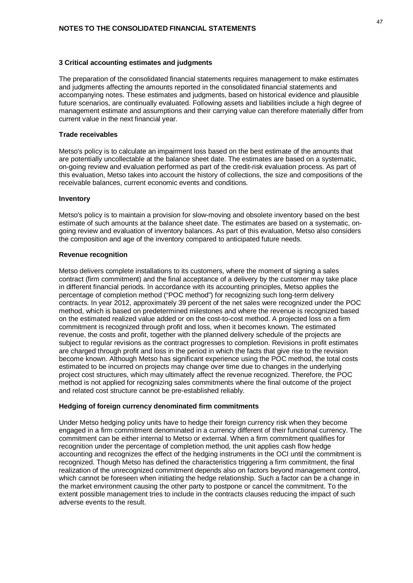## **3 Critical accounting estimates and judgments**

The preparation of the consolidated financial statements requires management to make estimates and judgments affecting the amounts reported in the consolidated financial statements and accompanying notes. These estimates and judgments, based on historical evidence and plausible future scenarios, are continually evaluated. Following assets and liabilities include a high degree of management estimate and assumptions and their carrying value can therefore materially differ from current value in the next financial year.

## **Trade receivables**

Metso's policy is to calculate an impairment loss based on the best estimate of the amounts that are potentially uncollectable at the balance sheet date. The estimates are based on a systematic, on-going review and evaluation performed as part of the credit-risk evaluation process. As part of this evaluation, Metso takes into account the history of collections, the size and compositions of the receivable balances, current economic events and conditions.

### **Inventory**

Metso's policy is to maintain a provision for slow-moving and obsolete inventory based on the best estimate of such amounts at the balance sheet date. The estimates are based on a systematic, ongoing review and evaluation of inventory balances. As part of this evaluation, Metso also considers the composition and age of the inventory compared to anticipated future needs.

## **Revenue recognition**

Metso delivers complete installations to its customers, where the moment of signing a sales contract (firm commitment) and the final acceptance of a delivery by the customer may take place in different financial periods. In accordance with its accounting principles, Metso applies the percentage of completion method ("POC method") for recognizing such long-term delivery contracts. In year 2012, approximately 39 percent of the net sales were recognized under the POC method, which is based on predetermined milestones and where the revenue is recognized based on the estimated realized value added or on the cost-to-cost method. A projected loss on a firm commitment is recognized through profit and loss, when it becomes known. The estimated revenue, the costs and profit, together with the planned delivery schedule of the projects are subject to regular revisions as the contract progresses to completion. Revisions in profit estimates are charged through profit and loss in the period in which the facts that give rise to the revision become known. Although Metso has significant experience using the POC method, the total costs estimated to be incurred on projects may change over time due to changes in the underlying project cost structures, which may ultimately affect the revenue recognized. Therefore, the POC method is not applied for recognizing sales commitments where the final outcome of the project and related cost structure cannot be pre-established reliably.

### **Hedging of foreign currency denominated firm commitments**

Under Metso hedging policy units have to hedge their foreign currency risk when they become engaged in a firm commitment denominated in a currency different of their functional currency. The commitment can be either internal to Metso or external. When a firm commitment qualifies for recognition under the percentage of completion method, the unit applies cash flow hedge accounting and recognizes the effect of the hedging instruments in the OCI until the commitment is recognized. Though Metso has defined the characteristics triggering a firm commitment, the final realization of the unrecognized commitment depends also on factors beyond management control, which cannot be foreseen when initiating the hedge relationship. Such a factor can be a change in the market environment causing the other party to postpone or cancel the commitment. To the extent possible management tries to include in the contracts clauses reducing the impact of such adverse events to the result.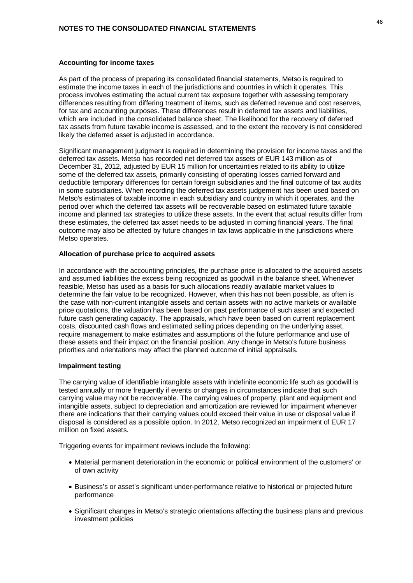## **Accounting for income taxes**

As part of the process of preparing its consolidated financial statements, Metso is required to estimate the income taxes in each of the jurisdictions and countries in which it operates. This process involves estimating the actual current tax exposure together with assessing temporary differences resulting from differing treatment of items, such as deferred revenue and cost reserves, for tax and accounting purposes. These differences result in deferred tax assets and liabilities, which are included in the consolidated balance sheet. The likelihood for the recovery of deferred tax assets from future taxable income is assessed, and to the extent the recovery is not considered likely the deferred asset is adjusted in accordance.

Significant management judgment is required in determining the provision for income taxes and the deferred tax assets. Metso has recorded net deferred tax assets of EUR 143 million as of December 31, 2012, adjusted by EUR 15 million for uncertainties related to its ability to utilize some of the deferred tax assets, primarily consisting of operating losses carried forward and deductible temporary differences for certain foreign subsidiaries and the final outcome of tax audits in some subsidiaries. When recording the deferred tax assets judgement has been used based on Metso's estimates of taxable income in each subsidiary and country in which it operates, and the period over which the deferred tax assets will be recoverable based on estimated future taxable income and planned tax strategies to utilize these assets. In the event that actual results differ from these estimates, the deferred tax asset needs to be adjusted in coming financial years. The final outcome may also be affected by future changes in tax laws applicable in the jurisdictions where Metso operates.

# **Allocation of purchase price to acquired assets**

In accordance with the accounting principles, the purchase price is allocated to the acquired assets and assumed liabilities the excess being recognized as goodwill in the balance sheet. Whenever feasible, Metso has used as a basis for such allocations readily available market values to determine the fair value to be recognized. However, when this has not been possible, as often is the case with non-current intangible assets and certain assets with no active markets or available price quotations, the valuation has been based on past performance of such asset and expected future cash generating capacity. The appraisals, which have been based on current replacement costs, discounted cash flows and estimated selling prices depending on the underlying asset, require management to make estimates and assumptions of the future performance and use of these assets and their impact on the financial position. Any change in Metso's future business priorities and orientations may affect the planned outcome of initial appraisals.

## **Impairment testing**

The carrying value of identifiable intangible assets with indefinite economic life such as goodwill is tested annually or more frequently if events or changes in circumstances indicate that such carrying value may not be recoverable. The carrying values of property, plant and equipment and intangible assets, subject to depreciation and amortization are reviewed for impairment whenever there are indications that their carrying values could exceed their value in use or disposal value if disposal is considered as a possible option. In 2012, Metso recognized an impairment of EUR 17 million on fixed assets.

Triggering events for impairment reviews include the following:

- Material permanent deterioration in the economic or political environment of the customers' or of own activity
- Business's or asset's significant under-performance relative to historical or projected future performance
- Significant changes in Metso's strategic orientations affecting the business plans and previous investment policies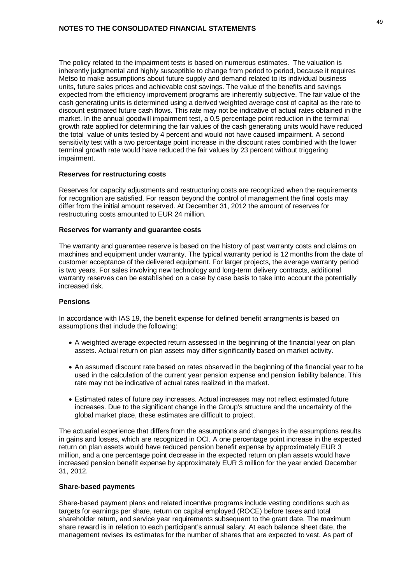The policy related to the impairment tests is based on numerous estimates. The valuation is inherently judgmental and highly susceptible to change from period to period, because it requires Metso to make assumptions about future supply and demand related to its individual business units, future sales prices and achievable cost savings. The value of the benefits and savings expected from the efficiency improvement programs are inherently subjective. The fair value of the cash generating units is determined using a derived weighted average cost of capital as the rate to discount estimated future cash flows. This rate may not be indicative of actual rates obtained in the market. In the annual goodwill impairment test, a 0.5 percentage point reduction in the terminal growth rate applied for determining the fair values of the cash generating units would have reduced the total value of units tested by 4 percent and would not have caused impairment. A second sensitivity test with a two percentage point increase in the discount rates combined with the lower terminal growth rate would have reduced the fair values by 23 percent without triggering impairment.

## **Reserves for restructuring costs**

Reserves for capacity adjustments and restructuring costs are recognized when the requirements for recognition are satisfied. For reason beyond the control of management the final costs may differ from the initial amount reserved. At December 31, 2012 the amount of reserves for restructuring costs amounted to EUR 24 million.

## **Reserves for warranty and guarantee costs**

The warranty and guarantee reserve is based on the history of past warranty costs and claims on machines and equipment under warranty. The typical warranty period is 12 months from the date of customer acceptance of the delivered equipment. For larger projects, the average warranty period is two years. For sales involving new technology and long-term delivery contracts, additional warranty reserves can be established on a case by case basis to take into account the potentially increased risk.

## **Pensions**

In accordance with IAS 19, the benefit expense for defined benefit arrangments is based on assumptions that include the following:

- A weighted average expected return assessed in the beginning of the financial year on plan assets. Actual return on plan assets may differ significantly based on market activity.
- An assumed discount rate based on rates observed in the beginning of the financial year to be used in the calculation of the current year pension expense and pension liability balance. This rate may not be indicative of actual rates realized in the market.
- Estimated rates of future pay increases. Actual increases may not reflect estimated future increases. Due to the significant change in the Group's structure and the uncertainty of the global market place, these estimates are difficult to project.

The actuarial experience that differs from the assumptions and changes in the assumptions results in gains and losses, which are recognized in OCI. A one percentage point increase in the expected return on plan assets would have reduced pension benefit expense by approximately EUR 3 million, and a one percentage point decrease in the expected return on plan assets would have increased pension benefit expense by approximately EUR 3 million for the year ended December 31, 2012.

## **Share-based payments**

Share-based payment plans and related incentive programs include vesting conditions such as targets for earnings per share, return on capital employed (ROCE) before taxes and total shareholder return, and service year requirements subsequent to the grant date. The maximum share reward is in relation to each participant's annual salary. At each balance sheet date, the management revises its estimates for the number of shares that are expected to vest. As part of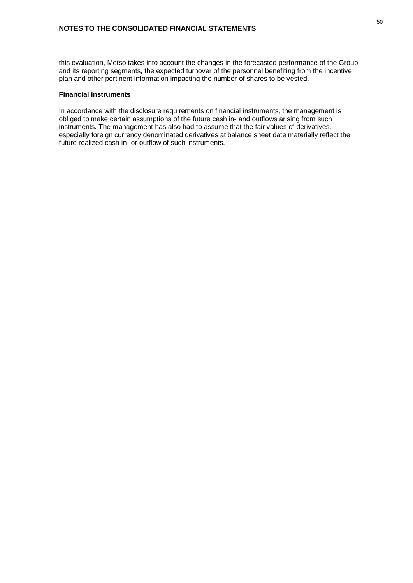this evaluation, Metso takes into account the changes in the forecasted performance of the Group and its reporting segments, the expected turnover of the personnel benefiting from the incentive plan and other pertinent information impacting the number of shares to be vested.

## **Financial instruments**

In accordance with the disclosure requirements on financial instruments, the management is obliged to make certain assumptions of the future cash in- and outflows arising from such instruments. The management has also had to assume that the fair values of derivatives, especially foreign currency denominated derivatives at balance sheet date materially reflect the future realized cash in- or outflow of such instruments.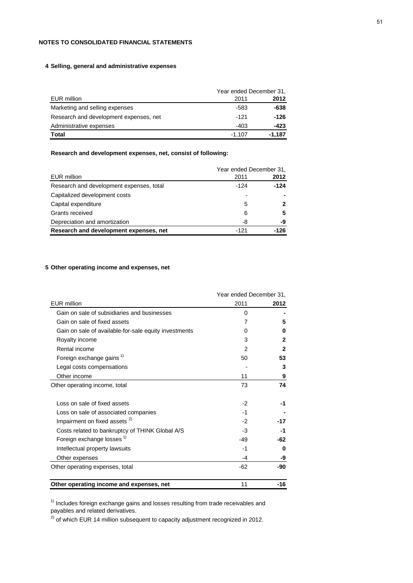### **4 Selling, general and administrative expenses**

|                                        | Year ended December 31, |          |
|----------------------------------------|-------------------------|----------|
| EUR million                            | 2011                    |          |
| Marketing and selling expenses         | -583                    | -638     |
| Research and development expenses, net | -121                    | -126     |
| Administrative expenses                | -403                    | -423     |
| <b>Total</b>                           | -1.107                  | $-1,187$ |

## **Research and development expenses, net, consist of following:**

|                                          | Year ended December 31, |      |
|------------------------------------------|-------------------------|------|
| EUR million                              | 2011                    | 2012 |
| Research and development expenses, total | -124                    | -124 |
| Capitalized development costs            |                         |      |
| Capital expenditure                      | 5                       |      |
| Grants received                          | 6                       | 5    |
| Depreciation and amortization            | -8                      | -9   |
| Research and development expenses, net   | -121                    | -126 |

## **5 Other operating income and expenses, net**

|                                                       | Year ended December 31, |              |
|-------------------------------------------------------|-------------------------|--------------|
| <b>EUR million</b>                                    | 2011                    | 2012         |
| Gain on sale of subsidiaries and businesses           | 0                       |              |
| Gain on sale of fixed assets                          | 7                       | 5            |
| Gain on sale of available-for-sale equity investments | 0                       | 0            |
| Royalty income                                        | 3                       | $\mathbf{2}$ |
| Rental income                                         | 2                       | $\mathbf{2}$ |
| Foreign exchange gains <sup>1)</sup>                  | 50                      | 53           |
| Legal costs compensations                             |                         | 3            |
| Other income                                          | 11                      | 9            |
| Other operating income, total                         | 73                      | 74           |
| Loss on sale of fixed assets                          | $-2$                    | -1           |
| Loss on sale of associated companies                  | $-1$                    |              |
| Impairment on fixed assets <sup>2)</sup>              | -2                      | $-17$        |
| Costs related to bankruptcy of THINK Global A/S       | -3                      | -1           |
| Foreign exchange losses <sup>1)</sup>                 | $-49$                   | -62          |
| Intellectual property lawsuits                        | -1                      | 0            |
| Other expenses                                        | -4                      | -9           |
| Other operating expenses, total                       | $-62$                   | -90          |
| Other operating income and expenses, net              | 11                      | $-16$        |

 $1)$  Includes foreign exchange gains and losses resulting from trade receivables and payables and related derivatives.

 $^{2)}$  of which EUR 14 million subsequent to capacity adjustment recognized in 2012.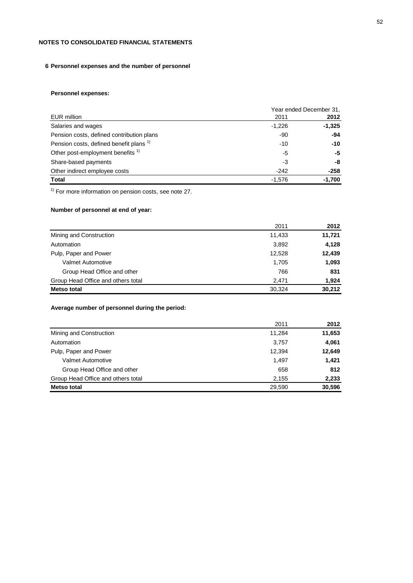## **6 Personnel expenses and the number of personnel**

## **Personnel expenses:**

|                                                    | Year ended December 31, |          |
|----------------------------------------------------|-------------------------|----------|
| EUR million                                        | 2011                    | 2012     |
| Salaries and wages                                 | $-1,226$                | $-1,325$ |
| Pension costs, defined contribution plans          | $-90$                   | $-94$    |
| Pension costs, defined benefit plans <sup>1)</sup> | $-10$                   | $-10$    |
| Other post-employment benefits <sup>1)</sup>       | -5                      | -5       |
| Share-based payments                               | -3                      | -8       |
| Other indirect employee costs                      | $-242$                  | $-258$   |
| <b>Total</b>                                       | $-1,576$                | $-1.700$ |

 $1)$  For more information on pension costs, see note 27.

# **Number of personnel at end of year:**

|                                    | 2011   | 2012   |
|------------------------------------|--------|--------|
| Mining and Construction            | 11,433 | 11,721 |
| Automation                         | 3,892  | 4,128  |
| Pulp, Paper and Power              | 12,528 | 12,439 |
| Valmet Automotive                  | 1,705  | 1,093  |
| Group Head Office and other        | 766    | 831    |
| Group Head Office and others total | 2.471  | 1,924  |
| <b>Metso total</b>                 | 30.324 | 30.212 |

# **Average number of personnel during the period:**

|                                    | 2011   | 2012   |
|------------------------------------|--------|--------|
| Mining and Construction            | 11.284 | 11,653 |
| Automation                         | 3.757  | 4,061  |
| Pulp, Paper and Power              | 12.394 | 12,649 |
| Valmet Automotive                  | 1.497  | 1,421  |
| Group Head Office and other        | 658    | 812    |
| Group Head Office and others total | 2,155  | 2,233  |
| Metso total                        | 29,590 | 30,596 |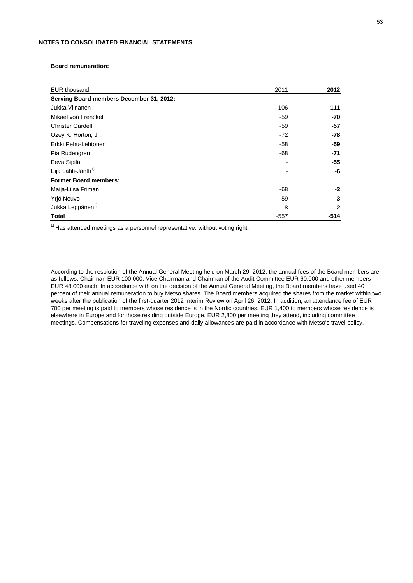### **Board remuneration:**

| <b>EUR</b> thousand                      | 2011   | 2012   |
|------------------------------------------|--------|--------|
| Serving Board members December 31, 2012: |        |        |
| Jukka Viinanen                           | $-106$ | $-111$ |
| Mikael von Frenckell                     | -59    | -70    |
| <b>Christer Gardell</b>                  | $-59$  | -57    |
| Ozey K. Horton, Jr.                      | $-72$  | -78    |
| Erkki Pehu-Lehtonen                      | -58    | -59    |
| Pia Rudengren                            | $-68$  | $-71$  |
| Eeva Sipilä                              |        | $-55$  |
| Eija Lahti-Jäntti <sup>1)</sup>          |        | -6     |
| <b>Former Board members:</b>             |        |        |
| Maija-Liisa Friman                       | -68    | $-2$   |
| Yrjö Neuvo                               | -59    | -3     |
| Jukka Leppänen <sup>1)</sup>             | -8     | -2     |
| Total                                    | $-557$ | $-514$ |

 $1)$  Has attended meetings as a personnel representative, without voting right.

According to the resolution of the Annual General Meeting held on March 29, 2012, the annual fees of the Board members are as follows: Chairman EUR 100,000, Vice Chairman and Chairman of the Audit Committee EUR 60,000 and other members EUR 48,000 each. In accordance with on the decision of the Annual General Meeting, the Board members have used 40 percent of their annual remuneration to buy Metso shares. The Board members acquired the shares from the market within two weeks after the publication of the first-quarter 2012 Interim Review on April 26, 2012. In addition, an attendance fee of EUR 700 per meeting is paid to members whose residence is in the Nordic countries, EUR 1,400 to members whose residence is elsewhere in Europe and for those residing outside Europe, EUR 2,800 per meeting they attend, including committee meetings. Compensations for traveling expenses and daily allowances are paid in accordance with Metso's travel policy.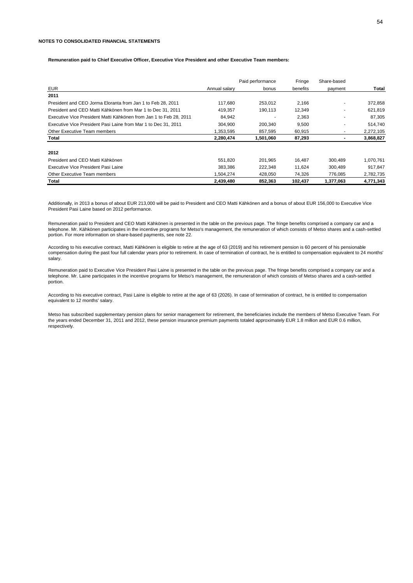#### **Remuneration paid to Chief Executive Officer, Executive Vice President and other Executive Team members:**

|                                                                    |               | Paid performance         | Fringe   | Share-based |           |
|--------------------------------------------------------------------|---------------|--------------------------|----------|-------------|-----------|
| <b>EUR</b>                                                         | Annual salarv | bonus                    | benefits | payment     | Total     |
| 2011                                                               |               |                          |          |             |           |
| President and CEO Jorma Eloranta from Jan 1 to Feb 28, 2011        | 117.680       | 253.012                  | 2.166    | ٠           | 372,858   |
| President and CEO Matti Kähkönen from Mar 1 to Dec 31, 2011        | 419,357       | 190,113                  | 12,349   | ٠           | 621,819   |
| Executive Vice President Matti Kähkönen from Jan 1 to Feb 28, 2011 | 84.942        | $\overline{\phantom{a}}$ | 2,363    |             | 87.305    |
| Executive Vice President Pasi Laine from Mar 1 to Dec 31, 2011     | 304,900       | 200.340                  | 9,500    |             | 514.740   |
| Other Executive Team members                                       | 1.353.595     | 857.595                  | 60.915   | ٠           | 2,272,105 |
| Total                                                              | 2,280,474     | 1,501,060                | 87,293   |             | 3,868,827 |
|                                                                    |               |                          |          |             |           |
| 2012                                                               |               |                          |          |             |           |
| President and CEO Matti Kähkönen                                   | 551.820       | 201.965                  | 16.487   | 300.489     | 1,070,761 |
| Executive Vice President Pasi Laine                                | 383,386       | 222,348                  | 11.624   | 300.489     | 917.847   |
| Other Executive Team members                                       | 1.504.274     | 428.050                  | 74.326   | 776.085     | 2,782,735 |
| Total                                                              | 2,439,480     | 852.363                  | 102,437  | 1,377,063   | 4,771,343 |

Additionally, in 2013 a bonus of about EUR 213,000 will be paid to President and CEO Matti Kähkönen and a bonus of about EUR 156,000 to Executive Vice President Pasi Laine based on 2012 performance.

Remuneration paid to President and CEO Matti Kähkönen is presented in the table on the previous page. The fringe benefits comprised a company car and a telephone. Mr. Kähkönen participates in the incentive programs for Metso's management, the remuneration of which consists of Metso shares and a cash-settled portion. For more information on share-based payments, see note 22.

According to his executive contract, Matti Kähkönen is eligible to retire at the age of 63 (2019) and his retirement pension is 60 percent of his pensionable compensation during the past four full calendar years prior to retirement. In case of termination of contract, he is entitled to compensation equivalent to 24 months' salary.

Remuneration paid to Executive Vice President Pasi Laine is presented in the table on the previous page. The fringe benefits comprised a company car and a telephone. Mr. Laine participates in the incentive programs for Metso's management, the remuneration of which consists of Metso shares and a cash-settled portion.

According to his executive contract, Pasi Laine is eligible to retire at the age of 63 (2026). In case of termination of contract, he is entitled to compensation equivalent to 12 months' salary.

Metso has subscribed supplementary pension plans for senior management for retirement, the beneficiaries include the members of Metso Executive Team. For the years ended December 31, 2011 and 2012, these pension insurance premium payments totaled approximately EUR 1.8 million and EUR 0.6 million, respectively.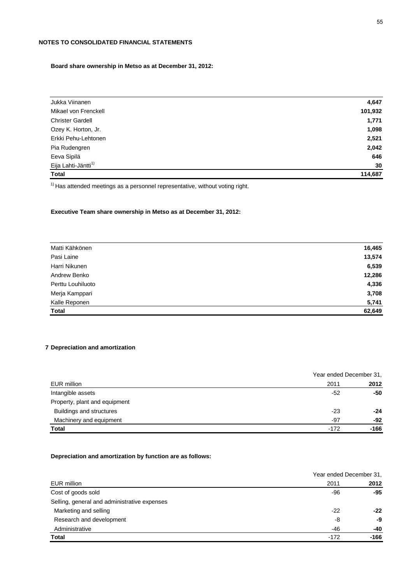# **Board share ownership in Metso as at December 31, 2012:**

| Jukka Viinanen                  | 4,647   |
|---------------------------------|---------|
| Mikael von Frenckell            | 101,932 |
| <b>Christer Gardell</b>         | 1,771   |
| Ozey K. Horton, Jr.             | 1,098   |
| Erkki Pehu-Lehtonen             | 2,521   |
| Pia Rudengren                   | 2,042   |
| Eeva Sipilä                     | 646     |
| Eija Lahti-Jäntti <sup>1)</sup> | 30      |
| <b>Total</b>                    | 114,687 |

 $1)$  Has attended meetings as a personnel representative, without voting right.

## **Executive Team share ownership in Metso as at December 31, 2012:**

| Matti Kähkönen    | 16,465 |
|-------------------|--------|
| Pasi Laine        | 13,574 |
| Harri Nikunen     | 6,539  |
| Andrew Benko      | 12,286 |
| Perttu Louhiluoto | 4,336  |
| Merja Kamppari    | 3,708  |
| Kalle Reponen     | 5,741  |
| <b>Total</b>      | 62,649 |
|                   |        |

## **7 Depreciation and amortization**

|                                 | Year ended December 31, |       |
|---------------------------------|-------------------------|-------|
| EUR million                     | 2011                    | 2012  |
| Intangible assets               | -52                     | -50   |
| Property, plant and equipment   |                         |       |
| <b>Buildings and structures</b> | -23                     | $-24$ |
| Machinery and equipment         | -97                     | $-92$ |
| Total                           | $-172$                  | -166  |

## **Depreciation and amortization by function are as follows:**

|                                              | Year ended December 31, |        |
|----------------------------------------------|-------------------------|--------|
| EUR million                                  | 2011                    | 2012   |
| Cost of goods sold                           | -96                     | -95    |
| Selling, general and administrative expenses |                         |        |
| Marketing and selling                        | $-22$                   | $-22$  |
| Research and development                     | -8                      | -9     |
| Administrative                               | $-46$                   | -40    |
| Total                                        | $-172$                  | $-166$ |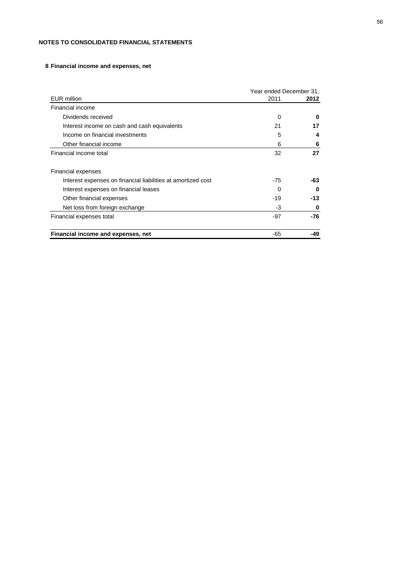## **8 Financial income and expenses, net**

|                                                              | Year ended December 31, |          |
|--------------------------------------------------------------|-------------------------|----------|
| EUR million                                                  | 2011                    | 2012     |
| Financial income                                             |                         |          |
| Dividends received                                           | $\Omega$                | $\Omega$ |
| Interest income on cash and cash equivalents                 | 21                      | 17       |
| Income on financial investments                              | 5                       | 4        |
| Other financial income                                       | 6                       | 6        |
| Financial income total                                       | 32                      | 27       |
| <b>Financial expenses</b>                                    |                         |          |
| Interest expenses on financial liabilities at amortized cost | $-75$                   | -63      |
| Interest expenses on financial leases                        | ∩                       | O        |
| Other financial expenses                                     | $-19$                   | -13      |
| Net loss from foreign exchange                               | -3                      | 0        |
| Financial expenses total                                     | $-97$                   | -76      |
| Financial income and expenses, net                           | -65                     | -49      |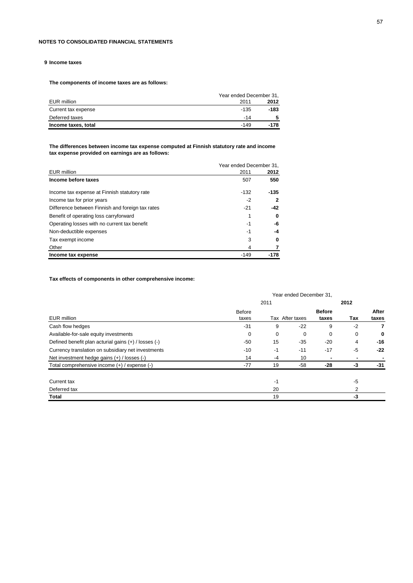#### **9 Income taxes**

## **The components of income taxes are as follows:**

|                     | Year ended December 31, |        |
|---------------------|-------------------------|--------|
| EUR million         | 2011                    | 2012   |
| Current tax expense | $-135$                  | -183   |
| Deferred taxes      | -14                     |        |
| Income taxes, total | $-149$                  | $-178$ |

#### **The differences between income tax expense computed at Finnish statutory rate and income tax expense provided on earnings are as follows:**

|                                                  | Year ended December 31, |              |
|--------------------------------------------------|-------------------------|--------------|
| EUR million                                      | 2011                    | 2012         |
| Income before taxes                              | 507                     | 550          |
| Income tax expense at Finnish statutory rate     | $-132$                  | -135         |
| Income tax for prior years                       | $-2$                    | $\mathbf{2}$ |
| Difference between Finnish and foreign tax rates | $-21$                   | $-42$        |
| Benefit of operating loss carryforward           |                         | 0            |
| Operating losses with no current tax benefit     | $-1$                    | -6           |
| Non-deductible expenses                          | $-1$                    | -4           |
| Tax exempt income                                | 3                       | 0            |
| Other                                            | 4                       | 7            |
| Income tax expense                               | $-149$                  | -178         |

## **Tax effects of components in other comprehensive income:**

|                                                      | Year ended December 31. |          |                 |               |                |       |  |  |
|------------------------------------------------------|-------------------------|----------|-----------------|---------------|----------------|-------|--|--|
|                                                      | 2011                    |          |                 | 2012          |                |       |  |  |
|                                                      | <b>Before</b>           |          |                 | <b>Before</b> |                | After |  |  |
| EUR million                                          | taxes                   |          | Tax After taxes | taxes         | Tax            | taxes |  |  |
| Cash flow hedges                                     | $-31$                   | 9        | $-22$           | 9             | $-2$           | 7     |  |  |
| Available-for-sale equity investments                | $\mathbf 0$             | $\Omega$ | $\Omega$        | $\Omega$      | 0              | 0     |  |  |
| Defined benefit plan acturial gains (+) / losses (-) | -50                     | 15       | $-35$           | $-20$         | 4              | $-16$ |  |  |
| Currency translation on subsidiary net investments   | $-10$                   | -1       | $-11$           | $-17$         | $-5$           | $-22$ |  |  |
| Net investment hedge gains (+) / losses (-)          | 14                      | $-4$     | 10              |               |                |       |  |  |
| Total comprehensive income (+) / expense (-)         | $-77$                   | 19       | -58             | $-28$         | -3             | $-31$ |  |  |
| Current tax                                          |                         | -1       |                 |               | -5             |       |  |  |
| Deferred tax                                         |                         | 20       |                 |               | $\overline{2}$ |       |  |  |
| Total                                                |                         | 19       |                 |               | -3             |       |  |  |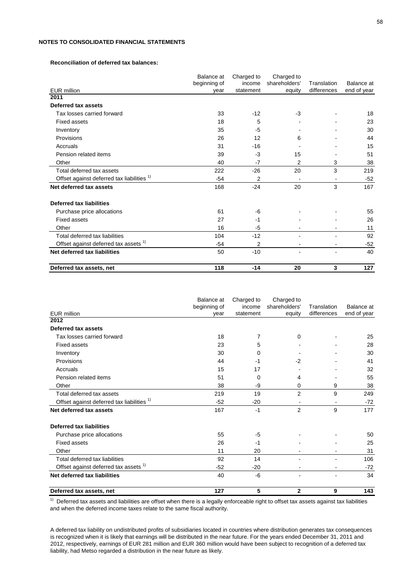#### **Reconciliation of deferred tax balances:**

|                                                       | Balance at   | Charged to | Charged to    |             |             |
|-------------------------------------------------------|--------------|------------|---------------|-------------|-------------|
|                                                       | beginning of | income     | shareholders' | Translation | Balance at  |
| <b>EUR</b> million                                    | year         | statement  | equity        | differences | end of year |
| 2011                                                  |              |            |               |             |             |
| Deferred tax assets                                   |              |            |               |             |             |
| Tax losses carried forward                            | 33           | $-12$      | $-3$          |             | 18          |
| <b>Fixed assets</b>                                   | 18           | 5          |               |             | 23          |
| Inventory                                             | 35           | -5         |               |             | 30          |
| Provisions                                            | 26           | 12         | 6             |             | 44          |
| Accruals                                              | 31           | $-16$      |               |             | 15          |
| Pension related items                                 | 39           | $-3$       | 15            |             | 51          |
| Other                                                 | 40           | $-7$       | 2             | 3           | 38          |
| Total deferred tax assets                             | 222          | $-26$      | 20            | 3           | 219         |
| Offset against deferred tax liabilities <sup>1)</sup> | $-54$        | 2          |               |             | $-52$       |
| Net deferred tax assets                               | 168          | $-24$      | 20            | 3           | 167         |
| Deferred tax liabilities                              |              |            |               |             |             |
| Purchase price allocations                            | 61           | -6         |               |             | 55          |
| <b>Fixed assets</b>                                   | 27           | $-1$       |               |             | 26          |
| Other                                                 | 16           | -5         |               |             | 11          |
| Total deferred tax liabilities                        | 104          | $-12$      |               |             | 92          |
| Offset against deferred tax assets <sup>1)</sup>      | $-54$        | 2          |               |             | $-52$       |
| Net deferred tax liabilities                          | 50           | $-10$      |               |             | 40          |
| Deferred tax assets, net                              | 118          | $-14$      | 20            | 3           | 127         |

|                                                       | Balance at   | Charged to | Charged to     |             |             |
|-------------------------------------------------------|--------------|------------|----------------|-------------|-------------|
|                                                       | beginning of | income     | shareholders'  | Translation | Balance at  |
| <b>EUR</b> million                                    | vear         | statement  | equity         | differences | end of year |
| 2012                                                  |              |            |                |             |             |
| Deferred tax assets                                   |              |            |                |             |             |
| Tax losses carried forward                            | 18           | 7          | 0              |             | 25          |
| <b>Fixed assets</b>                                   | 23           | 5          |                |             | 28          |
| Inventory                                             | 30           | 0          |                |             | 30          |
| Provisions                                            | 44           | -1         | $-2$           |             | 41          |
| Accruals                                              | 15           | 17         |                |             | 32          |
| Pension related items                                 | 51           | 0          | 4              |             | 55          |
| Other                                                 | 38           | -9         | 0              | 9           | 38          |
| Total deferred tax assets                             | 219          | 19         | $\overline{2}$ | 9           | 249         |
| Offset against deferred tax liabilities <sup>1)</sup> | $-52$        | $-20$      |                |             | $-72$       |
| Net deferred tax assets                               | 167          | $-1$       | 2              | 9           | 177         |
| <b>Deferred tax liabilities</b>                       |              |            |                |             |             |
| Purchase price allocations                            | 55           | -5         |                |             | 50          |
| <b>Fixed assets</b>                                   | 26           | $-1$       |                |             | 25          |
| Other                                                 | 11           | 20         |                |             | 31          |
| Total deferred tax liabilities                        | 92           | 14         |                |             | 106         |
| Offset against deferred tax assets <sup>1)</sup>      | $-52$        | $-20$      |                |             | $-72$       |
| Net deferred tax liabilities                          | 40           | $-6$       |                |             | 34          |
| Deferred tax assets, net                              | 127          | 5          | $\mathbf{2}$   | 9           | 143         |

<sup>1)</sup> Deferred tax assets and liabilities are offset when there is a legally enforceable right to offset tax assets against tax liabilities and when the deferred income taxes relate to the same fiscal authority.

A deferred tax liability on undistributed profits of subsidiaries located in countries where distribution generates tax consequences is recognized when it is likely that earnings will be distributed in the near future. For the years ended December 31, 2011 and 2012, respectively, earnings of EUR 281 million and EUR 360 million would have been subject to recognition of a deferred tax liability, had Metso regarded a distribution in the near future as likely.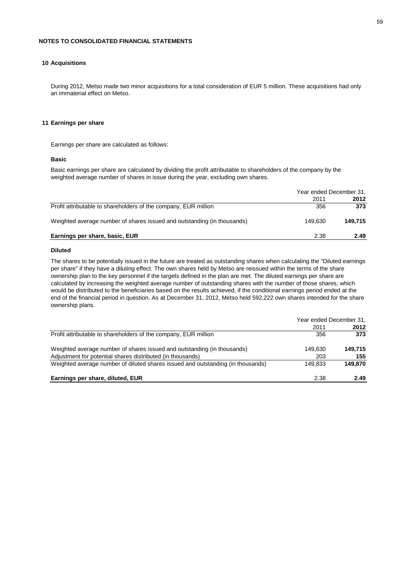#### **10 Acquisitions**

During 2012, Metso made two minor acquisitions for a total consideration of EUR 5 million. These acquisitions had only an immaterial effect on Metso.

#### **11 Earnings per share**

Earnings per share are calculated as follows:

#### **Basic**

Basic earnings per share are calculated by dividing the profit attributable to shareholders of the company by the weighted average number of shares in issue during the year, excluding own shares.

|                                                                         | Year ended December 31, |         |
|-------------------------------------------------------------------------|-------------------------|---------|
|                                                                         | 2011                    | 2012    |
| Profit attributable to shareholders of the company, EUR million         | 356                     | 373     |
| Weighted average number of shares issued and outstanding (in thousands) | 149.630                 | 149.715 |
| Earnings per share, basic, EUR                                          | 2.38                    | 2.49    |

#### **Diluted**

The shares to be potentially issued in the future are treated as outstanding shares when calculating the "Diluted earnings per share" if they have a diluting effect. The own shares held by Metso are reissued within the terms of the share ownership plan to the key personnel if the targets defined in the plan are met. The diluted earnings per share are calculated by increasing the weighted average number of outstanding shares with the number of those shares, which would be distributed to the beneficiaries based on the results achieved, if the conditional earnings period ended at the end of the financial period in question. As at December 31, 2012, Metso held 592,222 own shares intended for the share ownership plans.

|                                                                                 | Year ended December 31, |         |
|---------------------------------------------------------------------------------|-------------------------|---------|
|                                                                                 | 2011                    | 2012    |
| Profit attributable to shareholders of the company, EUR million                 | 356                     | 373     |
| Weighted average number of shares issued and outstanding (in thousands)         | 149.630                 | 149,715 |
| Adjustment for potential shares distributed (in thousands)                      | 203                     | 155     |
| Weighted average number of diluted shares issued and outstanding (in thousands) | 149.833                 | 149.870 |
| Earnings per share, diluted, EUR                                                | 2.38                    | 2.49    |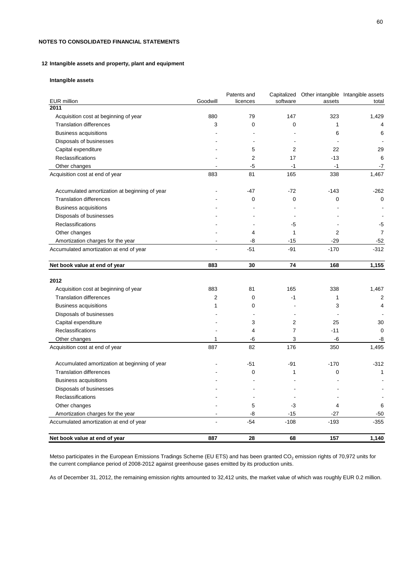### **12 Intangible assets and property, plant and equipment**

### **Intangible assets**

| EUR million                                   | Goodwill       | Patents and<br>licences | software       | assets         | Capitalized Other intangible Intangible assets<br>total |
|-----------------------------------------------|----------------|-------------------------|----------------|----------------|---------------------------------------------------------|
| 2011                                          |                |                         |                |                |                                                         |
| Acquisition cost at beginning of year         | 880            | 79                      | 147            | 323            | 1,429                                                   |
| <b>Translation differences</b>                | 3              | $\mathbf 0$             | $\mathbf 0$    | 1              | 4                                                       |
| <b>Business acquisitions</b>                  |                |                         |                | 6              | 6                                                       |
| Disposals of businesses                       |                |                         |                |                |                                                         |
| Capital expenditure                           |                | 5                       | $\overline{2}$ | 22             | 29                                                      |
| Reclassifications                             |                | $\overline{2}$          | 17             | $-13$          | 6                                                       |
| Other changes                                 |                | -5                      | $-1$           | $-1$           | $-7$                                                    |
| Acquisition cost at end of year               | 883            | 81                      | 165            | 338            | 1,467                                                   |
| Accumulated amortization at beginning of year |                | $-47$                   | $-72$          | $-143$         | $-262$                                                  |
| <b>Translation differences</b>                |                | $\mathbf 0$             | 0              | 0              | $\mathbf 0$                                             |
| <b>Business acquisitions</b>                  |                |                         |                |                |                                                         |
| Disposals of businesses                       |                |                         |                |                |                                                         |
| Reclassifications                             |                |                         | -5             |                | -5                                                      |
| Other changes                                 |                | 4                       | 1              | $\overline{2}$ | $\overline{7}$                                          |
| Amortization charges for the year             |                | -8                      | $-15$          | $-29$          | $-52$                                                   |
| Accumulated amortization at end of year       |                | $-51$                   | $-91$          | $-170$         | $-312$                                                  |
| Net book value at end of year                 | 883            | 30                      | 74             | 168            | 1,155                                                   |
| 2012                                          |                |                         |                |                |                                                         |
| Acquisition cost at beginning of year         | 883            | 81                      | 165            | 338            | 1,467                                                   |
| <b>Translation differences</b>                | $\overline{2}$ | $\mathbf 0$             | $-1$           | 1              | $\overline{2}$                                          |
| <b>Business acquisitions</b>                  | 1              | $\mathbf 0$             |                | 3              | 4                                                       |
| Disposals of businesses                       |                |                         |                |                |                                                         |
| Capital expenditure                           |                | 3                       | 2              | 25             | 30                                                      |
| Reclassifications                             |                | $\overline{4}$          | $\overline{7}$ | $-11$          | $\mathbf 0$                                             |
| Other changes                                 | 1              | -6                      | 3              | $-6$           | -8                                                      |
| Acquisition cost at end of year               | 887            | 82                      | 176            | 350            | 1,495                                                   |
| Accumulated amortization at beginning of year |                | $-51$                   | $-91$          | $-170$         | $-312$                                                  |
| <b>Translation differences</b>                |                | $\mathbf 0$             | 1              | 0              | 1                                                       |
| <b>Business acquisitions</b>                  |                |                         |                |                |                                                         |
| Disposals of businesses                       |                |                         |                |                |                                                         |
| Reclassifications                             |                |                         |                |                |                                                         |
| Other changes                                 |                | 5                       | -3             | 4              | 6                                                       |
| Amortization charges for the year             |                | -8                      | $-15$          | $-27$          | $-50$                                                   |
| Accumulated amortization at end of year       |                | $-54$                   | $-108$         | $-193$         | $-355$                                                  |
| Net book value at end of year                 | 887            | 28                      | 68             | 157            | 1,140                                                   |

Metso participates in the European Emissions Tradings Scheme (EU ETS) and has been granted CO<sub>2</sub> emission rights of 70,972 units for the current compliance period of 2008-2012 against greenhouse gases emitted by its production units.

As of December 31, 2012, the remaining emission rights amounted to 32,412 units, the market value of which was roughly EUR 0.2 million.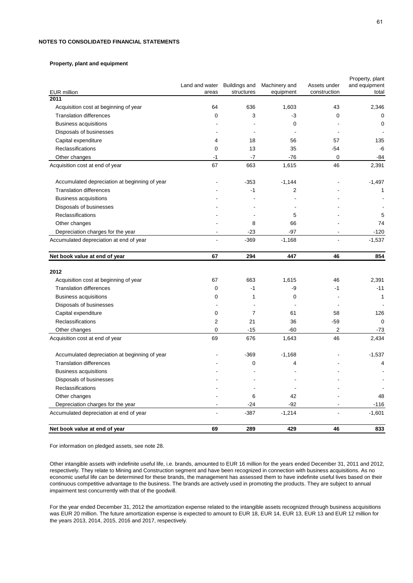### **Property, plant and equipment**

|                                               | Land and water | Buildings and  | Machinery and | Assets under   | Property, plant<br>and equipment |
|-----------------------------------------------|----------------|----------------|---------------|----------------|----------------------------------|
| EUR million                                   | areas          | structures     | equipment     | construction   | total                            |
| 2011                                          |                |                |               |                |                                  |
| Acquisition cost at beginning of year         | 64             | 636            | 1,603         | 43             | 2,346                            |
| <b>Translation differences</b>                | $\mathbf 0$    | 3              | -3            | $\mathbf 0$    | $\mathbf 0$                      |
| <b>Business acquisitions</b>                  |                |                | 0             |                | $\mathbf 0$                      |
| Disposals of businesses                       |                |                |               |                |                                  |
| Capital expenditure                           | 4              | 18             | 56            | 57             | 135                              |
| Reclassifications                             | $\Omega$       | 13             | 35            | -54            | -6                               |
| Other changes                                 | -1             | $-7$           | $-76$         | $\mathbf 0$    | $-84$                            |
| Acquisition cost at end of year               | 67             | 663            | 1,615         | 46             | 2,391                            |
| Accumulated depreciation at beginning of year |                | $-353$         | $-1,144$      |                | $-1,497$                         |
| <b>Translation differences</b>                |                | $-1$           | 2             |                | 1                                |
| <b>Business acquisitions</b>                  |                |                |               |                |                                  |
| Disposals of businesses                       |                |                |               |                |                                  |
| Reclassifications                             |                |                | 5             |                | 5                                |
| Other changes                                 |                | 8              | 66            |                | 74                               |
| Depreciation charges for the year             |                | $-23$          | $-97$         |                | $-120$                           |
| Accumulated depreciation at end of year       |                | $-369$         | $-1,168$      |                | $-1,537$                         |
| Net book value at end of year                 | 67             | 294            | 447           | 46             | 854                              |
| 2012                                          |                |                |               |                |                                  |
| Acquisition cost at beginning of year         | 67             | 663            | 1,615         | 46             | 2,391                            |
| <b>Translation differences</b>                | $\mathbf 0$    | $-1$           | -9            | $-1$           | $-11$                            |
| <b>Business acquisitions</b>                  | $\Omega$       | 1              | 0             |                | 1                                |
| Disposals of businesses                       |                |                |               |                |                                  |
| Capital expenditure                           | $\mathbf 0$    | $\overline{7}$ | 61            | 58             | 126                              |
| Reclassifications                             | $\overline{2}$ | 21             | 36            | $-59$          | $\mathbf 0$                      |
| Other changes                                 | $\mathbf 0$    | $-15$          | -60           | $\overline{2}$ | $-73$                            |
| Acquisition cost at end of year               | 69             | 676            | 1,643         | 46             | 2,434                            |
| Accumulated depreciation at beginning of year |                | $-369$         | $-1,168$      |                | $-1,537$                         |
| <b>Translation differences</b>                |                | 0              | 4             |                | 4                                |
| <b>Business acquisitions</b>                  |                |                |               |                |                                  |
| Disposals of businesses                       |                |                |               |                |                                  |
| Reclassifications                             |                |                |               |                |                                  |
| Other changes                                 |                | 6              | 42            |                | 48                               |
| Depreciation charges for the year             |                | -24            | $-92$         |                | $-116$                           |
| Accumulated depreciation at end of year       |                | $-387$         | $-1,214$      |                | $-1,601$                         |
| Net book value at end of year                 | 69             | 289            | 429           | 46             | 833                              |

For information on pledged assets, see note 28.

Other intangible assets with indefinite useful life, i.e. brands, amounted to EUR 16 million for the years ended December 31, 2011 and 2012, respectively. They relate to Mining and Construction segment and have been recognized in connection with business acquisitions. As no economic useful life can be determined for these brands, the management has assessed them to have indefinite useful lives based on their continuous competitive advantage to the business. The brands are actively used in promoting the products. They are subject to annual impairment test concurrently with that of the goodwill.

For the year ended December 31, 2012 the amortization expense related to the intangible assets recognized through business acquisitions was EUR 20 million. The future amortization expense is expected to amount to EUR 18, EUR 14, EUR 13, EUR 13 and EUR 12 million for the years 2013, 2014, 2015, 2016 and 2017, respectively.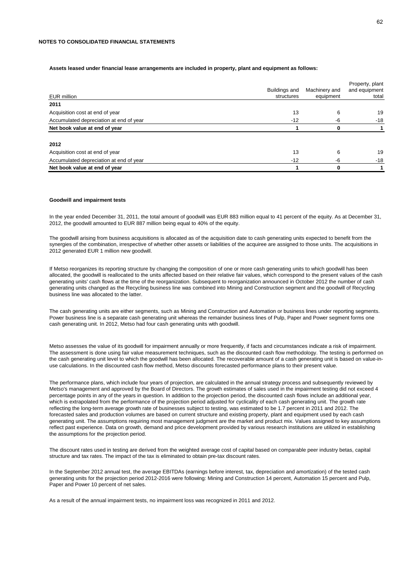#### **Assets leased under financial lease arrangements are included in property, plant and equipment as follows:**

|                                         |               |               | Property, plant |  |
|-----------------------------------------|---------------|---------------|-----------------|--|
|                                         | Buildings and | Machinery and | and equipment   |  |
| EUR million                             | structures    | equipment     | total           |  |
| 2011                                    |               |               |                 |  |
| Acquisition cost at end of year         | 13            | 6             | 19              |  |
| Accumulated depreciation at end of year | $-12$         | -6            | $-18$           |  |
| Net book value at end of year           |               | O             |                 |  |
| 2012                                    |               |               |                 |  |
| Acquisition cost at end of year         | 13            | 6             | 19              |  |
| Accumulated depreciation at end of year | $-12$         | -6            | $-18$           |  |
| Net book value at end of year           |               | 0             |                 |  |

### **Goodwill and impairment tests**

In the year ended December 31, 2011, the total amount of goodwill was EUR 883 million equal to 41 percent of the equity. As at December 31, 2012, the goodwill amounted to EUR 887 million being equal to 40% of the equity.

The goodwill arising from business acquisitions is allocated as of the acquisition date to cash generating units expected to benefit from the synergies of the combination, irrespective of whether other assets or liabilities of the acquiree are assigned to those units. The acquisitions in 2012 generated EUR 1 million new goodwill.

If Metso reorganizes its reporting structure by changing the composition of one or more cash generating units to which goodwill has been allocated, the goodwill is reallocated to the units affected based on their relative fair values, which correspond to the present values of the cash generating units' cash flows at the time of the reorganization. Subsequent to reorganization announced in October 2012 the number of cash generating units changed as the Recycling business line was combined into Mining and Construction segment and the goodwill of Recycling business line was allocated to the latter.

The cash generating units are either segments, such as Mining and Construction and Automation or business lines under reporting segments. Power business line is a separate cash generating unit whereas the remainder business lines of Pulp, Paper and Power segment forms one cash generating unit. In 2012, Metso had four cash generating units with goodwill.

Metso assesses the value of its goodwill for impairment annually or more frequently, if facts and circumstances indicate a risk of impairment. The assessment is done using fair value measurement techniques, such as the discounted cash flow methodology. The testing is performed on the cash generating unit level to which the goodwill has been allocated. The recoverable amount of a cash generating unit is based on value-inuse calculations. In the discounted cash flow method, Metso discounts forecasted performance plans to their present value.

The performance plans, which include four years of projection, are calculated in the annual strategy process and subsequently reviewed by Metso's management and approved by the Board of Directors. The growth estimates of sales used in the impairment testing did not exceed 4 percentage points in any of the years in question. In addition to the projection period, the discounted cash flows include an additional year, which is extrapolated from the performance of the projection period adjusted for cyclicality of each cash generating unit. The growth rate reflecting the long-term average growth rate of businesses subject to testing, was estimated to be 1.7 percent in 2011 and 2012. The forecasted sales and production volumes are based on current structure and existing property, plant and equipment used by each cash generating unit. The assumptions requiring most management judgment are the market and product mix. Values assigned to key assumptions reflect past experience. Data on growth, demand and price development provided by various research institutions are utilized in establishing the assumptions for the projection period.

The discount rates used in testing are derived from the weighted average cost of capital based on comparable peer industry betas, capital structure and tax rates. The impact of the tax is eliminated to obtain pre-tax discount rates.

In the September 2012 annual test, the average EBITDAs (earnings before interest, tax, depreciation and amortization) of the tested cash generating units for the projection period 2012-2016 were following: Mining and Construction 14 percent, Automation 15 percent and Pulp, Paper and Power 10 percent of net sales.

As a result of the annual impairment tests, no impairment loss was recognized in 2011 and 2012.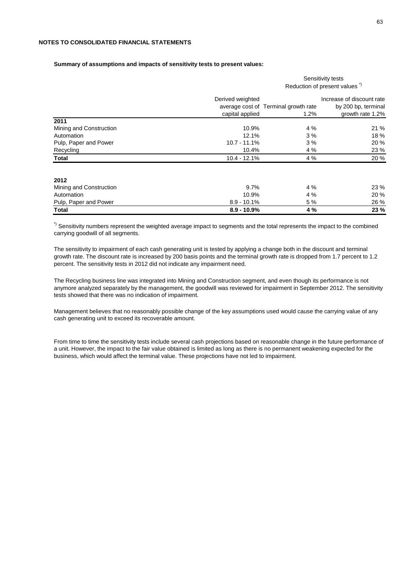#### **Summary of assumptions and impacts of sensitivity tests to present values:**

|                         |                  | Sensitivity tests<br>Reduction of present values <sup>*</sup> |                           |  |
|-------------------------|------------------|---------------------------------------------------------------|---------------------------|--|
|                         | Derived weighted |                                                               | Increase of discount rate |  |
|                         |                  | average cost of Terminal growth rate                          | by 200 bp, terminal       |  |
|                         | capital applied  | 1.2%                                                          | growth rate 1.2%          |  |
| 2011                    |                  |                                                               |                           |  |
| Mining and Construction | 10.9%            | 4%                                                            | 21 %                      |  |
| Automation              | 12.1%            | 3%                                                            | 18%                       |  |
| Pulp, Paper and Power   | $10.7 - 11.1%$   | 3%                                                            | 20%                       |  |
| Recycling               | 10.4%            | 4 %                                                           | 23 %                      |  |
| Total                   | $10.4 - 12.1%$   | 4%                                                            | 20 %                      |  |
| 2012                    |                  |                                                               |                           |  |
| Mining and Construction | 9.7%             | 4%                                                            | 23 %                      |  |
| Automation              | 10.9%            | 4%                                                            | 20%                       |  |
| Pulp, Paper and Power   | $8.9 - 10.1%$    | 5 %                                                           | 26 %                      |  |
| Total                   | $8.9 - 10.9%$    | 4 %                                                           | 23 %                      |  |

\*) Sensitivity numbers represent the weighted average impact to segments and the total represents the impact to the combined carrying goodwill of all segments.

The sensitivity to impairment of each cash generating unit is tested by applying a change both in the discount and terminal growth rate. The discount rate is increased by 200 basis points and the terminal growth rate is dropped from 1.7 percent to 1.2 percent. The sensitivity tests in 2012 did not indicate any impairment need.

The Recycling business line was integrated into Mining and Construction segment, and even though its performance is not anymore analyzed separately by the management, the goodwill was reviewed for impairment in September 2012. The sensitivity tests showed that there was no indication of impairment.

Management believes that no reasonably possible change of the key assumptions used would cause the carrying value of any cash generating unit to exceed its recoverable amount.

From time to time the sensitivity tests include several cash projections based on reasonable change in the future performance of a unit. However, the impact to the fair value obtained is limited as long as there is no permanent weakening expected for the business, which would affect the terminal value. These projections have not led to impairment.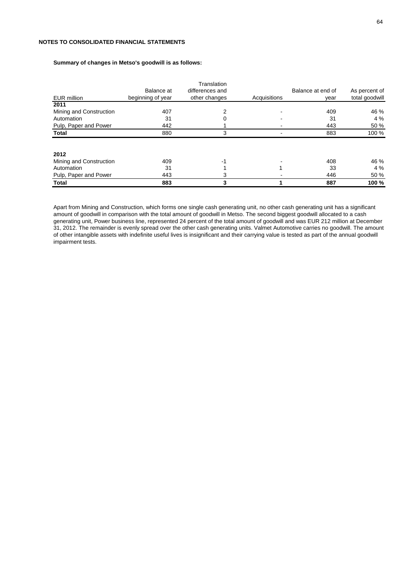### **Summary of changes in Metso's goodwill is as follows:**

|                         |                   | Translation     |              |                   |                |
|-------------------------|-------------------|-----------------|--------------|-------------------|----------------|
|                         | Balance at        | differences and |              | Balance at end of | As percent of  |
| EUR million             | beginning of year | other changes   | Acquisitions | year              | total goodwill |
| 2011                    |                   |                 |              |                   |                |
| Mining and Construction | 407               | $\overline{2}$  |              | 409               | 46 %           |
| Automation              | 31                | 0               |              | 31                | 4 %            |
| Pulp, Paper and Power   | 442               |                 |              | 443               | 50 %           |
| <b>Total</b>            | 880               | 3               |              | 883               | 100 %          |
|                         |                   |                 |              |                   |                |
| 2012                    |                   |                 |              |                   |                |
| Mining and Construction | 409               | $-1$            |              | 408               | 46 %           |
| Automation              | 31                |                 |              | 33                | 4 %            |
| Pulp, Paper and Power   | 443               | 3               |              | 446               | 50 %           |
| <b>Total</b>            | 883               | 3               |              | 887               | 100 %          |

Apart from Mining and Construction, which forms one single cash generating unit, no other cash generating unit has a significant amount of goodwill in comparison with the total amount of goodwill in Metso. The second biggest goodwill allocated to a cash generating unit, Power business line, represented 24 percent of the total amount of goodwill and was EUR 212 million at December 31, 2012. The remainder is evenly spread over the other cash generating units. Valmet Automotive carries no goodwill. The amount of other intangible assets with indefinite useful lives is insignificant and their carrying value is tested as part of the annual goodwill impairment tests.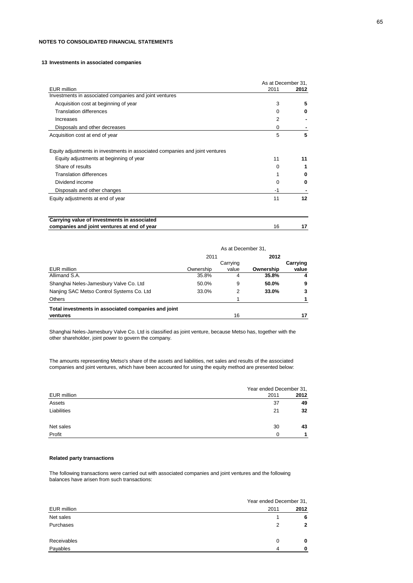#### **13 Investments in associated companies**

|                                                                              | As at December 31, |      |
|------------------------------------------------------------------------------|--------------------|------|
| EUR million                                                                  | 2011               | 2012 |
| Investments in associated companies and joint ventures                       |                    |      |
| Acquisition cost at beginning of year                                        | 3                  | 5    |
| <b>Translation differences</b>                                               | 0                  | 0    |
| Increases                                                                    | 2                  |      |
| Disposals and other decreases                                                | 0                  |      |
| Acquisition cost at end of year                                              | 5                  | 5    |
| Equity adjustments in investments in associated companies and joint ventures |                    |      |
| Equity adjustments at beginning of year                                      | 11                 | 11   |
| Share of results                                                             | O                  |      |
| <b>Translation differences</b>                                               |                    | 0    |
| Dividend income                                                              | 0                  | 0    |
| Disposals and other changes                                                  | -1                 |      |
| Equity adjustments at end of year                                            | 11                 | 12   |
|                                                                              |                    |      |

| Carrying value of investments in associated |  |
|---------------------------------------------|--|
| companies and joint ventures at end of year |  |

|                                                     | As at December 31, |          |           |          |
|-----------------------------------------------------|--------------------|----------|-----------|----------|
|                                                     | 2011               |          | 2012      |          |
|                                                     |                    | Carrying |           | Carrying |
| EUR million                                         | Ownership          | value    | Ownership | value    |
| Allimand S.A.                                       | 35.8%              | 4        | 35.8%     | 4        |
| Shanghai Neles-Jamesbury Valve Co. Ltd              | 50.0%              | 9        | 50.0%     | 9        |
| Nanjing SAC Metso Control Systems Co. Ltd           | 33.0%              | 2        | 33.0%     | 3        |
| <b>Others</b>                                       |                    |          |           |          |
| Total investments in associated companies and joint |                    |          |           |          |
| ventures                                            |                    | 16       |           |          |

Shanghai Neles-Jamesbury Valve Co. Ltd is classified as joint venture, because Metso has, together with the other shareholder, joint power to govern the company.

The amounts representing Metso's share of the assets and liabilities, net sales and results of the associated companies and joint ventures, which have been accounted for using the equity method are presented below:

|             | Year ended December 31, |      |  |
|-------------|-------------------------|------|--|
| EUR million | 2011                    | 2012 |  |
| Assets      | 37                      | 49   |  |
| Liabilities | 21                      | 32   |  |
| Net sales   | 30                      | 43   |  |
| Profit      | $\Omega$                |      |  |

### **Related party transactions**

The following transactions were carried out with associated companies and joint ventures and the following balances have arisen from such transactions:

|             | Year ended December 31, |              |
|-------------|-------------------------|--------------|
| EUR million | 2011                    | 2012         |
| Net sales   |                         | 6            |
| Purchases   | 2                       | $\mathbf{2}$ |
| Receivables |                         | 0            |
| Payables    | Δ                       | n            |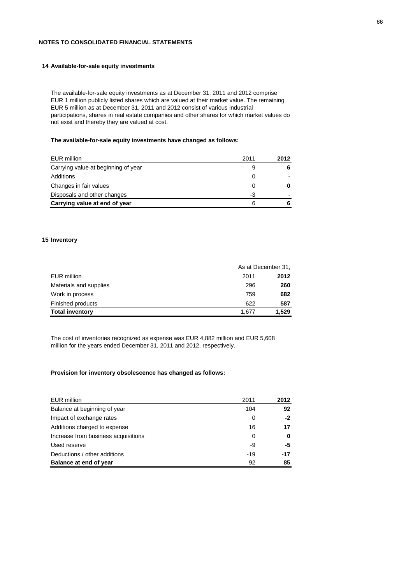## **14 Available-for-sale equity investments**

The available-for-sale equity investments as at December 31, 2011 and 2012 comprise EUR 1 million publicly listed shares which are valued at their market value. The remaining EUR 5 million as at December 31, 2011 and 2012 consist of various industrial participations, shares in real estate companies and other shares for which market values do not exist and thereby they are valued at cost.

### **The available-for-sale equity investments have changed as follows:**

| EUR million                         | 2011 | 2012 |
|-------------------------------------|------|------|
| Carrying value at beginning of year |      | 6    |
| Additions                           |      |      |
| Changes in fair values              |      | 0    |
| Disposals and other changes         | -3   |      |
| Carrying value at end of year       | 6    | 6    |

### **15 Inventory**

|                        | As at December 31. |       |  |
|------------------------|--------------------|-------|--|
| EUR million            | 2011               | 2012  |  |
| Materials and supplies | 296                | 260   |  |
| Work in process        | 759                | 682   |  |
| Finished products      | 622                | 587   |  |
| <b>Total inventory</b> | 1.677              | 1,529 |  |

The cost of inventories recognized as expense was EUR 4,882 million and EUR 5,608 million for the years ended December 31, 2011 and 2012, respectively.

### **Provision for inventory obsolescence has changed as follows:**

| EUR million                         | 2011  | 2012  |
|-------------------------------------|-------|-------|
| Balance at beginning of year        | 104   | 92    |
| Impact of exchange rates            | 0     | -2    |
| Additions charged to expense        | 16    | 17    |
| Increase from business acquisitions | 0     | 0     |
| Used reserve                        | -9    | -5    |
| Deductions / other additions        | $-19$ | $-17$ |
| Balance at end of year              | 92    | 85    |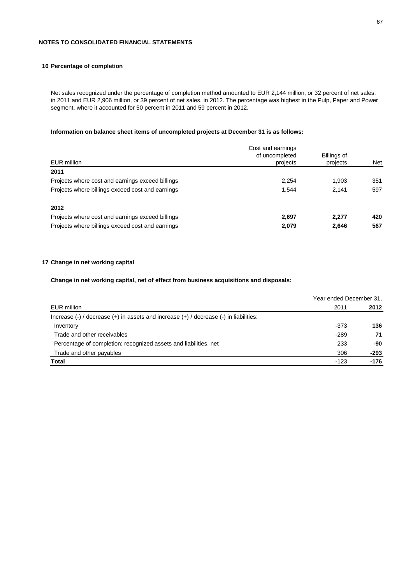## **16 Percentage of completion**

Net sales recognized under the percentage of completion method amounted to EUR 2,144 million, or 32 percent of net sales, in 2011 and EUR 2,906 million, or 39 percent of net sales, in 2012. The percentage was highest in the Pulp, Paper and Power segment, where it accounted for 50 percent in 2011 and 59 percent in 2012.

## **Information on balance sheet items of uncompleted projects at December 31 is as follows:**

|                                                  | Cost and earnings |             |     |
|--------------------------------------------------|-------------------|-------------|-----|
|                                                  | of uncompleted    | Billings of |     |
| EUR million                                      | projects          | projects    | Net |
| 2011                                             |                   |             |     |
| Projects where cost and earnings exceed billings | 2.254             | 1.903       | 351 |
| Projects where billings exceed cost and earnings | 1.544             | 2.141       | 597 |
| 2012                                             |                   |             |     |
| Projects where cost and earnings exceed billings | 2,697             | 2,277       | 420 |
| Projects where billings exceed cost and earnings | 2,079             | 2,646       | 567 |

## **17 Change in net working capital**

**Change in net working capital, net of effect from business acquisitions and disposals:**

|                                                                                                                                                                                   | Year ended December 31, |        |  |
|-----------------------------------------------------------------------------------------------------------------------------------------------------------------------------------|-------------------------|--------|--|
| EUR million                                                                                                                                                                       | 2011                    | 2012   |  |
| Increase $\left(\frac{1}{2}\right)$ / decrease $\left(\frac{1}{2}\right)$ in assets and increase $\left(\frac{1}{2}\right)$ / decrease $\left(\frac{1}{2}\right)$ in liabilities: |                         |        |  |
| Inventory                                                                                                                                                                         | -373                    | 136    |  |
| Trade and other receivables                                                                                                                                                       | $-289$                  | 71     |  |
| Percentage of completion: recognized assets and liabilities, net                                                                                                                  | 233                     | -90    |  |
| Trade and other payables                                                                                                                                                          | 306                     | -293   |  |
| Total                                                                                                                                                                             | $-123$                  | $-176$ |  |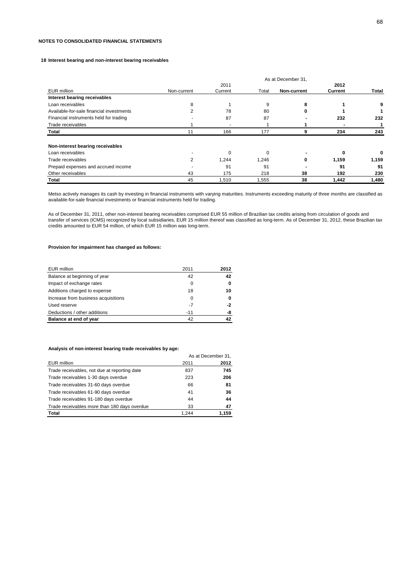#### **18 Interest bearing and non-interest bearing receivables**

|                                          |             |          |       | As at December 31, |          |              |
|------------------------------------------|-------------|----------|-------|--------------------|----------|--------------|
|                                          |             | 2011     |       |                    | 2012     |              |
| EUR million                              | Non-current | Current  | Total | Non-current        | Current  | <b>Total</b> |
| Interest bearing receivables             |             |          |       |                    |          |              |
| Loan receivables                         | 8           |          | 9     | 8                  |          | 9            |
| Available-for-sale financial investments |             | 78       | 80    | 0                  |          |              |
| Financial instruments held for trading   |             | 87       | 87    |                    | 232      | 232          |
| Trade receivables                        |             |          |       |                    |          |              |
| <b>Total</b>                             | 11          | 166      | 177   | 9                  | 234      | 243          |
| Non-interest bearing receivables         |             |          |       |                    |          |              |
| Loan receivables                         |             | $\Omega$ | 0     |                    | $\Omega$ | 0            |
| Trade receivables                        | 2           | 1,244    | 1,246 | 0                  | 1,159    | 1,159        |
| Prepaid expenses and accrued income      |             | 91       | 91    |                    | 91       | 91           |
| Other receivables                        | 43          | 175      | 218   | 38                 | 192      | 230          |
| <b>Total</b>                             | 45          | 1,510    | 1,555 | 38                 | 1,442    | 1,480        |

Metso actively manages its cash by investing in financial instruments with varying maturities. Instruments exceeding maturity of three months are classified as available-for-sale financial investments or financial instruments held for trading.

As of December 31, 2011, other non-interest bearing receivables comprised EUR 55 million of Brazilian tax credits arising from circulation of goods and transfer of services (ICMS) recognized by local subsidiaries, EUR 15 million thereof was classified as long-term. As of December 31, 2012, these Brazilian tax credits amounted to EUR 54 million, of which EUR 15 million was long-term.

#### **Provision for impairment has changed as follows:**

| <b>EUR</b> million                  | 2011  | 2012 |
|-------------------------------------|-------|------|
| Balance at beginning of year        | 42    | 42   |
| Impact of exchange rates            | 0     | 0    |
| Additions charged to expense        | 18    | 10   |
| Increase from business acquisitions | 0     |      |
| Used reserve                        | -7    | -2   |
| Deductions / other additions        | $-11$ | -8   |
| Balance at end of year              | 42    | 42   |

#### **Analysis of non-interest bearing trade receivables by age:**

|                                              | As at December 31, |       |
|----------------------------------------------|--------------------|-------|
| EUR million                                  | 2011               | 2012  |
| Trade receivables, not due at reporting date | 837                | 745   |
| Trade receivables 1-30 days overdue          | 223                | 206   |
| Trade receivables 31-60 days overdue         | 66                 | 81    |
| Trade receivables 61-90 days overdue         | 41                 | 36    |
| Trade receivables 91-180 days overdue        | 44                 | 44    |
| Trade receivables more than 180 days overdue | 33                 | 47    |
| <b>Total</b>                                 | 1.244              | 1.159 |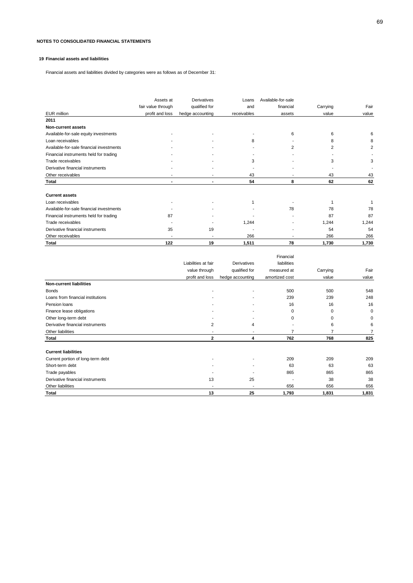#### **19 Financial assets and liabilities**

Financial assets and liabilities divided by categories were as follows as of December 31:

|                                          | Assets at          | Derivatives      | Loans       | Available-for-sale |          |       |
|------------------------------------------|--------------------|------------------|-------------|--------------------|----------|-------|
|                                          | fair value through | qualified for    | and         | financial          | Carrying | Fair  |
| EUR million                              | profit and loss    | hedge accounting | receivables | assets             | value    | value |
| 2011                                     |                    |                  |             |                    |          |       |
| <b>Non-current assets</b>                |                    |                  |             |                    |          |       |
| Available-for-sale equity investments    |                    |                  |             | 6                  | 6        | 6     |
| Loan receivables                         |                    |                  | 8           |                    | 8        | 8     |
| Available-for-sale financial investments |                    |                  |             | 2                  |          | 2     |
| Financial instruments held for trading   |                    |                  |             |                    |          |       |
| Trade receivables                        |                    |                  | 3           |                    | 3        | 3     |
| Derivative financial instruments         |                    |                  |             |                    |          |       |
| Other receivables                        |                    |                  | 43          |                    | 43       | 43    |
| Total                                    |                    |                  | 54          | 8                  | 62       | 62    |
| <b>Current assets</b>                    |                    |                  |             |                    |          |       |
| Loan receivables                         |                    |                  |             |                    |          |       |
| Available-for-sale financial investments |                    |                  |             | 78                 | 78       | 78    |
| Financial instruments held for trading   | 87                 |                  |             |                    | 87       | 87    |
| Trade receivables                        |                    |                  | 1,244       |                    | 1,244    | 1,244 |
| Derivative financial instruments         | 35                 | 19               |             |                    | 54       | 54    |
| Other receivables                        |                    |                  | 266         |                    | 266      | 266   |
| <b>Total</b>                             | 122                | 19               | 1,511       | 78                 | 1,730    | 1,730 |

|                                   |                     |                  | Financial      |          |             |
|-----------------------------------|---------------------|------------------|----------------|----------|-------------|
|                                   | Liabilities at fair | Derivatives      | liabilities    |          |             |
|                                   | value through       | qualified for    | measured at    | Carrying | Fair        |
|                                   | profit and loss     | hedge accounting | amortized cost | value    | value       |
| <b>Non-current liabilities</b>    |                     |                  |                |          |             |
| <b>Bonds</b>                      |                     | ٠                | 500            | 500      | 548         |
| Loans from financial institutions |                     |                  | 239            | 239      | 248         |
| Pension loans                     |                     |                  | 16             | 16       | 16          |
| Finance lease obligations         |                     | ۰                | 0              | 0        | $\mathbf 0$ |
| Other long-term debt              |                     | ٠                | 0              | $\Omega$ | 0           |
| Derivative financial instruments  | 2                   | 4                |                | 6        | 6           |
| Other liabilities                 |                     |                  |                |          |             |
| Total                             | $\mathbf{z}$        | 4                | 762            | 768      | 825         |
| <b>Current liabilities</b>        |                     |                  |                |          |             |
| Current portion of long-term debt |                     | $\blacksquare$   | 209            | 209      | 209         |
| Short-term debt                   |                     | ۰                | 63             | 63       | 63          |
| Trade payables                    |                     | $\blacksquare$   | 865            | 865      | 865         |
| Derivative financial instruments  | 13                  | 25               |                | 38       | 38          |
| Other liabilities                 |                     | $\blacksquare$   | 656            | 656      | 656         |
| Total                             | 13                  | 25               | 1,793          | 1,831    | 1,831       |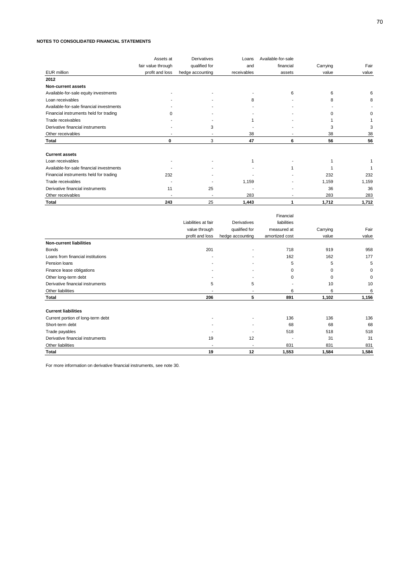|                                          | Assets at          | <b>Derivatives</b> | Loans       | Available-for-sale |          |       |
|------------------------------------------|--------------------|--------------------|-------------|--------------------|----------|-------|
|                                          | fair value through | qualified for      | and         | financial          | Carrying | Fair  |
| EUR million                              | profit and loss    | hedge accounting   | receivables | assets             | value    | value |
| 2012                                     |                    |                    |             |                    |          |       |
| <b>Non-current assets</b>                |                    |                    |             |                    |          |       |
| Available-for-sale equity investments    |                    |                    |             | 6                  | 6        |       |
| Loan receivables                         |                    |                    | 8           |                    | 8        | 8     |
| Available-for-sale financial investments |                    |                    |             |                    |          |       |
| Financial instruments held for trading   | U                  |                    |             |                    | O        | 0     |
| Trade receivables                        |                    |                    |             |                    |          |       |
| Derivative financial instruments         |                    | 3                  |             |                    | 3        | 3     |
| Other receivables                        |                    |                    | 38          |                    | 38       | 38    |
| <b>Total</b>                             | 0                  | 3                  | 47          | 6                  | 56       | 56    |
| <b>Current assets</b>                    |                    |                    |             |                    |          |       |
| Loan receivables                         |                    |                    |             |                    |          |       |
| Available-for-sale financial investments |                    |                    |             |                    |          |       |
| Financial instruments held for trading   | 232                |                    |             |                    | 232      | 232   |
| Trade receivables                        |                    |                    | 1,159       |                    | 1,159    | 1,159 |
| Derivative financial instruments         | 11                 | 25                 |             |                    | 36       | 36    |
| Other receivables                        |                    |                    | 283         |                    | 283      | 283   |
| Total                                    | 243                | 25                 | 1,443       |                    | 1,712    | 1,712 |

|                                   |                     |                          | Financial      |          |       |
|-----------------------------------|---------------------|--------------------------|----------------|----------|-------|
|                                   | Liabilities at fair | <b>Derivatives</b>       | liabilities    |          |       |
|                                   | value through       | qualified for            | measured at    | Carrying | Fair  |
|                                   | profit and loss     | hedge accounting         | amortized cost | value    | value |
| <b>Non-current liabilities</b>    |                     |                          |                |          |       |
| <b>Bonds</b>                      | 201                 |                          | 718            | 919      | 958   |
| Loans from financial institutions |                     | ۰.                       | 162            | 162      | 177   |
| Pension loans                     |                     | $\blacksquare$           | 5              | 5        | 5     |
| Finance lease obligations         |                     | $\overline{\phantom{a}}$ | $\mathbf 0$    | $\Omega$ | 0     |
| Other long-term debt              |                     |                          | 0              | $\Omega$ | 0     |
| Derivative financial instruments  | 5                   | 5                        |                | 10       | 10    |
| Other liabilities                 |                     |                          | 6              | 6        | 6     |
| Total                             | 206                 | 5                        | 891            | 1,102    | 1,156 |
| <b>Current liabilities</b>        |                     |                          |                |          |       |
| Current portion of long-term debt |                     | $\overline{\phantom{a}}$ | 136            | 136      | 136   |
| Short-term debt                   |                     | $\blacksquare$           | 68             | 68       | 68    |
| Trade payables                    |                     |                          | 518            | 518      | 518   |
| Derivative financial instruments  | 19                  | 12                       |                | 31       | 31    |
| Other liabilities                 |                     |                          | 831            | 831      | 831   |
| Total                             | 19                  | 12                       | 1,553          | 1,584    | 1,584 |

For more information on derivative financial instruments, see note 30.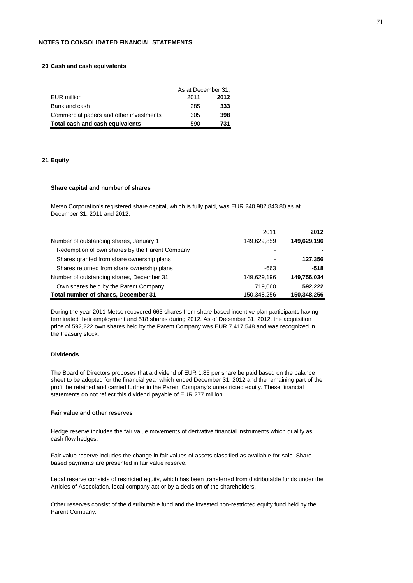### **20 Cash and cash equivalents**

|                                         | As at December 31. |      |  |
|-----------------------------------------|--------------------|------|--|
| EUR million                             | 2011               | 2012 |  |
| Bank and cash                           | 285                | 333  |  |
| Commercial papers and other investments | 305                | 398  |  |
| Total cash and cash equivalents         | 590                | 731  |  |

### **21 Equity**

#### **Share capital and number of shares**

Metso Corporation's registered share capital, which is fully paid, was EUR 240,982,843.80 as at December 31, 2011 and 2012.

| 2011                                                     | 2012        |
|----------------------------------------------------------|-------------|
| Number of outstanding shares, January 1<br>149,629,859   | 149,629,196 |
| Redemption of own shares by the Parent Company           |             |
| Shares granted from share ownership plans                | 127,356     |
| Shares returned from share ownership plans<br>-663       | $-518$      |
| Number of outstanding shares, December 31<br>149,629,196 | 149,756,034 |
| Own shares held by the Parent Company<br>719,060         | 592,222     |
| Total number of shares, December 31<br>150,348,256       | 150,348,256 |

During the year 2011 Metso recovered 663 shares from share-based incentive plan participants having terminated their employment and 518 shares during 2012. As of December 31, 2012, the acquisition price of 592,222 own shares held by the Parent Company was EUR 7,417,548 and was recognized in the treasury stock.

### **Dividends**

The Board of Directors proposes that a dividend of EUR 1.85 per share be paid based on the balance sheet to be adopted for the financial year which ended December 31, 2012 and the remaining part of the profit be retained and carried further in the Parent Company's unrestricted equity. These financial statements do not reflect this dividend payable of EUR 277 million.

### **Fair value and other reserves**

Hedge reserve includes the fair value movements of derivative financial instruments which qualify as cash flow hedges.

Fair value reserve includes the change in fair values of assets classified as available-for-sale. Sharebased payments are presented in fair value reserve.

Legal reserve consists of restricted equity, which has been transferred from distributable funds under the Articles of Association, local company act or by a decision of the shareholders.

Other reserves consist of the distributable fund and the invested non-restricted equity fund held by the Parent Company.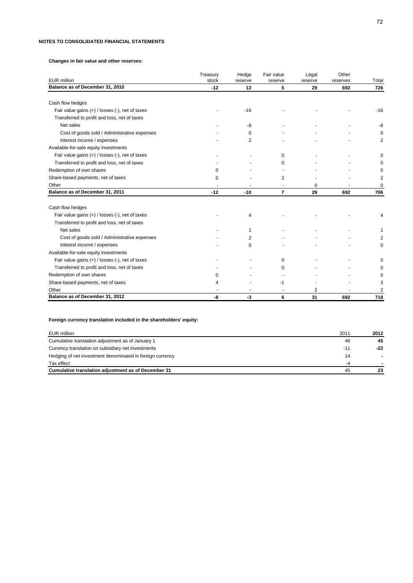# **Changes in fair value and other reserves:**

|                                                       | Treasury | Hedge    | Fair value     | Legal   | Other    |       |
|-------------------------------------------------------|----------|----------|----------------|---------|----------|-------|
| <b>EUR</b> million<br>Balance as of December 31, 2010 | stock    | reserve  | reserve        | reserve | reserves | Total |
|                                                       | $-12$    | 12       | 5              | 29      | 692      | 726   |
| Cash flow hedges                                      |          |          |                |         |          |       |
| Fair value gains (+) / losses (-), net of taxes       |          | $-16$    |                |         |          | $-16$ |
| Transferred to profit and loss, net of taxes          |          |          |                |         |          |       |
| Net sales                                             |          | -8       |                |         |          | -8    |
| Cost of goods sold / Administrative expenses          |          | 0        |                |         |          | 0     |
| Interest income / expenses                            |          | 2        |                |         |          | 2     |
| Available-for-sale equity investments                 |          |          |                |         |          |       |
| Fair value gains (+) / losses (-), net of taxes       |          |          | 0              |         |          | 0     |
| Transferred to profit and loss, net of taxes          |          |          | 0              |         |          | 0     |
| Redemption of own shares                              | 0        |          |                |         |          | 0     |
| Share-based payments, net of taxes                    | $\Omega$ |          | 2              |         |          | 2     |
| Other                                                 |          |          |                | 0       |          | 0     |
| Balance as of December 31, 2011                       | $-12$    | $-10$    | $\overline{7}$ | 29      | 692      | 706   |
|                                                       |          |          |                |         |          |       |
| Cash flow hedges                                      |          |          |                |         |          |       |
| Fair value gains (+) / losses (-), net of taxes       |          | 4        |                |         |          |       |
| Transferred to profit and loss, net of taxes          |          |          |                |         |          |       |
| Net sales                                             |          | 1        |                |         |          | 1     |
| Cost of goods sold / Administrative expenses          |          | 2        |                |         |          | 2     |
| Interest income / expenses                            |          | $\Omega$ |                |         |          | 0     |
| Available-for-sale equity investments                 |          |          |                |         |          |       |
| Fair value gains (+) / losses (-), net of taxes       |          |          | 0              |         |          | 0     |
| Transferred to profit and loss, net of taxes          |          |          | 0              |         |          | U     |
| Redemption of own shares                              | $\Omega$ |          |                |         |          | 0     |
| Share-based payments, net of taxes                    | 4        |          | -1             |         |          | 3     |
| Other                                                 |          |          |                | 2       |          | 2     |
| Balance as of December 31, 2012                       | -8       | $-3$     | 6              | 31      | 692      | 718   |

## **Foreign currency translation included in the shareholders' equity:**

| EUR million                                               | 2011  | 2012  |
|-----------------------------------------------------------|-------|-------|
| Cumulative translation adjustment as of January 1         | 46    | 45    |
| Currency translation on subsidiary net investments        | $-11$ | $-22$ |
| Hedging of net investment denominated in foreign currency | 14    |       |
| Tax effect                                                | -4    |       |
| Cumulative translation adjustment as of December 31       | 45    | 23    |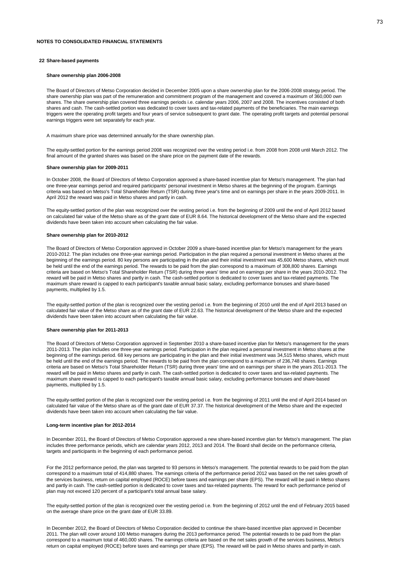#### **22 Share-based payments**

#### **Share ownership plan 2006-2008**

The Board of Directors of Metso Corporation decided in December 2005 upon a share ownership plan for the 2006-2008 strategy period. The share ownership plan was part of the remuneration and commitment program of the management and covered a maximum of 360,000 own shares. The share ownership plan covered three earnings periods i.e. calendar years 2006, 2007 and 2008. The incentives consisted of both shares and cash. The cash-settled portion was dedicated to cover taxes and tax-related payments of the beneficiaries. The main earnings triggers were the operating profit targets and four years of service subsequent to grant date. The operating profit targets and potential personal earnings triggers were set separately for each year.

A maximum share price was determined annually for the share ownership plan.

The equity-settled portion for the earnings period 2008 was recognized over the vesting period i.e. from 2008 from 2008 until March 2012. The final amount of the granted shares was based on the share price on the payment date of the rewards.

#### **Share ownership plan for 2009-2011**

In October 2008, the Board of Directors of Metso Corporation approved a share-based incentive plan for Metso's management. The plan had one three-year earnings period and required participants' personal investment in Metso shares at the beginning of the program. Earnings criteria was based on Metso's Total Shareholder Return (TSR) during three year's time and on earnings per share in the years 2009-2011. In April 2012 the reward was paid in Metso shares and partly in cash.

The equity-settled portion of the plan was recognized over the vesting period i.e. from the beginning of 2009 until the end of April 2012 based on calculated fair value of the Metso share as of the grant date of EUR 8.64. The historical development of the Metso share and the expected dividends have been taken into account when calculating the fair value.

#### **Share ownership plan for 2010-2012**

The Board of Directors of Metso Corporation approved in October 2009 a share-based incentive plan for Metso's management for the years 2010-2012. The plan includes one three-year earnings period. Participation in the plan required a personal investment in Metso shares at the beginning of the earnings period. 80 key persons are participating in the plan and their initial investment was 45,600 Metso shares, which must be held until the end of the earnings period. The rewards to be paid from the plan correspond to a maximum of 308,800 shares. Earnings criteria are based on Metso's Total Shareholder Return (TSR) during three years' time and on earnings per share in the years 2010-2012. The reward will be paid in Metso shares and partly in cash. The cash-settled portion is dedicated to cover taxes and tax-related payments. The maximum share reward is capped to each participant's taxable annual basic salary, excluding performance bonuses and share-based payments, multiplied by 1.5.

The equity-settled portion of the plan is recognized over the vesting period i.e. from the beginning of 2010 until the end of April 2013 based on calculated fair value of the Metso share as of the grant date of EUR 22.63. The historical development of the Metso share and the expected dividends have been taken into account when calculating the fair value.

#### **Share ownership plan for 2011-2013**

The Board of Directors of Metso Corporation approved in September 2010 a share-based incentive plan for Metso's management for the years 2011-2013. The plan includes one three-year earnings period. Participation in the plan required a personal investment in Metso shares at the beginning of the earnings period. 68 key persons are participating in the plan and their initial investment was 34,515 Metso shares, which must be held until the end of the earnings period. The rewards to be paid from the plan correspond to a maximum of 236,748 shares. Earnings criteria are based on Metso's Total Shareholder Return (TSR) during three years' time and on earnings per share in the years 2011-2013. The reward will be paid in Metso shares and partly in cash. The cash-settled portion is dedicated to cover taxes and tax-related payments. The maximum share reward is capped to each participant's taxable annual basic salary, excluding performance bonuses and share-based payments, multiplied by 1.5.

The equity-settled portion of the plan is recognized over the vesting period i.e. from the beginning of 2011 until the end of April 2014 based on calculated fair value of the Metso share as of the grant date of EUR 37.37. The historical development of the Metso share and the expected dividends have been taken into account when calculating the fair value.

#### **Long-term incentive plan for 2012-2014**

In December 2011, the Board of Directors of Metso Corporation approved a new share-based incentive plan for Metso's management. The plan includes three performance periods, which are calendar years 2012, 2013 and 2014. The Board shall decide on the performance criteria, targets and participants in the beginning of each performance period.

For the 2012 performance period, the plan was targeted to 93 persons in Metso's management. The potential rewards to be paid from the plan correspond to a maximum total of 414,880 shares. The earnings criteria of the performance period 2012 was based on the net sales growth of the services business, return on capital employed (ROCE) before taxes and earnings per share (EPS). The reward will be paid in Metso shares and partly in cash. The cash-settled portion is dedicated to cover taxes and tax-related payments. The reward for each performance period of plan may not exceed 120 percent of a participant's total annual base salary.

The equity-settled portion of the plan is recognized over the vesting period i.e. from the beginning of 2012 until the end of February 2015 based on the average share price on the grant date of EUR 33.89.

In December 2012, the Board of Directors of Metso Corporation decided to continue the share-based incentive plan approved in December 2011. The plan will cover around 100 Metso managers during the 2013 performance period. The potential rewards to be paid from the plan correspond to a maximum total of 460,000 shares. The earnings criteria are based on the net sales growth of the services business, Metso's return on capital employed (ROCE) before taxes and earnings per share (EPS). The reward will be paid in Metso shares and partly in cash.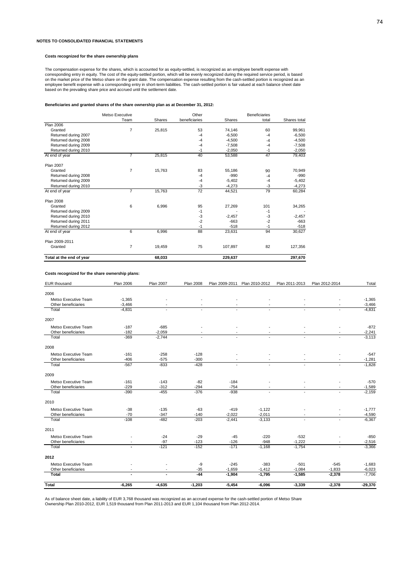### **Costs recognized for the share ownership plans**

The compensation expense for the shares, which is accounted for as equity-settled, is recognized as an employee benefit expense with<br>corresponding entry in equity. The cost of the equity-settled portion, which will be even employee benefit expense with a corresponding entry in short-term liabilities. The cash-settled portion is fair valued at each balance sheet date<br>based on the prevailing share price and accrued until the settlement date.

#### **Beneficiaries and granted shares of the share ownership plan as at December 31, 2012:**

|                          | <b>Metso Executive</b> |        | Other         |          | <b>Beneficiaries</b> |              |
|--------------------------|------------------------|--------|---------------|----------|----------------------|--------------|
|                          | Team                   | Shares | beneficiaries | Shares   | total                | Shares total |
| <b>Plan 2006</b>         |                        |        |               |          |                      |              |
| Granted                  | 7                      | 25,815 | 53            | 74,146   | 60                   | 99,961       |
| Returned during 2007     |                        |        | -4            | $-6,500$ | $-4$                 | $-6,500$     |
| Returned during 2008     |                        |        | -4            | $-4,500$ | $-4$                 | $-4,500$     |
| Returned during 2009     |                        |        | $-4$          | $-7,508$ | $-4$                 | $-7,508$     |
| Returned during 2010     |                        |        | -1            | $-2,050$ | $-1$                 | $-2,050$     |
| At end of year           | 7                      | 25,815 | 40            | 53,588   | 47                   | 79,403       |
| <b>Plan 2007</b>         |                        |        |               |          |                      |              |
| Granted                  | $\overline{7}$         | 15,763 | 83            | 55,186   | 90                   | 70,949       |
| Returned during 2008     |                        |        | $-4$          | $-990$   | $-4$                 | $-990$       |
| Returned during 2009     |                        |        | -4            | $-5,402$ | $-4$                 | $-5,402$     |
| Returned during 2010     |                        |        | -3            | $-4,273$ | -3                   | $-4,273$     |
| At end of year           | 7                      | 15,763 | 72            | 44,521   | 79                   | 60,284       |
| <b>Plan 2008</b>         |                        |        |               |          |                      |              |
| Granted                  | 6                      | 6,996  | 95            | 27,269   | 101                  | 34,265       |
| Returned during 2009     |                        |        | $-1$          |          | $-1$                 |              |
| Returned during 2010     |                        |        | -3            | $-2,457$ | $-3$                 | $-2,457$     |
| Returned during 2011     |                        |        | $-2$          | $-663$   | $-2$                 | $-663$       |
| Returned during 2012     |                        |        | $-1$          | $-518$   | $-1$                 | $-518$       |
| At end of year           | 6                      | 6,996  | 88            | 23,631   | 94                   | 30,627       |
| Plan 2009-2011           |                        |        |               |          |                      |              |
| Granted                  | 7                      | 19,459 | 75            | 107,897  | 82                   | 127,356      |
| Total at the end of year |                        | 68,033 |               | 229,637  |                      | 297,670      |

#### **Costs recognized for the share ownership plans:**

| <b>EUR</b> thousand  | <b>Plan 2006</b>         | <b>Plan 2007</b>         | <b>Plan 2008</b> | Plan 2009-2011 | Plan 2010-2012 | Plan 2011-2013 | Plan 2012-2014           | Total     |
|----------------------|--------------------------|--------------------------|------------------|----------------|----------------|----------------|--------------------------|-----------|
| 2006                 |                          |                          |                  |                |                |                |                          |           |
| Metso Executive Team | $-1,365$                 |                          |                  |                |                |                |                          | $-1,365$  |
| Other beneficiaries  | $-3,466$                 |                          |                  |                |                |                |                          | $-3,466$  |
| Total                | $-4,831$                 |                          |                  |                |                |                |                          | $-4,831$  |
| 2007                 |                          |                          |                  |                |                |                |                          |           |
| Metso Executive Team | $-187$                   | $-685$                   |                  |                |                |                |                          | $-872$    |
| Other beneficiaries  | $-182$                   | $-2,059$                 |                  |                |                |                |                          | $-2,241$  |
| Total                | $-369$                   | $-2,744$                 |                  | ÷              |                |                |                          | $-3,113$  |
| 2008                 |                          |                          |                  |                |                |                |                          |           |
| Metso Executive Team | $-161$                   | $-258$                   | $-128$           |                |                |                |                          | $-547$    |
| Other beneficiaries  | $-406$                   | $-575$                   | $-300$           |                |                |                |                          | $-1,281$  |
| Total                | $-567$                   | $-833$                   | $-428$           | $\sim$         | $\sim$         | ÷              | $\sim$                   | $-1.828$  |
| 2009                 |                          |                          |                  |                |                |                |                          |           |
| Metso Executive Team | $-161$                   | $-143$                   | $-82$            | $-184$         |                |                |                          | $-570$    |
| Other beneficiaries  | $-229$                   | $-312$                   | $-294$           | $-754$         |                |                |                          | $-1,589$  |
| Total                | $-390$                   | $-455$                   | $-376$           | $-938$         | $\sim$         | ÷              | $\overline{a}$           | $-2,159$  |
| 2010                 |                          |                          |                  |                |                |                |                          |           |
| Metso Executive Team | $-38$                    | $-135$                   | $-63$            | $-419$         | $-1,122$       |                |                          | $-1,777$  |
| Other beneficiaries  | $-70$                    | $-347$                   | $-140$           | $-2,022$       | $-2,011$       |                |                          | $-4,590$  |
| Total                | $-108$                   | $-482$                   | $-203$           | $-2,441$       | $-3,133$       | $\overline{a}$ |                          | $-6,367$  |
| 2011                 |                          |                          |                  |                |                |                |                          |           |
| Metso Executive Team |                          | $-24$                    | $-29$            | $-45$          | $-220$         | $-532$         |                          | $-850$    |
| Other beneficiaries  | $\overline{\phantom{a}}$ | $-97$                    | $-123$           | $-126$         | $-948$         | $-1,222$       | $\overline{\phantom{a}}$ | $-2,516$  |
| Total                | $\blacksquare$           | $-121$                   | $-152$           | $-171$         | $-1,168$       | $-1,754$       | $\overline{\phantom{a}}$ | $-3,366$  |
| 2012                 |                          |                          |                  |                |                |                |                          |           |
| Metso Executive Team |                          |                          | -9               | $-245$         | $-383$         | $-501$         | $-545$                   | $-1,683$  |
| Other beneficiaries  | $\overline{\phantom{a}}$ | $\overline{\phantom{a}}$ | $-35$            | $-1,659$       | $-1,412$       | $-1,084$       | $-1,833$                 | $-6,023$  |
| <b>Total</b>         | $\overline{\phantom{a}}$ | ٠                        | $-44$            | $-1,904$       | $-1,795$       | $-1,585$       | $-2,378$                 | $-7,706$  |
| <b>Total</b>         | $-6.265$                 | $-4,635$                 | $-1,203$         | $-5,454$       | $-6.096$       | $-3,339$       | $-2.378$                 | $-29,370$ |

As of balance sheet date, a liability of EUR 3,768 thousand was recognized as an accrued expense for the cash-settled portion of Metso Share<br>Ownership Plan 2010-2012, EUR 1,519 thousand from Plan 2011-2013 and EUR 1,104 th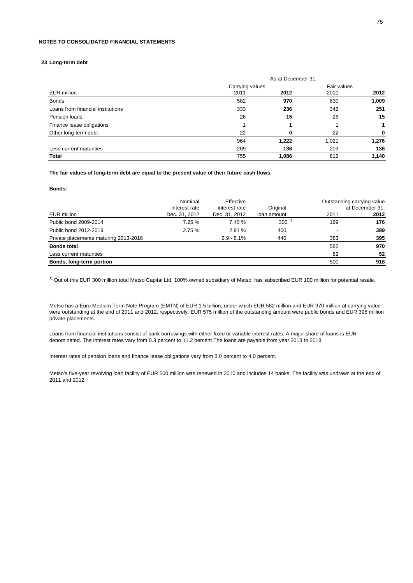### **23 Long-term debt**

|                                   |                 | As at December 31, |             |       |
|-----------------------------------|-----------------|--------------------|-------------|-------|
|                                   | Carrying values |                    | Fair values |       |
| EUR million                       | 2011            | 2012               | 2011        | 2012  |
| <b>Bonds</b>                      | 582             | 970                | 630         | 1,009 |
| Loans from financial institutions | 333             | 236                | 342         | 251   |
| Pension loans                     | 26              | 15                 | 26          | 15    |
| Finance lease obligations         |                 | 1                  |             | 1     |
| Other long-term debt              | 22              |                    | 22          | 0     |
|                                   | 964             | 1,222              | 1,021       | 1,276 |
| Less current maturities           | 209             | 136                | 209         | 136   |
| <b>Total</b>                      | 755             | 1.086              | 812         | 1,140 |

**The fair values of long-term debt are equal to the present value of their future cash flows.**

### **Bonds:**

|                                       | Nominal<br>interest rate | Effective<br>interest rate | Original    |      | Outstanding carrying value<br>at December 31, |
|---------------------------------------|--------------------------|----------------------------|-------------|------|-----------------------------------------------|
| EUR million                           | Dec. 31, 2012            | Dec. 31, 2012              | loan amount | 2011 | 2012                                          |
| Public bond 2009-2014                 | 7.25%                    | 7.40%                      | $300^{11}$  | 199  | 176                                           |
| Public bond 2012-2019                 | 2.75%                    | 2.91%                      | 400         |      | 399                                           |
| Private placements maturing 2013-2018 |                          | $2.9 - 8.1\%$              | 440         | 383  | 395                                           |
| <b>Bonds total</b>                    |                          |                            |             | 582  | 970                                           |
| Less current maturities               |                          |                            |             | 82   | 52                                            |
| Bonds, long-term portion              |                          |                            |             | 500  | 918                                           |

<sup>1)</sup> Out of this EUR 300 million total Metso Capital Ltd, 100% owned subsidiary of Metso, has subscribed EUR 100 million for potential resale.

Metso has a Euro Medium Term Note Program (EMTN) of EUR 1.5 billion, under which EUR 582 million and EUR 970 million at carrying value were outstanding at the end of 2011 and 2012, respectively. EUR 575 million of the outstanding amount were public bonds and EUR 395 million private placements.

Loans from financial institutions consist of bank borrowings with either fixed or variable interest rates. A major share of loans is EUR denominated. The interest rates vary from 0.3 percent to 11.2 percent.The loans are payable from year 2013 to 2018.

Interest rates of pension loans and finance lease obligations vary from 3.0 percent to 4.0 percent.

Metso's five-year revolving loan facility of EUR 500 million was renewed in 2010 and includes 14 banks. The facility was undrawn at the end of 2011 and 2012.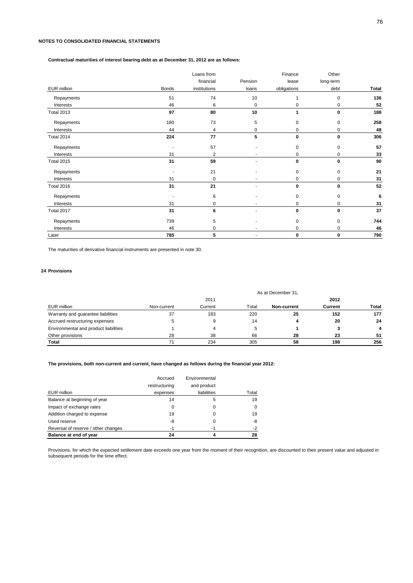### **Contractual maturities of interest bearing debt as at December 31, 2012 are as follows:**

|                   |              | Loans from   |             | Finance     | Other       |       |
|-------------------|--------------|--------------|-------------|-------------|-------------|-------|
|                   |              | financial    | Pension     | lease       | long-term   |       |
| EUR million       | <b>Bonds</b> | institutions | loans       | obligations | debt        | Total |
| Repayments        | 51           | 74           | 10          |             | 0           | 136   |
| Interests         | 46           | 6            | $\mathbf 0$ | 0           | 0           | 52    |
| <b>Total 2013</b> | 97           | 80           | 10          |             | 0           | 188   |
| Repayments        | 180          | 73           | 5           | $\mathbf 0$ | 0           | 258   |
| Interests         | 44           | 4            | 0           | 0           | 0           | 48    |
| Total 2014        | 224          | 77           | 5           | $\bf{0}$    | 0           | 306   |
| Repayments        |              | 57           |             | $\mathbf 0$ | $\Omega$    | 57    |
| Interests         | 31           | 2            |             | 0           | 0           | 33    |
| <b>Total 2015</b> | 31           | 59           |             | 0           | 0           | 90    |
| Repayments        |              | 21           |             | $\Omega$    | $\Omega$    | 21    |
| Interests         | 31           | $\mathbf 0$  |             | $\mathbf 0$ | 0           | 31    |
| <b>Total 2016</b> | 31           | 21           |             | $\bf{0}$    | 0           | 52    |
| Repayments        |              | 6            |             | $\mathbf 0$ | $\mathbf 0$ | 6     |
| Interests         | 31           | 0            |             | 0           | 0           | 31    |
| Total 2017        | 31           | 6            |             | $\mathbf 0$ | $\mathbf 0$ | 37    |
| Repayments        | 739          | 5            |             | $\mathbf 0$ | $\mathbf 0$ | 744   |
| Interests         | 46           | 0            |             | $\mathbf 0$ | 0           | 46    |
| Later             | 785          | 5            |             | 0           | 0           | 790   |

The maturities of derivative financial instruments are presented in note 30.

### **24 Provisions**

|                                       | As at December 31, |         |       |             |         |       |  |
|---------------------------------------|--------------------|---------|-------|-------------|---------|-------|--|
|                                       |                    | 2011    |       |             | 2012    |       |  |
| EUR million                           | Non-current        | Current | Total | Non-current | Current | Total |  |
| Warranty and guarantee liabilities    | 37                 | 183     | 220   | 25          | 152     | 177   |  |
| Accrued restructuring expenses        |                    |         | 14    |             | 20      | 24    |  |
| Environmental and product liabilities |                    |         | 5     |             |         |       |  |
| Other provisions                      | 28                 | 38      | 66    | 28          | 23      | 51    |  |
| Total                                 |                    | 234     | 305   | 58          | 198     | 256   |  |

### **The provisions, both non-current and current, have changed as follows during the financial year 2012:**

|                                     | Accrued       | Environmental |       |
|-------------------------------------|---------------|---------------|-------|
|                                     | restructuring | and product   |       |
| EUR million                         | expenses      | liabilities   | Total |
| Balance at beginning of year        | 14            | 5             | 19    |
| Impact of exchange rates            | 0             | 0             | 0     |
| Addition charged to expense         | 19            | $\Omega$      | 19    |
| Used reserve                        | -8            | 0             | -8    |
| Reversal of reserve / other changes | -1            | -1            | $-2$  |
| Balance at end of year              | 24            |               | 28    |

Provisions, for which the expected settlement date exceeds one year from the moment of their recognition, are discounted to their present value and adjusted in subsequent periods for the time effect.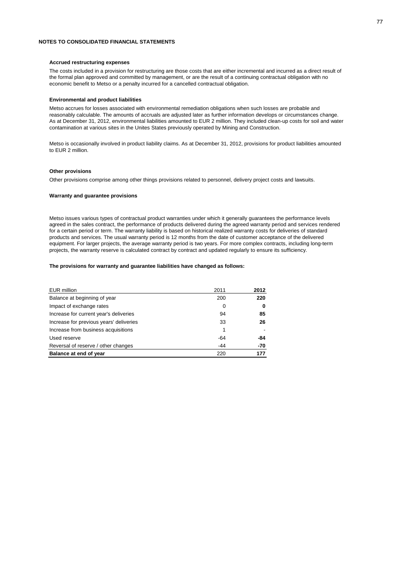#### **Accrued restructuring expenses**

The costs included in a provision for restructuring are those costs that are either incremental and incurred as a direct result of the formal plan approved and committed by management, or are the result of a continuing contractual obligation with no economic benefit to Metso or a penalty incurred for a cancelled contractual obligation.

#### **Environmental and product liabilities**

Metso accrues for losses associated with environmental remediation obligations when such losses are probable and reasonably calculable. The amounts of accruals are adjusted later as further information develops or circumstances change. As at December 31, 2012, environmental liabilities amounted to EUR 2 million. They included clean-up costs for soil and water contamination at various sites in the Unites States previously operated by Mining and Construction.

Metso is occasionally involved in product liability claims. As at December 31, 2012, provisions for product liabilities amounted to EUR 2 million.

### **Other provisions**

Other provisions comprise among other things provisions related to personnel, delivery project costs and lawsuits.

#### **Warranty and guarantee provisions**

Metso issues various types of contractual product warranties under which it generally guarantees the performance levels agreed in the sales contract, the performance of products delivered during the agreed warranty period and services rendered for a certain period or term. The warranty liability is based on historical realized warranty costs for deliveries of standard products and services. The usual warranty period is 12 months from the date of customer acceptance of the delivered equipment. For larger projects, the average warranty period is two years. For more complex contracts, including long-term projects, the warranty reserve is calculated contract by contract and updated regularly to ensure its sufficiency.

#### **The provisions for warranty and guarantee liabilities have changed as follows:**

| EUR million                             | 2011  | 2012  |
|-----------------------------------------|-------|-------|
| Balance at beginning of year            | 200   | 220   |
| Impact of exchange rates                | 0     | 0     |
| Increase for current year's deliveries  | 94    | 85    |
| Increase for previous years' deliveries | 33    | 26    |
| Increase from business acquisitions     | 1     |       |
| Used reserve                            | -64   | -84   |
| Reversal of reserve / other changes     | $-44$ | $-70$ |
| Balance at end of year                  | 220   | 177   |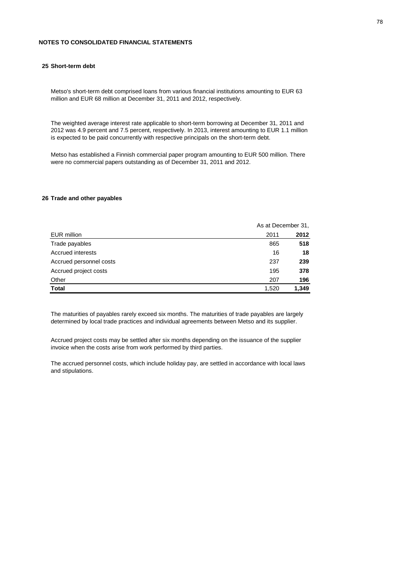## **25 Short-term debt**

Metso's short-term debt comprised loans from various financial institutions amounting to EUR 63 million and EUR 68 million at December 31, 2011 and 2012, respectively.

The weighted average interest rate applicable to short-term borrowing at December 31, 2011 and 2012 was 4.9 percent and 7.5 percent, respectively. In 2013, interest amounting to EUR 1.1 million is expected to be paid concurrently with respective principals on the short-term debt.

Metso has established a Finnish commercial paper program amounting to EUR 500 million. There were no commercial papers outstanding as of December 31, 2011 and 2012.

### **26 Trade and other payables**

|                          | As at December 31. |       |  |  |
|--------------------------|--------------------|-------|--|--|
| EUR million              | 2011               | 2012  |  |  |
| Trade payables           | 865                | 518   |  |  |
| <b>Accrued interests</b> | 16                 | 18    |  |  |
| Accrued personnel costs  | 237                | 239   |  |  |
| Accrued project costs    | 195                | 378   |  |  |
| Other                    | 207                | 196   |  |  |
| <b>Total</b>             | 1.520              | 1,349 |  |  |

The maturities of payables rarely exceed six months. The maturities of trade payables are largely determined by local trade practices and individual agreements between Metso and its supplier.

Accrued project costs may be settled after six months depending on the issuance of the supplier invoice when the costs arise from work performed by third parties.

The accrued personnel costs, which include holiday pay, are settled in accordance with local laws and stipulations.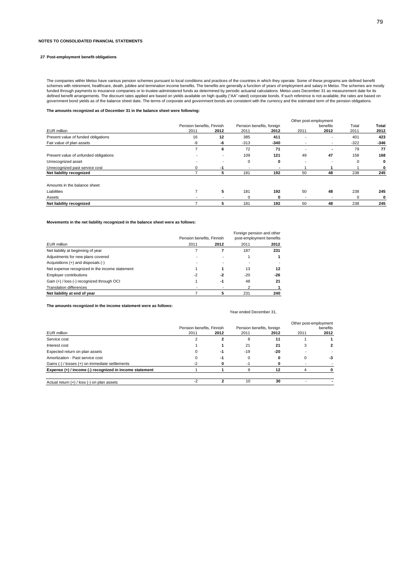#### **27 Post-employment benefit obligations**

The companies within Metso have various pension schemes pursuant to local conditions and practices of the countries in which they operate. Some of these programs are defined benefit<br>schemes with retirement, healthcare, dea funded through payments to insurance companies or to trustee-administered funds as determined by periodic actuarial calculations. Metso uses December 31 as measurement date for its<br>defined benefit arrangements. The discoun government bond yields as of the balance sheet date. The terms of corporate and government bonds are consistent with the currency and the estimated term of the pension obligations.

#### **The amounts recognized as of December 31 in the balance sheet were following:**

|                                       |                           |      |                           |        | Other post-employment    |                          |          |              |
|---------------------------------------|---------------------------|------|---------------------------|--------|--------------------------|--------------------------|----------|--------------|
|                                       | Pension benefits. Finnish |      | Pension benefits, foreign |        |                          | benefits                 | Total    | <b>Total</b> |
| EUR million                           | 2011                      | 2012 | 2011                      | 2012   | 2011                     | 2012                     | 2011     | 2012         |
| Present value of funded obligations   | 16                        | 12   | 385                       | 411    |                          | $\overline{\phantom{a}}$ | 401      | 423          |
| Fair value of plan assets             | -9                        | -6   | $-313$                    | $-340$ | ٠                        |                          | $-322$   | $-346$       |
|                                       |                           | 6    | 72                        | 71     |                          |                          | 79       | 77           |
| Present value of unfunded obligations |                           | -    | 109                       | 121    | 49                       | 47                       | 158      | 168          |
| Unrecognized asset                    |                           | ٠    | $\mathbf 0$               | 0      | ٠                        |                          | $\Omega$ | 0            |
| Unrecognized past service cost        |                           | -1   |                           |        |                          |                          |          | 0            |
| Net liability recognized              |                           |      | 181                       | 192    | 50                       | 48                       | 238      | 245          |
| Amounts in the balance sheet:         |                           |      |                           |        |                          |                          |          |              |
| Liabilities                           |                           | 5    | 181                       | 192    | 50                       | 48                       | 238      | 245          |
| Assets                                |                           |      | 0                         | 0      | $\overline{\phantom{a}}$ |                          | 0        | 0            |
| Net liability recognized              |                           |      | 181                       | 192    | 50                       | 48                       | 238      | 245          |

Year ended December 31,

#### **Movements in the net liability recognized in the balance sheet were as follows:**

|                                                | Pension benefits, Finnish | Foreign pension and other<br>post-employment benefits |       |      |
|------------------------------------------------|---------------------------|-------------------------------------------------------|-------|------|
| EUR million                                    | 2011                      | 2012                                                  | 2011  | 2012 |
| Net liability at beginning of year             |                           |                                                       | 187   | 231  |
| Adjustments for new plans covered              |                           |                                                       |       |      |
| Acquisitions (+) and disposals (-)             |                           |                                                       |       |      |
| Net expense recognized in the income statement |                           |                                                       | 13    | 12   |
| <b>Employer contributions</b>                  | $-2$                      | -2                                                    | $-20$ | -26  |
| Gain (+) / loss (-) recognized through OCI     |                           | -1                                                    | 48    | 21   |
| <b>Translation differences</b>                 |                           |                                                       | 2     |      |
| Net liability at end of year                   |                           |                                                       | 231   | 240  |

#### **The amounts recognized in the income statement were as follows:**

#### EUR million 2011 **2012** 2011 **2012** 2011 **2012** Service cost 2 **2** 8 **11** 1 **1** Interest cost 1 **1** 21 **21** 3 **2** Expected return on plan assets **0** -1 -19 -20 Amortization - Past service cost 0 **-1** 0 **0** 0 **-3** Gains (-) / losses (+) on immediate settlements **and the contract of the contract of the contract of the contract of the contract of the contract of the contract of the contract of the contract of the contract of the contr Expense (+) / income (-) recognized in income statement** 1 **1** 9 **12** 4 **0** Actual return (+) / loss (-) on plan assets -2 2 10 30 - **-**2 - 2 10 30 - **-**Pension benefits, Finnish Pension benefits, foreign<br>2011 2012 Other post-employment benefits<br>2012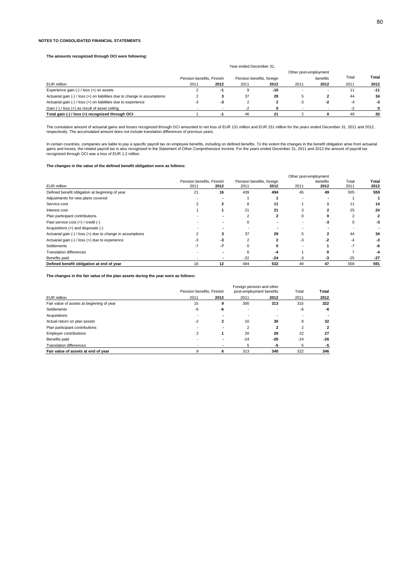### **The amounts recognized through OCI were following:**

|                                                                           |                           |      | Year ended December 31.   |       |                       |          |       |       |
|---------------------------------------------------------------------------|---------------------------|------|---------------------------|-------|-----------------------|----------|-------|-------|
|                                                                           |                           |      |                           |       | Other post-employment |          |       |       |
|                                                                           | Pension benefits, Finnish |      | Pension benefits, foreign |       |                       | benefits | Total | Total |
| EUR million                                                               | 2011                      | 2012 | 2011                      | 2012  | 2011                  | 2012     | 2011  | 2012  |
| Experience gain (-) / loss (+) on assets                                  |                           |      |                           | $-10$ |                       |          | 11    | $-11$ |
| Actuarial gain (-) / loss (+) on liabilities due to change in assumptions |                           |      | 37                        | 29    |                       |          | 44    | 34    |
| Actuarial gain (-) / loss (+) on liabilities due to experience            | -3                        | -3   |                           |       | -3                    | -2       | -4    | -3    |
| Gain (-) / loss (+) as result of asset ceiling                            |                           |      |                           |       |                       |          |       |       |
| Total gain (-) / loss (+) recognized through OCI                          |                           |      | 46                        | 21    |                       |          | 49    | 20    |

The cumulative amount of actuarial gains and losses recognized through OCI amounted to net loss of EUR 131 million and EUR 151 million for the years ended December 31, 2011 and 2012,<br>respectively. The accumulated amount do

In certain countries, companies are liable to pay a specific payroll tax on employee benefits, including on defined benefits. To the extent the changes in the benefit obligation arise from actuarial<br>gains and losses, the r

### **The changes in the value of the defined benefit obligation were as follows:**

|                                                            |                           |                |                           |       | Other post-employment |          |                |       |
|------------------------------------------------------------|---------------------------|----------------|---------------------------|-------|-----------------------|----------|----------------|-------|
|                                                            | Pension benefits, Finnish |                | Pension benefits, foreign |       |                       | benefits | Total          | Total |
| EUR million                                                | 2011                      | 2012           | 2011                      | 2012  | 2011                  | 2012     | 2011           | 2012  |
| Defined benefit obligation at beginning of year            | 21                        | 16             | 439                       | 494   | 45                    | 49       | 505            | 559   |
| Adjustments for new plans covered                          |                           |                |                           |       |                       |          |                |       |
| Service cost                                               |                           |                | 8                         | 11    |                       |          | 11             | 14    |
| Interest cost                                              |                           |                | 21                        | 21    |                       |          | 25             | 24    |
| Plan participant contributions                             |                           |                |                           |       |                       |          | $\overline{2}$ |       |
| Past service cost (+) / credit (-)                         |                           |                |                           |       |                       | -3       | $\Omega$       | -3    |
| Acquisitions (+) and disposals (-)                         |                           |                |                           |       |                       |          |                |       |
| Actuarial gain (-) / loss (+) due to change in assumptions |                           |                | 37                        | 29    | 5                     |          | 44             | 34    |
| Actuarial gain (-) / loss (+) due to experience            |                           | -3             |                           |       | $-3$                  | -2       | -4             | -3    |
| Settlements                                                |                           | -7             | <sup>0</sup>              | n     |                       |          | $-7$           | -6    |
| <b>Translation differences</b>                             |                           |                | 6                         | -4    |                       | n        |                | -4    |
| Benefits paid                                              |                           | $\blacksquare$ | $-22$                     | $-24$ | -3                    | -3       | $-25$          | $-27$ |
| Defined benefit obligation at end of year                  | 16                        | 12             | 494                       | 532   | 49                    | 47       | 559            | 591   |

### **The changes in the fair value of the plan assets during the year were as follows:**

|                                           |      | Pension benefits, Finnish |                | post-employment benefits |                | Total          |
|-------------------------------------------|------|---------------------------|----------------|--------------------------|----------------|----------------|
| EUR million                               | 2011 | 2012                      | 2011           | 2012                     | 2011           | 2012           |
| Fair value of assets at beginning of year | 15   | 9                         | 300            | 313                      | 315            | 322            |
| Settlements                               | $-6$ | -6                        |                |                          | -6             | -6             |
| Acquisitions                              |      |                           | $\sim$         |                          |                |                |
| Actual return on plan assets              | $-2$ | $\overline{2}$            | 10             | 30                       | 8              | 32             |
| Plan participant contributions            |      |                           | $\overline{2}$ |                          | $\overline{2}$ | $\overline{2}$ |
| Employer contributions                    | 2    |                           | 20             | 26                       | 22             | 27             |
| Benefits paid                             |      |                           | $-24$          | $-26$                    | $-24$          | $-26$          |
| <b>Translation differences</b>            |      |                           | 5              | -5                       | 5              | -5             |
| Fair value of assets at end of vear       | 9    | 6                         | 313            | 340                      | 322            | 346            |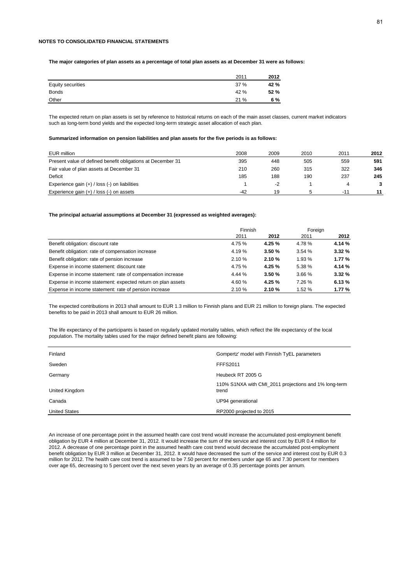#### **The major categories of plan assets as a percentage of total plan assets as at December 31 were as follows:**

|                   | 2011 | 2012 |
|-------------------|------|------|
| Equity securities | 37 % | 42%  |
| <b>Bonds</b>      | 42 % | 52 % |
| Other             | 21%  | 6 %  |

The expected return on plan assets is set by reference to historical returns on each of the main asset classes, current market indicators such as long-term bond yields and the expected long-term strategic asset allocation of each plan.

## **Summarized information on pension liabilities and plan assets for the five periods is as follows:**

| EUR million                                                 | 2008  | 2009 | 2010 | 2011               | 2012 |
|-------------------------------------------------------------|-------|------|------|--------------------|------|
| Present value of defined benefit obligations at December 31 | 395   | 448  | 505  | 559                | 591  |
| Fair value of plan assets at December 31                    | 210   | 260  | 315  | 322                | 346  |
| Deficit                                                     | 185   | 188  | 190  | 237                | 245  |
| Experience gain $(+)$ / loss $(-)$ on liabilities           |       | $-2$ |      |                    |      |
| Experience gain $(+)$ / loss $(-)$ on assets                | $-42$ | 19   |      | $-11$ <sup>4</sup> | 11   |

#### **The principal actuarial assumptions at December 31 (expressed as weighted averages):**

|                                                             | Finnish |       | Foreign |        |
|-------------------------------------------------------------|---------|-------|---------|--------|
|                                                             | 2011    | 2012  | 2011    | 2012   |
| Benefit obligation: discount rate                           | 4.75 %  | 4.25% | 4.78%   | 4.14 % |
| Benefit obligation: rate of compensation increase           | 4.19 %  | 3.50% | 3.54%   | 3.32%  |
| Benefit obligation: rate of pension increase                | 2.10%   | 2.10% | 1.93%   | 1.77%  |
| Expense in income statement: discount rate                  | 4.75 %  | 4.25% | 5.38 %  | 4.14 % |
| Expense in income statement: rate of compensation increase  | 4.44 %  | 3.50% | 3.66%   | 3.32%  |
| Expense in income statement: expected return on plan assets | 4.60 %  | 4.25% | 7.26%   | 6.13%  |
| Expense in income statement: rate of pension increase       | 2.10%   | 2.10% | 1.52%   | 1.77 % |

The expected contributions in 2013 shall amount to EUR 1.3 million to Finnish plans and EUR 21 million to foreign plans. The expected benefits to be paid in 2013 shall amount to EUR 26 million.

The life expectancy of the participants is based on regularly updated mortality tables, which reflect the life expectancy of the local population. The mortality tables used for the major defined benefit plans are following:

| Finland              | Gompertz' model with Finnish TyEL parameters                   |
|----------------------|----------------------------------------------------------------|
| Sweden               | <b>FFFS2011</b>                                                |
| Germany              | Heubeck RT 2005 G                                              |
| United Kingdom       | 110% S1NXA with CMI 2011 projections and 1% long-term<br>trend |
| Canada               | UP94 generational                                              |
| <b>United States</b> | RP2000 projected to 2015                                       |

An increase of one percentage point in the assumed health care cost trend would increase the accumulated post-employment benefit obligation by EUR 4 million at December 31, 2012. It would increase the sum of the service and interest cost by EUR 0.4 million for 2012. A decrease of one percentage point in the assumed health care cost trend would decrease the accumulated post-employment benefit obligation by EUR 3 million at December 31, 2012. It would have decreased the sum of the service and interest cost by EUR 0.3 million for 2012. The health care cost trend is assumed to be 7.50 percent for members under age 65 and 7.30 percent for members over age 65, decreasing to 5 percent over the next seven years by an average of 0.35 percentage points per annum.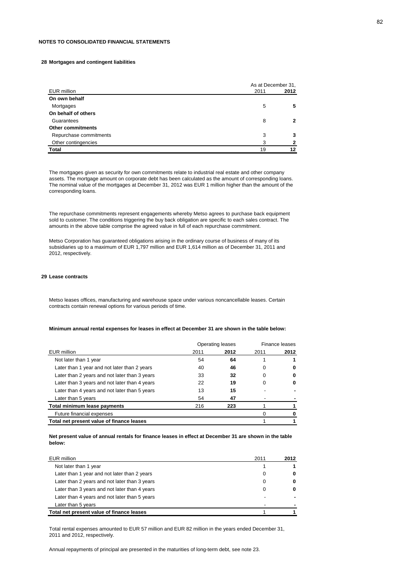#### **28 Mortgages and contingent liabilities**

|                          | As at December 31, |                |  |
|--------------------------|--------------------|----------------|--|
| EUR million              | 2011               | 2012           |  |
| On own behalf            |                    |                |  |
| Mortgages                | 5                  | 5              |  |
| On behalf of others      |                    |                |  |
| Guarantees               | 8                  | $\overline{2}$ |  |
| <b>Other commitments</b> |                    |                |  |
| Repurchase commitments   | 3                  | 3              |  |
| Other contingencies      | 3                  | $\mathbf{2}$   |  |
| Total                    | 19                 | 12             |  |

The mortgages given as security for own commitments relate to industrial real estate and other company assets. The mortgage amount on corporate debt has been calculated as the amount of corresponding loans. The nominal value of the mortgages at December 31, 2012 was EUR 1 million higher than the amount of the corresponding loans.

The repurchase commitments represent engagements whereby Metso agrees to purchase back equipment sold to customer. The conditions triggering the buy back obligation are specific to each sales contract. The amounts in the above table comprise the agreed value in full of each repurchase commitment.

Metso Corporation has guaranteed obligations arising in the ordinary course of business of many of its subsidiaries up to a maximum of EUR 1,797 million and EUR 1,614 million as of December 31, 2011 and 2012, respectively.

### **29 Lease contracts**

Metso leases offices, manufacturing and warehouse space under various noncancellable leases. Certain contracts contain renewal options for various periods of time.

### **Minimum annual rental expenses for leases in effect at December 31 are shown in the table below:**

|                                               |      | Operating leases |      | Finance leases |
|-----------------------------------------------|------|------------------|------|----------------|
| EUR million                                   | 2011 | 2012             | 2011 | 2012           |
| Not later than 1 year                         | 54   | 64               |      |                |
| Later than 1 year and not later than 2 years  | 40   | 46               | 0    | 0              |
| Later than 2 years and not later than 3 years | 33   | 32               | 0    | 0              |
| Later than 3 years and not later than 4 years | 22   | 19               | 0    | 0              |
| Later than 4 years and not later than 5 years | 13   | 15               |      |                |
| Later than 5 years                            | 54   | 47               |      |                |
| Total minimum lease payments                  | 216  | 223              |      |                |
| Future financial expenses                     |      |                  |      | 0              |
| Total net present value of finance leases     |      |                  |      |                |

**Net present value of annual rentals for finance leases in effect at December 31 are shown in the table below:**

| EUR million                                   | 2011 | 2012 |
|-----------------------------------------------|------|------|
| Not later than 1 year                         |      |      |
| Later than 1 year and not later than 2 years  | O    | 0    |
| Later than 2 years and not later than 3 years | O    | 0    |
| Later than 3 years and not later than 4 years |      | 0    |
| Later than 4 years and not later than 5 years |      |      |
| Later than 5 years                            |      |      |
| Total net present value of finance leases     |      |      |

Total rental expenses amounted to EUR 57 million and EUR 82 million in the years ended December 31, 2011 and 2012, respectively.

Annual repayments of principal are presented in the maturities of long-term debt, see note 23.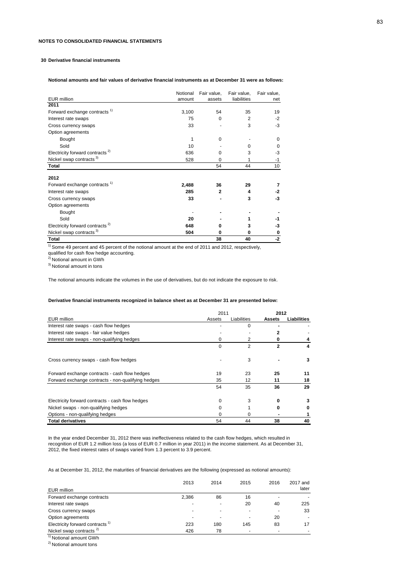#### **30 Derivative financial instruments**

### **Notional amounts and fair values of derivative financial instruments as at December 31 were as follows:**

|                                             | Notional | Fair value,  | Fair value,    | Fair value, |
|---------------------------------------------|----------|--------------|----------------|-------------|
| <b>EUR</b> million                          | amount   | assets       | liabilities    | net         |
| 2011                                        |          |              |                |             |
| Forward exchange contracts <sup>1)</sup>    | 3,100    | 54           | 35             | 19          |
| Interest rate swaps                         | 75       | $\Omega$     | $\overline{2}$ | $-2$        |
| Cross currency swaps                        | 33       |              | 3              | -3          |
| Option agreements                           |          |              |                |             |
| Bought                                      | 1        | $\Omega$     |                | $\Omega$    |
| Sold                                        | 10       |              | 0              | $\Omega$    |
| Electricity forward contracts <sup>2)</sup> | 636      | O            | 3              | -3          |
| Nickel swap contracts <sup>3)</sup>         | 528      | 0            | 1              | -1          |
| Total                                       |          | 54           | 44             | 10          |
| 2012                                        |          |              |                |             |
| Forward exchange contracts <sup>1)</sup>    | 2,488    | 36           | 29             | 7           |
| Interest rate swaps                         | 285      | $\mathbf{2}$ | 4              | -2          |
| Cross currency swaps                        | 33       |              | 3              | -3          |
| Option agreements                           |          |              |                |             |
| Bought                                      |          |              |                |             |
| Sold                                        | 20       |              | 1              | -1          |
| Electricity forward contracts <sup>2)</sup> | 648      | 0            | 3              | -3          |
| Nickel swap contracts <sup>3)</sup>         | 504      | 0            | 0              | 0           |
| <b>Total</b>                                |          | 38           | 40             | $-2$        |

<sup>1)</sup> Some 49 percent and 45 percent of the notional amount at the end of 2011 and 2012, respectively,

qualified for cash flow hedge accounting.<br><sup>2)</sup> Notional amount in GWh

3) Notional amount in tons

The notional amounts indicate the volumes in the use of derivatives, but do not indicate the exposure to risk.

### **Derivative financial instruments recognized in balance sheet as at December 31 are presented below:**

|                                                                                                                                                                                                                                                                                                   | 2011     |                | 2012                  |    |  |
|---------------------------------------------------------------------------------------------------------------------------------------------------------------------------------------------------------------------------------------------------------------------------------------------------|----------|----------------|-----------------------|----|--|
| EUR million<br>Interest rate swaps - cash flow hedges<br>Interest rate swaps - fair value hedges<br>Interest rate swaps - non-qualifying hedges<br>Cross currency swaps - cash flow hedges<br>Forward exchange contracts - cash flow hedges<br>Forward exchange contracts - non-qualifying hedges | Assets   | Liabilities    | Liabilities<br>Assets |    |  |
|                                                                                                                                                                                                                                                                                                   |          | <sup>0</sup>   |                       |    |  |
|                                                                                                                                                                                                                                                                                                   |          |                |                       |    |  |
|                                                                                                                                                                                                                                                                                                   | $\Omega$ | 2              | 0                     |    |  |
|                                                                                                                                                                                                                                                                                                   | $\Omega$ | $\overline{2}$ | $\overline{2}$        | 4  |  |
|                                                                                                                                                                                                                                                                                                   |          | 3              |                       | 3  |  |
|                                                                                                                                                                                                                                                                                                   | 19       | 23             | 25                    | 11 |  |
|                                                                                                                                                                                                                                                                                                   | 35       | 12             | 11                    | 18 |  |
|                                                                                                                                                                                                                                                                                                   | 54       | 35             | 36                    | 29 |  |
| Electricity forward contracts - cash flow hedges                                                                                                                                                                                                                                                  | $\Omega$ | 3              | o                     |    |  |
| Nickel swaps - non-qualifying hedges                                                                                                                                                                                                                                                              | 0        |                | 0                     | 0  |  |
| Options - non-qualifying hedges                                                                                                                                                                                                                                                                   | O        | U              |                       |    |  |
| <b>Total derivatives</b>                                                                                                                                                                                                                                                                          | 54       | 44             | 38                    | 40 |  |

In the year ended December 31, 2012 there was ineffectiveness related to the cash flow hedges, which resulted in recognition of EUR 1.2 million loss (a loss of EUR 0.7 million in year 2011) in the income statement. As at December 31, 2012, the fixed interest rates of swaps varied from 1.3 percent to 3.9 percent.

As at December 31, 2012, the maturities of financial derivatives are the following (expressed as notional amounts):

| EUR million                                 | 2013  | 2014 | 2015 | 2016           | 2017 and<br>later |
|---------------------------------------------|-------|------|------|----------------|-------------------|
| Forward exchange contracts                  | 2,386 | 86   | 16   | $\overline{a}$ |                   |
| Interest rate swaps                         |       | -    | 20   | 40             | 225               |
| Cross currency swaps                        | ۰     | -    |      | ٠              | 33                |
| Option agreements                           | ۰     | -    | -    | 20             |                   |
| Electricity forward contracts <sup>1)</sup> | 223   | 180  | 145  | 83             | 17                |
| Nickel swap contracts $2$<br>$\cdots$       | 426   | 78   | -    | $\overline{a}$ |                   |

1) Notional amount GWh

2) Notional amount tons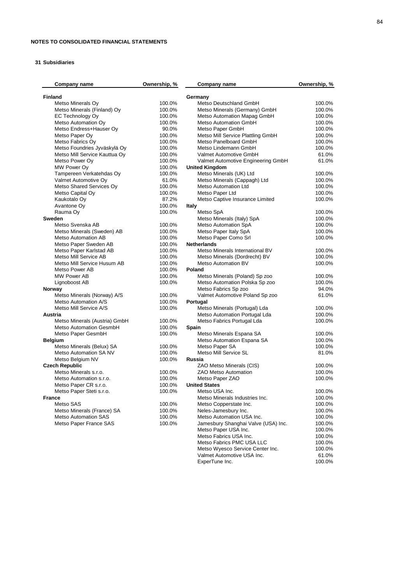### **31 Subsidiaries**

| Company name                                               | Ownership, % | Company name                            | Ownership, % |
|------------------------------------------------------------|--------------|-----------------------------------------|--------------|
| <b>Finland</b>                                             |              | Germany                                 |              |
| Metso Minerals Oy                                          | 100.0%       | Metso Deutschland GmbH                  | 100.0%       |
| Metso Minerals (Finland) Oy                                | 100.0%       | Metso Minerals (Germany) GmbH           | 100.0%       |
| EC Technology Oy                                           | 100.0%       | Metso Automation Mapag GmbH             | 100.0%       |
| Metso Automation Oy                                        | 100.0%       | Metso Automation GmbH                   | 100.0%       |
| Metso Endress+Hauser Oy                                    | 90.0%        | Metso Paper GmbH                        | 100.0%       |
| Metso Paper Oy                                             | 100.0%       | Metso Mill Service Plattling GmbH       | 100.0%       |
| Metso Fabrics Oy                                           | 100.0%       | Metso Panelboard GmbH                   | 100.0%       |
| Metso Foundries Jyväskylä Oy                               | 100.0%       | Metso Lindemann GmbH                    | 100.0%       |
| Metso Mill Service Kauttua Oy                              | 100.0%       | Valmet Automotive GmbH                  | 61.0%        |
| Metso Power Oy                                             | 100.0%       | Valmet Automotive Engineering GmbH      | 61.0%        |
| MW Power Oy                                                | 100.0%       | <b>United Kingdom</b>                   |              |
| Tampereen Verkatehdas Oy                                   | 100.0%       | Metso Minerals (UK) Ltd                 | 100.0%       |
|                                                            |              | Metso Minerals (Cappagh) Ltd            |              |
| Valmet Automotive Oy                                       | 61.0%        |                                         | 100.0%       |
| Metso Shared Services Oy                                   | 100.0%       | <b>Metso Automation Ltd</b>             | 100.0%       |
| Metso Capital Oy                                           | 100.0%       | Metso Paper Ltd                         | 100.0%       |
| Kaukotalo Oy                                               | 87.2%        | Metso Captive Insurance Limited         | 100.0%       |
| Avantone Oy                                                | 100.0%       | <b>Italy</b>                            |              |
| Rauma Oy                                                   | 100.0%       | Metso SpA                               | 100.0%       |
| <b>Sweden</b>                                              |              | Metso Minerals (Italy) SpA              | 100.0%       |
| Metso Svenska AB                                           | 100.0%       | Metso Automation SpA                    | 100.0%       |
| Metso Minerals (Sweden) AB                                 | 100.0%       | Metso Paper Italy SpA                   | 100.0%       |
| <b>Metso Automation AB</b>                                 | 100.0%       | Metso Paper Como Srl                    | 100.0%       |
| Metso Paper Sweden AB                                      | 100.0%       | <b>Netherlands</b>                      |              |
| Metso Paper Karlstad AB                                    | 100.0%       | Metso Minerals International BV         | 100.0%       |
| Metso Mill Service AB                                      | 100.0%       | Metso Minerals (Dordrecht) BV           | 100.0%       |
| Metso Mill Service Husum AB                                | 100.0%       | <b>Metso Automation BV</b>              | 100.0%       |
| Metso Power AB                                             | 100.0%       | Poland                                  |              |
| MW Power AB                                                | 100.0%       | Metso Minerals (Poland) Sp zoo          | 100.0%       |
| Lignoboost AB                                              | 100.0%       | Metso Automation Polska Sp zoo          | 100.0%       |
| Norway                                                     |              | Metso Fabrics Sp zoo                    | 94.0%        |
| Metso Minerals (Norway) A/S                                | 100.0%       | Valmet Automotive Poland Sp zoo         | 61.0%        |
| Metso Automation A/S                                       | 100.0%       | Portugal                                |              |
| Metso Mill Service A/S                                     | 100.0%       | Metso Minerals (Portugal) Lda           | 100.0%       |
| Austria                                                    |              | Metso Automation Portugal Lda           | 100.0%       |
| Metso Minerals (Austria) GmbH                              | 100.0%       | Metso Fabrics Portugal Lda              | 100.0%       |
| Metso Automation GesmbH                                    | 100.0%       | <b>Spain</b>                            |              |
| Metso Paper GesmbH                                         | 100.0%       | Metso Minerals Espana SA                | 100.0%       |
| <b>Belgium</b>                                             |              | Metso Automation Espana SA              | 100.0%       |
|                                                            |              |                                         |              |
| Metso Minerals (Belux) SA<br><b>Metso Automation SA NV</b> | 100.0%       | Metso Paper SA<br>Metso Mill Service SL | 100.0%       |
|                                                            | 100.0%       |                                         | 81.0%        |
| Metso Belgium NV                                           | 100.0%       | Russia                                  |              |
| <b>Czech Republic</b>                                      |              | ZAO Metso Minerals (CIS)                | 100.0%       |
| Metso Minerals s.r.o.                                      | 100.0%       | <b>ZAO Metso Automation</b>             | 100.0%       |
| Metso Automation s.r.o.                                    | 100.0%       | Metso Paper ZAO                         | 100.0%       |
| Metso Paper CR s.r.o.                                      | 100.0%       | <b>United States</b>                    |              |
| Metso Paper Steti s.r.o.                                   | 100.0%       | Metso USA Inc.                          | 100.0%       |
| <b>France</b>                                              |              | Metso Minerals Industries Inc.          | 100.0%       |
| Metso SAS                                                  | 100.0%       | Metso Copperstate Inc.                  | 100.0%       |
| Metso Minerals (France) SA                                 | 100.0%       | Neles-Jamesbury Inc.                    | 100.0%       |
| <b>Metso Automation SAS</b>                                | 100.0%       | Metso Automation USA Inc.               | 100.0%       |
| Metso Paper France SAS                                     | 100.0%       | Jamesbury Shanghai Valve (USA) Inc.     | 100.0%       |
|                                                            |              | Metso Paper USA Inc.                    | 100.0%       |
|                                                            |              | Metso Fabrics USA Inc.                  | 100.0%       |
|                                                            |              | Metso Fabrics PMC USA LLC               | 100.0%       |
|                                                            |              | Metso Wyesco Service Center Inc.        | 100.0%       |
|                                                            |              | Valmet Automotive USA Inc.              | 61.0%        |
|                                                            |              | ExperTune Inc.                          | 100.0%       |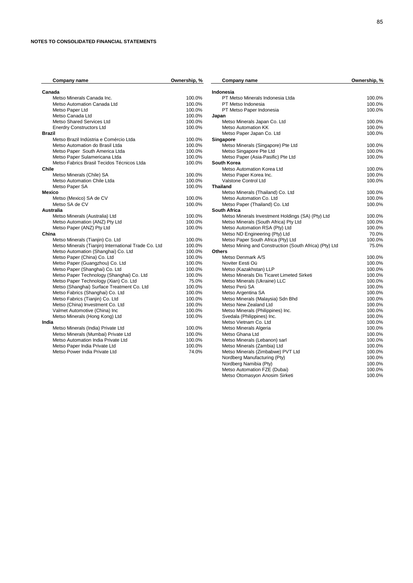| Company name                                         | Ownership, % | Compar              |
|------------------------------------------------------|--------------|---------------------|
| Canada                                               |              | Indonesia           |
| Metso Minerals Canada Inc.                           | 100.0%       | PT Mets             |
| Metso Automation Canada Ltd                          | 100.0%       | PT Mets             |
| Metso Paper Ltd                                      | 100.0%       | PT Mets             |
| Metso Canada Ltd                                     | 100.0%       | Japan               |
| Metso Shared Services Ltd                            | 100.0%       | Metso M             |
| <b>Enerdry Constructors Ltd</b>                      | 100.0%       | Metso A             |
| Brazil                                               |              | Metso P             |
| Metso Brazil Indústria e Comércio Ltda               | 100.0%       | Singapore           |
| Metso Automation do Brasil Ltda                      | 100.0%       | Metso M             |
| Metso Paper South America Ltda                       | 100.0%       | Metso S             |
| Metso Paper Sulamericana Ltda                        | 100.0%       | Metso Pa            |
| Metso Fabrics Brasil Tecidos Técnicos Ltda           | 100.0%       | South Korea         |
| Chile                                                |              | Metso A             |
| Metso Minerals (Chile) SA                            | 100.0%       | Metso Pa            |
| Metso Automation Chile Ltda                          | 100.0%       | Valstone            |
| Metso Paper SA                                       | 100.0%       | <b>Thailand</b>     |
| Mexico                                               |              | Metso M             |
| Metso (Mexico) SA de CV                              | 100.0%       | Metso A             |
| Metso SA de CV                                       | 100.0%       | Metso P             |
| Australia                                            |              | <b>South Africa</b> |
| Metso Minerals (Australia) Ltd                       | 100.0%       | Metso M             |
| Metso Automation (ANZ) Pty Ltd                       | 100.0%       | Metso M             |
| Metso Paper (ANZ) Pty Ltd                            | 100.0%       | Metso A             |
| China                                                |              | Metso N             |
| Metso Minerals (Tianjin) Co. Ltd                     | 100.0%       | Metso P             |
| Metso Minerals (Tianjin) International Trade Co. Ltd | 100.0%       | Metso M             |
| Metso Automation (Shanghai) Co. Ltd                  | 100.0%       | <b>Others</b>       |
| Metso Paper (China) Co. Ltd                          | 100.0%       | Metso D             |
| Metso Paper (Guangzhou) Co. Ltd                      | 100.0%       | Noviter <b>E</b>    |
| Metso Paper (Shanghai) Co. Ltd                       | 100.0%       | Metso (k            |
| Metso Paper Technology (Shanghai) Co. Ltd            | 100.0%       | Metso M             |
| Metso Paper Technology (Xian) Co. Ltd                | 75.0%        | Metso M             |
| Metso (Shanghai) Surface Treatment Co. Ltd           | 100.0%       | Metso P             |
| Metso Fabrics (Shanghai) Co. Ltd                     | 100.0%       | Metso A             |
| Metso Fabrics (Tianjin) Co. Ltd                      | 100.0%       | Metso M             |
| Metso (China) Investment Co. Ltd                     | 100.0%       | Metso N             |
| Valmet Automotive (China) Inc                        | 100.0%       | Metso M             |
| Metso Minerals (Hong Kong) Ltd                       | 100.0%       | Svedala             |
| India                                                |              | Metso V             |
| Metso Minerals (India) Private Ltd                   | 100.0%       | Metso M             |
| Metso Minerals (Mumbai) Private Ltd                  | 100.0%       | Metso G             |
| Metso Automation India Private Ltd                   | 100.0%       | Metso M             |
| Metso Paper India Private Ltd                        | 100.0%       | Metso M             |
| Metso Power India Private Ltd                        | 74.0%        | Metso M             |

| Company name                                                                             | Ownership, %     | <b>Company name</b>                                                     | Ownership, %     |
|------------------------------------------------------------------------------------------|------------------|-------------------------------------------------------------------------|------------------|
| Canada                                                                                   |                  | Indonesia                                                               |                  |
| Metso Minerals Canada Inc.                                                               | 100.0%           | PT Metso Minerals Indonesia Ltda                                        | 100.0%           |
| Metso Automation Canada Ltd                                                              | 100.0%           | PT Metso Indonesia                                                      | 100.0%           |
| Metso Paper Ltd                                                                          | 100.0%           | PT Metso Paper Indonesia                                                | 100.0%           |
| Metso Canada Ltd                                                                         | 100.0%           | Japan                                                                   |                  |
| Metso Shared Services Ltd                                                                | 100.0%           | Metso Minerals Japan Co. Ltd                                            | 100.0%           |
| <b>Enerdry Constructors Ltd</b>                                                          | 100.0%           | <b>Metso Automation KK</b>                                              | 100.0%           |
| Brazil                                                                                   |                  | Metso Paper Japan Co. Ltd                                               | 100.0%           |
| Metso Brazil Indústria e Comércio Ltda                                                   | 100.0%           | Singapore                                                               |                  |
| Metso Automation do Brasil Ltda                                                          | 100.0%           | Metso Minerals (Singapore) Pte Ltd                                      | 100.0%           |
| Metso Paper South America Ltda                                                           | 100.0%           | Metso Singapore Pte Ltd                                                 | 100.0%           |
| Metso Paper Sulamericana Ltda                                                            | 100.0%           | Metso Paper (Asia-Pasific) Pte Ltd                                      | 100.0%           |
| Metso Fabrics Brasil Tecidos Técnicos Ltda                                               | 100.0%           | South Korea                                                             |                  |
| Chile                                                                                    |                  | Metso Automation Korea Ltd                                              | 100.0%           |
| Metso Minerals (Chile) SA                                                                | 100.0%           | Metso Paper Korea Inc.                                                  | 100.0%           |
| Metso Automation Chile Ltda                                                              | 100.0%           | Valstone Control Ltd                                                    | 100.0%           |
| Metso Paper SA                                                                           | 100.0%           | <b>Thailand</b>                                                         |                  |
| Mexico                                                                                   |                  | Metso Minerals (Thailand) Co. Ltd                                       | 100.0%           |
| Metso (Mexico) SA de CV                                                                  | 100.0%           | Metso Automation Co. Ltd                                                | 100.0%           |
| Metso SA de CV                                                                           | 100.0%           | Metso Paper (Thailand) Co. Ltd                                          | 100.0%           |
| Australia                                                                                |                  | South Africa                                                            |                  |
| Metso Minerals (Australia) Ltd                                                           | 100.0%           | Metso Minerals Investment Holdings (SA) (Pty) Ltd                       | 100.0%           |
| Metso Automation (ANZ) Pty Ltd                                                           | 100.0%           | Metso Minerals (South Africa) Pty Ltd                                   | 100.0%           |
| Metso Paper (ANZ) Pty Ltd                                                                | 100.0%           | Metso Automation RSA (Pty) Ltd                                          | 100.0%           |
| China                                                                                    |                  | Metso ND Engineering (Pty) Ltd                                          | 70.0%            |
|                                                                                          |                  |                                                                         | 100.0%           |
| Metso Minerals (Tianjin) Co. Ltd<br>Metso Minerals (Tianjin) International Trade Co. Ltd | 100.0%           | Metso Paper South Africa (Pty) Ltd                                      |                  |
| Metso Automation (Shanghai) Co. Ltd                                                      | 100.0%           | Metso Mining and Construction (South Africa) (Pty) Ltd<br><b>Others</b> | 75.0%            |
| Metso Paper (China) Co. Ltd                                                              | 100.0%<br>100.0% | Metso Denmark A/S                                                       | 100.0%           |
|                                                                                          |                  | Noviter Eesti Oü                                                        |                  |
| Metso Paper (Guangzhou) Co. Ltd                                                          | 100.0%<br>100.0% |                                                                         | 100.0%<br>100.0% |
| Metso Paper (Shanghai) Co. Ltd                                                           |                  | Metso (Kazakhstan) LLP                                                  |                  |
| Metso Paper Technology (Shanghai) Co. Ltd                                                | 100.0%           | Metso Minerals Dis Ticaret Limeted Sirketi                              | 100.0%           |
| Metso Paper Technology (Xian) Co. Ltd                                                    | 75.0%            | Metso Minerals (Ukraine) LLC                                            | 100.0%           |
| Metso (Shanghai) Surface Treatment Co. Ltd                                               | 100.0%           | Metso Perú SA                                                           | 100.0%           |
| Metso Fabrics (Shanghai) Co. Ltd                                                         | 100.0%           | Metso Argentina SA                                                      | 100.0%           |
| Metso Fabrics (Tianjin) Co. Ltd                                                          | 100.0%           | Metso Minerals (Malaysia) Sdn Bhd                                       | 100.0%           |
| Metso (China) Investment Co. Ltd                                                         | 100.0%<br>100.0% | Metso New Zealand Ltd                                                   | 100.0%<br>100.0% |
| Valmet Automotive (China) Inc                                                            |                  | Metso Minerals (Philippines) Inc.                                       |                  |
| Metso Minerals (Hong Kong) Ltd<br>India                                                  | 100.0%           | Svedala (Philippines) Inc.                                              | 100.0%           |
|                                                                                          |                  | Metso Vietnam Co. Ltd                                                   | 100.0%           |
| Metso Minerals (India) Private Ltd                                                       | 100.0%           | Metso Minerals Algeria<br>Metso Ghana Ltd                               | 100.0%           |
| Metso Minerals (Mumbai) Private Ltd                                                      | 100.0%           |                                                                         | 100.0%           |
| Metso Automation India Private Ltd                                                       | 100.0%           | Metso Minerals (Lebanon) sarl                                           | 100.0%           |
| Metso Paper India Private Ltd                                                            | 100.0%           | Metso Minerals (Zambia) Ltd                                             | 100.0%           |
| Metso Power India Private Ltd                                                            | 74.0%            | Metso Minerals (Zimbabwe) PVT Ltd                                       | 100.0%           |
|                                                                                          |                  | Nordberg Manufacturing (Pty)                                            | 100.0%           |
|                                                                                          |                  | Nordberg Namibia (Pty)                                                  | 100.0%           |
|                                                                                          |                  | Metso Automation FZE (Dubai)                                            | 100.0%           |
|                                                                                          |                  | Metso Otomasyon Anosim Sirketi                                          | 100.0%           |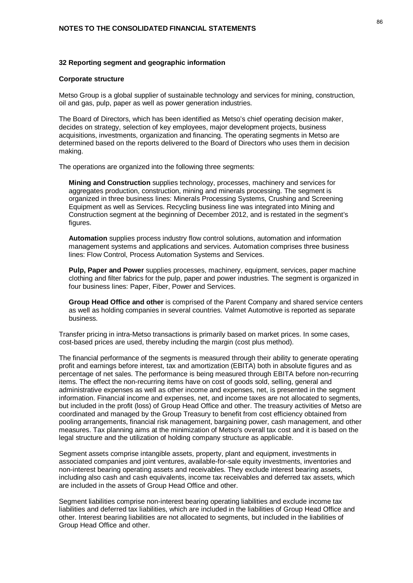## **32 Reporting segment and geographic information**

### **Corporate structure**

Metso Group is a global supplier of sustainable technology and services for mining, construction, oil and gas, pulp, paper as well as power generation industries.

The Board of Directors, which has been identified as Metso's chief operating decision maker, decides on strategy, selection of key employees, major development projects, business acquisitions, investments, organization and financing. The operating segments in Metso are determined based on the reports delivered to the Board of Directors who uses them in decision making.

The operations are organized into the following three segments:

**Mining and Construction** supplies technology, processes, machinery and services for aggregates production, construction, mining and minerals processing. The segment is organized in three business lines: Minerals Processing Systems, Crushing and Screening Equipment as well as Services. Recycling business line was integrated into Mining and Construction segment at the beginning of December 2012, and is restated in the segment's figures.

**Automation** supplies process industry flow control solutions, automation and information management systems and applications and services. Automation comprises three business lines: Flow Control, Process Automation Systems and Services.

**Pulp, Paper and Power** supplies processes, machinery, equipment, services, paper machine clothing and filter fabrics for the pulp, paper and power industries. The segment is organized in four business lines: Paper, Fiber, Power and Services.

**Group Head Office and other** is comprised of the Parent Company and shared service centers as well as holding companies in several countries. Valmet Automotive is reported as separate business.

Transfer pricing in intra-Metso transactions is primarily based on market prices. In some cases, cost-based prices are used, thereby including the margin (cost plus method).

The financial performance of the segments is measured through their ability to generate operating profit and earnings before interest, tax and amortization (EBITA) both in absolute figures and as percentage of net sales. The performance is being measured through EBITA before non-recurring items. The effect the non-recurring items have on cost of goods sold, selling, general and administrative expenses as well as other income and expenses, net, is presented in the segment information. Financial income and expenses, net, and income taxes are not allocated to segments, but included in the profit (loss) of Group Head Office and other. The treasury activities of Metso are coordinated and managed by the Group Treasury to benefit from cost efficiency obtained from pooling arrangements, financial risk management, bargaining power, cash management, and other measures. Tax planning aims at the minimization of Metso's overall tax cost and it is based on the legal structure and the utilization of holding company structure as applicable.

Segment assets comprise intangible assets, property, plant and equipment, investments in associated companies and joint ventures, available-for-sale equity investments, inventories and non-interest bearing operating assets and receivables. They exclude interest bearing assets, including also cash and cash equivalents, income tax receivables and deferred tax assets, which are included in the assets of Group Head Office and other.

Segment liabilities comprise non-interest bearing operating liabilities and exclude income tax liabilities and deferred tax liabilities, which are included in the liabilities of Group Head Office and other. Interest bearing liabilities are not allocated to segments, but included in the liabilities of Group Head Office and other.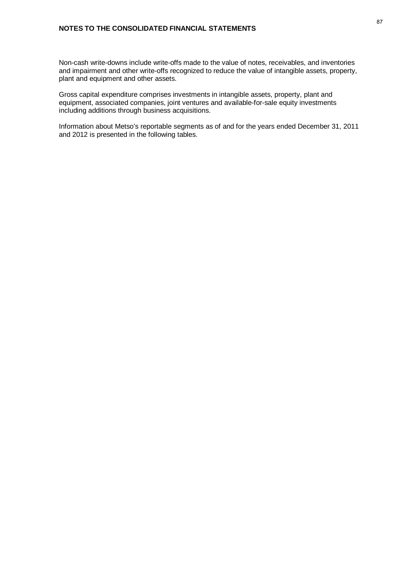Non-cash write-downs include write-offs made to the value of notes, receivables, and inventories and impairment and other write-offs recognized to reduce the value of intangible assets, property, plant and equipment and other assets.

Gross capital expenditure comprises investments in intangible assets, property, plant and equipment, associated companies, joint ventures and available-for-sale equity investments including additions through business acquisitions.

Information about Metso's reportable segments as of and for the years ended December 31, 2011 and 2012 is presented in the following tables.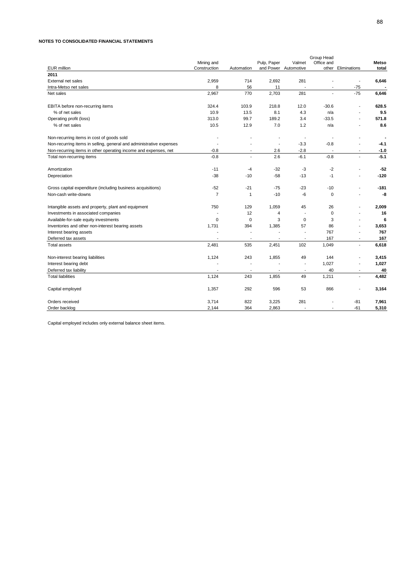|                                                                     |                |                          |                          |                          | Group Head     |                              |              |
|---------------------------------------------------------------------|----------------|--------------------------|--------------------------|--------------------------|----------------|------------------------------|--------------|
|                                                                     | Mining and     |                          | Pulp, Paper              | Valmet                   | Office and     |                              | <b>Metso</b> |
| EUR million<br>2011                                                 | Construction   | Automation               |                          | and Power Automotive     |                | other Eliminations           | total        |
|                                                                     |                |                          |                          |                          |                |                              |              |
| <b>External net sales</b>                                           | 2,959          | 714                      | 2,692                    | 281                      | $\blacksquare$ | $\qquad \qquad \blacksquare$ | 6,646        |
| Intra-Metso net sales                                               | 8              | 56<br>770                | 11                       | 281                      |                | $-75$<br>$-75$               |              |
| Net sales                                                           | 2,967          |                          | 2,703                    |                          |                |                              | 6,646        |
| EBITA before non-recurring items                                    | 324.4          | 103.9                    | 218.8                    | 12.0                     | $-30.6$        | $\overline{a}$               | 628.5        |
| % of net sales                                                      | 10.9           | 13.5                     | 8.1                      | 4.3                      | n/a            |                              | 9.5          |
| Operating profit (loss)                                             | 313.0          | 99.7                     | 189.2                    | 3.4                      | $-33.5$        | $\overline{\phantom{a}}$     | 571.8        |
| % of net sales                                                      | 10.5           | 12.9                     | 7.0                      | 1.2                      | n/a            |                              | 8.6          |
| Non-recurring items in cost of goods sold                           |                |                          |                          | $\blacksquare$           |                |                              |              |
| Non-recurring items in selling, general and administrative expenses |                |                          | $\overline{a}$           | $-3.3$                   | $-0.8$         |                              | -4.1         |
| Non-recurring items in other operating income and expenses, net     | $-0.8$         | $\blacksquare$           | 2.6                      | $-2.8$                   |                |                              | $-1.0$       |
| Total non-recurring items                                           | $-0.8$         | $\overline{\phantom{a}}$ | 2.6                      | $-6.1$                   | $-0.8$         | $\overline{a}$               | $-5.1$       |
| Amortization                                                        | $-11$          | $-4$                     | $-32$                    | $-3$                     | $-2$           | Ĭ.                           | $-52$        |
| Depreciation                                                        | $-38$          | $-10$                    | $-58$                    | $-13$                    | $-1$           |                              | $-120$       |
| Gross capital expenditure (including business acquisitions)         | $-52$          | $-21$                    | $-75$                    | $-23$                    | $-10$          |                              | $-181$       |
| Non-cash write-downs                                                | $\overline{7}$ | $\mathbf{1}$             | $-10$                    | -6                       | $\mathbf 0$    |                              | -8           |
| Intangible assets and property, plant and equipment                 | 750            | 129                      | 1,059                    | 45                       | 26             | $\overline{\phantom{a}}$     | 2,009        |
| Investments in associated companies                                 |                | 12                       | 4                        | $\overline{\phantom{a}}$ | 0              |                              | 16           |
| Available-for-sale equity investments                               | 0              | $\mathbf 0$              | 3                        | $\mathbf 0$              | 3              |                              | 6            |
| Inventories and other non-interest bearing assets                   | 1,731          | 394                      | 1,385                    | 57                       | 86             | $\overline{a}$               | 3,653        |
| Interest bearing assets                                             |                |                          |                          | $\overline{\phantom{a}}$ | 767            |                              | 767          |
| Deferred tax assets                                                 |                | $\overline{\phantom{a}}$ | $\overline{\phantom{a}}$ | $\overline{\phantom{a}}$ | 167            | $\overline{\phantom{a}}$     | 167          |
| <b>Total assets</b>                                                 | 2,481          | 535                      | 2,451                    | 102                      | 1,049          | $\overline{a}$               | 6,618        |
| Non-interest bearing liabilities                                    | 1,124          | 243                      | 1,855                    | 49                       | 144            |                              | 3,415        |
| Interest bearing debt                                               |                | $\blacksquare$           |                          | $\overline{\phantom{a}}$ | 1,027          | $\overline{a}$               | 1,027        |
| Deferred tax liability                                              |                |                          |                          | $\overline{\phantom{a}}$ | 40             | $\overline{a}$               | 40           |
| <b>Total liabilities</b>                                            | 1.124          | 243                      | 1,855                    | 49                       | 1,211          | $\overline{\phantom{a}}$     | 4,482        |
| Capital employed                                                    | 1,357          | 292                      | 596                      | 53                       | 866            |                              | 3,164        |
| Orders received                                                     | 3,714          | 822                      | 3,225                    | 281                      |                | -81                          | 7,961        |
| Order backlog                                                       | 2,144          | 364                      | 2,863                    |                          |                | $-61$                        | 5,310        |

Capital employed includes only external balance sheet items.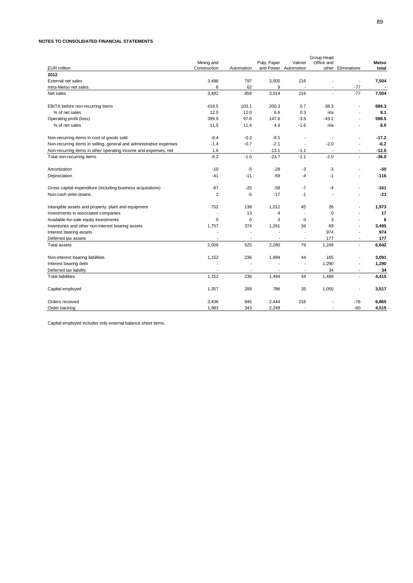|                                                                     |                          |                          |                |                          | Group Head |                          |              |
|---------------------------------------------------------------------|--------------------------|--------------------------|----------------|--------------------------|------------|--------------------------|--------------|
|                                                                     | Mining and               |                          | Pulp, Paper    | Valmet                   | Office and |                          | <b>Metso</b> |
| EUR million                                                         | Construction             | Automation               |                | and Power Automotive     |            | other Eliminations       | total        |
| 2012                                                                |                          |                          |                |                          |            |                          |              |
| <b>External net sales</b>                                           | 3,486                    | 797                      | 3,005          | 216                      | Ĭ.         | $\overline{a}$           | 7,504        |
| Intra-Metso net sales                                               | 6                        | 62                       | 9              |                          |            | $-77$                    |              |
| Net sales                                                           | 3,492                    | 859                      | 3,014          | 216                      |            | $-77$                    | 7,504        |
| EBITA before non-recurring items                                    | 418.5                    | 103.1                    | 200.3          | 0.7                      | $-38.3$    | $\blacksquare$           | 684.3        |
| % of net sales                                                      | 12.0                     | 12.0                     | 6.6            | 0.3                      | n/a        |                          | 9.1          |
| Operating profit (loss)                                             | 399.9                    | 97.6                     | 147.6          | $-3.5$                   | $-43.1$    |                          | 598.5        |
| % of net sales                                                      | 11.5                     | 11.4                     | 4.9            | $-1.6$                   | n/a        |                          | 8.0          |
| Non-recurring items in cost of goods sold                           | $-8.4$                   | $-0.3$                   | $-8.5$         |                          |            |                          | -17.2        |
| Non-recurring items in selling, general and administrative expenses | $-1.4$                   | $-0.7$                   | $-2.1$         | $\overline{\phantom{a}}$ | $-2.0$     |                          | $-6.2$       |
| Non-recurring items in other operating income and expenses, net     | 1.6                      | $\blacksquare$           | $-13.1$        | $-1.1$                   | ÷          |                          | $-12.6$      |
| Total non-recurring items                                           | $-8.2$                   | $-1.0$                   | $-23.7$        | $-1.1$                   | $-2.0$     | $\blacksquare$           | $-36.0$      |
| Amortization                                                        | $-10$                    | $-5$                     | $-29$          | -3                       | -3         |                          | -50          |
| Depreciation                                                        | $-41$                    | $-11$                    | $-59$          | $-4$                     | $-1$       |                          | $-116$       |
| Gross capital expenditure (including business acquisitions)         | $-67$                    | $-25$                    | $-58$          | $-7$                     | -4         |                          | -161         |
| Non-cash write-downs                                                | $\overline{2}$           | $-5$                     | $-17$          | $-1$                     |            |                          | $-21$        |
| Intangible assets and property, plant and equipment                 | 752                      | 138                      | 1,012          | 45                       | 26         | $\blacksquare$           | 1,973        |
| Investments in associated companies                                 |                          | 13                       | 4              | ٠                        | 0          |                          | 17           |
| Available-for-sale equity investments                               | $\mathbf 0$              | $\mathbf 0$              | 3              | $\mathbf 0$              | 3          |                          | 6            |
| Inventories and other non-interest bearing assets                   | 1,757                    | 374                      | 1,261          | 34                       | 69         |                          | 3,495        |
| Interest bearing assets                                             |                          | ÷,                       |                | L,                       | 974        |                          | 974          |
| Deferred tax assets                                                 | $\overline{\phantom{a}}$ | $\overline{\phantom{a}}$ | $\blacksquare$ | $\overline{\phantom{a}}$ | 177        | $\overline{\phantom{a}}$ | 177          |
| <b>Total assets</b>                                                 | 2,509                    | 525                      | 2,280          | 79                       | 1,249      | $\overline{a}$           | 6,642        |
| Non-interest bearing liabilities                                    | 1,152                    | 236                      | 1,494          | 44                       | 165        |                          | 3,091        |
| Interest bearing debt                                               |                          |                          |                | $\overline{\phantom{a}}$ | 1,290      | $\blacksquare$           | 1,290        |
| Deferred tax liability                                              |                          | $\overline{\phantom{a}}$ |                | $\overline{\phantom{a}}$ | 34         |                          | 34           |
| <b>Total liabilities</b>                                            | 1,152                    | 236                      | 1,494          | 44                       | 1,489      | $\blacksquare$           | 4,415        |
| Capital employed                                                    | 1,357                    | 289                      | 786            | 35                       | 1,050      |                          | 3,517        |
| Orders received                                                     | 3,436                    | 845                      | 2,444          | 216                      |            | $-76$                    | 6,865        |
| Order backlog                                                       | 1,983                    | 343                      | 2,249          |                          |            | $-60$                    | 4,515        |

Capital employed includes only external balance sheet items.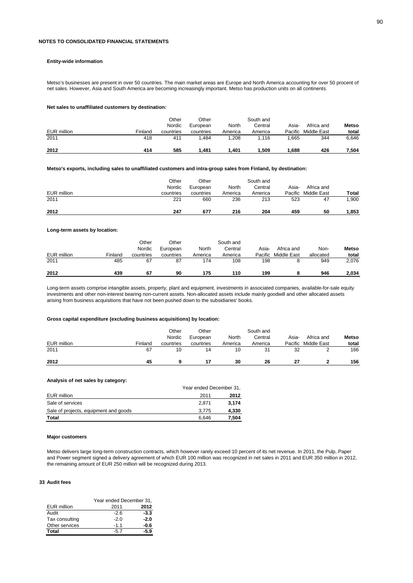#### **Entity-wide information**

Metso's businesses are present in over 50 countries. The main market areas are Europe and North America accounting for over 50 procent of net sales. However, Asia and South America are becoming increasingly important. Metso has production units on all continents.

## **Net sales to unaffiliated customers by destination:**

| 2012        | 414     | 585             | 1.481             | 1.401   | 1.509                | 1,688   | 426         | 7,504 |
|-------------|---------|-----------------|-------------------|---------|----------------------|---------|-------------|-------|
| 2011        | 418     | 411             | 1.484             | 1.208   | 1.116                | .665    | 344         | 6.646 |
| EUR million | Finland | countries       | countries         | America | America              | Pacific | Middle East | total |
|             |         | Other<br>Nordic | Other<br>European | North   | South and<br>Central | Asia-   | Africa and  | Metso |

### **Metso's exports, including sales to unaffiliated customers and intra-group sales from Finland, by destination:**

| 2012        | 247       | 677       | 216     | 204       | 459   | 50                  | 1,853 |
|-------------|-----------|-----------|---------|-----------|-------|---------------------|-------|
| 2011        | 221       | 660       | 236     | 213       | 523   | 47                  | 1,900 |
| EUR million | countries | countries | America | America   |       | Pacific Middle East | Total |
|             | Nordic    | European  | North   | Central   | Asia- | Africa and          |       |
|             | Other     | Other     |         | South and |       |                     |       |

### **Long-term assets by location:**

|                    |         | Other<br>Nordic | Other<br>European | North   | South and<br>Central | Asia-   | Africa and  | Non-      | Metso |
|--------------------|---------|-----------------|-------------------|---------|----------------------|---------|-------------|-----------|-------|
| <b>EUR</b> million | Finland | countries       | countries         | America | America              | Pacific | Middle East | allocated | total |
| 2011               | 485     | 67              | 87                | 174     | 108                  | 198     |             | 949       | 2,076 |
| 2012               | 439     | 67              | 90                | 175     | 110                  | 199     |             | 946       | 2.034 |

Long-term assets comprise intangible assets, property, plant and equipment, investments in associated companies, available-for-sale equity investments and other non-interest bearing non-current assets. Non-allocated assets include mainly goodwill and other allocated assets arising from business acquisitions that have not been pushed down to the subsidiaries' books.

### **Gross capital expenditure (excluding business acquisitions) by location:**

|             |         | Other<br>Nordic | Other<br>European | North   | South and<br>Central | Asia- | Africa and          | Metso |
|-------------|---------|-----------------|-------------------|---------|----------------------|-------|---------------------|-------|
| EUR million | Finland | countries       | countries         | America | America              |       | Pacific Middle East | total |
| 2011        | 67      | 10              | 14                | 10      | 31                   | 32    |                     | 166   |
| 2012        | 45      |                 |                   | 30      | 26                   | 27    |                     | 156   |

#### **Analysis of net sales by category:**

|                                       | Year ended December 31, |       |
|---------------------------------------|-------------------------|-------|
| EUR million                           | 2011                    | 2012  |
| Sale of services                      | 2.871                   | 3.174 |
| Sale of projects, equipment and goods | 3.775                   | 4,330 |
| Total                                 | 6.646                   | 7,504 |

#### **Major customers**

Metso delivers large long-term construction contracts, which however rarely exceed 10 percent of its net revenue. In 2011, the Pulp, Paper and Power segment signed a delivery agreement of which EUR 100 million was recognized in net sales in 2011 and EUR 350 million in 2012, the remaining amount of EUR 250 million will be recognized during 2013.

### **33 Audit fees**

|                | Year ended December 31, |        |  |
|----------------|-------------------------|--------|--|
| EUR million    | 2011                    | 2012   |  |
| Audit          | $-2.6$                  | $-3.3$ |  |
| Tax consulting | $-2.0$                  | $-2.0$ |  |
| Other services | $-1.1$                  | $-0.6$ |  |
| Total          | -5.7                    | $-5.9$ |  |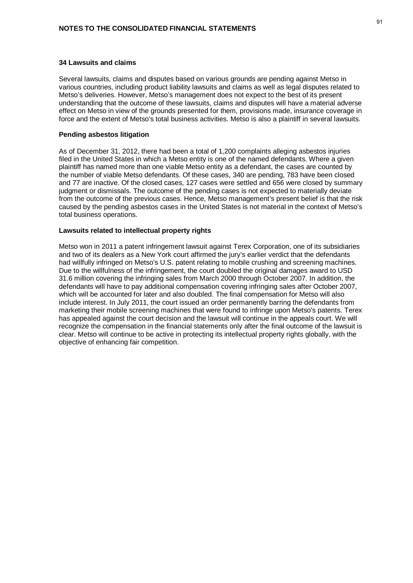### **34 Lawsuits and claims**

Several lawsuits, claims and disputes based on various grounds are pending against Metso in various countries, including product liability lawsuits and claims as well as legal disputes related to Metso's deliveries. However, Metso's management does not expect to the best of its present understanding that the outcome of these lawsuits, claims and disputes will have a material adverse effect on Metso in view of the grounds presented for them, provisions made, insurance coverage in force and the extent of Metso's total business activities. Metso is also a plaintiff in several lawsuits.

### **Pending asbestos litigation**

As of December 31, 2012, there had been a total of 1,200 complaints alleging asbestos injuries filed in the United States in which a Metso entity is one of the named defendants. Where a given plaintiff has named more than one viable Metso entity as a defendant, the cases are counted by the number of viable Metso defendants. Of these cases, 340 are pending, 783 have been closed and 77 are inactive. Of the closed cases, 127 cases were settled and 656 were closed by summary judgment or dismissals. The outcome of the pending cases is not expected to materially deviate from the outcome of the previous cases. Hence, Metso management's present belief is that the risk caused by the pending asbestos cases in the United States is not material in the context of Metso's total business operations.

# **Lawsuits related to intellectual property rights**

Metso won in 2011 a patent infringement lawsuit against Terex Corporation, one of its subsidiaries and two of its dealers as a New York court affirmed the jury's earlier verdict that the defendants had willfully infringed on Metso's U.S. patent relating to mobile crushing and screening machines. Due to the willfulness of the infringement, the court doubled the original damages award to USD 31.6 million covering the infringing sales from March 2000 through October 2007. In addition, the defendants will have to pay additional compensation covering infringing sales after October 2007, which will be accounted for later and also doubled. The final compensation for Metso will also include interest. In July 2011, the court issued an order permanently barring the defendants from marketing their mobile screening machines that were found to infringe upon Metso's patents. Terex has appealed against the court decision and the lawsuit will continue in the appeals court. We will recognize the compensation in the financial statements only after the final outcome of the lawsuit is clear. Metso will continue to be active in protecting its intellectual property rights globally, with the objective of enhancing fair competition.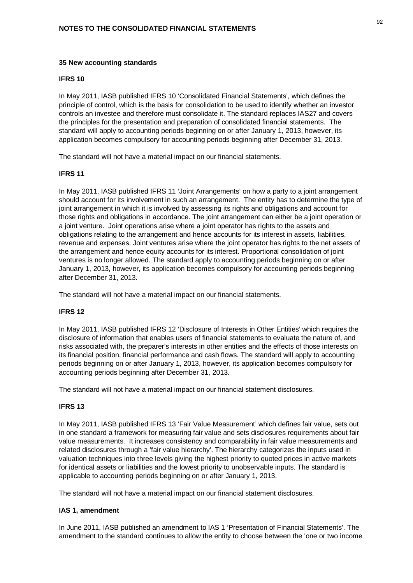# **35 New accounting standards**

### **IFRS 10**

In May 2011, IASB published IFRS 10 'Consolidated Financial Statements', which defines the principle of control, which is the basis for consolidation to be used to identify whether an investor controls an investee and therefore must consolidate it. The standard replaces IAS27 and covers the principles for the presentation and preparation of consolidated financial statements. The standard will apply to accounting periods beginning on or after January 1, 2013, however, its application becomes compulsory for accounting periods beginning after December 31, 2013.

The standard will not have a material impact on our financial statements.

## **IFRS 11**

In May 2011, IASB published IFRS 11 'Joint Arrangements' on how a party to a joint arrangement should account for its involvement in such an arrangement. The entity has to determine the type of joint arrangement in which it is involved by assessing its rights and obligations and account for those rights and obligations in accordance. The joint arrangement can either be a joint operation or a joint venture. Joint operations arise where a joint operator has rights to the assets and obligations relating to the arrangement and hence accounts for its interest in assets, liabilities, revenue and expenses. Joint ventures arise where the joint operator has rights to the net assets of the arrangement and hence equity accounts for its interest. Proportional consolidation of joint ventures is no longer allowed. The standard apply to accounting periods beginning on or after January 1, 2013, however, its application becomes compulsory for accounting periods beginning after December 31, 2013.

The standard will not have a material impact on our financial statements.

# **IFRS 12**

In May 2011, IASB published IFRS 12 'Disclosure of Interests in Other Entities' which requires the disclosure of information that enables users of financial statements to evaluate the nature of, and risks associated with, the preparer's interests in other entities and the effects of those interests on its financial position, financial performance and cash flows. The standard will apply to accounting periods beginning on or after January 1, 2013, however, its application becomes compulsory for accounting periods beginning after December 31, 2013.

The standard will not have a material impact on our financial statement disclosures.

# **IFRS 13**

In May 2011, IASB published IFRS 13 'Fair Value Measurement' which defines fair value, sets out in one standard a framework for measuring fair value and sets disclosures requirements about fair value measurements. It increases consistency and comparability in fair value measurements and related disclosures through a 'fair value hierarchy'. The hierarchy categorizes the inputs used in valuation techniques into three levels giving the highest priority to quoted prices in active markets for identical assets or liabilities and the lowest priority to unobservable inputs. The standard is applicable to accounting periods beginning on or after January 1, 2013.

The standard will not have a material impact on our financial statement disclosures.

## **IAS 1, amendment**

In June 2011, IASB published an amendment to IAS 1 'Presentation of Financial Statements'. The amendment to the standard continues to allow the entity to choose between the 'one or two income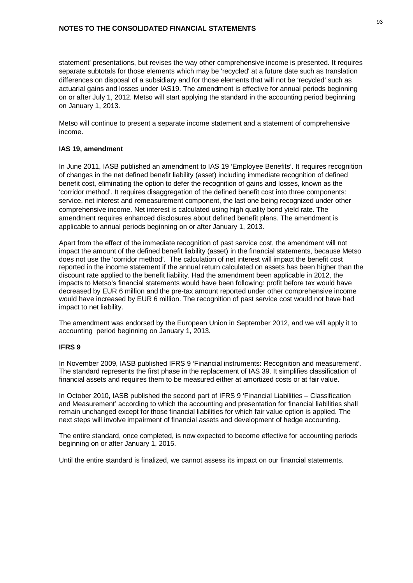statement' presentations, but revises the way other comprehensive income is presented. It requires separate subtotals for those elements which may be 'recycled' at a future date such as translation differences on disposal of a subsidiary and for those elements that will not be 'recycled' such as actuarial gains and losses under IAS19. The amendment is effective for annual periods beginning on or after July 1, 2012. Metso will start applying the standard in the accounting period beginning on January 1, 2013.

Metso will continue to present a separate income statement and a statement of comprehensive income.

# **IAS 19, amendment**

In June 2011, IASB published an amendment to IAS 19 'Employee Benefits'. It requires recognition of changes in the net defined benefit liability (asset) including immediate recognition of defined benefit cost, eliminating the option to defer the recognition of gains and losses, known as the 'corridor method'. It requires disaggregation of the defined benefit cost into three components: service, net interest and remeasurement component, the last one being recognized under other comprehensive income. Net interest is calculated using high quality bond yield rate. The amendment requires enhanced disclosures about defined benefit plans. The amendment is applicable to annual periods beginning on or after January 1, 2013.

Apart from the effect of the immediate recognition of past service cost, the amendment will not impact the amount of the defined benefit liability (asset) in the financial statements, because Metso does not use the 'corridor method'. The calculation of net interest will impact the benefit cost reported in the income statement if the annual return calculated on assets has been higher than the discount rate applied to the benefit liability. Had the amendment been applicable in 2012, the impacts to Metso's financial statements would have been following: profit before tax would have decreased by EUR 6 million and the pre-tax amount reported under other comprehensive income would have increased by EUR 6 million. The recognition of past service cost would not have had impact to net liability.

The amendment was endorsed by the European Union in September 2012, and we will apply it to accounting period beginning on January 1, 2013.

# **IFRS 9**

In November 2009, IASB published IFRS 9 'Financial instruments: Recognition and measurement'. The standard represents the first phase in the replacement of IAS 39. It simplifies classification of financial assets and requires them to be measured either at amortized costs or at fair value.

In October 2010, IASB published the second part of IFRS 9 'Financial Liabilities – Classification and Measurement' according to which the accounting and presentation for financial liabilities shall remain unchanged except for those financial liabilities for which fair value option is applied. The next steps will involve impairment of financial assets and development of hedge accounting.

The entire standard, once completed, is now expected to become effective for accounting periods beginning on or after January 1, 2015.

Until the entire standard is finalized, we cannot assess its impact on our financial statements.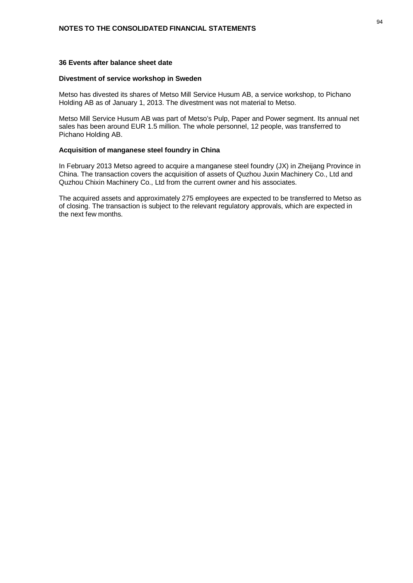### **36 Events after balance sheet date**

### **Divestment of service workshop in Sweden**

Metso has divested its shares of Metso Mill Service Husum AB, a service workshop, to Pichano Holding AB as of January 1, 2013. The divestment was not material to Metso.

Metso Mill Service Husum AB was part of Metso's Pulp, Paper and Power segment. Its annual net sales has been around EUR 1.5 million. The whole personnel, 12 people, was transferred to Pichano Holding AB.

# **Acquisition of manganese steel foundry in China**

In February 2013 Metso agreed to acquire a manganese steel foundry (JX) in Zheijang Province in China. The transaction covers the acquisition of assets of Quzhou Juxin Machinery Co., Ltd and Quzhou Chixin Machinery Co., Ltd from the current owner and his associates.

The acquired assets and approximately 275 employees are expected to be transferred to Metso as of closing. The transaction is subject to the relevant regulatory approvals, which are expected in the next few months.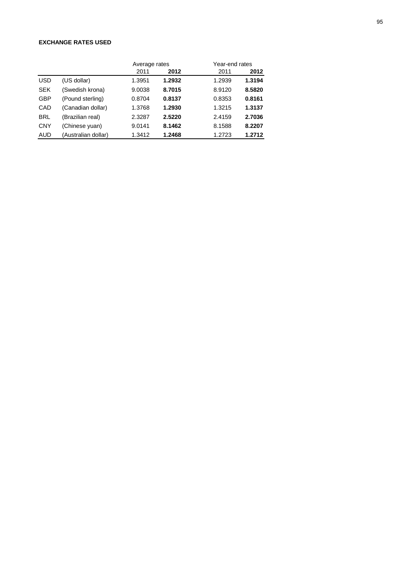# **EXCHANGE RATES USED**

|            |                     | Average rates |        | Year-end rates |        |
|------------|---------------------|---------------|--------|----------------|--------|
|            |                     | 2011          | 2012   | 2011           | 2012   |
| <b>USD</b> | (US dollar)         | 1.3951        | 1.2932 | 1.2939         | 1.3194 |
| <b>SEK</b> | (Swedish krona)     | 9.0038        | 8.7015 | 8.9120         | 8.5820 |
| <b>GBP</b> | (Pound sterling)    | 0.8704        | 0.8137 | 0.8353         | 0.8161 |
| CAD        | (Canadian dollar)   | 1.3768        | 1.2930 | 1.3215         | 1.3137 |
| <b>BRL</b> | (Brazilian real)    | 2.3287        | 2.5220 | 2.4159         | 2.7036 |
| <b>CNY</b> | (Chinese yuan)      | 9.0141        | 8.1462 | 8.1588         | 8.2207 |
| AUD        | (Australian dollar) | 1.3412        | 1.2468 | 1.2723         | 1.2712 |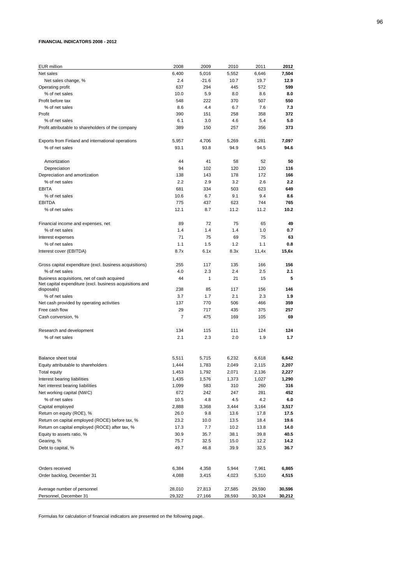### **FINANCIAL INDICATORS 2008 - 2012**

| EUR million                                                                                             | 2008           | 2009           | 2010           | 2011           | 2012             |
|---------------------------------------------------------------------------------------------------------|----------------|----------------|----------------|----------------|------------------|
| Net sales                                                                                               | 6,400          | 5,016          | 5,552          | 6,646          | 7,504            |
| Net sales change, %                                                                                     | 2.4            | $-21.6$        | 10.7           | 19.7           | 12.9             |
| Operating profit                                                                                        | 637            | 294            | 445            | 572            | 599              |
| % of net sales                                                                                          | 10.0           | 5.9            | 8.0            | 8.6            | 8.0              |
| Profit before tax                                                                                       | 548            | 222            | 370            | 507            | 550              |
| % of net sales                                                                                          | 8.6            | 4.4            | 6.7            | 7.6            | 7.3              |
| Profit                                                                                                  | 390            | 151            | 258            | 358            | 372              |
| % of net sales                                                                                          | 6.1            | 3.0            | 4.6            | 5.4            | 5.0              |
| Profit attributable to shareholders of the company                                                      | 389            | 150            | 257            | 356            | 373              |
| Exports from Finland and international operations                                                       | 5,957          | 4,706          | 5,269          | 6,281          | 7,097            |
| % of net sales                                                                                          | 93.1           | 93.8           | 94.9           | 94.5           | 94.6             |
|                                                                                                         |                |                |                |                |                  |
| Amortization                                                                                            | 44             | 41             | 58             | 52             | 50               |
| Depreciation                                                                                            | 94             | 102            | 120            | 120            | 116              |
| Depreciation and amortization                                                                           | 138            | 143            | 178            | 172            | 166              |
| % of net sales<br><b>EBITA</b>                                                                          | 2.2            | 2.9            | 3.2            | 2.6            | $2.2\phantom{0}$ |
| % of net sales                                                                                          | 681<br>10.6    | 334<br>6.7     | 503<br>9.1     | 623<br>9.4     | 649<br>8.6       |
| <b>EBITDA</b>                                                                                           | 775            | 437            | 623            | 744            | 765              |
| % of net sales                                                                                          | 12.1           | 8.7            | 11.2           | 11.2           | 10.2             |
|                                                                                                         |                |                |                |                |                  |
| Financial income and expenses, net                                                                      | 89             | 72             | 75             | 65             | 49               |
| % of net sales                                                                                          | 1.4            | 1.4            | 1.4            | 1.0            | 0.7              |
| Interest expenses                                                                                       | 71             | 75             | 69             | 75             | 63               |
| % of net sales                                                                                          | 1.1            | 1.5            | 1.2            | 1.1            | 0.8              |
| Interest cover (EBITDA)                                                                                 | 8.7x           | 6.1x           | 8.3x           | 11.4x          | 15,6x            |
| Gross capital expenditure (excl. business acquisitions)                                                 | 255            | 117            | 135            | 166            | 156              |
| % of net sales                                                                                          | 4.0            | 2.3            | 2.4            | 2.5            | 2.1              |
| Business acquisitions, net of cash acquired<br>Net capital expenditure (excl. business acquisitions and | 44             | 1              | 21             | 15             | 5                |
| disposals)                                                                                              | 238            | 85             | 117            | 156            | 146              |
| % of net sales                                                                                          | 3.7            | 1.7            | 2.1            | 2.3            | 1.9              |
| Net cash provided by operating activities                                                               | 137            | 770            | 506            | 466            | 359              |
| Free cash flow                                                                                          | 29             | 717            | 435            | 375            | 257              |
| Cash conversion, %                                                                                      | 7              | 475            | 169            | 105            | 69               |
| Research and development                                                                                | 134            | 115            | 111            | 124            | 124              |
| % of net sales                                                                                          | 2.1            | 2.3            | 2.0            | 1.9            | 1.7              |
|                                                                                                         |                |                |                |                |                  |
|                                                                                                         |                |                |                |                |                  |
| Balance sheet total<br>Equity attributable to shareholders                                              | 5,511<br>1,444 | 5,715<br>1,783 | 6,232<br>2,049 | 6,618<br>2,115 | 6,642<br>2,207   |
|                                                                                                         |                |                |                |                |                  |
| Total equity<br>Interest bearing liabilities                                                            | 1,453<br>1,435 | 1,792<br>1,576 | 2,071<br>1,373 | 2,136<br>1,027 | 2,227<br>1,290   |
| Net interest bearing liabilities                                                                        | 1,099          | 583            | 310            | 260            | 316              |
| Net working capital (NWC)                                                                               | 672            | 242            | 247            | 281            | 452              |
| % of net sales                                                                                          | 10.5           | 4.8            | 4.5            | 4.2            | 6.0              |
| Capital employed                                                                                        | 2,888          | 3,368          | 3,444          | 3,164          | 3,517            |
| Return on equity (ROE), %                                                                               | 26.0           | 9.8            | 13.6           | 17.8           | 17.5             |
| Return on capital employed (ROCE) before tax, %                                                         | 23.2           | 10.0           | 13.5           | 18.4           | 19.6             |
| Return on capital employed (ROCE) after tax, %                                                          | 17.3           | 7.7            | 10.2           | 13.8           | 14.0             |
| Equity to assets ratio, %                                                                               | 30.9           | 35.7           | 38.1           | 39.8           | 40.5             |
| Gearing, %                                                                                              | 75.7           | 32.5           | 15.0           | 12.2           | 14.2             |
| Debt to capital, %                                                                                      | 49.7           | 46.8           | 39.9           | 32.5           | 36.7             |
|                                                                                                         |                |                |                |                |                  |
| Orders received                                                                                         | 6,384          | 4,358          | 5,944          | 7,961          | 6,865            |
| Order backlog, December 31                                                                              | 4,088          | 3,415          | 4,023          | 5,310          | 4,515            |
| Average number of personnel                                                                             | 28,010         | 27,813         | 27,585         | 29,590         | 30,596           |
| Personnel, December 31                                                                                  | 29,322         | 27,166         | 28,593         | 30,324         | 30,212           |

Formulas for calculation of financial indicators are presented on the following page.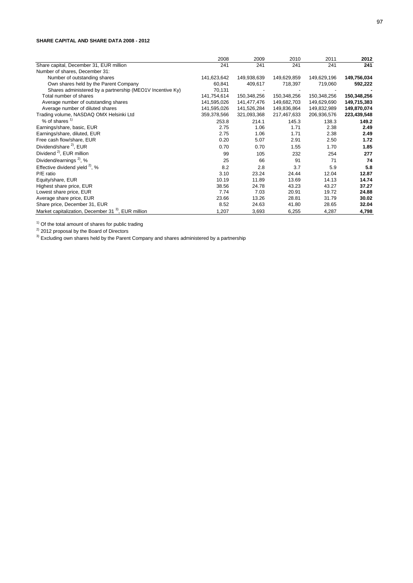### **SHARE CAPITAL AND SHARE DATA 2008 - 2012**

|                                                               | 2008        | 2009        | 2010        | 2011        | 2012        |
|---------------------------------------------------------------|-------------|-------------|-------------|-------------|-------------|
| Share capital, December 31, EUR million                       | 241         | 241         | 241         | 241         | 241         |
| Number of shares, December 31:                                |             |             |             |             |             |
| Number of outstanding shares                                  | 141,623,642 | 149,938,639 | 149,629,859 | 149,629,196 | 149,756,034 |
| Own shares held by the Parent Company                         | 60,841      | 409,617     | 718,397     | 719,060     | 592,222     |
| Shares administered by a partnership (MEO1V Incentive Ky)     | 70,131      |             |             |             |             |
| Total number of shares                                        | 141,754,614 | 150,348,256 | 150,348,256 | 150,348,256 | 150,348,256 |
| Average number of outstanding shares                          | 141,595,026 | 141,477,476 | 149,682,703 | 149,629,690 | 149,715,383 |
| Average number of diluted shares                              | 141,595,026 | 141,526,284 | 149,836,864 | 149,832,989 | 149,870,074 |
| Trading volume, NASDAQ OMX Helsinki Ltd                       | 359,378,566 | 321,093,368 | 217,467,633 | 206,936,576 | 223,439,548 |
| % of shares $1$                                               | 253.8       | 214.1       | 145.3       | 138.3       | 149.2       |
| Earnings/share, basic, EUR                                    | 2.75        | 1.06        | 1.71        | 2.38        | 2.49        |
| Earnings/share, diluted, EUR                                  | 2.75        | 1.06        | 1.71        | 2.38        | 2.49        |
| Free cash flow/share, EUR                                     | 0.20        | 5.07        | 2.91        | 2.50        | 1.72        |
| Dividend/share <sup>2</sup> , EUR                             | 0.70        | 0.70        | 1.55        | 1.70        | 1.85        |
| Dividend <sup>2)</sup> , EUR million                          | 99          | 105         | 232         | 254         | 277         |
| Dividend/earnings <sup>2)</sup> , %                           | 25          | 66          | 91          | 71          | 74          |
| Effective dividend yield $2^{\circ}$ , %                      | 8.2         | 2.8         | 3.7         | 5.9         | 5.8         |
| P/E ratio                                                     | 3.10        | 23.24       | 24.44       | 12.04       | 12.87       |
| Equity/share, EUR                                             | 10.19       | 11.89       | 13.69       | 14.13       | 14.74       |
| Highest share price, EUR                                      | 38.56       | 24.78       | 43.23       | 43.27       | 37.27       |
| Lowest share price, EUR                                       | 7.74        | 7.03        | 20.91       | 19.72       | 24.88       |
| Average share price, EUR                                      | 23.66       | 13.26       | 28.81       | 31.79       | 30.02       |
| Share price, December 31, EUR                                 | 8.52        | 24.63       | 41.80       | 28.65       | 32.04       |
| Market capitalization, December 31 <sup>3</sup> , EUR million | 1,207       | 3,693       | 6,255       | 4,287       | 4,798       |

 $1)$  Of the total amount of shares for public trading

<sup>2)</sup> 2012 proposal by the Board of Directors

 $3)$  Excluding own shares held by the Parent Company and shares administered by a partnership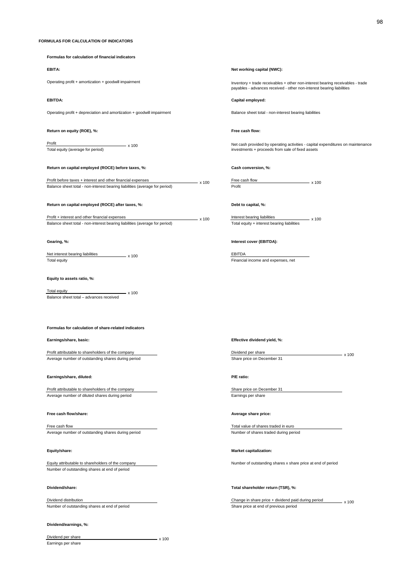### **FORMULAS FOR CALCULATION OF INDICATORS**

**Formulas for calculation of financial indicators**

Operating profit + amortization + goodwill impairment

Operating profit + depreciation and amortization + goodwill impairment Balance sheet total - non-interest bearing liabilities

**Return on equity (ROE), %: Free cash flow:**

Profit Total equity (average for period)  $- x 100$ 

**Return on capital employed (ROCE) before taxes, %: Cash conversion, %:**

Profit before taxes + interest and other financial expenses  $\times 100$  Free cash flow Balance sheet total - non-interest bearing liabilities (average for period) <br>Profit  $\overline{\phantom{0}}$  x 100

**Return on capital employed (ROCE) after taxes, %: Debt to capital, %:**

Profit + interest and other financial expenses Interest bearing liabilities Interest bearing liabilities Balance sheet total - non-interest bearing liabilities (average for period)  $- x 100$ 

Net interest bearing liabilities <br>  $\times 100$ Total equity **The Contract Contract Contract Contract Contract Contract Contract Contract Contract Contract Contract Contract Contract Contract Contract Contract Contract Contract Contract Contract Contract Contract Contra** 

**Equity to assets ratio, %:**

Total equity Balance sheet total – advances received  $- x 100$ 

**Formulas for calculation of share-related indicators**

Profit attributable to shareholders of the company Dividend per share Dividend per share Average number of outstanding shares during period Share price on December 31

**Earnings/share, diluted: P/E ratio:**

Profit attributable to shareholders of the company Share price on December 31 Average number of diluted shares during period entity and the state of the Earnings per share

Free cash flow Total value of shares traded in euro Average number of outstanding shares during period Number of shares traded during period

Number of outstanding shares at end of period

Number of outstanding shares at end of period Share price at end of previous period

**Dividend/earnings, %:**

Dividend per share Earnings per share  $\frac{1}{x}$  x 100

**EBITA: Net working capital (NWC):**

Inventory + trade receivables + other non-interest bearing receivables - trade payables - advances received - other non-interest bearing liabilities

**EBITDA: Capital employed:**

Net cash provided by operating activities - capital expenditures on maintenance investments + proceeds from sale of fixed assets

x 100

x 100<br>Total equity + interest bearing liabilities<br>Total equity + interest bearing liabilities

**Gearing, %: Interest cover (EBITDA):**

**Earnings/share, basic: Effective dividend yield, %:**

 $- x 100$ 

**Free cash flow/share: Average share price:**

**Equity/share: Market capitalization:**

Equity attributable to shareholders of the company Number of outstanding shares x share price at end of period

**Dividend/share: Total shareholder return (TSR), %:**

Dividend distribution **Change in share price + dividend paid during period** x 100 x 100 x 100 x 100 x 100 x 100 x 100 x 100 x 100 x 100 x 100 x 100 x 100 x 100 x 100 x 100 x 100 x 100 x 100 x 100 x 100 x 100 x 100 x 100 x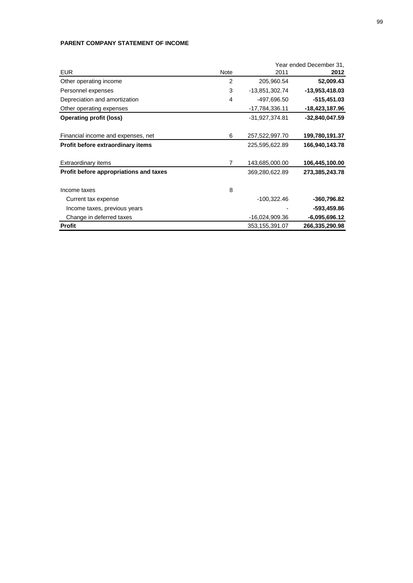# **PARENT COMPANY STATEMENT OF INCOME**

|                                        |      | Year ended December 31, |                  |
|----------------------------------------|------|-------------------------|------------------|
| <b>EUR</b>                             | Note | 2011                    | 2012             |
| Other operating income                 | 2    | 205,960.54              | 52,009.43        |
| Personnel expenses                     | 3    | -13,851,302.74          | $-13,953,418.03$ |
| Depreciation and amortization          | 4    | -497,696.50             | $-515,451.03$    |
| Other operating expenses               |      | -17,784,336.11          | -18,423,187.96   |
| <b>Operating profit (loss)</b>         |      | -31,927,374.81          | $-32,840,047.59$ |
| Financial income and expenses, net     | 6    | 257,522,997.70          | 199,780,191.37   |
| Profit before extraordinary items      |      | 225,595,622.89          | 166,940,143.78   |
| <b>Extraordinary items</b>             | 7    | 143,685,000.00          | 106,445,100.00   |
| Profit before appropriations and taxes |      | 369,280,622.89          | 273,385,243.78   |
| Income taxes                           | 8    |                         |                  |
| Current tax expense                    |      | $-100,322.46$           | -360,796.82      |
| Income taxes, previous years           |      |                         | -593,459.86      |
| Change in deferred taxes               |      | -16,024,909.36          | $-6,095,696.12$  |
| <b>Profit</b>                          |      | 353,155,391.07          | 266,335,290.98   |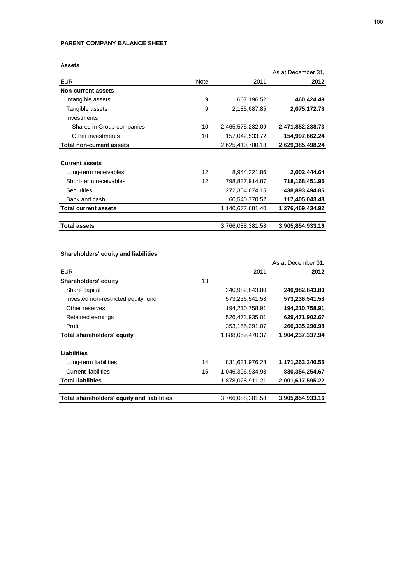# **PARENT COMPANY BALANCE SHEET**

# **Assets**

|                                 |             |                  | As at December 31, |
|---------------------------------|-------------|------------------|--------------------|
| <b>EUR</b>                      | <b>Note</b> | 2011             | 2012               |
| <b>Non-current assets</b>       |             |                  |                    |
| Intangible assets               | 9           | 607,196.52       | 460,424.49         |
| Tangible assets                 | 9           | 2,185,687.85     | 2,075,172.78       |
| Investments                     |             |                  |                    |
| Shares in Group companies       | 10          | 2,465,575,282.09 | 2,471,852,238.73   |
| Other investments               | 10          | 157,042,533.72   | 154,997,662.24     |
| <b>Total non-current assets</b> |             | 2,625,410,700.18 | 2,629,385,498.24   |
|                                 |             |                  |                    |
| <b>Current assets</b>           |             |                  |                    |
| Long-term receivables           | 12          | 8,944,321.86     | 2,002,444.64       |
| Short-term receivables          | 12          | 798,837,914.87   | 718,168,451.95     |
| <b>Securities</b>               |             | 272,354,674.15   | 438,893,494.85     |
| Bank and cash                   |             | 60,540,770.52    | 117,405,043.48     |
| <b>Total current assets</b>     |             | 1,140,677,681.40 | 1,276,469,434.92   |
| <b>Total assets</b>             |             | 3,766,088,381.58 | 3,905,854,933.16   |

# **Shareholders' equity and liabilities**

|                                            |    |                  | As at December 31, |
|--------------------------------------------|----|------------------|--------------------|
| <b>EUR</b>                                 |    | 2011             | 2012               |
| Shareholders' equity                       | 13 |                  |                    |
| Share capital                              |    | 240,982,843.80   | 240,982,843.80     |
| Invested non-restricted equity fund        |    | 573,236,541.58   | 573,236,541.58     |
| Other reserves                             |    | 194,210,758.91   | 194,210,758.91     |
| Retained earnings                          |    | 526,473,935.01   | 629,471,902.67     |
| Profit                                     |    | 353, 155, 391.07 | 266,335,290.98     |
| Total shareholders' equity                 |    | 1,888,059,470.37 | 1,904,237,337.94   |
|                                            |    |                  |                    |
| Liabilities                                |    |                  |                    |
| Long-term liabilities                      | 14 | 831,631,976.28   | 1,171,263,340.55   |
| <b>Current liabilities</b>                 | 15 | 1,046,396,934.93 | 830, 354, 254. 67  |
| <b>Total liabilities</b>                   |    | 1,878,028,911.21 | 2,001,617,595.22   |
|                                            |    |                  |                    |
| Total shareholders' equity and liabilities |    | 3,766,088,381.58 | 3,905,854,933.16   |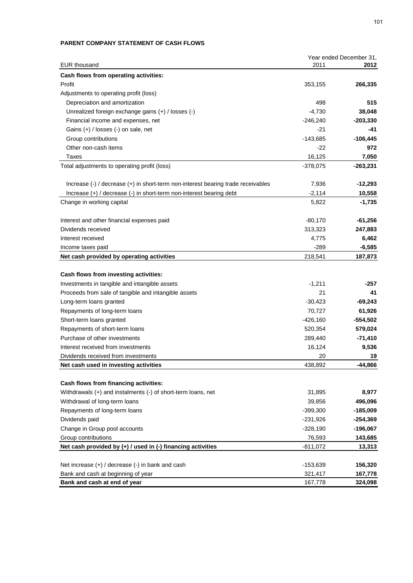# **PARENT COMPANY STATEMENT OF CASH FLOWS**

|                                                                                  |            | Year ended December 31, |
|----------------------------------------------------------------------------------|------------|-------------------------|
| <b>EUR thousand</b>                                                              | 2011       | 2012                    |
| Cash flows from operating activities:                                            |            |                         |
| Profit                                                                           | 353,155    | 266,335                 |
| Adjustments to operating profit (loss)                                           |            |                         |
| Depreciation and amortization                                                    | 498        | 515                     |
| Unrealized foreign exchange gains (+) / losses (-)                               | -4,730     | 38,048                  |
| Financial income and expenses, net                                               | $-246,240$ | $-203,330$              |
| Gains (+) / losses (-) on sale, net                                              | $-21$      | -41                     |
| Group contributions                                                              | $-143,685$ | $-106,445$              |
| Other non-cash items                                                             | $-22$      | 972                     |
| Taxes                                                                            | 16,125     | 7,050                   |
| Total adjustments to operating profit (loss)                                     | $-378,075$ | -263,231                |
|                                                                                  |            |                         |
| Increase (-) / decrease (+) in short-term non-interest bearing trade receivables | 7,936      | $-12,293$               |
| Increase (+) / decrease (-) in short-term non-interest bearing debt              | $-2,114$   | 10,558                  |
| Change in working capital                                                        | 5,822      | $-1,735$                |
|                                                                                  |            |                         |
| Interest and other financial expenses paid                                       | $-80,170$  | $-61,256$               |
| Dividends received                                                               | 313,323    | 247,883                 |
| Interest received                                                                | 4,775      | 6,462                   |
| Income taxes paid                                                                | -289       | $-6,585$                |
| Net cash provided by operating activities                                        | 218,541    | 187,873                 |
|                                                                                  |            |                         |
| Cash flows from investing activities:                                            |            |                         |
| Investments in tangible and intangible assets                                    | $-1,211$   | -257                    |
| Proceeds from sale of tangible and intangible assets                             | 21         | 41                      |
| Long-term loans granted                                                          | $-30,423$  | $-69,243$               |
|                                                                                  |            |                         |
| Repayments of long-term loans                                                    | 70,727     | 61,926                  |
| Short-term loans granted                                                         | $-426,160$ | $-554,502$              |
| Repayments of short-term loans                                                   | 520,354    | 579,024                 |
| Purchase of other investments                                                    | 289,440    | $-71,410$               |
| Interest received from investments                                               | 16,124     | 9,536                   |
| Dividends received from investments                                              | 20         | 19                      |
| Net cash used in investing activities                                            | 438,892    | -44,866                 |
|                                                                                  |            |                         |
| Cash flows from financing activities:                                            |            |                         |
| Withdrawals (+) and instalments (-) of short-term loans, net                     | 31,895     | 8,977                   |
| Withdrawal of long-term loans                                                    | 39,856     | 496,096                 |
| Repayments of long-term loans                                                    | $-399,300$ | $-185,009$              |
| Dividends paid                                                                   | $-231,926$ | $-254,369$              |
| Change in Group pool accounts                                                    | $-328,190$ | $-196,067$              |
| Group contributions                                                              | 76,593     | 143,685                 |
| Net cash provided by $(+)$ / used in $(-)$ financing activities                  | $-811,072$ | 13,313                  |
|                                                                                  |            |                         |
| Net increase $(+)$ / decrease $(-)$ in bank and cash                             | $-153,639$ | 156,320                 |
| Bank and cash at beginning of year                                               | 321,417    | 167,778                 |
| Bank and cash at end of year                                                     | 167,778    | 324,098                 |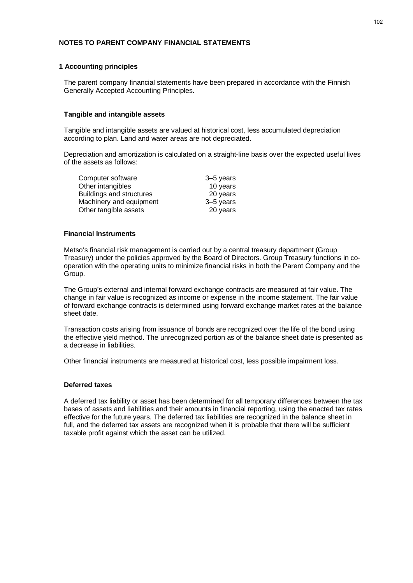# **1 Accounting principles**

The parent company financial statements have been prepared in accordance with the Finnish Generally Accepted Accounting Principles.

# **Tangible and intangible assets**

Tangible and intangible assets are valued at historical cost, less accumulated depreciation according to plan. Land and water areas are not depreciated.

Depreciation and amortization is calculated on a straight-line basis over the expected useful lives of the assets as follows:

| Computer software               | $3-5$ years |
|---------------------------------|-------------|
| Other intangibles               | 10 years    |
| <b>Buildings and structures</b> | 20 years    |
| Machinery and equipment         | $3-5$ years |
| Other tangible assets           | 20 years    |

# **Financial Instruments**

Metso's financial risk management is carried out by a central treasury department (Group Treasury) under the policies approved by the Board of Directors. Group Treasury functions in cooperation with the operating units to minimize financial risks in both the Parent Company and the Group.

The Group's external and internal forward exchange contracts are measured at fair value. The change in fair value is recognized as income or expense in the income statement. The fair value of forward exchange contracts is determined using forward exchange market rates at the balance sheet date.

Transaction costs arising from issuance of bonds are recognized over the life of the bond using the effective yield method. The unrecognized portion as of the balance sheet date is presented as a decrease in liabilities.

Other financial instruments are measured at historical cost, less possible impairment loss.

# **Deferred taxes**

A deferred tax liability or asset has been determined for all temporary differences between the tax bases of assets and liabilities and their amounts in financial reporting, using the enacted tax rates effective for the future years. The deferred tax liabilities are recognized in the balance sheet in full, and the deferred tax assets are recognized when it is probable that there will be sufficient taxable profit against which the asset can be utilized.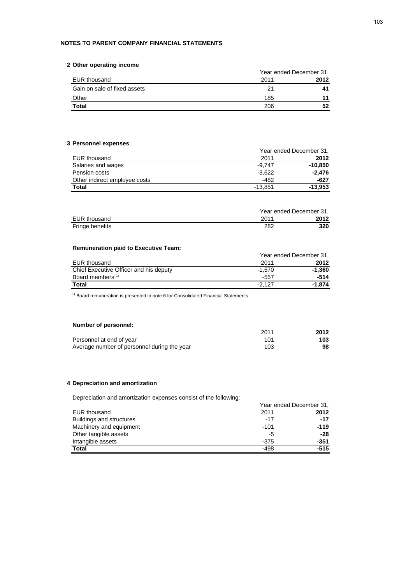# **2 Other operating income**

| $5.101$ $9.101$ $1.100$ $1.100$ |                         |      |  |
|---------------------------------|-------------------------|------|--|
|                                 | Year ended December 31, |      |  |
| EUR thousand                    | 2011                    | 2012 |  |
| Gain on sale of fixed assets    | 21                      | 41   |  |
| Other                           | 185                     | 11   |  |
| <b>Total</b>                    | 206                     | 52   |  |
|                                 |                         |      |  |

## **3 Personnel expenses**

| <b>I GISAIIIGI GYNGIISES</b>  |                         |           |
|-------------------------------|-------------------------|-----------|
|                               | Year ended December 31, |           |
| EUR thousand                  | 2011                    | 2012      |
| Salaries and wages            | $-9.747$                | $-10,850$ |
| Pension costs                 | $-3.622$                | $-2.476$  |
| Other indirect employee costs | -482                    | -627      |
| <b>Total</b>                  | $-13.851$               | $-13,953$ |

|                 |      | Year ended December 31, |
|-----------------|------|-------------------------|
| EUR thousand    | 2011 | 2012                    |
| Fringe benefits | 282  | 320                     |

# **Remuneration paid to Executive Team:**

|                                        | Year ended December 31, |          |
|----------------------------------------|-------------------------|----------|
| EUR thousand                           | 2011                    | 2012     |
| Chief Executive Officer and his deputy | -1.570                  | $-1.360$ |
| Board members <sup>1)</sup>            | -557                    | -514     |
| <b>Total</b>                           | $-2.127$                | $-1.874$ |

 $1)$  Board remuneration is presented in note 6 for Consolidated Financial Statements.

## **Number of personnel:**

|                                             | 2011 | 2012 |
|---------------------------------------------|------|------|
| Personnel at end of year                    | 101  | 103  |
| Average number of personnel during the year | 103  | 98   |

# **4 Depreciation and amortization**

Depreciation and amortization expenses consist of the following:

| Depreciation and amonization experises consist of the following. |                         |        |
|------------------------------------------------------------------|-------------------------|--------|
|                                                                  | Year ended December 31, |        |
| EUR thousand                                                     | 2011                    | 2012   |
| Buildings and structures                                         | $-17$                   | $-17$  |
| Machinery and equipment                                          | $-101$                  | -119   |
| Other tangible assets                                            | -5                      | -28    |
| Intangible assets                                                | $-375$                  | -351   |
| <b>Total</b>                                                     | -498                    | $-515$ |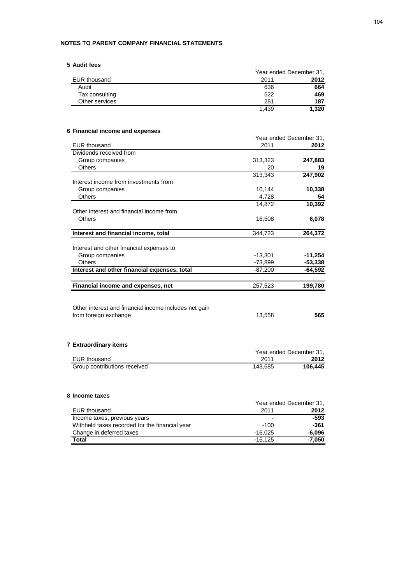# **5 Audit fees**

| , , , , , , , , , , , , |       |                         |  |  |
|-------------------------|-------|-------------------------|--|--|
|                         |       | Year ended December 31, |  |  |
| EUR thousand            | 2011  | 2012                    |  |  |
| Audit                   | 636   | 664                     |  |  |
| Tax consulting          | 522   | 469                     |  |  |
| Other services          | 281   | 187                     |  |  |
|                         | 1.439 | 1.320                   |  |  |
|                         |       |                         |  |  |

# **6 Financial income and expenses**

|                                                       |            | Year ended December 31, |
|-------------------------------------------------------|------------|-------------------------|
| <b>EUR thousand</b>                                   | 2011       | 2012                    |
| Dividends received from                               |            |                         |
| Group companies                                       | 313,323    | 247,883                 |
| <b>Others</b>                                         | 20         | 19                      |
|                                                       | 313,343    | 247,902                 |
| Interest income from investments from                 |            |                         |
| Group companies                                       | 10,144     | 10,338                  |
| Others                                                | 4,728      | 54                      |
|                                                       | 14,872     | 10,392                  |
| Other interest and financial income from              |            |                         |
| Others                                                | 16,508     | 6,078                   |
|                                                       |            |                         |
| Interest and financial income, total                  | 344,723    | 264,372                 |
| Interest and other financial expenses to              |            |                         |
| Group companies                                       | $-13,301$  | $-11,254$               |
| Others                                                | $-73,899$  | $-53,338$               |
| Interest and other financial expenses, total          | $-87,200$  | $-64,592$               |
|                                                       |            |                         |
| Financial income and expenses, net                    | 257,523    | 199,780                 |
|                                                       |            |                         |
| Other interest and financial income includes net gain |            |                         |
| from foreign exchange                                 | 13,558     | 565                     |
|                                                       |            |                         |
|                                                       |            |                         |
| <b>7 Extraordinary items</b>                          |            |                         |
|                                                       |            | Year ended December 31, |
| <b>EUR thousand</b>                                   | 2011       | 2012                    |
| Group contributions received                          | 143,685    | 106,445                 |
|                                                       |            |                         |
|                                                       |            |                         |
| 8 Income taxes                                        |            |                         |
|                                                       |            | Year ended December 31, |
| <b>EUR thousand</b>                                   | 2011       | 2012                    |
| Income taxes, previous years                          |            | $-593$                  |
| Withheld taxes recorded for the financial year        | $-100$     | $-361$                  |
| Change in deferred taxes                              | $-16,025$  | $-6,096$                |
| Total                                                 | $-16, 125$ | $-7,050$                |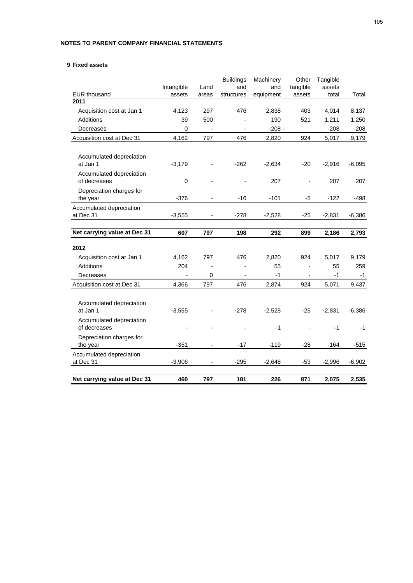## **9 Fixed assets**

|                                          |             |                          | <b>Buildings</b> | Machinery | Other                    | Tangible |          |
|------------------------------------------|-------------|--------------------------|------------------|-----------|--------------------------|----------|----------|
|                                          | Intangible  | Land                     | and              | and       | tangible                 | assets   |          |
| <b>EUR thousand</b>                      | assets      | areas                    | structures       | equipment | assets                   | total    | Total    |
| 2011                                     |             |                          |                  |           |                          |          |          |
| Acquisition cost at Jan 1                | 4,123       | 297                      | 476              | 2,838     | 403                      | 4,014    | 8,137    |
| Additions                                | 39          | 500                      |                  | 190       | 521                      | 1,211    | 1,250    |
| Decreases                                | $\mathbf 0$ | $\frac{1}{2}$            |                  | $-208 -$  |                          | $-208$   | $-208$   |
| Acquisition cost at Dec 31               | 4,162       | 797                      | 476              | 2,820     | 924                      | 5,017    | 9,179    |
|                                          |             |                          |                  |           |                          |          |          |
| Accumulated depreciation<br>at Jan 1     | $-3,179$    | $\overline{\phantom{0}}$ | $-262$           | $-2,634$  | $-20$                    | $-2,916$ | $-6,095$ |
| Accumulated depreciation<br>of decreases | $\mathbf 0$ | $\overline{a}$           |                  | 207       | $\overline{a}$           | 207      | 207      |
| Depreciation charges for<br>the year     | $-376$      |                          | $-16$            | $-101$    | -5                       | $-122$   | $-498$   |
| Accumulated depreciation                 |             |                          |                  |           |                          |          |          |
| at Dec 31                                | $-3,555$    |                          | $-278$           | $-2,528$  | $-25$                    | $-2,831$ | $-6,386$ |
|                                          |             |                          |                  |           |                          |          |          |
| Net carrying value at Dec 31             | 607         | 797                      | 198              | 292       | 899                      | 2,186    | 2,793    |
| 2012                                     |             |                          |                  |           |                          |          |          |
| Acquisition cost at Jan 1                | 4,162       | 797                      | 476              | 2,820     | 924                      | 5,017    | 9,179    |
| Additions                                | 204         | -                        |                  | 55        |                          | 55       | 259      |
| Decreases                                |             | 0                        |                  | $-1$      | $\overline{\phantom{a}}$ | $-1$     | $-1$     |
| Acquisition cost at Dec 31               | 4,366       | 797                      | 476              | 2,874     | 924                      | 5,071    | 9,437    |
|                                          |             |                          |                  |           |                          |          |          |
| Accumulated depreciation<br>at Jan 1     | $-3,555$    |                          | $-278$           | $-2,528$  | $-25$                    | $-2,831$ | $-6,386$ |
| Accumulated depreciation<br>of decreases |             | L,                       |                  | $-1$      |                          | $-1$     | $-1$     |
| Depreciation charges for<br>the year     | -351        | -                        | -17              | $-119$    | -28                      | -164     | $-515$   |
| Accumulated depreciation                 |             |                          |                  |           |                          |          |          |
| at Dec 31                                | $-3,906$    | -                        | $-295$           | $-2,648$  | $-53$                    | $-2,996$ | $-6,902$ |
| Net carrying value at Dec 31             | 460         | 797                      | 181              | 226       | 871                      |          |          |
|                                          |             |                          |                  |           |                          | 2,075    | 2,535    |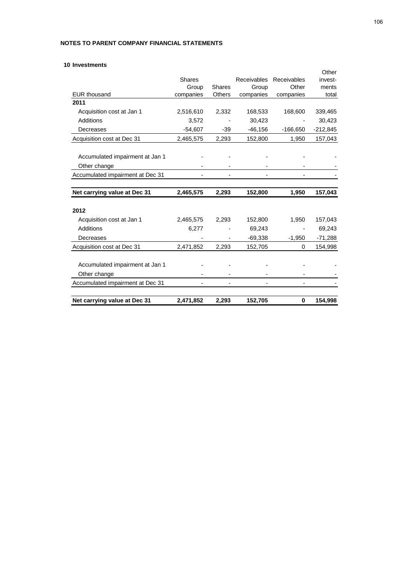# **10 Investments**

| Net carrying value at Dec 31     | 2,471,852     | 2,293          | 152,705            | 0           | 154,998          |
|----------------------------------|---------------|----------------|--------------------|-------------|------------------|
| Accumulated impairment at Dec 31 |               | $\overline{a}$ |                    |             |                  |
| Other change                     |               | $\blacksquare$ |                    |             |                  |
| Accumulated impairment at Jan 1  |               |                |                    |             |                  |
| Acquisition cost at Dec 31       | 2,471,852     | 2,293          | 152,705            | 0           | 154,998          |
| Decreases                        |               |                | $-69,338$          | $-1,950$    | $-71,288$        |
| Additions                        | 6,277         |                | 69,243             |             | 69,243           |
| Acquisition cost at Jan 1        | 2,465,575     | 2,293          | 152,800            | 1,950       | 157,043          |
| 2012                             |               |                |                    |             |                  |
| Net carrying value at Dec 31     | 2,465,575     | 2,293          | 152,800            | 1,950       | 157,043          |
| Accumulated impairment at Dec 31 |               |                |                    |             |                  |
| Other change                     |               |                |                    |             |                  |
| Accumulated impairment at Jan 1  |               |                |                    |             |                  |
| Acquisition cost at Dec 31       | 2,465,575     | 2,293          | 152,800            | 1,950       | 157,043          |
| Decreases                        | $-54,607$     | $-39$          | $-46, 156$         | $-166,650$  | -212,845         |
| Additions                        | 3,572         |                | 30,423             |             | 30,423           |
| Acquisition cost at Jan 1        | 2,516,610     | 2,332          | 168,533            | 168,600     | 339,465          |
| 2011                             |               |                |                    |             |                  |
| <b>EUR thousand</b>              | companies     | <b>Others</b>  | companies          | companies   | total            |
|                                  | Group         | <b>Shares</b>  | Group              | Other       | ments            |
|                                  | <b>Shares</b> |                | <b>Receivables</b> | Receivables | Other<br>invest- |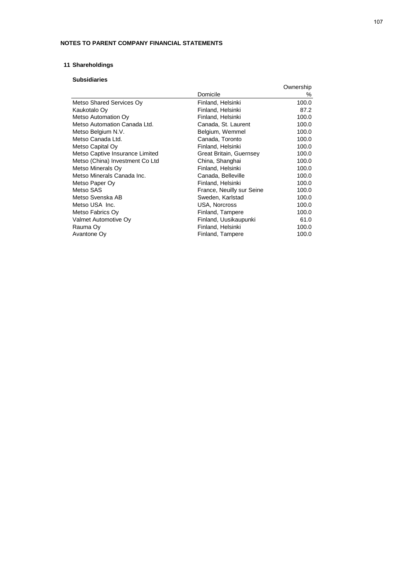# **11 Shareholdings**

## **Subsidiaries**

|                                 |                           | Ownership |
|---------------------------------|---------------------------|-----------|
|                                 | Domicile                  | %         |
| Metso Shared Services Oy        | Finland, Helsinki         | 100.0     |
| Kaukotalo Oy                    | Finland, Helsinki         | 87.2      |
| Metso Automation Oy             | Finland, Helsinki         | 100.0     |
| Metso Automation Canada Ltd.    | Canada, St. Laurent       | 100.0     |
| Metso Belgium N.V.              | Belgium, Wemmel           | 100.0     |
| Metso Canada Ltd.               | Canada, Toronto           | 100.0     |
| Metso Capital Oy                | Finland, Helsinki         | 100.0     |
| Metso Captive Insurance Limited | Great Britain, Guernsey   | 100.0     |
| Metso (China) Investment Co Ltd | China, Shanghai           | 100.0     |
| Metso Minerals Oy               | Finland, Helsinki         | 100.0     |
| Metso Minerals Canada Inc.      | Canada, Belleville        | 100.0     |
| Metso Paper Oy                  | Finland, Helsinki         | 100.0     |
| Metso SAS                       | France, Neuilly sur Seine | 100.0     |
| Metso Svenska AB                | Sweden, Karlstad          | 100.0     |
| Metso USA Inc.                  | <b>USA, Norcross</b>      | 100.0     |
| Metso Fabrics Oy                | Finland, Tampere          | 100.0     |
| Valmet Automotive Oy            | Finland, Uusikaupunki     | 61.0      |
| Rauma Oy                        | Finland, Helsinki         | 100.0     |
| Avantone Oy                     | Finland, Tampere          | 100.0     |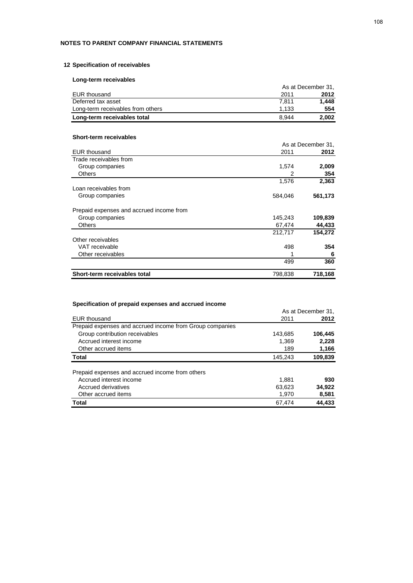# **12 Specification of receivables**

**Long-term receivables**

| LUIG tulli luutivabius            |       |                    |  |
|-----------------------------------|-------|--------------------|--|
|                                   |       | As at December 31, |  |
| EUR thousand                      | 2011  | 2012               |  |
| Deferred tax asset                | 7.811 | 1.448              |  |
| Long-term receivables from others | 1.133 | 554                |  |
| Long-term receivables total       | 8.944 | 2.002              |  |
|                                   |       |                    |  |

#### **Short-term receivables**

|                                          | As at December 31, |         |
|------------------------------------------|--------------------|---------|
| <b>EUR thousand</b>                      | 2011               | 2012    |
| Trade receivables from                   |                    |         |
| Group companies                          | 1,574              | 2,009   |
| <b>Others</b>                            | 2                  | 354     |
|                                          | 1,576              | 2,363   |
| Loan receivables from                    |                    |         |
| Group companies                          | 584,046            | 561,173 |
| Prepaid expenses and accrued income from |                    |         |
| Group companies                          | 145,243            | 109,839 |
| Others                                   | 67,474             | 44,433  |
|                                          | 212,717            | 154,272 |
| Other receivables                        |                    |         |
| VAT receivable                           | 498                | 354     |
| Other receivables                        |                    | 6       |
|                                          | 499                | 360     |
| Short-term receivables total             | 798,838            | 718,168 |

# **Specification of prepaid expenses and accrued income**

| opeculoation of prepaid experises and accrued income     |         |                    |  |
|----------------------------------------------------------|---------|--------------------|--|
|                                                          |         | As at December 31, |  |
| <b>EUR</b> thousand                                      | 2011    | 2012               |  |
| Prepaid expenses and accrued income from Group companies |         |                    |  |
| Group contribution receivables                           | 143,685 | 106,445            |  |
| Accrued interest income                                  | 1.369   | 2,228              |  |
| Other accrued items                                      | 189     | 1,166              |  |
| Total                                                    | 145.243 | 109,839            |  |
| Prepaid expenses and accrued income from others          |         |                    |  |
| Accrued interest income                                  | 1.881   | 930                |  |
| Accrued derivatives                                      | 63,623  | 34,922             |  |
| Other accrued items                                      | 1,970   | 8,581              |  |
| <b>Total</b>                                             | 67,474  | 44,433             |  |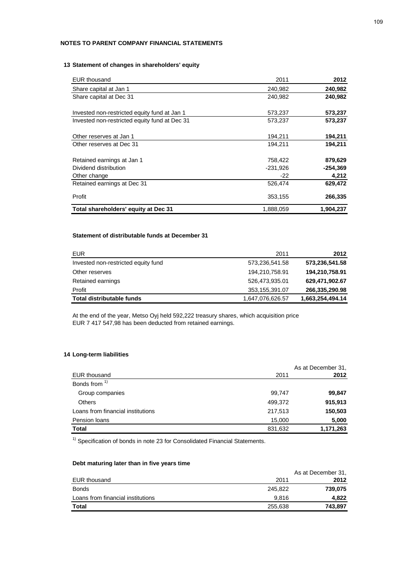#### **NOTES TO PARENT COMPANY FINANCIAL STATEMENTS**

# **13 Statement of changes in shareholders' equity**

| <b>EUR thousand</b>                           | 2011       | 2012       |
|-----------------------------------------------|------------|------------|
| Share capital at Jan 1                        | 240,982    | 240,982    |
| Share capital at Dec 31                       | 240,982    | 240,982    |
| Invested non-restricted equity fund at Jan 1  | 573,237    | 573,237    |
| Invested non-restricted equity fund at Dec 31 | 573,237    | 573,237    |
| Other reserves at Jan 1                       | 194,211    | 194,211    |
| Other reserves at Dec 31                      | 194.211    | 194,211    |
| Retained earnings at Jan 1                    | 758,422    | 879,629    |
| Dividend distribution                         | $-231,926$ | $-254,369$ |
| Other change                                  | $-22$      | 4,212      |
| Retained earnings at Dec 31                   | 526,474    | 629,472    |
| Profit                                        | 353,155    | 266,335    |
| Total shareholders' equity at Dec 31          | 1,888,059  | 1,904,237  |

## **Statement of distributable funds at December 31**

| <b>EUR</b>                          | 2011             | 2012             |
|-------------------------------------|------------------|------------------|
| Invested non-restricted equity fund | 573,236,541.58   | 573,236,541.58   |
| Other reserves                      | 194.210.758.91   | 194,210,758.91   |
| Retained earnings                   | 526,473,935.01   | 629,471,902.67   |
| Profit                              | 353,155,391.07   | 266,335,290.98   |
| Total distributable funds           | 1,647,076,626.57 | 1,663,254,494.14 |

At the end of the year, Metso Oyj held 592,222 treasury shares, which acquisition price EUR 7 417 547,98 has been deducted from retained earnings.

# **14 Long-term liabilities**

|                                   |         | As at December 31, |
|-----------------------------------|---------|--------------------|
| EUR thousand                      | 2011    | 2012               |
| Bonds from <sup>1)</sup>          |         |                    |
| Group companies                   | 99,747  | 99,847             |
| <b>Others</b>                     | 499,372 | 915,913            |
| Loans from financial institutions | 217,513 | 150,503            |
| Pension loans                     | 15,000  | 5,000              |
| <b>Total</b>                      | 831,632 | 1,171,263          |

 $1)$  Specification of bonds in note 23 for Consolidated Financial Statements.

## **Debt maturing later than in five years time**

|                                   | As at December 31, |         |
|-----------------------------------|--------------------|---------|
| EUR thousand                      | 2011               | 2012    |
| <b>Bonds</b>                      | 245.822            | 739,075 |
| Loans from financial institutions | 9.816              | 4.822   |
| Total                             | 255,638            | 743,897 |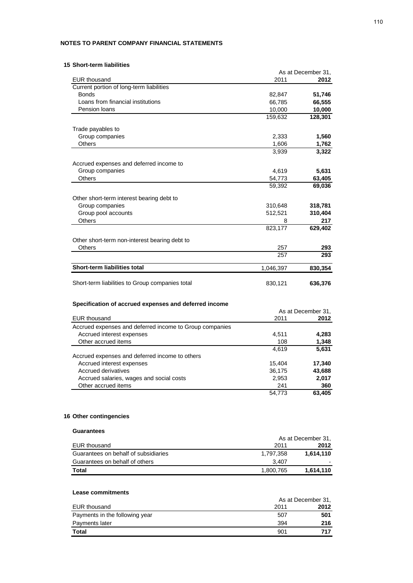# **NOTES TO PARENT COMPANY FINANCIAL STATEMENTS**

## **15 Short-term liabilities**

|                                                                                                                                        |               | As at December 31,                                                    |
|----------------------------------------------------------------------------------------------------------------------------------------|---------------|-----------------------------------------------------------------------|
| <b>EUR thousand</b>                                                                                                                    | 2011          | 2012                                                                  |
| Current portion of long-term liabilities                                                                                               |               |                                                                       |
| <b>Bonds</b>                                                                                                                           | 82,847        | 51,746                                                                |
| Loans from financial institutions                                                                                                      | 66,785        | 66,555                                                                |
| Pension loans                                                                                                                          | 10,000        | 10,000                                                                |
|                                                                                                                                        | 159,632       | 128,301                                                               |
| Trade payables to                                                                                                                      |               |                                                                       |
| Group companies                                                                                                                        | 2,333         | 1,560                                                                 |
| <b>Others</b>                                                                                                                          | 1,606         | 1,762                                                                 |
|                                                                                                                                        | 3,939         | 3,322                                                                 |
| Accrued expenses and deferred income to                                                                                                |               |                                                                       |
| Group companies                                                                                                                        | 4,619         | 5,631                                                                 |
| Others                                                                                                                                 | 54,773        | 63,405                                                                |
|                                                                                                                                        | 59,392        | 69,036                                                                |
| Other short-term interest bearing debt to                                                                                              |               |                                                                       |
| Group companies                                                                                                                        | 310,648       | 318,781                                                               |
| Group pool accounts                                                                                                                    | 512,521       | 310,404                                                               |
| Others                                                                                                                                 | 8             | 217                                                                   |
|                                                                                                                                        | 823,177       | 629,402                                                               |
| Other short-term non-interest bearing debt to                                                                                          |               |                                                                       |
|                                                                                                                                        |               |                                                                       |
| <b>Others</b>                                                                                                                          | 257           |                                                                       |
|                                                                                                                                        | 257           |                                                                       |
| Short-term liabilities total                                                                                                           | 1,046,397     |                                                                       |
| Short-term liabilities to Group companies total                                                                                        | 830,121       |                                                                       |
|                                                                                                                                        |               | 293<br>293<br>830,354<br>636,376                                      |
| Specification of accrued expenses and deferred income                                                                                  |               | As at December 31,                                                    |
| <b>EUR thousand</b>                                                                                                                    | 2011          | 2012                                                                  |
|                                                                                                                                        |               |                                                                       |
| Accrued interest expenses                                                                                                              | 4,511         |                                                                       |
| Other accrued items                                                                                                                    | 108           |                                                                       |
|                                                                                                                                        | 4,619         |                                                                       |
|                                                                                                                                        |               |                                                                       |
| Accrued expenses and deferred income to Group companies<br>Accrued expenses and deferred income to others<br>Accrued interest expenses | 15,404        |                                                                       |
| <b>Accrued derivatives</b>                                                                                                             | 36,175        |                                                                       |
| Accrued salaries, wages and social costs                                                                                               | 2,953         |                                                                       |
| Other accrued items                                                                                                                    | 241<br>54,773 | 4,283<br>1,348<br>5,631<br>17,340<br>43,688<br>2,017<br>360<br>63,405 |

## **Guarantees**

| Guarantees                           |                    |           |
|--------------------------------------|--------------------|-----------|
|                                      | As at December 31, |           |
| EUR thousand                         | 2011               | 2012      |
| Guarantees on behalf of subsidiaries | 1.797.358          | 1.614.110 |
| Guarantees on behalf of others       | 3.407              |           |
| Total                                | 1,800,765          | 1,614,110 |

#### **Lease commitments**

|                                |      | As at December 31, |  |
|--------------------------------|------|--------------------|--|
| EUR thousand                   | 2011 | 2012               |  |
| Payments in the following year | 507  | 501                |  |
| Payments later                 | 394  | 216                |  |
| Total                          | 901  | 717                |  |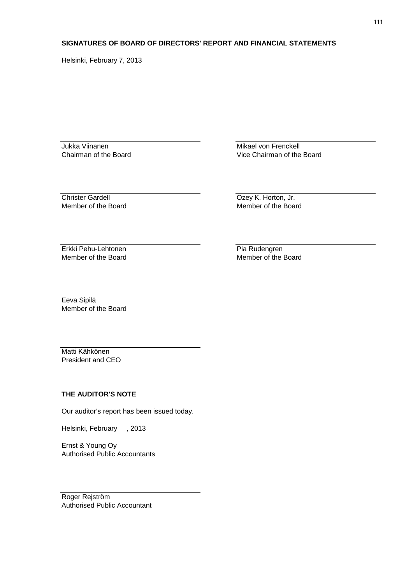Helsinki, February 7, 2013

Jukka Viinanen Mikael von Frenckell

Chairman of the Board Vice Chairman of the Board

Member of the Board

Christer Gardell **Christer Gardell** Ozey K. Horton, Jr.<br>
Member of the Board Member of the Board

Erkki Pehu-Lehtonen **Pia Rudengren** Pia Rudengren Member of the Board Member of the Board

Eeva Sipilä Member of the Board

Matti Kähkönen President and CEO

# **THE AUDITOR'S NOTE**

Our auditor's report has been issued today.

Helsinki, February , 2013

Ernst & Young Oy Authorised Public Accountants

Roger Rejström Authorised Public Accountant